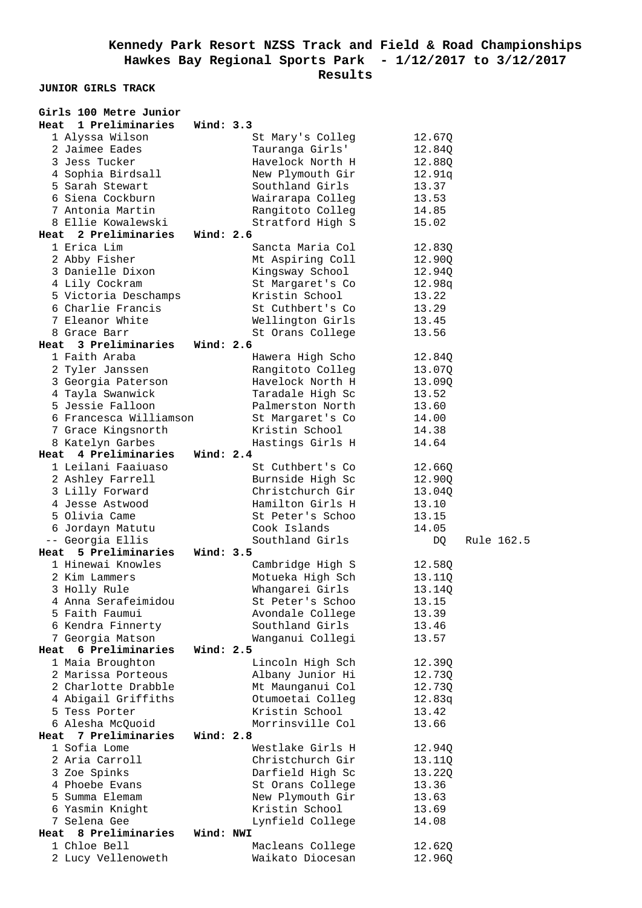**JUNIOR GIRLS TRACK** 

| Girls 100 Metre Junior                      |             |                                      |                  |            |
|---------------------------------------------|-------------|--------------------------------------|------------------|------------|
| Heat<br>1 Preliminaries                     | Wind: 3.3   |                                      |                  |            |
| 1 Alyssa Wilson                             |             | St Mary's Colleg                     | 12.67Q           |            |
| 2 Jaimee Eades                              |             | Tauranga Girls'                      | 12.840           |            |
| 3 Jess Tucker                               |             | Havelock North H                     | 12.88Q           |            |
| 4 Sophia Birdsall                           |             | New Plymouth Gir                     | 12.91q           |            |
| 5 Sarah Stewart                             |             | Southland Girls                      | 13.37            |            |
| 6 Siena Cockburn                            |             | Wairarapa Colleg                     | 13.53            |            |
| 7 Antonia Martin                            |             | Rangitoto Colleg                     | 14.85            |            |
| 8 Ellie Kowalewski                          |             | Stratford High S                     | 15.02            |            |
| Heat 2 Preliminaries                        | Wind: $2.6$ |                                      |                  |            |
| 1 Erica Lim                                 |             | Sancta Maria Col                     | 12.83Q           |            |
| 2 Abby Fisher                               |             | Mt Aspiring Coll                     | 12.90Q           |            |
| 3 Danielle Dixon                            |             | Kingsway School                      | 12.94Q           |            |
| 4 Lily Cockram                              |             | St Margaret's Co                     | 12.98q           |            |
| 5 Victoria Deschamps                        |             | Kristin School                       | 13.22            |            |
| 6 Charlie Francis                           |             | St Cuthbert's Co                     | 13.29            |            |
| 7 Eleanor White                             |             | Wellington Girls                     | 13.45            |            |
| 8 Grace Barr                                |             | St Orans College                     | 13.56            |            |
| Heat 3 Preliminaries Wind: 2.6              |             |                                      |                  |            |
| 1 Faith Araba                               |             | Hawera High Scho                     | 12.84Q           |            |
| 2 Tyler Janssen                             |             | Rangitoto Colleg                     | 13.07Q           |            |
| 3 Georgia Paterson                          |             | Havelock North H                     | 13.09Q           |            |
| 4 Tayla Swanwick                            |             | Taradale High Sc                     | 13.52            |            |
| 5 Jessie Falloon                            |             | Palmerston North                     | 13.60            |            |
| 6 Francesca Williamson                      |             | St Margaret's Co                     | 14.00            |            |
| 7 Grace Kingsnorth                          |             | Kristin School                       | 14.38            |            |
| 8 Katelyn Garbes                            |             | Hastings Girls H                     | 14.64            |            |
| Heat 4 Preliminaries                        | Wind: $2.4$ |                                      |                  |            |
| 1 Leilani Faaiuaso                          |             | St Cuthbert's Co                     | 12.66Q           |            |
| 2 Ashley Farrell                            |             | Burnside High Sc                     | 12.90Q           |            |
| 3 Lilly Forward                             |             | Christchurch Gir                     | 13.04Q           |            |
| 4 Jesse Astwood                             |             | Hamilton Girls H                     | 13.10            |            |
| 5 Olivia Came                               |             | St Peter's Schoo                     | 13.15            |            |
| 6 Jordayn Matutu                            |             | Cook Islands                         | 14.05            |            |
| -- Georgia Ellis                            |             | Southland Girls                      | DQ               | Rule 162.5 |
| Heat 5 Preliminaries                        | Wind: 3.5   |                                      |                  |            |
| 1 Hinewai Knowles                           |             | Cambridge High S                     | 12.58Q           |            |
| 2 Kim Lammers                               |             | Motueka High Sch                     | 13.110           |            |
| 3 Holly Rule                                |             | Whangarei Girls                      | 13.14Q           |            |
| 4 Anna Serafeimidou                         |             | St Peter's Schoo                     | 13.15            |            |
| 5 Faith Faumui                              |             | Avondale College                     | 13.39            |            |
| 6 Kendra Finnerty                           |             | Southland Girls                      | 13.46            |            |
| 7 Georgia Matson                            |             | Wanganui Collegi                     | 13.57            |            |
| 6 Preliminaries<br>Heat<br>1 Maia Broughton | Wind: 2.5   |                                      |                  |            |
| 2 Marissa Porteous                          |             | Lincoln High Sch                     | 12.39Q           |            |
| 2 Charlotte Drabble                         |             | Albany Junior Hi                     | 12.73Q           |            |
|                                             |             | Mt Maunganui Col<br>Otumoetai Colleg | 12.730           |            |
| 4 Abigail Griffiths<br>5 Tess Porter        |             | Kristin School                       | 12.83q<br>13.42  |            |
| 6 Alesha McQuoid                            |             | Morrinsville Col                     | 13.66            |            |
| 7 Preliminaries<br>Heat                     | Wind: 2.8   |                                      |                  |            |
| 1 Sofia Lome                                |             | Westlake Girls H                     | 12.94Q           |            |
| 2 Aria Carroll                              |             | Christchurch Gir                     |                  |            |
| 3 Zoe Spinks                                |             | Darfield High Sc                     | 13.11Q<br>13.220 |            |
| 4 Phoebe Evans                              |             | St Orans College                     | 13.36            |            |
| 5 Summa Elemam                              |             | New Plymouth Gir                     | 13.63            |            |
| 6 Yasmin Knight                             |             | Kristin School                       | 13.69            |            |
| 7 Selena Gee                                |             | Lynfield College                     | 14.08            |            |
| Heat 8 Preliminaries                        | Wind: NWI   |                                      |                  |            |
| 1 Chloe Bell                                |             | Macleans College                     | 12.62Q           |            |
| 2 Lucy Vellenoweth                          |             | Waikato Diocesan                     | 12.96Q           |            |
|                                             |             |                                      |                  |            |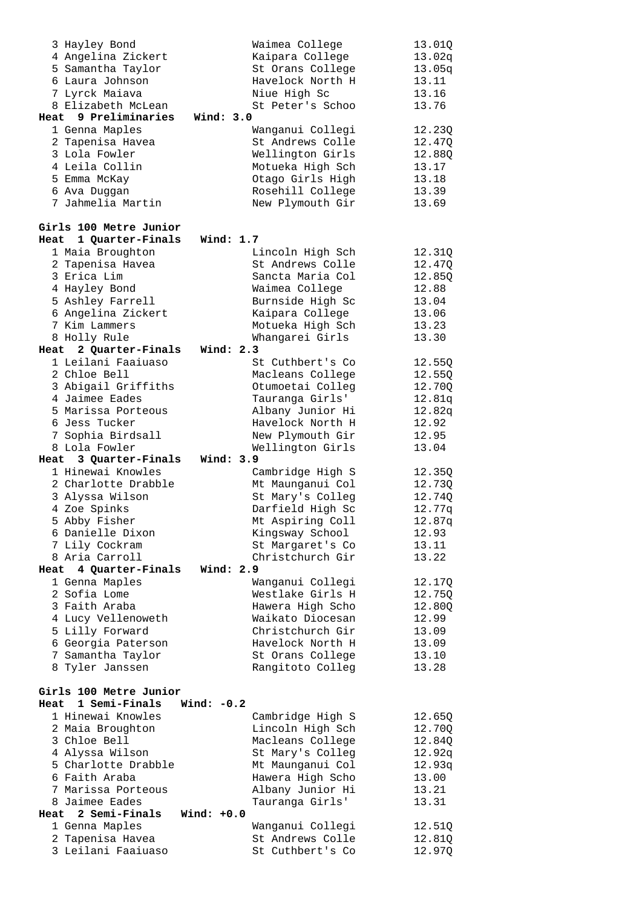|      | 3 Hayley Bond          |              | Waimea College   | 13.01Q |
|------|------------------------|--------------|------------------|--------|
|      | 4 Angelina Zickert     |              | Kaipara College  | 13.02q |
|      | 5 Samantha Taylor      |              | St Orans College | 13.05q |
|      | 6 Laura Johnson        |              | Havelock North H | 13.11  |
|      | 7 Lyrck Maiava         |              | Niue High Sc     | 13.16  |
|      | 8 Elizabeth McLean     |              | St Peter's Schoo | 13.76  |
|      | Heat 9 Preliminaries   | Wind: 3.0    |                  |        |
|      | 1 Genna Maples         |              | Wanganui Collegi | 12.23Q |
|      | 2 Tapenisa Havea       |              | St Andrews Colle | 12.47Q |
|      | 3 Lola Fowler          |              | Wellington Girls | 12.88Q |
|      | 4 Leila Collin         |              | Motueka High Sch | 13.17  |
|      | 5 Emma McKay           |              | Otago Girls High | 13.18  |
|      | 6 Ava Duggan           |              | Rosehill College | 13.39  |
|      | 7 Jahmelia Martin      |              | New Plymouth Gir | 13.69  |
|      |                        |              |                  |        |
|      | Girls 100 Metre Junior |              |                  |        |
|      | Heat 1 Quarter-Finals  | Wind: 1.7    |                  |        |
|      | 1 Maia Broughton       |              | Lincoln High Sch | 12.31Q |
|      | 2 Tapenisa Havea       |              | St Andrews Colle | 12.47Q |
|      | 3 Erica Lim            |              | Sancta Maria Col | 12.85Q |
|      | 4 Hayley Bond          |              | Waimea College   | 12.88  |
|      | 5 Ashley Farrell       |              | Burnside High Sc | 13.04  |
|      | 6 Angelina Zickert     |              | Kaipara College  | 13.06  |
|      | 7 Kim Lammers          |              | Motueka High Sch | 13.23  |
|      | 8 Holly Rule           |              | Whangarei Girls  | 13.30  |
|      | Heat 2 Quarter-Finals  | Wind: $2.3$  |                  |        |
|      | 1 Leilani Faaiuaso     |              | St Cuthbert's Co | 12.55Q |
|      | 2 Chloe Bell           |              | Macleans College | 12.55Q |
|      | 3 Abigail Griffiths    |              | Otumoetai Colleg | 12.70Q |
|      | 4 Jaimee Eades         |              | Tauranga Girls'  | 12.81q |
|      | 5 Marissa Porteous     |              | Albany Junior Hi | 12.82q |
|      | 6 Jess Tucker          |              | Havelock North H | 12.92  |
|      | 7 Sophia Birdsall      |              | New Plymouth Gir | 12.95  |
|      |                        |              |                  |        |
|      |                        |              |                  |        |
|      | 8 Lola Fowler          |              | Wellington Girls | 13.04  |
|      | Heat 3 Quarter-Finals  | Wind: 3.9    |                  |        |
|      | 1 Hinewai Knowles      |              | Cambridge High S | 12.35Q |
|      | 2 Charlotte Drabble    |              | Mt Maunganui Col | 12.73Q |
|      | 3 Alyssa Wilson        |              | St Mary's Colleq | 12.74Q |
|      | 4 Zoe Spinks           |              | Darfield High Sc | 12.77q |
|      | 5 Abby Fisher          |              | Mt Aspiring Coll | 12.87q |
|      | 6 Danielle Dixon       |              | Kingsway School  | 12.93  |
|      | 7 Lily Cockram         |              | St Margaret's Co | 13.11  |
|      | 8 Aria Carroll         |              | Christchurch Gir | 13.22  |
|      | Heat 4 Quarter-Finals  | Wind: 2.9    |                  |        |
|      | 1 Genna Maples         |              | Wanganui Collegi | 12.17Q |
|      | 2 Sofia Lome           |              | Westlake Girls H | 12.75Q |
|      | 3 Faith Araba          |              | Hawera High Scho | 12.80Q |
|      | 4 Lucy Vellenoweth     |              | Waikato Diocesan | 12.99  |
|      | 5 Lilly Forward        |              | Christchurch Gir | 13.09  |
|      | 6 Georgia Paterson     |              | Havelock North H | 13.09  |
|      | 7 Samantha Taylor      |              | St Orans College | 13.10  |
|      | 8 Tyler Janssen        |              | Rangitoto Colleg | 13.28  |
|      |                        |              |                  |        |
|      | Girls 100 Metre Junior |              |                  |        |
| Heat | 1 Semi-Finals          | Wind: $-0.2$ |                  |        |
|      | 1 Hinewai Knowles      |              | Cambridge High S | 12.65Q |
|      | 2 Maia Broughton       |              | Lincoln High Sch | 12.70Q |
|      | 3 Chloe Bell           |              | Macleans College | 12.84Q |
|      | 4 Alyssa Wilson        |              | St Mary's Colleg | 12.92q |
|      | 5 Charlotte Drabble    |              | Mt Maunganui Col | 12.93q |
|      | 6 Faith Araba          |              | Hawera High Scho | 13.00  |
|      | 7 Marissa Porteous     |              | Albany Junior Hi | 13.21  |
|      | 8 Jaimee Eades         |              | Tauranga Girls'  | 13.31  |
|      | Heat 2 Semi-Finals     | Wind: $+0.0$ |                  |        |
|      | 1 Genna Maples         |              | Wanganui Collegi | 12.51Q |
|      | 2 Tapenisa Havea       |              | St Andrews Colle | 12.81Q |
|      | 3 Leilani Faaiuaso     |              | St Cuthbert's Co | 12.97Q |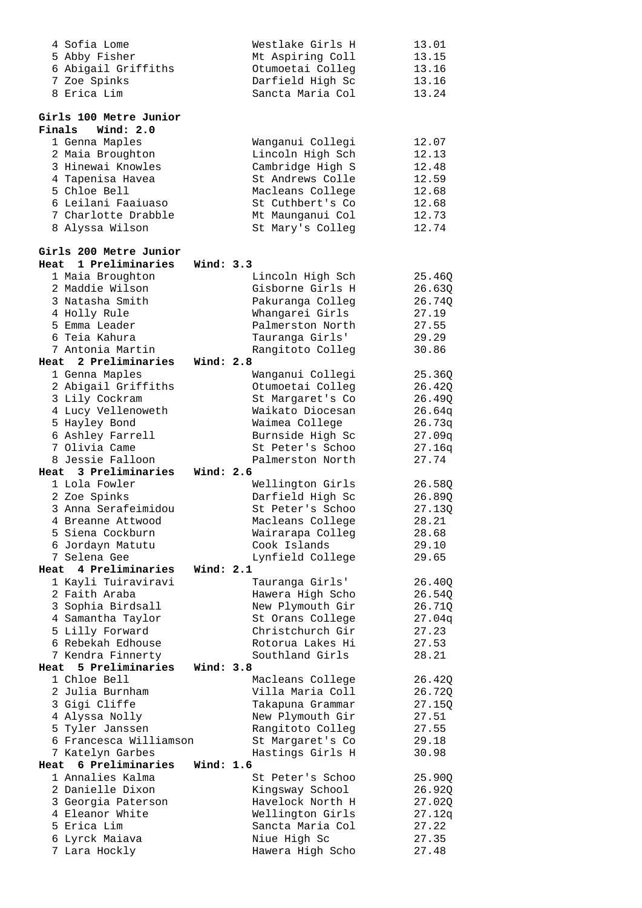| 4 Sofia Lome                          |             | Westlake Girls H                     | 13.01          |
|---------------------------------------|-------------|--------------------------------------|----------------|
| 5 Abby Fisher                         |             | Mt Aspiring Coll                     | 13.15          |
| 6 Abigail Griffiths                   |             | Otumoetai Colleg                     | 13.16          |
| 7 Zoe Spinks                          |             | Darfield High Sc                     | 13.16          |
| 8 Erica Lim                           |             | Sancta Maria Col                     | 13.24          |
|                                       |             |                                      |                |
| Girls 100 Metre Junior                |             |                                      |                |
| Wind: 2.0<br>Finals                   |             |                                      |                |
| 1 Genna Maples                        |             | Wanganui Collegi                     | 12.07          |
| 2 Maia Broughton<br>3 Hinewai Knowles |             | Lincoln High Sch                     | 12.13          |
|                                       |             | Cambridge High S<br>St Andrews Colle | 12.48<br>12.59 |
| 4 Tapenisa Havea<br>5 Chloe Bell      |             |                                      |                |
| 6 Leilani Faaiuaso                    |             | Macleans College<br>St Cuthbert's Co | 12.68<br>12.68 |
| 7 Charlotte Drabble                   |             | Mt Maunganui Col                     | 12.73          |
| 8 Alyssa Wilson                       |             | St Mary's Colleg                     | 12.74          |
|                                       |             |                                      |                |
| Girls 200 Metre Junior                |             |                                      |                |
| 1 Preliminaries<br>Heat               | Wind: 3.3   |                                      |                |
| 1 Maia Broughton                      |             | Lincoln High Sch                     | 25.46Q         |
| 2 Maddie Wilson                       |             | Gisborne Girls H                     | 26.63Q         |
| 3 Natasha Smith                       |             | Pakuranga Colleg                     | 26.74Q         |
| 4 Holly Rule                          |             | Whangarei Girls                      | 27.19          |
| 5 Emma Leader                         |             | Palmerston North                     | 27.55          |
| 6 Teia Kahura                         |             | Tauranga Girls'                      | 29.29          |
| 7 Antonia Martin                      |             | Rangitoto Colleg                     | 30.86          |
| Heat 2 Preliminaries                  | Wind: 2.8   |                                      |                |
| 1 Genna Maples                        |             | Wanganui Collegi                     | 25.36Q         |
| 2 Abigail Griffiths                   |             | Otumoetai Colleg                     | 26.42Q         |
| 3 Lily Cockram                        |             | St Margaret's Co                     | 26.49Q         |
| 4 Lucy Vellenoweth                    |             | Waikato Diocesan                     | 26.64q         |
| 5 Hayley Bond                         |             | Waimea College                       | 26.73q         |
| 6 Ashley Farrell                      |             | Burnside High Sc                     | 27.09q         |
| 7 Olivia Came                         |             | St Peter's Schoo                     | 27.16q         |
| 8 Jessie Falloon                      |             | Palmerston North                     | 27.74          |
| Heat 3 Preliminaries                  | Wind: 2.6   |                                      |                |
| 1 Lola Fowler                         |             | Wellington Girls                     | 26.58Q         |
| 2 Zoe Spinks                          |             | Darfield High Sc                     | 26.89Q         |
| 3 Anna Serafeimidou                   |             | St Peter's Schoo                     | 27.13Q         |
| 4 Breanne Attwood                     |             | Macleans College                     | 28.21          |
| 5 Siena Cockburn                      |             | Wairarapa Colleg                     | 28.68          |
| 6 Jordayn Matutu                      |             | Cook Islands                         | 29.10          |
| 7 Selena Gee<br>Heat 4 Preliminaries  | Wind: 2.1   | Lynfield College                     | 29.65          |
| 1 Kayli Tuiraviravi                   |             | Tauranga Girls'                      | 26.40Q         |
| 2 Faith Araba                         |             | Hawera High Scho                     | 26.54Q         |
| 3 Sophia Birdsall                     |             | New Plymouth Gir                     | 26.71Q         |
| 4 Samantha Taylor                     |             | St Orans College                     | 27.04q         |
| 5 Lilly Forward                       |             | Christchurch Gir                     | 27.23          |
| 6 Rebekah Edhouse                     |             | Rotorua Lakes Hi                     | 27.53          |
| 7 Kendra Finnerty                     |             | Southland Girls                      | 28.21          |
| Heat 5 Preliminaries                  | Wind: 3.8   |                                      |                |
| 1 Chloe Bell                          |             | Macleans College                     | 26.42Q         |
| 2 Julia Burnham                       |             | Villa Maria Coll                     | 26.72Q         |
| 3 Gigi Cliffe                         |             | Takapuna Grammar                     | 27.15Q         |
| 4 Alyssa Nolly                        |             | New Plymouth Gir                     | 27.51          |
| 5 Tyler Janssen                       |             | Rangitoto Colleg                     | 27.55          |
| 6 Francesca Williamson                |             | St Margaret's Co                     | 29.18          |
| 7 Katelyn Garbes                      |             | Hastings Girls H                     | 30.98          |
| Heat 6 Preliminaries                  | Wind: $1.6$ |                                      |                |
| 1 Annalies Kalma                      |             | St Peter's Schoo                     | 25.90Q         |
| 2 Danielle Dixon                      |             |                                      | 26.92Q         |
| 3 Georgia Paterson                    |             | Kingsway School                      |                |
|                                       |             | Havelock North H                     | 27.02Q         |
| 4 Eleanor White                       |             | Wellington Girls                     | 27.12q         |
| 5 Erica Lim                           |             | Sancta Maria Col                     | 27.22          |
| 6 Lyrck Maiava<br>7 Lara Hockly       |             | Niue High Sc<br>Hawera High Scho     | 27.35<br>27.48 |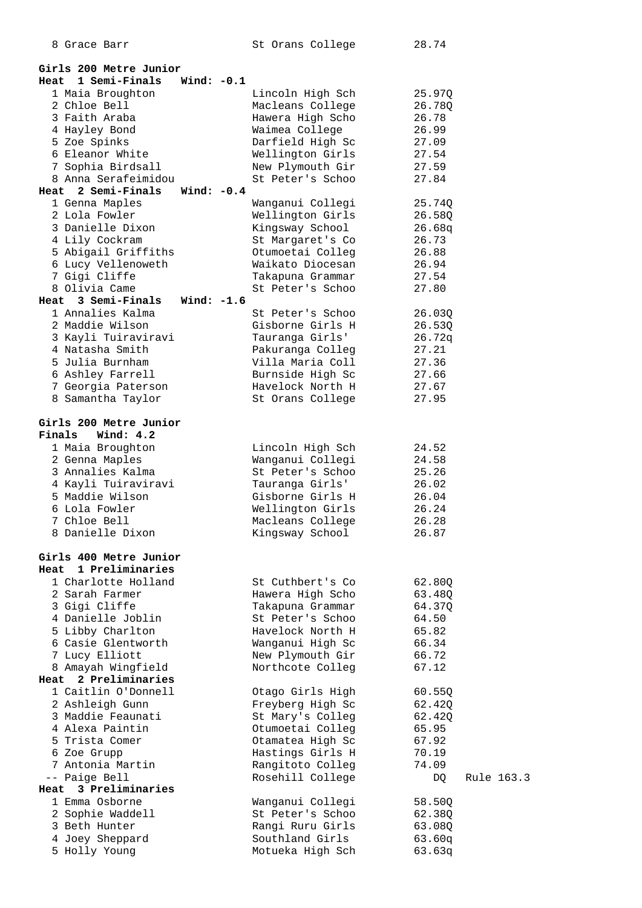| 8 Grace Barr                           |              | St Orans College                     | 28.74          |            |
|----------------------------------------|--------------|--------------------------------------|----------------|------------|
|                                        |              |                                      |                |            |
| Girls 200 Metre Junior                 |              |                                      |                |            |
| 1 Semi-Finals<br>Heat                  | Wind: $-0.1$ |                                      |                |            |
| 1 Maia Broughton                       |              | Lincoln High Sch                     | 25.97Q         |            |
| 2 Chloe Bell                           |              | Macleans College                     | 26.78Q         |            |
| 3 Faith Araba                          |              | Hawera High Scho                     | 26.78          |            |
| 4 Hayley Bond                          |              | Waimea College                       | 26.99<br>27.09 |            |
| 5 Zoe Spinks<br>6 Eleanor White        |              | Darfield High Sc                     |                |            |
| 7 Sophia Birdsall                      |              | Wellington Girls<br>New Plymouth Gir | 27.54<br>27.59 |            |
| 8 Anna Serafeimidou                    |              | St Peter's Schoo                     | 27.84          |            |
| 2 Semi-Finals<br>Heat                  | Wind: $-0.4$ |                                      |                |            |
| 1 Genna Maples                         |              | Wanganui Collegi                     | 25.74Q         |            |
| 2 Lola Fowler                          |              | Wellington Girls                     | 26.58Q         |            |
| 3 Danielle Dixon                       |              | Kingsway School                      | 26.68q         |            |
| 4 Lily Cockram                         |              | St Margaret's Co                     | 26.73          |            |
| 5 Abigail Griffiths                    |              | Otumoetai Colleg                     | 26.88          |            |
| 6 Lucy Vellenoweth                     |              | Waikato Diocesan                     | 26.94          |            |
| 7 Gigi Cliffe                          |              | Takapuna Grammar                     | 27.54          |            |
| 8 Olivia Came                          |              | St Peter's Schoo                     | 27.80          |            |
| Heat 3 Semi-Finals                     | Wind: $-1.6$ |                                      |                |            |
| 1 Annalies Kalma                       |              | St Peter's Schoo                     | 26.03Q         |            |
| 2 Maddie Wilson                        |              | Gisborne Girls H                     | 26.53Q         |            |
| 3 Kayli Tuiraviravi                    |              | Tauranga Girls'                      | 26.72q         |            |
| 4 Natasha Smith                        |              | Pakuranga Colleg                     | 27.21          |            |
| 5 Julia Burnham                        |              | Villa Maria Coll                     | 27.36          |            |
| 6 Ashley Farrell                       |              | Burnside High Sc                     | 27.66          |            |
| 7 Georgia Paterson                     |              | Havelock North H                     | 27.67          |            |
| 8 Samantha Taylor                      |              | St Orans College                     | 27.95          |            |
| Girls 200 Metre Junior                 |              |                                      |                |            |
| Wind: $4.2$<br>Finals                  |              |                                      |                |            |
| 1 Maia Broughton                       |              | Lincoln High Sch                     | 24.52          |            |
| 2 Genna Maples                         |              | Wanganui Collegi                     | 24.58          |            |
| 3 Annalies Kalma                       |              | St Peter's Schoo                     | 25.26          |            |
| 4 Kayli Tuiraviravi                    |              | Tauranga Girls'                      | 26.02          |            |
| 5 Maddie Wilson                        |              | Gisborne Girls H                     | 26.04          |            |
| 6 Lola Fowler                          |              | Wellington Girls                     | 26.24          |            |
| 7 Chloe Bell                           |              | Macleans College                     | 26.28          |            |
| 8 Danielle Dixon                       |              | Kingsway School                      | 26.87          |            |
|                                        |              |                                      |                |            |
| Girls 400 Metre Junior                 |              |                                      |                |            |
| Heat 1 Preliminaries                   |              |                                      |                |            |
| 1 Charlotte Holland                    |              | St Cuthbert's Co                     | 62.80Q         |            |
| 2 Sarah Farmer                         |              | Hawera High Scho                     | 63.48Q         |            |
| 3 Gigi Cliffe<br>4 Danielle Joblin     |              | Takapuna Grammar                     | 64.37Q         |            |
|                                        |              | St Peter's Schoo<br>Havelock North H | 64.50          |            |
| 5 Libby Charlton<br>6 Casie Glentworth |              | Wanganui High Sc                     | 65.82<br>66.34 |            |
| 7 Lucy Elliott                         |              | New Plymouth Gir                     | 66.72          |            |
| 8 Amayah Wingfield                     |              | Northcote Colleg                     | 67.12          |            |
| 2 Preliminaries<br>Heat                |              |                                      |                |            |
| 1 Caitlin O'Donnell                    |              | Otago Girls High                     | 60.55Q         |            |
| 2 Ashleigh Gunn                        |              | Freyberg High Sc                     | 62.42Q         |            |
| 3 Maddie Feaunati                      |              | St Mary's Colleg                     | 62.42Q         |            |
| 4 Alexa Paintin                        |              | Otumoetai Colleg                     | 65.95          |            |
| 5 Trista Comer                         |              | Otamatea High Sc                     | 67.92          |            |
| 6 Zoe Grupp                            |              | Hastings Girls H                     | 70.19          |            |
| 7 Antonia Martin                       |              | Rangitoto Colleg                     | 74.09          |            |
| -- Paige Bell                          |              | Rosehill College                     | DQ             | Rule 163.3 |
| Heat 3 Preliminaries                   |              |                                      |                |            |
| 1 Emma Osborne                         |              | Wanganui Collegi                     | 58.50Q         |            |
| 2 Sophie Waddell                       |              | St Peter's Schoo                     | 62.38Q         |            |
| 3 Beth Hunter                          |              | Rangi Ruru Girls                     | 63.08Q         |            |
| 4 Joey Sheppard                        |              | Southland Girls                      | 63.60q         |            |
| 5 Holly Young                          |              | Motueka High Sch                     | 63.63q         |            |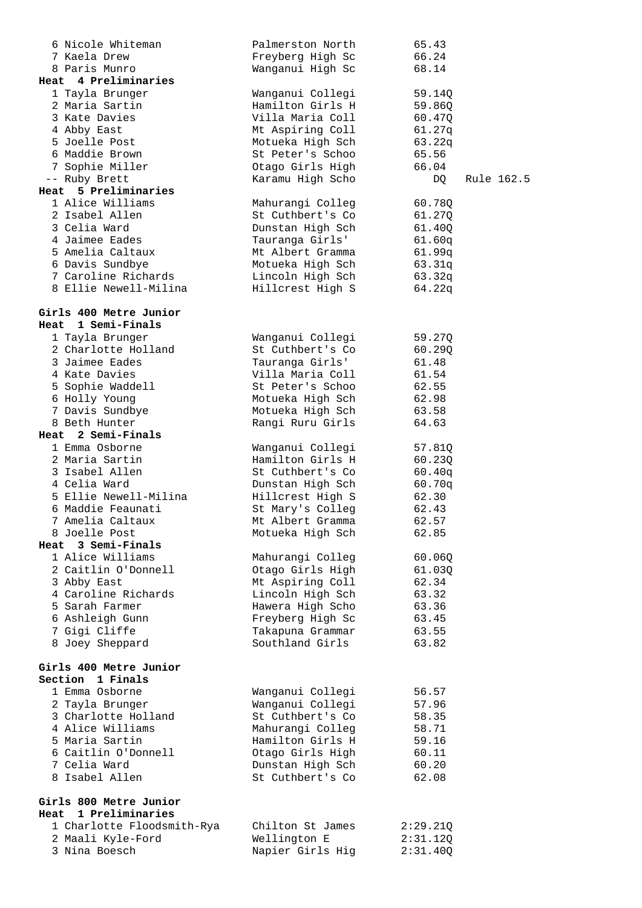| 6 Nicole Whiteman                     | Palmerston North                     | 65.43          |            |
|---------------------------------------|--------------------------------------|----------------|------------|
| 7 Kaela Drew                          | Freyberg High Sc                     | 66.24          |            |
| 8 Paris Munro                         | Wanganui High Sc                     | 68.14          |            |
| Heat 4 Preliminaries                  |                                      |                |            |
| 1 Tayla Brunger                       | Wanganui Collegi                     | 59.14Q         |            |
| 2 Maria Sartin                        | Hamilton Girls H                     | 59.86Q         |            |
| 3 Kate Davies                         | Villa Maria Coll                     | 60.47Q         |            |
| 4 Abby East                           | Mt Aspiring Coll                     | 61.27q         |            |
| 5 Joelle Post                         | Motueka High Sch                     | 63.22q         |            |
| 6 Maddie Brown                        | St Peter's Schoo                     | 65.56          |            |
| 7 Sophie Miller                       | Otago Girls High                     | 66.04          |            |
| -- Ruby Brett                         | Karamu High Scho                     | DQ             | Rule 162.5 |
| Heat 5 Preliminaries                  |                                      |                |            |
| 1 Alice Williams                      | Mahurangi Colleg                     | 60.78Q         |            |
| 2 Isabel Allen                        | St Cuthbert's Co                     | 61.27Q         |            |
| 3 Celia Ward                          | Dunstan High Sch                     | 61.40Q         |            |
| 4 Jaimee Eades                        | Tauranga Girls'                      | 61.60q         |            |
| 5 Amelia Caltaux                      | Mt Albert Gramma                     | 61.99q         |            |
| 6 Davis Sundbye                       | Motueka High Sch                     | 63.31q         |            |
| 7 Caroline Richards                   | Lincoln High Sch                     | 63.32q         |            |
| 8 Ellie Newell-Milina                 | Hillcrest High S                     | 64.22q         |            |
|                                       |                                      |                |            |
| Girls 400 Metre Junior                |                                      |                |            |
| Heat 1 Semi-Finals                    |                                      |                |            |
| 1 Tayla Brunger                       | Wanganui Collegi                     | 59.27Q         |            |
| 2 Charlotte Holland                   | St Cuthbert's Co                     | 60.29Q         |            |
| 3 Jaimee Eades                        | Tauranga Girls'                      | 61.48          |            |
| 4 Kate Davies                         | Villa Maria Coll                     | 61.54          |            |
| 5 Sophie Waddell                      | St Peter's Schoo                     | 62.55          |            |
| 6 Holly Young                         | Motueka High Sch                     | 62.98          |            |
| 7 Davis Sundbye                       | Motueka High Sch                     | 63.58          |            |
| 8 Beth Hunter                         | Rangi Ruru Girls                     | 64.63          |            |
| Heat 2 Semi-Finals                    |                                      |                |            |
| 1 Emma Osborne                        | Wanganui Collegi                     | 57.81Q         |            |
| 2 Maria Sartin                        | Hamilton Girls H                     | 60.23Q         |            |
| 3 Isabel Allen                        | St Cuthbert's Co                     |                |            |
|                                       |                                      | 60.40q         |            |
| 4 Celia Ward                          | Dunstan High Sch                     | 60.70q         |            |
| 5 Ellie Newell-Milina                 | Hillcrest High S                     | 62.30          |            |
| 6 Maddie Feaunati                     | St Mary's Colleg<br>Mt Albert Gramma | 62.43<br>62.57 |            |
| 7 Amelia Caltaux<br>8 Joelle Post     |                                      |                |            |
| Heat 3 Semi-Finals                    | Motueka High Sch                     | 62.85          |            |
| 1 Alice Williams                      |                                      |                |            |
|                                       | Mahurangi Colleg                     | 60.06Q         |            |
| 2 Caitlin O'Donnell                   | Otago Girls High                     | 61.03Q         |            |
| 3 Abby East                           | Mt Aspiring Coll                     | 62.34          |            |
| 4 Caroline Richards<br>5 Sarah Farmer | Lincoln High Sch                     | 63.32          |            |
|                                       | Hawera High Scho                     | 63.36          |            |
| 6 Ashleigh Gunn<br>7 Gigi Cliffe      | Freyberg High Sc<br>Takapuna Grammar | 63.45          |            |
| 8 Joey Sheppard                       | Southland Girls                      | 63.55<br>63.82 |            |
|                                       |                                      |                |            |
| Girls 400 Metre Junior                |                                      |                |            |
| Section 1 Finals                      |                                      |                |            |
| 1 Emma Osborne                        | Wanganui Collegi                     | 56.57          |            |
| 2 Tayla Brunger                       | Wanganui Collegi                     | 57.96          |            |
| 3 Charlotte Holland                   | St Cuthbert's Co                     | 58.35          |            |
| 4 Alice Williams                      | Mahurangi Colleg                     | 58.71          |            |
| 5 Maria Sartin                        | Hamilton Girls H                     | 59.16          |            |
| 6 Caitlin O'Donnell                   | Otago Girls High                     | 60.11          |            |
| 7 Celia Ward                          | Dunstan High Sch                     | 60.20          |            |
| 8 Isabel Allen                        | St Cuthbert's Co                     | 62.08          |            |
|                                       |                                      |                |            |
| Girls 800 Metre Junior                |                                      |                |            |
| Heat 1 Preliminaries                  |                                      |                |            |
| 1 Charlotte Floodsmith-Rya            | Chilton St James                     | 2:29.21Q       |            |
| 2 Maali Kyle-Ford                     | Wellington E                         | 2:31.12Q       |            |
| 3 Nina Boesch                         | Napier Girls Hig                     | 2:31.40Q       |            |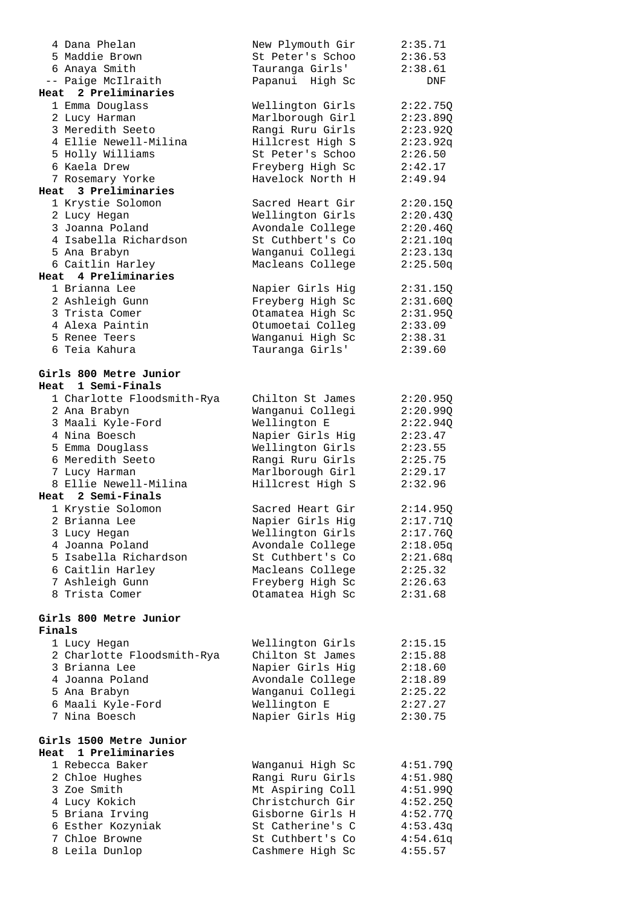| 4 Dana Phelan              | New Plymouth Gir | 2:35.71  |
|----------------------------|------------------|----------|
| 5 Maddie Brown             | St Peter's Schoo | 2:36.53  |
| 6 Anaya Smith              | Tauranga Girls'  | 2:38.61  |
| -- Paige McIlraith         | Papanui High Sc  | DNF      |
| Heat 2 Preliminaries       |                  |          |
| 1 Emma Douglass            | Wellington Girls | 2:22.75Q |
| 2 Lucy Harman              | Marlborough Girl | 2:23.89Q |
| 3 Meredith Seeto           | Rangi Ruru Girls | 2:23.92Q |
| 4 Ellie Newell-Milina      | Hillcrest High S |          |
|                            |                  | 2:23.92q |
| 5 Holly Williams           | St Peter's Schoo | 2:26.50  |
| 6 Kaela Drew               | Freyberg High Sc | 2:42.17  |
| 7 Rosemary Yorke           | Havelock North H | 2:49.94  |
| Heat 3 Preliminaries       |                  |          |
| 1 Krystie Solomon          | Sacred Heart Gir | 2:20.15Q |
| 2 Lucy Hegan               | Wellington Girls | 2:20.43Q |
| 3 Joanna Poland            | Avondale College | 2:20.46Q |
| 4 Isabella Richardson      | St Cuthbert's Co | 2:21.10q |
| 5 Ana Brabyn               | Wanganui Collegi | 2:23.13q |
| 6 Caitlin Harley           | Macleans College | 2:25.50q |
| Heat 4 Preliminaries       |                  |          |
| 1 Brianna Lee              |                  | 2:31.15Q |
|                            | Napier Girls Hig |          |
| 2 Ashleigh Gunn            | Freyberg High Sc | 2:31.60Q |
| 3 Trista Comer             | Otamatea High Sc | 2:31.950 |
| 4 Alexa Paintin            | Otumoetai Colleg | 2:33.09  |
| 5 Renee Teers              | Wanganui High Sc | 2:38.31  |
| 6 Teia Kahura              | Tauranga Girls'  | 2:39.60  |
|                            |                  |          |
| Girls 800 Metre Junior     |                  |          |
| Heat 1 Semi-Finals         |                  |          |
| 1 Charlotte Floodsmith-Rya | Chilton St James | 2:20.95Q |
| 2 Ana Brabyn               | Wanganui Collegi | 2:20.99Q |
| 3 Maali Kyle-Ford          | Wellington E     | 2:22.94Q |
| 4 Nina Boesch              | Napier Girls Hig | 2:23.47  |
|                            |                  |          |
| 5 Emma Douglass            | Wellington Girls | 2:23.55  |
| 6 Meredith Seeto           | Rangi Ruru Girls | 2:25.75  |
| 7 Lucy Harman              | Marlborough Girl | 2:29.17  |
| 8 Ellie Newell-Milina      | Hillcrest High S | 2:32.96  |
| Heat 2 Semi-Finals         |                  |          |
| 1 Krystie Solomon          | Sacred Heart Gir | 2:14.95Q |
| 2 Brianna Lee              | Napier Girls Hig | 2:17.71Q |
| 3 Lucy Hegan               | Wellington Girls | 2:17.76Q |
| 4 Joanna Poland            | Avondale College | 2:18.05q |
| 5 Isabella Richardson      | St Cuthbert's Co | 2:21.68q |
| 6 Caitlin Harley           | Macleans College | 2:25.32  |
| 7 Ashleigh Gunn            | Freyberg High Sc | 2:26.63  |
| 8 Trista Comer             | Otamatea High Sc | 2:31.68  |
|                            |                  |          |
|                            |                  |          |
| Girls 800 Metre Junior     |                  |          |
| Finals                     |                  |          |
| 1 Lucy Hegan               | Wellington Girls | 2:15.15  |
| 2 Charlotte Floodsmith-Rya | Chilton St James | 2:15.88  |
| 3 Brianna Lee              | Napier Girls Hig | 2:18.60  |
| 4 Joanna Poland            | Avondale College | 2:18.89  |
| 5 Ana Brabyn               | Wanganui Collegi | 2:25.22  |
| 6 Maali Kyle-Ford          | Wellington E     | 2:27.27  |
| 7 Nina Boesch              | Napier Girls Hig | 2:30.75  |
|                            |                  |          |
| Girls 1500 Metre Junior    |                  |          |
| 1 Preliminaries<br>Heat    |                  |          |
|                            |                  |          |
| 1 Rebecca Baker            | Wanganui High Sc | 4:51.79Q |
| 2 Chloe Hughes             | Rangi Ruru Girls | 4:51.98Q |
| 3 Zoe Smith                | Mt Aspiring Coll | 4:51.99Q |
| 4 Lucy Kokich              | Christchurch Gir | 4:52.25Q |
| 5 Briana Irving            | Gisborne Girls H | 4:52.77Q |
| 6 Esther Kozyniak          | St Catherine's C | 4:53.43q |
| 7 Chloe Browne             | St Cuthbert's Co | 4:54.61q |
| 8 Leila Dunlop             | Cashmere High Sc | 4:55.57  |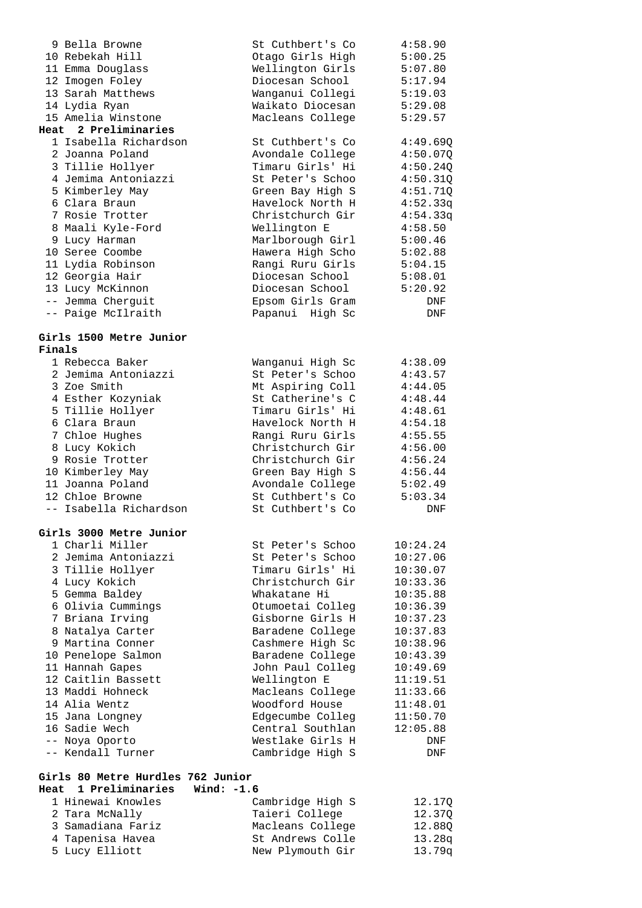|        | 9 Bella Browne                                            |              | St Cuthbert's Co | 4:58.90  |
|--------|-----------------------------------------------------------|--------------|------------------|----------|
|        | 10 Rebekah Hill                                           |              | Otago Girls High | 5:00.25  |
|        | 11 Emma Douglass                                          |              | Wellington Girls | 5:07.80  |
|        | 12 Imogen Foley                                           |              | Diocesan School  | 5:17.94  |
|        | 13 Sarah Matthews                                         |              | Wanganui Collegi | 5:19.03  |
|        | 14 Lydia Ryan                                             |              | Waikato Diocesan | 5:29.08  |
|        | 15 Amelia Winstone                                        |              | Macleans College | 5:29.57  |
|        | Heat 2 Preliminaries                                      |              |                  |          |
|        |                                                           |              |                  |          |
|        | 1 Isabella Richardson                                     |              | St Cuthbert's Co | 4:49.69Q |
|        | 2 Joanna Poland                                           |              | Avondale College | 4:50.07Q |
|        | 3 Tillie Hollyer                                          |              | Timaru Girls' Hi | 4:50.24Q |
|        | 4 Jemima Antoniazzi                                       |              | St Peter's Schoo | 4:50.31Q |
|        | 5 Kimberley May                                           |              | Green Bay High S | 4:51.71Q |
|        | 6 Clara Braun                                             |              | Havelock North H | 4:52.33q |
|        | 7 Rosie Trotter                                           |              | Christchurch Gir | 4:54.33q |
|        | 8 Maali Kyle-Ford                                         |              | Wellington E     | 4:58.50  |
|        | 9 Lucy Harman                                             |              | Marlborough Girl | 5:00.46  |
|        | 10 Seree Coombe                                           |              | Hawera High Scho | 5:02.88  |
|        | 11 Lydia Robinson                                         |              | Rangi Ruru Girls | 5:04.15  |
|        |                                                           |              |                  |          |
|        | 12 Georgia Hair                                           |              | Diocesan School  | 5:08.01  |
|        | 13 Lucy McKinnon                                          |              | Diocesan School  | 5:20.92  |
|        | -- Jemma Cherguit                                         |              | Epsom Girls Gram | DNF      |
|        | -- Paige McIlraith                                        |              | Papanui High Sc  | DNF      |
|        |                                                           |              |                  |          |
| Finals | Girls 1500 Metre Junior                                   |              |                  |          |
|        | 1 Rebecca Baker                                           |              | Wanganui High Sc | 4:38.09  |
|        | 2 Jemima Antoniazzi                                       |              | St Peter's Schoo | 4:43.57  |
|        | 3 Zoe Smith                                               |              | Mt Aspiring Coll | 4:44.05  |
|        | 4 Esther Kozyniak                                         |              | St Catherine's C | 4:48.44  |
|        | 5 Tillie Hollyer                                          |              | Timaru Girls' Hi | 4:48.61  |
|        | 6 Clara Braun                                             |              | Havelock North H |          |
|        |                                                           |              |                  | 4:54.18  |
|        | 7 Chloe Hughes                                            |              | Rangi Ruru Girls | 4:55.55  |
|        | 8 Lucy Kokich                                             |              | Christchurch Gir | 4:56.00  |
|        | 9 Rosie Trotter                                           |              | Christchurch Gir | 4:56.24  |
|        | 10 Kimberley May                                          |              | Green Bay High S | 4:56.44  |
|        | 11 Joanna Poland                                          |              | Avondale College | 5:02.49  |
|        | 12 Chloe Browne                                           |              | St Cuthbert's Co | 5:03.34  |
|        | -- Isabella Richardson                                    |              | St Cuthbert's Co | DNF      |
|        | Girls 3000 Metre Junior                                   |              |                  |          |
|        | 1 Charli Miller                                           |              | St Peter's Schoo | 10:24.24 |
|        | 2 Jemima Antoniazzi                                       |              | St Peter's Schoo | 10:27.06 |
|        | 3 Tillie Hollyer                                          |              | Timaru Girls' Hi |          |
|        |                                                           |              |                  | 10:30.07 |
|        | 4 Lucy Kokich                                             |              | Christchurch Gir | 10:33.36 |
|        | 5 Gemma Baldey                                            |              | Whakatane Hi     | 10:35.88 |
|        | 6 Olivia Cummings                                         |              | Otumoetai Colleg | 10:36.39 |
|        | 7 Briana Irving                                           |              | Gisborne Girls H | 10:37.23 |
|        | 8 Natalya Carter                                          |              | Baradene College | 10:37.83 |
|        | 9 Martina Conner                                          |              | Cashmere High Sc | 10:38.96 |
|        | 10 Penelope Salmon                                        |              | Baradene College | 10:43.39 |
|        | 11 Hannah Gapes                                           |              | John Paul Colleg | 10:49.69 |
|        | 12 Caitlin Bassett                                        |              | Wellington E     | 11:19.51 |
|        | 13 Maddi Hohneck                                          |              | Macleans College | 11:33.66 |
|        | 14 Alia Wentz                                             |              | Woodford House   | 11:48.01 |
|        | 15 Jana Longney                                           |              | Edgecumbe Colleg | 11:50.70 |
|        | 16 Sadie Wech                                             |              | Central Southlan | 12:05.88 |
|        | -- Noya Oporto                                            |              | Westlake Girls H | DNF      |
|        | -- Kendall Turner                                         |              | Cambridge High S | DNF      |
|        |                                                           |              |                  |          |
|        | Girls 80 Metre Hurdles 762 Junior<br>Heat 1 Preliminaries | Wind: $-1.6$ |                  |          |
|        |                                                           |              |                  |          |
|        | 1 Hinewai Knowles                                         |              | Cambridge High S | 12.17Q   |
|        | 2 Tara McNally                                            |              | Taieri College   | 12.37Q   |
|        | 3 Samadiana Fariz                                         |              | Macleans College | 12.88Q   |

 3 Samadiana Fariz Macleans College 12.88Q 4 Tapenisa Havea St Andrews Colle 13.28q 5 Lucy Elliott New Plymouth Gir 13.79q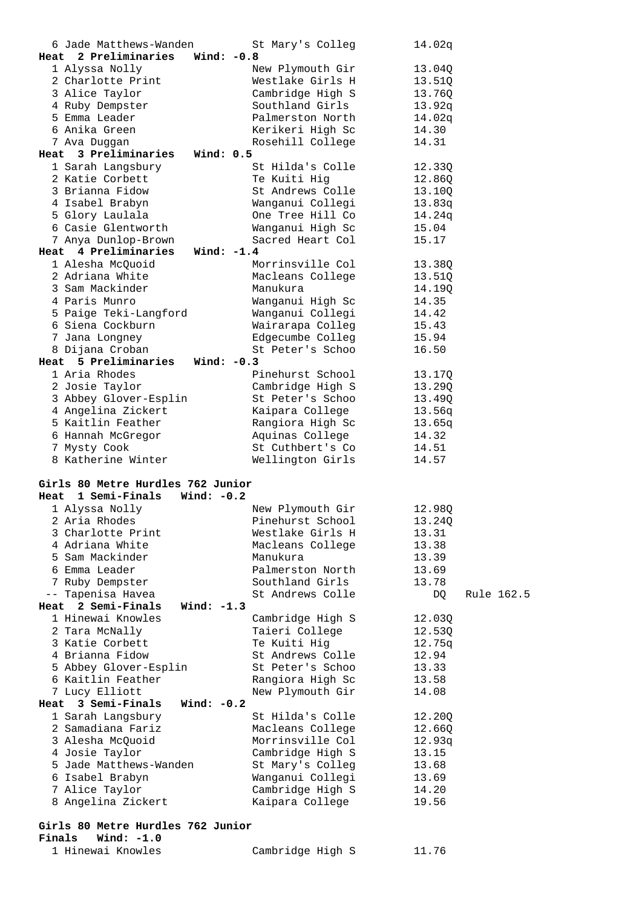| 6 Jade Matthews-Wanden                              | St Mary's Colleg | 14.02q           |
|-----------------------------------------------------|------------------|------------------|
| Heat 2 Preliminaries<br>Wind: -0.8                  |                  |                  |
| 1 Alyssa Nolly                                      | New Plymouth Gir | 13.04Q           |
| 2 Charlotte Print                                   | Westlake Girls H | 13.51Q           |
| 3 Alice Taylor                                      | Cambridge High S | 13.76Q           |
| 4 Ruby Dempster                                     | Southland Girls  | 13.92q           |
| 5 Emma Leader                                       | Palmerston North | 14.02q           |
| 6 Anika Green                                       | Kerikeri High Sc | 14.30            |
|                                                     |                  |                  |
| 7 Ava Duggan<br>Heat 3 Preliminaries<br>Wind: $0.5$ | Rosehill College | 14.31            |
|                                                     |                  |                  |
| 1 Sarah Langsbury                                   | St Hilda's Colle | 12.33Q           |
| 2 Katie Corbett                                     | Te Kuiti Hig     | 12.86Q           |
| 3 Brianna Fidow                                     | St Andrews Colle | 13.10Q           |
| 4 Isabel Brabyn                                     | Wanganui Collegi | 13.83q           |
| 5 Glory Laulala                                     | One Tree Hill Co | 14.24q           |
| 6 Casie Glentworth                                  | Wanganui High Sc | 15.04            |
| 7 Anya Dunlop-Brown                                 | Sacred Heart Col | 15.17            |
| Heat 4 Preliminaries<br>Wind: $-1.4$                |                  |                  |
| 1 Alesha McQuoid                                    | Morrinsville Col | 13.38Q           |
| 2 Adriana White                                     | Macleans College | 13.51Q           |
| 3 Sam Mackinder                                     | Manukura         | 14.19Q           |
| 4 Paris Munro                                       | Wanganui High Sc | 14.35            |
| 5 Paige Teki-Langford                               | Wanganui Collegi | 14.42            |
| 6 Siena Cockburn                                    | Wairarapa Colleg | 15.43            |
| 7 Jana Longney                                      | Edgecumbe Colleg | 15.94            |
| 8 Dijana Croban                                     | St Peter's Schoo | 16.50            |
| Heat 5 Preliminaries<br>Wind: $-0.3$                |                  |                  |
| 1 Aria Rhodes                                       | Pinehurst School | 13.17Q           |
| 2 Josie Taylor                                      | Cambridge High S | 13.29Q           |
| 3 Abbey Glover-Esplin                               | St Peter's Schoo | 13.49Q           |
| 4 Angelina Zickert                                  | Kaipara College  | 13.56q           |
| 5 Kaitlin Feather                                   | Rangiora High Sc | 13.65q           |
| 6 Hannah McGregor                                   | Aquinas College  | 14.32            |
|                                                     |                  |                  |
|                                                     |                  |                  |
| 7 Mysty Cook                                        | St Cuthbert's Co | 14.51            |
| 8 Katherine Winter                                  | Wellington Girls | 14.57            |
|                                                     |                  |                  |
| Girls 80 Metre Hurdles 762 Junior                   |                  |                  |
| 1 Semi-Finals Wind: -0.2<br>Heat                    |                  |                  |
| 1 Alyssa Nolly                                      | New Plymouth Gir | 12.980           |
| 2 Aria Rhodes                                       | Pinehurst School | 13.24Q           |
| 3 Charlotte Print                                   | Westlake Girls H | 13.31            |
| 4 Adriana White                                     | Macleans College | 13.38            |
| 5 Sam Mackinder                                     | Manukura         | 13.39            |
| 6 Emma Leader                                       | Palmerston North | 13.69            |
| 7 Ruby Dempster                                     | Southland Girls  | 13.78            |
| -- Tapenisa Havea                                   | St Andrews Colle | DQ<br>Rule 162.5 |
| Heat 2 Semi-Finals<br>Wind: $-1.3$                  |                  |                  |
| 1 Hinewai Knowles                                   | Cambridge High S | 12.03Q           |
| 2 Tara McNally                                      | Taieri College   | 12.53Q           |
| 3 Katie Corbett                                     | Te Kuiti Hig     | 12.75q           |
| 4 Brianna Fidow                                     | St Andrews Colle | 12.94            |
| 5 Abbey Glover-Esplin                               | St Peter's Schoo | 13.33            |
| 6 Kaitlin Feather                                   | Rangiora High Sc | 13.58            |
| 7 Lucy Elliott                                      | New Plymouth Gir | 14.08            |
| Wind: $-0.2$<br>Heat 3 Semi-Finals                  |                  |                  |
| 1 Sarah Langsbury                                   | St Hilda's Colle | 12.20Q           |
| 2 Samadiana Fariz                                   | Macleans College | 12.66Q           |
| 3 Alesha McQuoid                                    | Morrinsville Col | 12.93q           |
|                                                     |                  | 13.15            |
| 4 Josie Taylor                                      | Cambridge High S |                  |
| 5 Jade Matthews-Wanden                              | St Mary's Colleg | 13.68            |
| 6 Isabel Brabyn                                     | Wanganui Collegi | 13.69            |
| 7 Alice Taylor                                      | Cambridge High S | 14.20            |
| 8 Angelina Zickert                                  | Kaipara College  | 19.56            |
| Girls 80 Metre Hurdles 762 Junior                   |                  |                  |

1 Hinewai Knowles Cambridge High S 11.76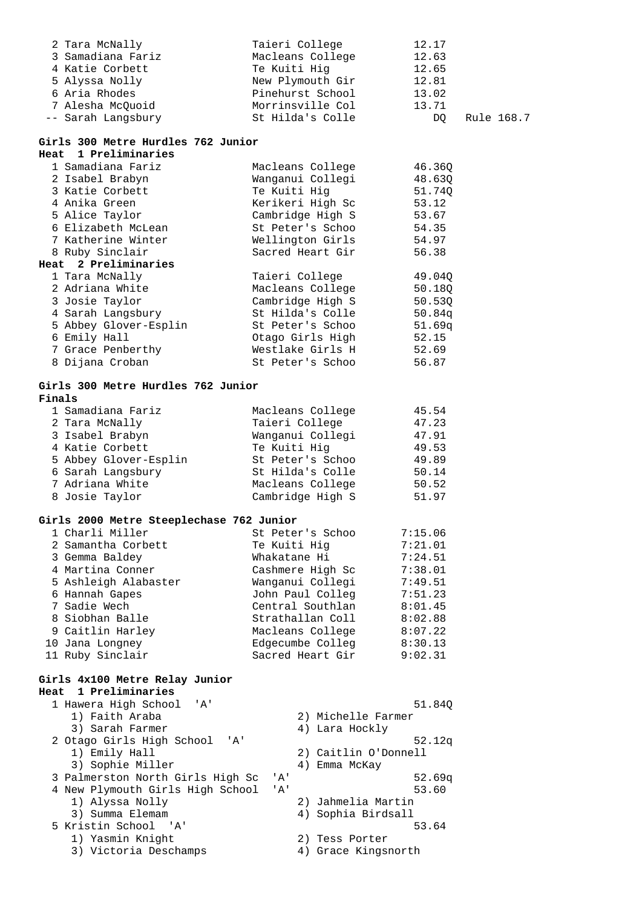| 2 Tara McNally     | Taieri College   | 12.17 |            |
|--------------------|------------------|-------|------------|
| 3 Samadiana Fariz  | Macleans College | 12.63 |            |
| 4 Katie Corbett    | Te Kuiti Hig     | 12.65 |            |
| 5 Alyssa Nolly     | New Plymouth Gir | 12.81 |            |
| 6 Aria Rhodes      | Pinehurst School | 13.02 |            |
| 7 Alesha McOuoid   | Morrinsville Col | 13.71 |            |
| -- Sarah Langsbury | St Hilda's Colle | DO.   | Rule 168.7 |

### **Girls 300 Metre Hurdles 762 Junior**

| Heat 1 Preliminaries  |                  |        |
|-----------------------|------------------|--------|
| 1 Samadiana Fariz     | Macleans College | 46.360 |
| 2 Isabel Brabyn       | Wanganui Collegi | 48.630 |
| 3 Katie Corbett       | Te Kuiti Hig     | 51.740 |
| 4 Anika Green         | Kerikeri High Sc | 53.12  |
| 5 Alice Taylor        | Cambridge High S | 53.67  |
| 6 Elizabeth McLean    | St Peter's Schoo | 54.35  |
| 7 Katherine Winter    | Wellington Girls | 54.97  |
| 8 Ruby Sinclair       | Sacred Heart Gir | 56.38  |
| Heat 2 Preliminaries  |                  |        |
| 1 Tara McNally        | Taieri College   | 49.040 |
| 2 Adriana White       | Macleans College | 50.180 |
| 3 Josie Taylor        | Cambridge High S | 50.530 |
| 4 Sarah Langsbury     | St Hilda's Colle | 50.84q |
| 5 Abbey Glover-Esplin | St Peter's Schoo | 51.69q |
| 6 Emily Hall          | Otago Girls High | 52.15  |
| 7 Grace Penberthy     | Westlake Girls H | 52.69  |
| 8 Dijana Croban       | St Peter's Schoo | 56.87  |

### **Girls 300 Metre Hurdles 762 Junior Finals**<br>Compainna Faris

| F 1116 18             |                  |       |
|-----------------------|------------------|-------|
| 1 Samadiana Fariz     | Macleans College | 45.54 |
| 2 Tara McNally        | Taieri College   | 47.23 |
| 3 Isabel Brabyn       | Wanganui Collegi | 47.91 |
| 4 Katie Corbett       | Te Kuiti Hig     | 49.53 |
| 5 Abbey Glover-Esplin | St Peter's Schoo | 49.89 |
| 6 Sarah Langsbury     | St Hilda's Colle | 50.14 |
| 7 Adriana White       | Macleans College | 50.52 |
| 8 Josie Taylor        | Cambridge High S | 51.97 |
|                       |                  |       |

### **Girls 2000 Metre Steeplechase 762 Junior**

| 1 Charli Miller      | St Peter's Schoo | 7:15.06 |
|----------------------|------------------|---------|
| 2 Samantha Corbett   | Te Kuiti Hig     | 7:21.01 |
| 3 Gemma Baldey       | Whakatane Hi     | 7:24.51 |
| 4 Martina Conner     | Cashmere High Sc | 7:38.01 |
| 5 Ashleigh Alabaster | Wanganui Collegi | 7:49.51 |
| 6 Hannah Gapes       | John Paul Colleg | 7:51.23 |
| 7 Sadie Wech         | Central Southlan | 8:01.45 |
| 8 Siobhan Balle      | Strathallan Coll | 8:02.88 |
| 9 Caitlin Harley     | Macleans College | 8:07.22 |
| 10 Jana Longney      | Edgecumbe Colleg | 8:30.13 |
| 11 Ruby Sinclair     | Sacred Heart Gir | 9:02.31 |

#### **Girls 4x100 Metre Relay Junior Heat 1 Preliminaries**

| 1 Hawera High School 'A'<br>51.840                              |  |
|-----------------------------------------------------------------|--|
| 2) Michelle Farmer<br>1) Faith Araba                            |  |
| 3) Sarah Farmer<br>4) Lara Hockly                               |  |
| 2 Otago Girls High School<br>52.12q<br>י ב <i>ו</i> י           |  |
| 1) Emily Hall<br>2) Caitlin O'Donnell                           |  |
| 3) Sophie Miller<br>4) Emma McKay                               |  |
| 3 Palmerston North Girls High Sc<br>52.69 <sub>q</sub><br>' A ' |  |
| 4 New Plymouth Girls High School<br>53.60<br>' A'               |  |
| 2) Jahmelia Martin<br>1) Alyssa Nolly                           |  |
| 4) Sophia Birdsall<br>3) Summa Elemam                           |  |
| 5 Kristin School 'A'<br>53.64                                   |  |
| 1) Yasmin Knight<br>2) Tess Porter                              |  |
| 3) Victoria Deschamps<br>4) Grace Kingsnorth                    |  |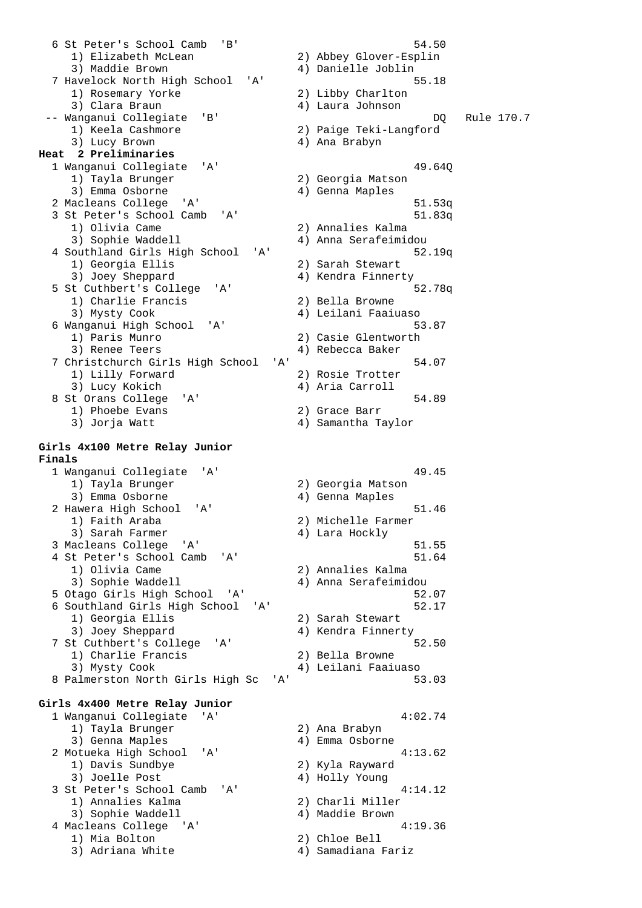6 St Peter's School Camb 'B' 54.50 1) Elizabeth McLean 2) Abbey Glover-Esplin 3) Maddie Brown 4) Danielle Joblin 7 Havelock North High School 'A' 55.18 1) Rosemary Yorke 2) Libby Charlton 3) Clara Braun (2008) (2008) 4) Laura Johnson -- Wanganui Collegiate 'B' DQ Rule 170.7 1) Keela Cashmore 2) Paige Teki-Langford 3) Lucy Brown 4) Ana Brabyn **Heat 2 Preliminaries**  1 Wanganui Collegiate 'A' 49.64Q 1) Tayla Brunger 2) Georgia Matson 3) Emma Osborne (2008) (2011) 4) Genna Maples 2 Macleans College 'A' 51.53q 3 St Peter's School Camb 'A' 51.83q 1) Olivia Came 2) Annalies Kalma 3) Sophie Waddell 4) Anna Serafeimidou 4 Southland Girls High School 'A' 52.19q 1) Georgia Ellis 3) Joey Sheppard 4) Kendra Finnerty 5 St Cuthbert's College 'A' 52.78q 1) Charlie Francis<br>3) Mysty Cook 4) Leilani Faaiuaso 6 Wanganui High School 'A' 53.87 1) Paris Munro (2) Casie Glentworth<br>3) Renee Teers (2) 2) Rebecca Baker 4) Rebecca Baker 7 Christchurch Girls High School 'A' 54.07 1) Lilly Forward 2) Rosie Trotter 3) Lucy Kokich 4) Aria Carroll 8 St Orans College 'A' 54.89 1) Phoebe Evans 2) Grace Barr 3) Jorja Watt 4) Samantha Taylor **Girls 4x100 Metre Relay Junior Finals**  1 Wanganui Collegiate 'A' 49.45 wanyana corregiace in the control of the 2) Georgia Matson<br>1) Tayla Brunger 2012 2014 3) Emma Osborne (2008) 4) Genna Maples 2 Hawera High School 'A' 51.46 1) Faith Araba 2) Michelle Farmer 3) Sarah Farmer (4) Lara Hockly 3 Macleans College 'A' 51.55 4 St Peter's School Camb 'A' 51.64 1) Olivia Came 2) Annalies Kalma 3) Sophie Waddell 4) Anna Serafeimidou 5 Otago Girls High School 'A' 52.07 6 Southland Girls High School 'A' 52.17 1) Georgia Ellis 2) Sarah Stewart 3) Joey Sheppard 4) Kendra Finnerty 7 St Cuthbert's College 'A' 52.50 1) Charlie Francis 2) Bella Browne 3) Mysty Cook 4) Leilani Faaiuaso 8 Palmerston North Girls High Sc 'A' 53.03 **Girls 4x400 Metre Relay Junior**  1 Wanganui Collegiate 'A' 4:02.74 1) Tayla Brunger 2) Ana Brabyn 3) Genna Maples 4) Emma Osborne 2 Motueka High School 'A' 1) Davis Sundbye 2) Kyla Rayward 3) Joelle Post 4) Holly Young 3 St Peter's School Camb 'A' 4:14.12 1) Annalies Kalma 2) Charli Miller 3) Sophie Waddell 4) Maddie Brown A Macleans College 'A' 4.19.36 1) Mia Bolton 2) Chloe Bell<br>2) Administrative Christian Christian Christian Christian Christian Christian Christian Christian Christian Christian Christian Christian Christian Christian Christian Christian Christian Christ 3) Adriana White  $4)$  Samadiana Fariz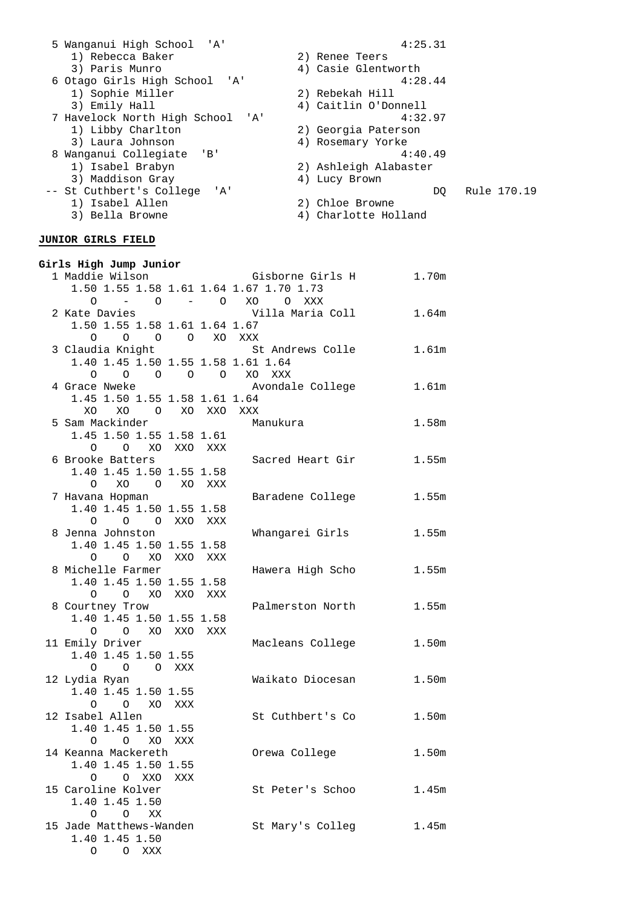| 5 Wanganui High School 'A'             | 4:25.31               |
|----------------------------------------|-----------------------|
| 1) Rebecca Baker                       | 2) Renee Teers        |
| 3) Paris Munro                         | 4) Casie Glentworth   |
| 6 Otago Girls High School 'A'          | 4:28.44               |
| 1) Sophie Miller                       | 2) Rebekah Hill       |
| 3) Emily Hall                          | 4) Caitlin O'Donnell  |
| 7 Havelock North High School<br>'' A ' | 4:32.97               |
| 1) Libby Charlton                      | 2) Georgia Paterson   |
| 3) Laura Johnson                       | 4) Rosemary Yorke     |
| Wanganui Collegiate 'B'                | 4:40.49               |
| 1) Isabel Brabyn                       | 2) Ashleigh Alabaster |
| 3) Maddison Gray                       | 4) Lucy Brown         |
| -- St Cuthbert's College 'A'           | Rule 170.19<br>DO.    |
| Isabel Allen<br>1)                     | 2) Chloe Browne       |
| 3) Bella Browne                        | Charlotte Holland     |
|                                        |                       |

### **JUNIOR GIRLS FIELD**

| Girls High Jump Junior                  |     |                  |                   |
|-----------------------------------------|-----|------------------|-------------------|
| 1 Maddie Wilson                         |     | Gisborne Girls H | 1.70m             |
| 1.50 1.55 1.58 1.61 1.64 1.67 1.70 1.73 |     |                  |                   |
| 0                                       |     | – 0 – 0 XO O XXX |                   |
| 2 Kate Davies                           |     | Villa Maria Coll | 1.64m             |
| 1.50 1.55 1.58 1.61 1.64 1.67           |     |                  |                   |
| 0 0 0 0 XOXXX                           |     |                  |                   |
| 3 Claudia Knight                        |     | St Andrews Colle | 1.61 <sub>m</sub> |
| 1.40 1.45 1.50 1.55 1.58 1.61 1.64      |     |                  |                   |
| $0 \t 0 \t 0 \t 0 \t 0 \t 0$ XO XXX     |     |                  |                   |
| 4 Grace Nweke                           |     | Avondale College | 1.61m             |
| 1.45 1.50 1.55 1.58 1.61 1.64           |     |                  |                   |
| XO XO O XO XXO                          |     | XXX              |                   |
| 5 Sam Mackinder                         |     | Manukura         | 1.58m             |
| 1.45 1.50 1.55 1.58 1.61                |     |                  |                   |
| 0 0 XO XXO XXX                          |     |                  |                   |
| 6 Brooke Batters                        |     | Sacred Heart Gir | 1.55m             |
| 1.40 1.45 1.50 1.55 1.58                |     |                  |                   |
| O XO O XO XXX                           |     |                  |                   |
| 7 Havana Hopman                         |     | Baradene College | 1.55m             |
| 1.40 1.45 1.50 1.55 1.58                |     |                  |                   |
| O OXXOXXX<br>$\circ$                    |     |                  |                   |
| 8 Jenna Johnston                        |     | Whangarei Girls  | 1.55m             |
| 1.40 1.45 1.50 1.55 1.58                |     |                  |                   |
| O O XO XXO XXX                          |     |                  |                   |
| 8 Michelle Farmer                       |     | Hawera High Scho | 1.55m             |
| 1.40 1.45 1.50 1.55 1.58                |     |                  |                   |
| O O XO XXO XXX                          |     |                  |                   |
| 8 Courtney Trow                         |     | Palmerston North | 1.55m             |
| 1.40 1.45 1.50 1.55 1.58<br>O XO XXO    |     |                  |                   |
| $\circ$<br>11 Emily Driver              | XXX |                  | 1.50m             |
| 1.40 1.45 1.50 1.55                     |     | Macleans College |                   |
| $O$ $O$ $O$ $XXX$                       |     |                  |                   |
| 12 Lydia Ryan                           |     | Waikato Diocesan | 1.50m             |
| 1.40 1.45 1.50 1.55                     |     |                  |                   |
| O O XO XXX                              |     |                  |                   |
| 12 Isabel Allen                         |     | St Cuthbert's Co | 1.50m             |
| 1.40 1.45 1.50 1.55                     |     |                  |                   |
| O O XO XXX                              |     |                  |                   |
| 14 Keanna Mackereth                     |     | Orewa College    | 1.50m             |
| 1.40 1.45 1.50 1.55                     |     |                  |                   |
| O O XXO XXX                             |     |                  |                   |
| 15 Caroline Kolver                      |     | St Peter's Schoo | 1.45m             |
| 1.40 1.45 1.50                          |     |                  |                   |
| $O$ $O$ $XX$                            |     |                  |                   |
| 15 Jade Matthews-Wanden                 |     | St Mary's Colleg | 1.45m             |
| 1.40 1.45 1.50                          |     |                  |                   |
| O O XXX                                 |     |                  |                   |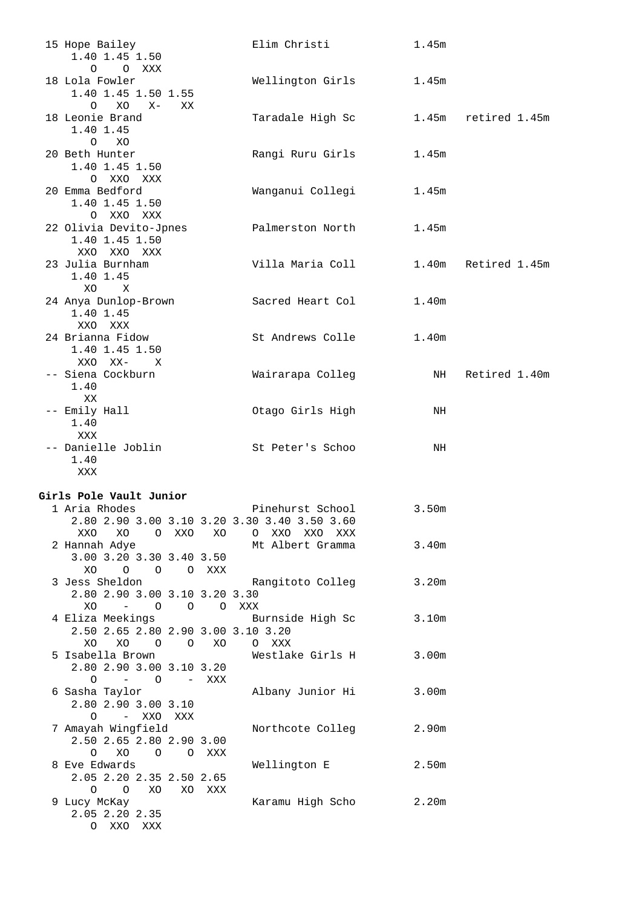| 15 Hope Bailey<br>1.40 1.45 1.50<br>O O XXX                | Elim Christi     | 1.45m             |               |
|------------------------------------------------------------|------------------|-------------------|---------------|
| 18 Lola Fowler<br>1.40 1.45 1.50 1.55<br>$O XO X -$<br>XX. | Wellington Girls | 1.45m             |               |
| 18 Leonie Brand<br>1.40 1.45<br>$O$ XO                     | Taradale High Sc | 1.45m             | retired 1.45m |
| 20 Beth Hunter<br>1.40 1.45 1.50<br>O XXO XXX              | Rangi Ruru Girls | 1.45m             |               |
| 20 Emma Bedford<br>1.40 1.45 1.50<br>O XXO XXX             | Wanganui Collegi | 1.45m             |               |
| 22 Olivia Devito-Jpnes<br>1.40 1.45 1.50<br>XXO XXO XXX    | Palmerston North | 1.45m             |               |
| 23 Julia Burnham<br>1.40 1.45<br>XO X                      | Villa Maria Coll | 1.40m             | Retired 1.45m |
| 24 Anya Dunlop-Brown<br>1.40 1.45<br>XXO XXX               | Sacred Heart Col | 1.40 <sub>m</sub> |               |
| 24 Brianna Fidow<br>1.40 1.45 1.50<br>XXO XX- X            | St Andrews Colle | 1.40m             |               |
| -- Siena Cockburn<br>1.40<br>XX                            | Wairarapa Colleg | NH                | Retired 1.40m |
| -- Emily Hall<br>1.40<br>XXX                               | Otago Girls High | NH                |               |
| -- Danielle Joblin<br>1.40<br>XXX                          | St Peter's Schoo | NH                |               |

#### **Girls Pole Vault Junior**

| GILIS POIE VAUIL JUNIOI       |           |                |          |                                                   |                   |
|-------------------------------|-----------|----------------|----------|---------------------------------------------------|-------------------|
| 1 Aria Rhodes                 |           |                |          | Pinehurst School                                  | 3.50m             |
|                               |           |                |          | 2.80 2.90 3.00 3.10 3.20 3.30 3.40 3.50 3.60      |                   |
| XXO XO                        | O XXO XO  |                |          | O XXO XXO XXX                                     |                   |
| 2 Hannah Adye                 |           |                |          | Mt Albert Gramma                                  | 3.40m             |
| 3.00 3.20 3.30 3.40 3.50      |           |                |          |                                                   |                   |
| XO.<br>$\Omega$               | O OXXX    |                |          |                                                   |                   |
| 3 Jess Sheldon                |           |                |          | Rangitoto Colleg                                  | 3.20m             |
| 2.80 2.90 3.00 3.10 3.20 3.30 |           |                |          |                                                   |                   |
| $XO - 0$                      |           | $\overline{O}$ | $\Omega$ | XXX                                               |                   |
|                               |           |                |          | 4 Eliza Meekings                 Burnside High Sc | 3.10m             |
|                               |           |                |          | 2.50 2.65 2.80 2.90 3.00 3.10 3.20                |                   |
| XO                            | XO O O XO |                |          | O XXX                                             |                   |
| 5 Isabella Brown              |           |                |          | Westlake Girls H                                  | 3.00m             |
| 2.80 2.90 3.00 3.10 3.20      |           |                |          |                                                   |                   |
| 0 – 0 – XXX                   |           |                |          |                                                   |                   |
| 6 Sasha Taylor                |           |                |          | Albany Junior Hi                                  | 3.00m             |
| 2.80 2.90 3.00 3.10           |           |                |          |                                                   |                   |
| $\Omega$                      | – XXO XXX |                |          |                                                   |                   |
| 7 Amayah Wingfield            |           |                |          | Northcote Colleg                                  | 2.90m             |
| 2.50 2.65 2.80 2.90 3.00      |           |                |          |                                                   |                   |
| O XO O O XXX                  |           |                |          |                                                   |                   |
| 8 Eve Edwards                 |           |                |          | Wellington E                                      | 2.50 <sub>m</sub> |
| 2.05 2.20 2.35 2.50 2.65      |           |                |          |                                                   |                   |
| $\Omega$                      | O XO      |                | XO XXX   |                                                   |                   |
| 9 Lucy McKay                  |           |                |          | Karamu High Scho                                  | 2.20m             |
| 2.05 2.20 2.35                |           |                |          |                                                   |                   |
| O XXO                         | XXX       |                |          |                                                   |                   |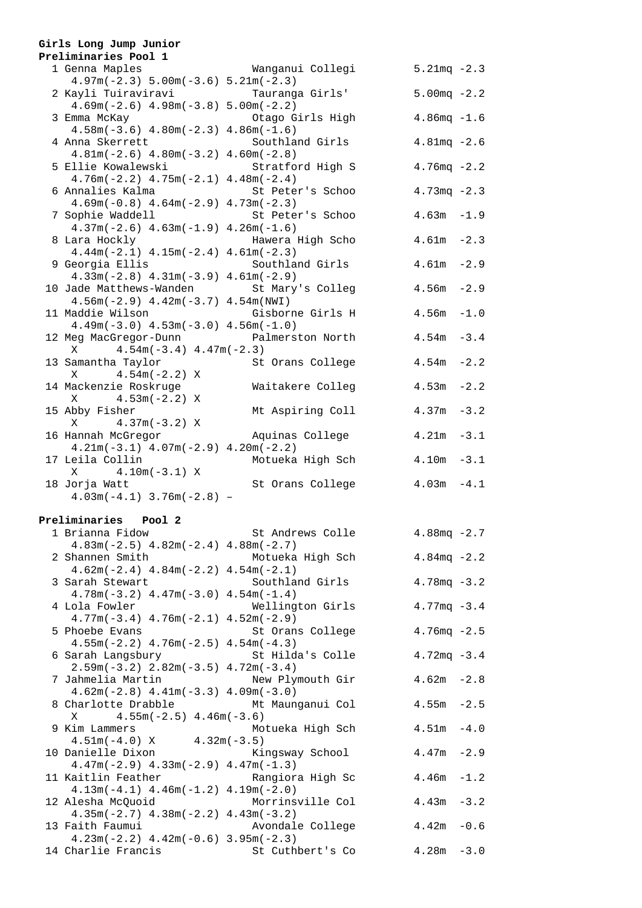### **Girls Long Jump Junior**

| Preliminaries Pool 1                                           |                  |                 |
|----------------------------------------------------------------|------------------|-----------------|
| 1 Genna Maples                                                 | Wanganui Collegi | $5.21mg - 2.3$  |
| $4.97m(-2.3) 5.00m(-3.6) 5.21m(-2.3)$<br>2 Kayli Tuiraviravi   | Tauranga Girls'  | $5.00mg - 2.2$  |
| $4.69m(-2.6)$ $4.98m(-3.8)$ $5.00m(-2.2)$                      |                  |                 |
| 3 Emma McKay<br>$4.58m(-3.6)$ $4.80m(-2.3)$ $4.86m(-1.6)$      | Otago Girls High | $4.86mg - 1.6$  |
| 4 Anna Skerrett                                                | Southland Girls  | $4.81mg - 2.6$  |
| $4.81m(-2.6)$ $4.80m(-3.2)$ $4.60m(-2.8)$                      |                  |                 |
| 5 Ellie Kowalewski                                             | Stratford High S | $4.76mg - 2.2$  |
| $4.76m(-2.2)$ $4.75m(-2.1)$ $4.48m(-2.4)$                      |                  |                 |
| 6 Annalies Kalma                                               | St Peter's Schoo | $4.73mg - 2.3$  |
| $4.69m(-0.8)$ $4.64m(-2.9)$ $4.73m(-2.3)$                      |                  |                 |
| 7 Sophie Waddell                                               | St Peter's Schoo | $4.63m - 1.9$   |
| $4.37m(-2.6)$ $4.63m(-1.9)$ $4.26m(-1.6)$<br>8 Lara Hockly     | Hawera High Scho | $4.61m - 2.3$   |
| $4.44m(-2.1)$ $4.15m(-2.4)$ $4.61m(-2.3)$                      |                  |                 |
| 9 Georgia Ellis                                                | Southland Girls  | $4.61m - 2.9$   |
| $4.33m(-2.8)$ $4.31m(-3.9)$ $4.61m(-2.9)$                      |                  |                 |
| 10 Jade Matthews-Wanden St Mary's Colleg                       |                  | $-2.9$<br>4.56m |
| $4.56m(-2.9)$ $4.42m(-3.7)$ $4.54m(NWI)$                       |                  |                 |
| 11 Maddie Wilson<br>$4.49m(-3.0)$ $4.53m(-3.0)$ $4.56m(-1.0)$  | Gisborne Girls H | $4.56m - 1.0$   |
| 12 Meg MacGregor-Dunn Palmerston North                         |                  | $4.54m - 3.4$   |
| $X$ 4.54m(-3.4) 4.47m(-2.3)                                    |                  |                 |
| 13 Samantha Taylor                                             | St Orans College | 4.54m<br>$-2.2$ |
| $X = 4.54m(-2.2) X$                                            |                  |                 |
| 14 Mackenzie Roskruge                                          | Waitakere Colleg | 4.53m<br>$-2.2$ |
| $4.53m(-2.2) X$<br>X                                           |                  |                 |
| 15 Abby Fisher<br>$X = 4.37m(-3.2) X$                          | Mt Aspiring Coll | $4.37m - 3.2$   |
| 16 Hannah McGregor                                             | Aquinas College  | $4.21m - 3.1$   |
| $4.21m(-3.1)$ $4.07m(-2.9)$ $4.20m(-2.2)$                      |                  |                 |
| 17 Leila Collin                                                | Motueka High Sch | $4.10m - 3.1$   |
| $X = 4.10m(-3.1) X$                                            |                  |                 |
| 18 Jorja Watt                                                  | St Orans College | $4.03m - 4.1$   |
| $4.03m(-4.1)$ $3.76m(-2.8)$ -                                  |                  |                 |
| Preliminaries Pool 2                                           |                  |                 |
| 1 Brianna Fidow                                                | St Andrews Colle | $4.88mg - 2.7$  |
| $4.83m(-2.5)$ $4.82m(-2.4)$ $4.88m(-2.7)$                      |                  |                 |
| 2 Shannen Smith                                                | Motueka High Sch | $4.84mg - 2.2$  |
| $4.62m(-2.4)$ $4.84m(-2.2)$ $4.54m(-2.1)$                      |                  |                 |
| 3 Sarah Stewart<br>$4.78m(-3.2)$ $4.47m(-3.0)$ $4.54m(-1.4)$   | Southland Girls  | $4.78mg - 3.2$  |
| 4 Lola Fowler                                                  | Wellington Girls | $4.77mg - 3.4$  |
| $4.77m(-3.4)$ $4.76m(-2.1)$ $4.52m(-2.9)$                      |                  |                 |
| 5 Phoebe Evans                                                 | St Orans College | $4.76mg - 2.5$  |
| $4.55m(-2.2)$ $4.76m(-2.5)$ $4.54m(-4.3)$                      |                  |                 |
| 6 Sarah Langsbury                                              | St Hilda's Colle | $4.72mg - 3.4$  |
| $2.59m(-3.2)$ $2.82m(-3.5)$ $4.72m(-3.4)$                      |                  |                 |
| 7 Jahmelia Martin<br>$4.62m(-2.8)$ $4.41m(-3.3)$ $4.09m(-3.0)$ | New Plymouth Gir | $4.62m - 2.8$   |
| 8 Charlotte Drabble                                            | Mt Maunganui Col | 4.55m<br>$-2.5$ |
| $4.55m(-2.5)$ $4.46m(-3.6)$<br>Χ                               |                  |                 |
| 9 Kim Lammers                                                  | Motueka High Sch | 4.51m<br>$-4.0$ |
| $4.51m(-4.0) X$                                                | $4.32m(-3.5)$    |                 |
| 10 Danielle Dixon                                              | Kingsway School  | 4.47m<br>$-2.9$ |

| Kingsway School<br>$4.47m - 2.9$          |  |
|-------------------------------------------|--|
| $4.47m(-2.9)$ $4.33m(-2.9)$ $4.47m(-1.3)$ |  |
| Rangiora High Sc<br>$4.46m - 1.2$         |  |
| $4.13m(-4.1)$ $4.46m(-1.2)$ $4.19m(-2.0)$ |  |
| Morrinsville Col<br>$4.43m - 3.2$         |  |
| $4.35m(-2.7)$ $4.38m(-2.2)$ $4.43m(-3.2)$ |  |
| $4.42m - 0.6$<br>Avondale College         |  |
| $4.23m(-2.2)$ $4.42m(-0.6)$ $3.95m(-2.3)$ |  |
| St Cuthbert's Co<br>$4.28m - 3.0$         |  |
|                                           |  |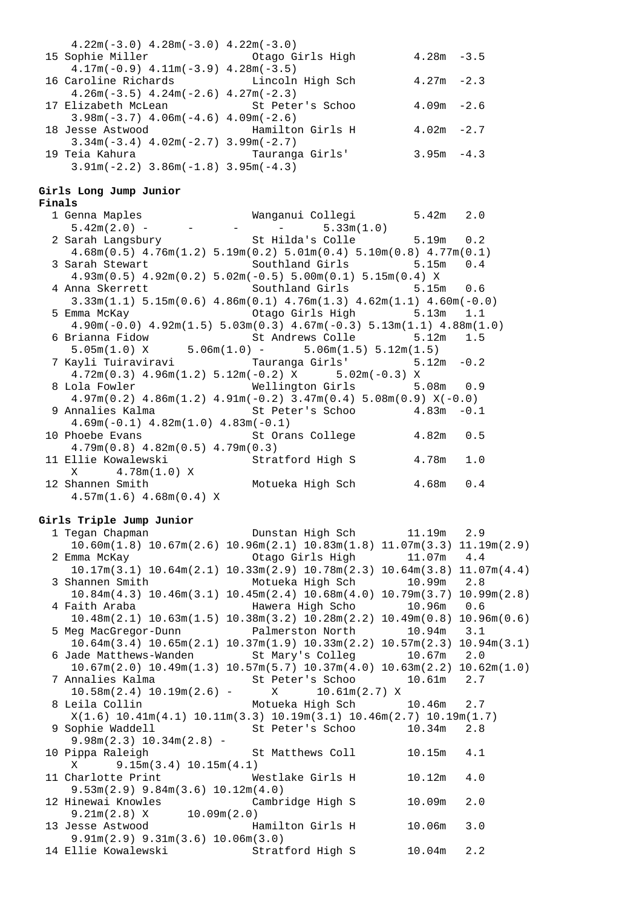| $4.22m(-3.0)$ $4.28m(-3.0)$ $4.22m(-3.0)$                |                  |               |  |
|----------------------------------------------------------|------------------|---------------|--|
| 15 Sophie Miller                                         | Otago Girls High | $4.28m - 3.5$ |  |
| $4.17m(-0.9)$ $4.11m(-3.9)$ $4.28m(-3.5)$                |                  |               |  |
| 16 Caroline Richards [16] Lincoln High Sch               |                  | $4.27m - 2.3$ |  |
| $4.26m(-3.5)$ $4.24m(-2.6)$ $4.27m(-2.3)$                |                  |               |  |
| 17 Elizabeth McLean                     St Peter's Schoo |                  | $4.09m - 2.6$ |  |
| $3.98m(-3.7)$ 4.06m( $-4.6$ ) 4.09m( $-2.6$ )            |                  |               |  |
| 18 Jesse Astwood Mamilton Girls H                        |                  | $4.02m - 2.7$ |  |
| $3.34m(-3.4)$ 4.02m( $-2.7$ ) 3.99m( $-2.7$ )            |                  |               |  |
| 19 Teia Kahura                                           | Tauranga Girls'  | $3.95m - 4.3$ |  |
| $3.91m(-2.2)$ $3.86m(-1.8)$ $3.95m(-4.3)$                |                  |               |  |

#### **Girls Long Jump Junior**

#### **Finals**

| 1 Genna Maples<br>5.42m(2.0) - - - - - - 5.33m(1.0)                                                    |           |  |
|--------------------------------------------------------------------------------------------------------|-----------|--|
|                                                                                                        |           |  |
| 2 Sarah Langsbury St Hilda's Colle 5.19m 0.2                                                           |           |  |
| $4.68$ m $(0.5)$ $4.76$ m $(1.2)$ $5.19$ m $(0.2)$ $5.01$ m $(0.4)$ $5.10$ m $(0.8)$ $4.77$ m $(0.1)$  |           |  |
| 3 Sarah Stewart               Southland Girls           5.15m   0.4                                    |           |  |
| $4.93\text{m}(0.5)$ $4.92\text{m}(0.2)$ $5.02\text{m}(-0.5)$ $5.00\text{m}(0.1)$ $5.15\text{m}(0.4)$ X |           |  |
| 4 Anna Skerrett                 Southland Girls           5.15m   0.6                                  |           |  |
| $3.33m(1.1)$ $5.15m(0.6)$ $4.86m(0.1)$ $4.76m(1.3)$ $4.62m(1.1)$ $4.60m(-0.0)$                         |           |  |
| 5 Emma McKay 6.1 Chago Girls High 5.13m 1.1                                                            |           |  |
| $4.90m(-0.0)$ $4.92m(1.5)$ $5.03m(0.3)$ $4.67m(-0.3)$ $5.13m(1.1)$ $4.88m(1.0)$                        |           |  |
| 6 Brianna Fidow 6 St Andrews Colle 5.12m 1.5                                                           |           |  |
| $5.05m(1.0)$ X $5.06m(1.0)$ - $5.06m(1.5)$ $5.12m(1.5)$                                                |           |  |
| 7 Kayli Tuiraviravi           Tauranga Girls'         5.12m -0.2                                       |           |  |
| $4.72m(0.3)$ $4.96m(1.2)$ $5.12m(-0.2)$ X $5.02m(-0.3)$ X                                              |           |  |
| 8 Lola Fowler 6.9 Wellington Girls 5.08m 0.9                                                           |           |  |
| $4.97m(0.2)$ $4.86m(1.2)$ $4.91m(-0.2)$ $3.47m(0.4)$ $5.08m(0.9)$ $X(-0.0)$                            |           |  |
| 9 Annalies Kalma                     St Peter's Schoo         4.83m -0.1                               |           |  |
| $4.69m(-0.1)$ $4.82m(1.0)$ $4.83m(-0.1)$                                                               |           |  |
| 10 Phoebe Evans                             St Orans College            4.82m   0.5                    |           |  |
| $4.79m(0.8)$ $4.82m(0.5)$ $4.79m(0.3)$                                                                 |           |  |
| 11 Ellie Kowalewski bol Stratford High S                                                               | 4.78m 1.0 |  |
| $X = 4.78m(1.0) X$                                                                                     |           |  |
| 12 Shannen Smith Motueka High Sch 4.68m 0.4                                                            |           |  |
| $4.57m(1.6)$ $4.68m(0.4)$ X                                                                            |           |  |

#### **Girls Triple Jump Junior**

|                                         | 1 Tegan Chapman                 Dunstan High Sch         11.19m     2.9                                     |
|-----------------------------------------|-------------------------------------------------------------------------------------------------------------|
|                                         | $10.60$ m $(1.8)$ $10.67$ m $(2.6)$ $10.96$ m $(2.1)$ $10.83$ m $(1.8)$ $11.07$ m $(3.3)$ $11.19$ m $(2.9)$ |
|                                         | 2 Emma McKay 61 Chago Girls High 11.07m 4.4                                                                 |
|                                         | $10.17m(3.1)$ $10.64m(2.1)$ $10.33m(2.9)$ $10.78m(2.3)$ $10.64m(3.8)$ $11.07m(4.4)$                         |
|                                         | 3 Shannen Smith Motueka High Sch 10.99m 2.8                                                                 |
|                                         | $10.84m(4.3)$ $10.46m(3.1)$ $10.45m(2.4)$ $10.68m(4.0)$ $10.79m(3.7)$ $10.99m(2.8)$                         |
|                                         | 4 Faith Araba                     Hawera High Scho         10.96m   0.6                                     |
|                                         | $10.48$ m $(2.1)$ $10.63$ m $(1.5)$ $10.38$ m $(3.2)$ $10.28$ m $(2.2)$ $10.49$ m $(0.8)$ $10.96$ m $(0.6)$ |
|                                         | 5 Meg MacGregor-Dunn Palmerston North 10.94m 3.1                                                            |
|                                         | $10.64m(3.4)$ $10.65m(2.1)$ $10.37m(1.9)$ $10.33m(2.2)$ $10.57m(2.3)$ $10.94m(3.1)$                         |
|                                         | 6 Jade Matthews-Wanden St Mary's Colleg 10.67m 2.0                                                          |
|                                         | $10.67m(2.0)$ $10.49m(1.3)$ $10.57m(5.7)$ $10.37m(4.0)$ $10.63m(2.2)$ $10.62m(1.0)$                         |
|                                         | 7 Annalies Kalma (St Peter's Schoo (10.61m) 2.7                                                             |
|                                         | $10.58\text{m}(2.4)$ $10.19\text{m}(2.6)$ - X $10.61\text{m}(2.7)$ X                                        |
|                                         | 8 Leila Collin Motueka High Sch 10.46m 2.7                                                                  |
|                                         | $X(1.6)$ 10.41m $(4.1)$ 10.11m $(3.3)$ 10.19m $(3.1)$ 10.46m $(2.7)$ 10.19m $(1.7)$                         |
|                                         | 9 Sophie Waddell St Peter's Schoo 10.34m 2.8                                                                |
| $9.98m(2.3)$ 10.34 $m(2.8)$ -           |                                                                                                             |
|                                         | 10 Pippa Raleigh St Matthews Coll 10.15m 4.1                                                                |
| $X$ 9.15m(3.4) 10.15m(4.1)              |                                                                                                             |
|                                         | 11 Charlotte Print 6.0 Westlake Girls H 10.12m 4.0                                                          |
| $9.53m(2.9)$ $9.84m(3.6)$ $10.12m(4.0)$ |                                                                                                             |
|                                         | 12 Hinewai Knowles<br>9.21m(2.8) X 10.09m(2.0)<br>$10.09m$ $2.0$                                            |
|                                         |                                                                                                             |
|                                         | 13 Jesse Astwood Mamilton Girls H<br>$10.06m$ 3.0                                                           |
| 9.91m(2.9) 9.31m(3.6) 10.06m(3.0)       |                                                                                                             |
|                                         | 14 Ellie Kowalewski (Stratford High S 10.04m 2.2                                                            |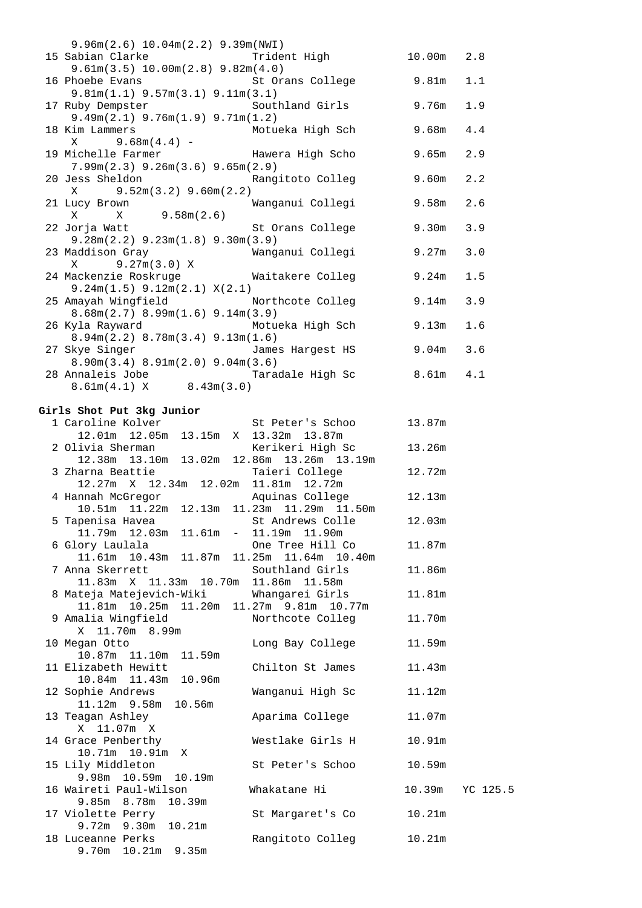| 9.96m(2.6) 10.04m(2.2) 9.39m(NWT)      |                                                         |               |     |
|----------------------------------------|---------------------------------------------------------|---------------|-----|
|                                        | 15 Sabian Clarke Trident High 10.00m 2.8                |               |     |
| 9.61m(3.5) 10.00m(2.8) 9.82m(4.0)      |                                                         |               |     |
|                                        | 16 Phoebe Evans St Orans College 9.81m 1.1              |               |     |
| $9.81m(1.1)$ $9.57m(3.1)$ $9.11m(3.1)$ |                                                         |               |     |
|                                        | 17 Ruby Dempster Southland Girls                        | 9.76m         | 1.9 |
| 9.49m(2.1) 9.76m(1.9) 9.71m(1.2)       |                                                         |               |     |
| 18 Kim Lammers                         | Motueka High Sch                                        | 9.68m         | 4.4 |
| $X = 9.68m(4.4) -$                     |                                                         |               |     |
|                                        | 19 Michelle Farmer The Hawera High Scho                 | 9.65m         | 2.9 |
| $7.99m(2.3)$ $9.26m(3.6)$ $9.65m(2.9)$ |                                                         |               |     |
|                                        | 20 Jess Sheldon Nangitoto Colleg                        | $9.60m$ 2.2   |     |
| $X = 9.52m(3.2) 9.60m(2.2)$            |                                                         |               |     |
| 21 Lucy Brown                          | Wanganui Collegi                                        | $9.58m$ 2.6   |     |
|                                        |                                                         |               |     |
|                                        | 22 Jorja Watt National St Orans College                 | 9.30m         | 3.9 |
| $9.28m(2.2)$ $9.23m(1.8)$ $9.30m(3.9)$ |                                                         |               |     |
| 23 Maddison Gray                       | Wanganui Collegi                                        | 9.27m         | 3.0 |
| X 9.27m(3.0) X                         |                                                         |               |     |
|                                        | 24 Mackenzie Roskruge Maitakere Colleg                  | 9.24m         | 1.5 |
| $9.24m(1.5)$ $9.12m(2.1)$ $X(2.1)$     |                                                         |               |     |
|                                        | 25 Amayah Wingfield Morthcote Colleg                    | $9.14m$ 3.9   |     |
| $8.68m(2.7)$ $8.99m(1.6)$ $9.14m(3.9)$ |                                                         |               |     |
|                                        | 26 Kyla Rayward Motueka High Sch                        | 9.13m         | 1.6 |
| $8.94m(2.2)$ $8.78m(3.4)$ $9.13m(1.6)$ |                                                         |               |     |
|                                        | 27 Skye Singer The James Hargest HS                     | $9.04m$ 3.6   |     |
| 8.90m(3.4) 8.91m(2.0) 9.04m(3.6)       | 28 Annaleis Jobe                       Taradale High Sc | $8.61m$ $4.1$ |     |
| $8.61m(4.1)$ X $8.43m(3.0)$            |                                                         |               |     |
|                                        |                                                         |               |     |

#### **Girls Shot Put 3kg Junior**

| 1 Caroline Kolver                              | St Peter's Schoo | 13.87m |          |
|------------------------------------------------|------------------|--------|----------|
| 12.01m  12.05m  13.15m  X  13.32m  13.87m      |                  |        |          |
| 2 Olivia Sherman                               | Kerikeri High Sc | 13.26m |          |
| 12.38m  13.10m  13.02m  12.86m  13.26m  13.19m |                  |        |          |
| 3 Zharna Beattie                               | Taieri College   | 12.72m |          |
| 12.27m X 12.34m 12.02m 11.81m 12.72m           |                  |        |          |
| 4 Hannah McGregor             Aquinas College  |                  | 12.13m |          |
| 10.51m  11.22m  12.13m  11.23m  11.29m  11.50m |                  |        |          |
| 5 Tapenisa Havea                               | St Andrews Colle | 12.03m |          |
| 11.79m  12.03m  11.61m - 11.19m  11.90m        |                  |        |          |
|                                                | One Tree Hill Co | 11.87m |          |
|                                                |                  |        |          |
|                                                |                  | 11.86m |          |
|                                                |                  |        |          |
| 8 Mateja Matejevich-Wiki Mhangarei Girls       |                  | 11.81m |          |
| 11.81m  10.25m  11.20m  11.27m  9.81m  10.77m  |                  |        |          |
| 9 Amalia Wingfield Morthcote Colleg            |                  | 11.70m |          |
| X 11.70m 8.99m                                 |                  |        |          |
| 10 Megan Otto                                  | Long Bay College | 11.59m |          |
| 10.87m  11.10m  11.59m                         |                  |        |          |
| 11 Elizabeth Hewitt                            | Chilton St James | 11.43m |          |
| 10.84m  11.43m  10.96m                         |                  |        |          |
| 12 Sophie Andrews                              | Wanganui High Sc | 11.12m |          |
| 11.12m 9.58m 10.56m                            |                  |        |          |
| 13 Teagan Ashley                               | Aparima College  | 11.07m |          |
| X 11.07m X                                     |                  |        |          |
| 14 Grace Penberthy                             | Westlake Girls H | 10.91m |          |
|                                                |                  |        |          |
| 15 Lily Middleton                              | St Peter's Schoo | 10.59m |          |
| 9.98m 10.59m 10.19m                            |                  |        |          |
| 16 Waireti Paul-Wilson                         | Whakatane Hi     | 10.39m | YC 125.5 |
| 9.85m 8.78m 10.39m                             |                  |        |          |
| 17 Violette Perry                              | St Margaret's Co | 10.21m |          |
| 9.72m 9.30m 10.21m                             |                  |        |          |
| 18 Luceanne Perks                              | Rangitoto Colleg | 10.21m |          |
| 9.70m 10.21m 9.35m                             |                  |        |          |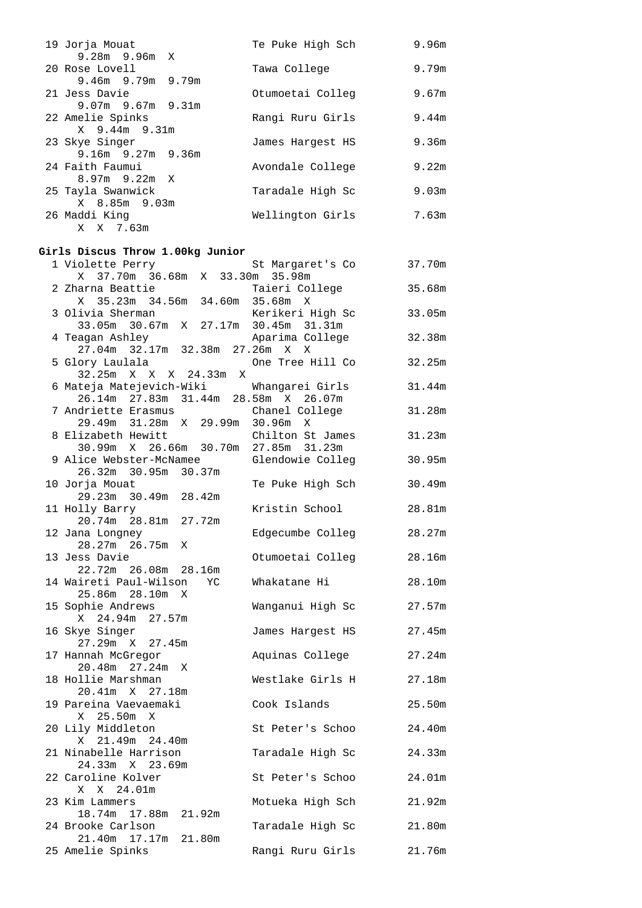| 19 Jorja Mouat                                                                        | Te Puke High Sch 9.96m  |        |
|---------------------------------------------------------------------------------------|-------------------------|--------|
| 9.28m 9.96m X<br>20 Rose Lovell                                                       | Tawa College            | 9.79m  |
| 9.46m 9.79m 9.79m<br>21 Jess Davie                                                    | Otumoetai Colleg        | 9.67m  |
| 9.07m 9.67m 9.31m                                                                     |                         | 9.44m  |
| 22 Amelie Spinks<br>X 9.44m 9.31m                                                     | Rangi Ruru Girls        |        |
| 23 Skye Singer<br>9.16m 9.27m 9.36m                                                   | James Hargest HS        | 9.36m  |
| 24 Faith Faumui<br>$8.97m$ 9.22m X                                                    | Avondale College        | 9.22m  |
| 25 Tayla Swanwick<br>X 8.85m 9.03m                                                    | Taradale High Sc        | 9.03m  |
| 26 Maddi King<br>X X 7.63m                                                            | Wellington Girls        | 7.63m  |
| Girls Discus Throw 1.00kg Junior                                                      |                         |        |
| 1 Violette Perry                                                                      | St Margaret's Co 37.70m |        |
| X 37.70m 36.68m X 33.30m 35.98m                                                       |                         |        |
| 2 Zharna Beattie<br>X 35.23m 34.56m 34.60m 35.68m X                                   | Taieri College          | 35.68m |
| 3 Olivia Sherman<br>33.05m 30.67m X 27.17m 30.45m 31.31m                              |                         |        |
| 4 Teagan Ashley<br>27.04m 32.17m 32.38m 27.26m X X                                    | Aparima College         | 32.38m |
| 5 Glory Laulala<br>32.25m X X X 24.33m X                                              | One Tree Hill Co        | 32.25m |
| 6 Mateja Matejevich-Wiki Whangarei Girls<br>26.14m  27.83m  31.44m  28.58m  X  26.07m |                         | 31.44m |
| 7 Andriette Erasmus<br>29.49m 31.28m X 29.99m 30.96m X                                | Chanel College          | 31.28m |
| 8 Elizabeth Hewitt<br>30.99m X 26.66m 30.70m 27.85m 31.23m                            | Chilton St James        | 31.23m |
| 9 Alice Webster-McNamee  Glendowie Colleg<br>26.32m 30.95m 30.37m                     |                         | 30.95m |
| 10 Jorja Mouat<br>29.23m 30.49m 28.42m                                                | Te Puke High Sch        | 30.49m |
| 11 Holly Barry<br>20.74m 28.81m 27.72m                                                | Kristin School          | 28.81m |
| 12 Jana Longney<br>28.27m 26.75m X                                                    | Edgecumbe Colleg        | 28.27m |
| 13 Jess Davie<br>22.72m 26.08m 28.16m                                                 | Otumoetai Colleg        | 28.16m |
| 14 Waireti Paul-Wilson<br>YC                                                          | Whakatane Hi            | 28.10m |
| 25.86m 28.10m X<br>15 Sophie Andrews                                                  | Wanganui High Sc        | 27.57m |
| X 24.94m 27.57m<br>16 Skye Singer                                                     | James Hargest HS        | 27.45m |
| 27.29m X 27.45m<br>17 Hannah McGregor                                                 | Aquinas College         | 27.24m |
| 20.48m 27.24m X<br>18 Hollie Marshman                                                 | Westlake Girls H        | 27.18m |
| 20.41m X 27.18m<br>19 Pareina Vaevaemaki                                              | Cook Islands            | 25.50m |
| 25.50m X<br>X<br>20 Lily Middleton                                                    | St Peter's Schoo        | 24.40m |
| 21.49m 24.40m<br>X<br>21 Ninabelle Harrison                                           | Taradale High Sc        | 24.33m |
| 24.33m X 23.69m<br>22 Caroline Kolver                                                 | St Peter's Schoo        | 24.01m |
| X X 24.01m<br>23 Kim Lammers                                                          | Motueka High Sch        | 21.92m |
| 18.74m 17.88m 21.92m<br>24 Brooke Carlson                                             | Taradale High Sc        | 21.80m |
| 21.40m 17.17m<br>21.80m<br>25 Amelie Spinks                                           | Rangi Ruru Girls        | 21.76m |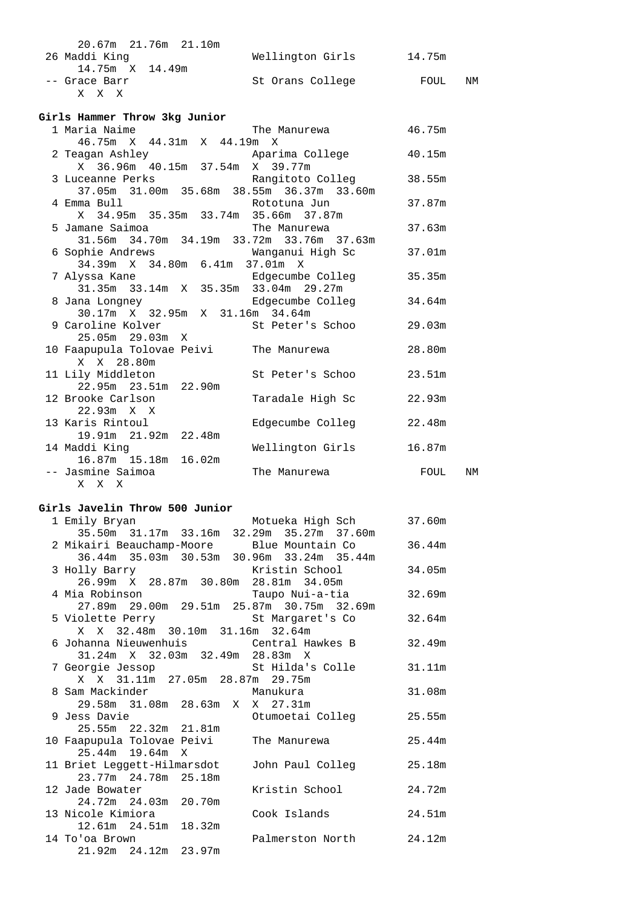| 20.67m 21.76m 21.10m |                  |            |
|----------------------|------------------|------------|
| 26 Maddi King        | Wellington Girls | 14.75m     |
| 14.75m X 14.49m      |                  |            |
| -- Grace Barr        | St Orans College | FOUL<br>ΝM |
| X X X                |                  |            |

#### **Girls Hammer Throw 3kg Junior**

| 1 Maria Naime                                            | The Manurewa 46.75m     |        |    |
|----------------------------------------------------------|-------------------------|--------|----|
| 46.75m X 44.31m X 44.19m X                               |                         |        |    |
| 2 Teagan Ashley           Aparima College         40.15m |                         |        |    |
| X 36.96m 40.15m 37.54m X 39.77m                          |                         |        |    |
| 3 Luceanne Perks (Rangitoto Colleg 38.55m                |                         |        |    |
| 37.05m 31.00m 35.68m 38.55m 36.37m 33.60m                |                         |        |    |
| 4 Emma Bull <b>Example 2018</b> Rototuna Jun             |                         | 37.87m |    |
| X 34.95m 35.35m 33.74m 35.66m 37.87m                     |                         |        |    |
| 5 Jamane Saimoa                                          | The Manurewa            | 37.63m |    |
| 31.56m 34.70m 34.19m 33.72m 33.76m 37.63m                |                         |        |    |
| 6 Sophie Andrews                     Wanganui High Sc    |                         | 37.01m |    |
| 34.39m X 34.80m 6.41m 37.01m X                           |                         |        |    |
| 7 Alyssa Kane Manuel Band Edgecumbe Colleg               |                         | 35.35m |    |
| 31.35m 33.14m X 35.35m 33.04m 29.27m                     |                         |        |    |
| 8 Jana Longney Colleger and Edgecumbe Colleger           |                         | 34.64m |    |
| 30.17m X 32.95m X 31.16m 34.64m                          |                         |        |    |
| 9 Caroline Kolver 6 1 St Peter's Schoo 29.03m            |                         |        |    |
| 25.05m 29.03m X                                          |                         |        |    |
| 10 Faapupula Tolovae Peivi     The Manurewa              |                         | 28.80m |    |
| X X 28.80m                                               |                         |        |    |
| 11 Lily Middleton                                        | St Peter's Schoo 23.51m |        |    |
| 22.95m 23.51m 22.90m                                     |                         |        |    |
| 12 Brooke Carlson                                        | Taradale High Sc        | 22.93m |    |
| $22.93m \times X$                                        |                         |        |    |
| 13 Karis Rintoul                                         | Edgecumbe Colleg        | 22.48m |    |
| 19.91m 21.92m 22.48m                                     |                         |        |    |
| 14 Maddi Kinq                                            | Wellington Girls        | 16.87m |    |
| 16.87m 15.18m 16.02m                                     |                         |        |    |
| -- Jasmine Saimoa                                        | The Manurewa            | FOUL   | NΜ |
| X X X                                                    |                         |        |    |

#### **Girls Javelin Throw 500 Junior**

| 1 Emily Bryan           Motueka High Sch                       |                         | 37.60m |
|----------------------------------------------------------------|-------------------------|--------|
| 35.50m 31.17m 33.16m 32.29m 35.27m 37.60m                      |                         |        |
| 2 Mikairi Beauchamp-Moore     Blue Mountain Co                 |                         | 36.44m |
| 36.44m 35.03m 30.53m 30.96m 33.24m 35.44m                      |                         |        |
|                                                                |                         | 34.05m |
|                                                                |                         |        |
| 4 Mia Robinson                         Taupo Nui-a-tia         |                         | 32.69m |
| 27.89m  29.00m  29.51m  25.87m  30.75m  32.69m                 |                         |        |
| 5 Violette Perry St Margaret's Co                              |                         | 32.64m |
| X X 32.48m 30.10m 31.16m 32.64m                                |                         |        |
| 6 Johanna Nieuwenhuis             Central Hawkes B             |                         | 32.49m |
| 31.24m X 32.03m 32.49m 28.83m X                                |                         |        |
| 7 Georgie Jessop (St Hilda's Colle 31.11m)                     |                         |        |
| X X 31.11m 27.05m 28.87m 29.75m                                |                         |        |
| 8 Sam Mackinder                   Manukura                     |                         | 31.08m |
| 29.58m 31.08m 28.63m X X 27.31m                                |                         |        |
| 9 Jess Davie                                                   | Otumoetai Colleg        | 25.55m |
| 25.55m 22.32m 21.81m                                           |                         |        |
| 10 Faapupula Tolovae Peivi     The Manurewa<br>25.44m 19.64m X |                         | 25.44m |
|                                                                |                         | 25.18m |
| 11 Briet Leggett-Hilmarsdot<br>23.77m 24.78m 25.18m            | John Paul Colleg        |        |
| 12 Jade Bowater                                                | Kristin School          | 24.72m |
| 24.72m  24.03m  20.70m                                         |                         |        |
| 13 Nicole Kimiora                                              | Cook Islands            | 24.51m |
| 12.61m  24.51m  18.32m                                         |                         |        |
| 14 To'oa Brown                                                 | Palmerston North 24.12m |        |
| 21.92m  24.12m  23.97m                                         |                         |        |
|                                                                |                         |        |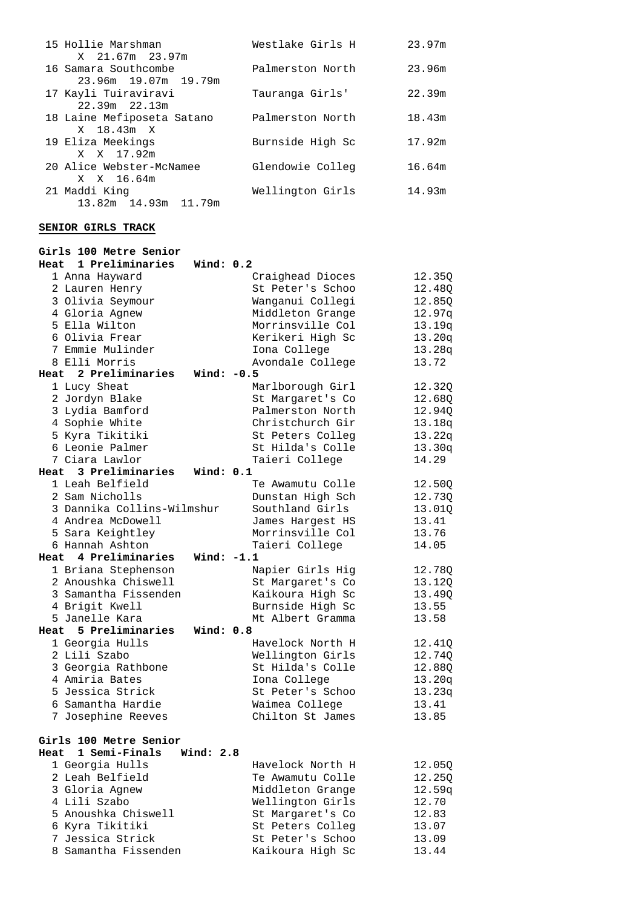| 15 Hollie Marshman<br>X 21.67m 23.97m               | Westlake Girls H | 23.97m |
|-----------------------------------------------------|------------------|--------|
| 16 Samara Southcombe<br>23.96m 19.07m 19.79m        | Palmerston North | 23.96m |
| 17 Kayli Tuiraviravi<br>$22.39m$ $22.13m$           | Tauranga Girls'  | 22.39m |
| 18 Laine Mefiposeta Satano<br>X 18.43m X            | Palmerston North | 18.43m |
| 19 Eliza Meekings                                   | Burnside High Sc | 17.92m |
| X X 17.92m<br>20 Alice Webster-McNamee              | Glendowie Colleg | 16.64m |
| X X 16.64m<br>21 Maddi King<br>13.82m 14.93m 11.79m | Wellington Girls | 14.93m |

### **SENIOR GIRLS TRACK**

| Girls 100 Metre Senior                 |                  |        |  |
|----------------------------------------|------------------|--------|--|
| 1 Preliminaries<br>Wind: $0.2$<br>Heat |                  |        |  |
| 1 Anna Hayward                         | Craighead Dioces | 12.35Q |  |
| 2 Lauren Henry                         | St Peter's Schoo | 12.48Q |  |
| 3 Olivia Seymour                       | Wanganui Collegi | 12.85Q |  |
| 4 Gloria Agnew                         | Middleton Grange | 12.97q |  |
| 5 Ella Wilton                          | Morrinsville Col | 13.19q |  |
| 6 Olivia Frear                         | Kerikeri High Sc | 13.20q |  |
| 7 Emmie Mulinder                       | Iona College     | 13.28q |  |
| 8 Elli Morris                          | Avondale College | 13.72  |  |
| Heat 2 Preliminaries<br>Wind: $-0.5$   |                  |        |  |
| 1 Lucy Sheat                           | Marlborough Girl | 12.32Q |  |
| 2 Jordyn Blake                         | St Margaret's Co | 12.68Q |  |
| 3 Lydia Bamford                        | Palmerston North | 12.94Q |  |
| 4 Sophie White                         | Christchurch Gir | 13.18q |  |
| 5 Kyra Tikitiki                        | St Peters Colleg | 13.22q |  |
| 6 Leonie Palmer                        | St Hilda's Colle | 13.30q |  |
| 7 Ciara Lawlor                         | Taieri College   | 14.29  |  |
| Wind: 0.1<br>Heat 3 Preliminaries      |                  |        |  |
| 1 Leah Belfield                        | Te Awamutu Colle | 12.50Q |  |
| 2 Sam Nicholls                         | Dunstan High Sch | 12.73Q |  |
| 3 Dannika Collins-Wilmshur             | Southland Girls  | 13.01Q |  |
| 4 Andrea McDowell                      | James Hargest HS | 13.41  |  |
| 5 Sara Keightley                       | Morrinsville Col | 13.76  |  |
| 6 Hannah Ashton                        | Taieri College   | 14.05  |  |
| Heat 4 Preliminaries<br>Wind: $-1.1$   |                  |        |  |
| 1 Briana Stephenson                    | Napier Girls Hig | 12.78Q |  |
| 2 Anoushka Chiswell                    | St Margaret's Co | 13.12Q |  |
| 3 Samantha Fissenden                   | Kaikoura High Sc | 13.49Q |  |
| 4 Brigit Kwell                         | Burnside High Sc | 13.55  |  |
| 5 Janelle Kara                         | Mt Albert Gramma | 13.58  |  |
| Heat 5 Preliminaries<br>Wind: 0.8      |                  |        |  |
| 1 Georgia Hulls                        | Havelock North H | 12.41Q |  |
| 2 Lili Szabo                           | Wellington Girls | 12.74Q |  |
| 3 Georgia Rathbone                     | St Hilda's Colle | 12.88Q |  |
| 4 Amiria Bates                         | Iona College     | 13.20q |  |
| 5 Jessica Strick                       | St Peter's Schoo | 13.23q |  |
| 6 Samantha Hardie                      | Waimea College   | 13.41  |  |
| 7 Josephine Reeves                     | Chilton St James | 13.85  |  |
|                                        |                  |        |  |
| Girls 100 Metre Senior                 |                  |        |  |
| 1 Semi-Finals<br>Wind: 2.8<br>Heat     |                  |        |  |
| 1 Georgia Hulls                        | Havelock North H | 12.05Q |  |
| 2 Leah Belfield                        | Te Awamutu Colle | 12.250 |  |
| 3 Gloria Agnew                         | Middleton Grange | 12.59q |  |
| 4 Lili Szabo                           | Wellington Girls | 12.70  |  |
| 5 Anoushka Chiswell                    | St Margaret's Co | 12.83  |  |
| 6 Kyra Tikitiki                        | St Peters Colleg | 13.07  |  |
| 7 Jessica Strick                       | St Peter's Schoo | 13.09  |  |

8 Samantha Fissenden Kaikoura High Sc 13.44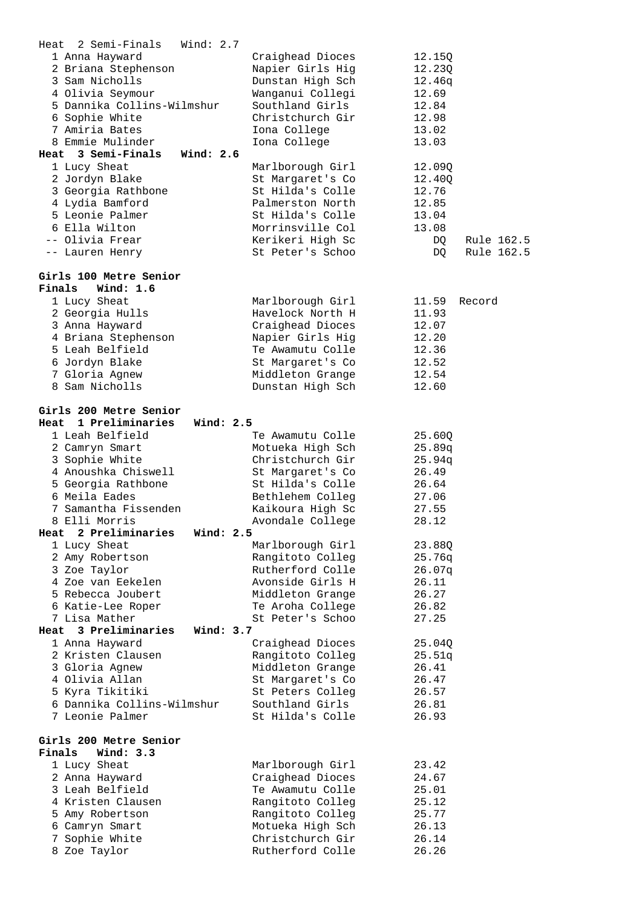| 2 Semi-Finals<br>Heat               | Wind: $2.7$                          |                  |
|-------------------------------------|--------------------------------------|------------------|
| 1 Anna Hayward                      | Craighead Dioces                     | 12.15Q           |
| 2 Briana Stephenson                 | Napier Girls Hig                     | 12.23Q           |
| 3 Sam Nicholls                      | Dunstan High Sch                     | 12.46q           |
| 4 Olivia Seymour                    | Wanganui Collegi                     | 12.69            |
| 5 Dannika Collins-Wilmshur          | Southland Girls                      | 12.84            |
| 6 Sophie White                      | Christchurch Gir                     | 12.98            |
| 7 Amiria Bates                      | Iona College                         | 13.02            |
| 8 Emmie Mulinder                    | Iona College                         | 13.03            |
| Heat 3 Semi-Finals                  | Wind: 2.6                            |                  |
| 1 Lucy Sheat                        | Marlborough Girl                     | 12.09Q           |
| 2 Jordyn Blake                      | St Margaret's Co                     | 12.40Q           |
| 3 Georgia Rathbone                  | St Hilda's Colle                     | 12.76            |
| 4 Lydia Bamford                     | Palmerston North                     | 12.85            |
| 5 Leonie Palmer                     | St Hilda's Colle                     | 13.04            |
| 6 Ella Wilton                       | Morrinsville Col                     | 13.08            |
| -- Olivia Frear                     | Kerikeri High Sc                     | Rule 162.5<br>DQ |
| -- Lauren Henry                     | St Peter's Schoo                     | Rule 162.5<br>DQ |
| Girls 100 Metre Senior              |                                      |                  |
| Finals<br>Wind: $1.6$               |                                      |                  |
| 1 Lucy Sheat                        |                                      | 11.59<br>Record  |
| 2 Georgia Hulls                     | Marlborough Girl<br>Havelock North H | 11.93            |
| 3 Anna Hayward                      | Craighead Dioces                     | 12.07            |
| 4 Briana Stephenson                 | Napier Girls Hig                     | 12.20            |
| 5 Leah Belfield                     | Te Awamutu Colle                     | 12.36            |
| 6 Jordyn Blake                      | St Margaret's Co                     | 12.52            |
| 7 Gloria Agnew                      | Middleton Grange                     | 12.54            |
| 8 Sam Nicholls                      | Dunstan High Sch                     | 12.60            |
|                                     |                                      |                  |
| Girls 200 Metre Senior              |                                      |                  |
| 1 Preliminaries<br>Heat             | Wind: 2.5                            |                  |
| 1 Leah Belfield                     | Te Awamutu Colle                     | 25.600           |
| 2 Camryn Smart                      | Motueka High Sch                     | 25.89q           |
| 3 Sophie White                      | Christchurch Gir                     | 25.94q           |
|                                     |                                      |                  |
|                                     |                                      |                  |
| 4 Anoushka Chiswell                 | St Margaret's Co                     | 26.49<br>26.64   |
| 5 Georgia Rathbone<br>6 Meila Eades | St Hilda's Colle                     | 27.06            |
| 7 Samantha Fissenden                | Bethlehem Colleg<br>Kaikoura High Sc | 27.55            |
| 8 Elli Morris                       |                                      | 28.12            |
| Heat 2 Preliminaries                | Avondale College<br>Wind: 2.5        |                  |
| 1 Lucy Sheat                        | Marlborough Girl                     | 23.88Q           |
| 2 Amy Robertson                     | Rangitoto Colleg                     | 25.76q           |
| 3 Zoe Taylor                        | Rutherford Colle                     | 26.07q           |
| 4 Zoe van Eekelen                   | Avonside Girls H                     | 26.11            |
| 5 Rebecca Joubert                   | Middleton Grange                     | 26.27            |
| 6 Katie-Lee Roper                   | Te Aroha College                     | 26.82            |
| 7 Lisa Mather                       | St Peter's Schoo                     | 27.25            |
| Heat 3 Preliminaries                | Wind: $3.7$                          |                  |
| 1 Anna Hayward                      | Craighead Dioces                     | 25.04Q           |
| 2 Kristen Clausen                   | Rangitoto Colleg                     | 25.51q           |
| 3 Gloria Agnew                      | Middleton Grange                     | 26.41            |
| 4 Olivia Allan                      | St Margaret's Co                     | 26.47            |
| 5 Kyra Tikitiki                     | St Peters Colleg                     | 26.57            |
| 6 Dannika Collins-Wilmshur          | Southland Girls                      | 26.81            |
| 7 Leonie Palmer                     | St Hilda's Colle                     | 26.93            |
|                                     |                                      |                  |
| Girls 200 Metre Senior              |                                      |                  |
| Wind: 3.3<br>Finals                 |                                      |                  |
| 1 Lucy Sheat                        | Marlborough Girl                     | 23.42            |
| 2 Anna Hayward                      | Craighead Dioces                     | 24.67            |
| 3 Leah Belfield                     | Te Awamutu Colle                     | 25.01            |
| 4 Kristen Clausen                   | Rangitoto Colleg                     | 25.12            |
| 5 Amy Robertson                     | Rangitoto Colleg                     | 25.77            |
| 6 Camryn Smart                      | Motueka High Sch                     | 26.13            |
| 7 Sophie White<br>8 Zoe Taylor      | Christchurch Gir<br>Rutherford Colle | 26.14<br>26.26   |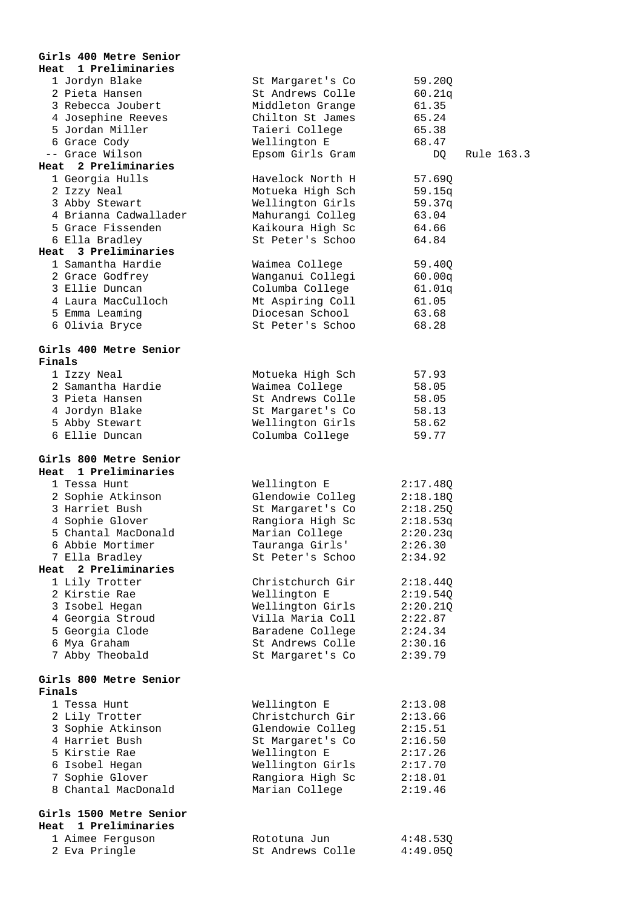| Girls 400 Metre Senior            |                  |                  |
|-----------------------------------|------------------|------------------|
| Heat 1 Preliminaries              |                  |                  |
| 1 Jordyn Blake                    | St Margaret's Co | 59.20Q           |
| 2 Pieta Hansen                    | St Andrews Colle | 60.21q           |
| 3 Rebecca Joubert                 | Middleton Grange | 61.35            |
| 4 Josephine Reeves                | Chilton St James | 65.24            |
| 5 Jordan Miller                   | Taieri College   | 65.38            |
| 6 Grace Cody                      | Wellington E     | 68.47            |
| -- Grace Wilson                   | Epsom Girls Gram | DQ<br>Rule 163.3 |
| Heat 2 Preliminaries              |                  |                  |
| 1 Georgia Hulls                   | Havelock North H | 57.69Q           |
| 2 Izzy Neal                       | Motueka High Sch | 59.15q           |
| 3 Abby Stewart                    | Wellington Girls | 59.37q           |
| 4 Brianna Cadwallader             | Mahurangi Colleg | 63.04            |
| 5 Grace Fissenden                 | Kaikoura High Sc | 64.66            |
| 6 Ella Bradley                    | St Peter's Schoo | 64.84            |
| Heat 3 Preliminaries              |                  |                  |
| 1 Samantha Hardie                 | Waimea College   | 59.40Q           |
| 2 Grace Godfrey                   | Wanganui Collegi | 60.00q           |
| 3 Ellie Duncan                    | Columba College  | 61.01q           |
| 4 Laura MacCulloch                | Mt Aspiring Coll | 61.05            |
| 5 Emma Leaming                    | Diocesan School  | 63.68            |
| 6 Olivia Bryce                    | St Peter's Schoo | 68.28            |
|                                   |                  |                  |
| Girls 400 Metre Senior            |                  |                  |
| Finals                            |                  |                  |
| 1 Izzy Neal                       | Motueka High Sch | 57.93            |
| 2 Samantha Hardie                 | Waimea College   | 58.05            |
| 3 Pieta Hansen                    | St Andrews Colle | 58.05            |
| 4 Jordyn Blake                    | St Margaret's Co | 58.13            |
| 5 Abby Stewart                    | Wellington Girls | 58.62            |
| 6 Ellie Duncan                    | Columba College  | 59.77            |
|                                   |                  |                  |
|                                   |                  |                  |
|                                   |                  |                  |
| Girls 800 Metre Senior            |                  |                  |
| Heat 1 Preliminaries              |                  |                  |
| 1 Tessa Hunt                      | Wellington E     | 2:17.48Q         |
| 2 Sophie Atkinson                 | Glendowie Colleg | 2:18.18Q         |
| 3 Harriet Bush                    | St Margaret's Co | 2:18.25Q         |
| 4 Sophie Glover                   | Rangiora High Sc | 2:18.53q         |
| 5 Chantal MacDonald               | Marian College   | 2:20.23q         |
| 6 Abbie Mortimer                  | Tauranga Girls'  | 2:26.30          |
| 7 Ella Bradley                    | St Peter's Schoo | 2:34.92          |
| Heat 2 Preliminaries              |                  |                  |
| 1 Lily Trotter                    | Christchurch Gir | 2:18.44Q         |
| 2 Kirstie Rae                     | Wellington E     | 2:19.54Q         |
| 3 Isobel Hegan                    | Wellington Girls | 2:20.21Q         |
| 4 Georgia Stroud                  | Villa Maria Coll | 2:22.87          |
| 5 Georgia Clode                   | Baradene College | 2:24.34          |
| 6 Mya Graham                      | St Andrews Colle | 2:30.16          |
| 7 Abby Theobald                   | St Margaret's Co | 2:39.79          |
|                                   |                  |                  |
| Girls 800 Metre Senior            |                  |                  |
| Finals                            |                  |                  |
| 1 Tessa Hunt                      | Wellington E     | 2:13.08          |
| 2 Lily Trotter                    | Christchurch Gir | 2:13.66          |
| 3 Sophie Atkinson                 | Glendowie Colleg | 2:15.51          |
| 4 Harriet Bush                    | St Margaret's Co | 2:16.50          |
| 5 Kirstie Rae                     | Wellington E     | 2:17.26          |
| 6 Isobel Hegan                    | Wellington Girls | 2:17.70          |
| 7 Sophie Glover                   | Rangiora High Sc | 2:18.01          |
| 8 Chantal MacDonald               | Marian College   | 2:19.46          |
|                                   |                  |                  |
| Girls 1500 Metre Senior           |                  |                  |
| Heat 1 Preliminaries              |                  |                  |
| 1 Aimee Ferguson<br>2 Eva Pringle | Rototuna Jun     | 4:48.53Q         |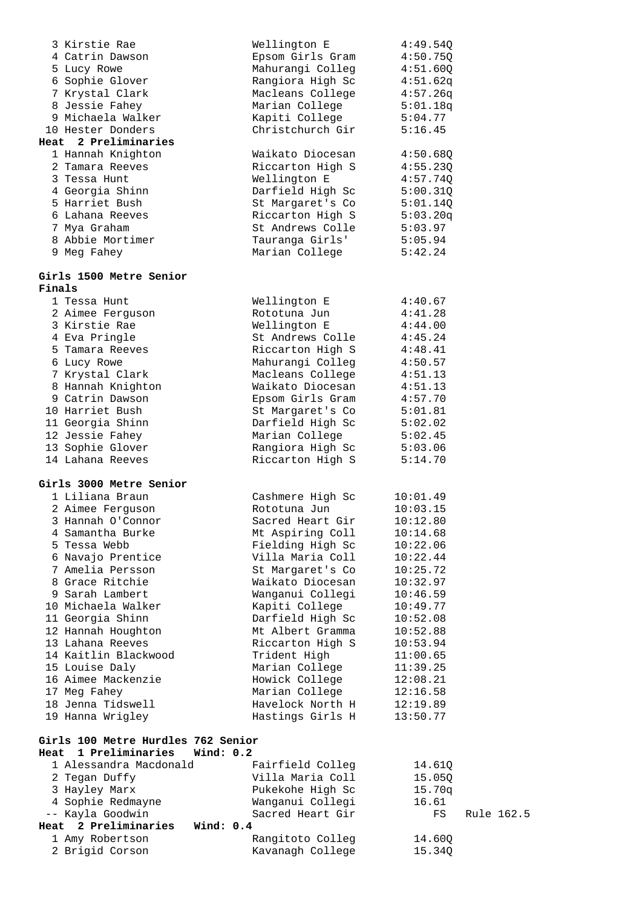|        | 3 Kirstie Rae                          | Wellington E                         | 4:49.54Q             |            |
|--------|----------------------------------------|--------------------------------------|----------------------|------------|
|        | 4 Catrin Dawson                        | Epsom Girls Gram                     | 4:50.75Q             |            |
|        | 5 Lucy Rowe                            | Mahurangi Colleg                     | 4:51.60Q             |            |
|        | 6 Sophie Glover                        | Rangiora High Sc                     | 4:51.62q             |            |
|        | 7 Krystal Clark                        | Macleans College                     | 4:57.26q             |            |
|        | 8 Jessie Fahey                         | Marian College                       | 5:01.18q             |            |
|        | 9 Michaela Walker                      | Kapiti College                       | 5:04.77              |            |
|        | 10 Hester Donders                      | Christchurch Gir                     | 5:16.45              |            |
|        | Heat 2 Preliminaries                   |                                      |                      |            |
|        | 1 Hannah Knighton                      | Waikato Diocesan                     | 4:50.68Q             |            |
|        | 2 Tamara Reeves                        | Riccarton High S                     | 4:55.23Q             |            |
|        | 3 Tessa Hunt<br>4 Georgia Shinn        | Wellington E                         | 4:57.74Q             |            |
|        | 5 Harriet Bush                         | Darfield High Sc                     | 5:00.31Q             |            |
|        | 6 Lahana Reeves                        | St Margaret's Co<br>Riccarton High S | 5:01.140<br>5:03.20q |            |
|        | 7 Mya Graham                           | St Andrews Colle                     | 5:03.97              |            |
|        | 8 Abbie Mortimer                       | Tauranga Girls'                      | 5:05.94              |            |
|        | 9 Meg Fahey                            | Marian College                       | 5:42.24              |            |
|        |                                        |                                      |                      |            |
| Finals | Girls 1500 Metre Senior                |                                      |                      |            |
|        | 1 Tessa Hunt                           | Wellington E                         | 4:40.67              |            |
|        | 2 Aimee Ferguson                       | Rototuna Jun                         | 4:41.28              |            |
|        | 3 Kirstie Rae                          | Wellington E                         | 4:44.00              |            |
|        | 4 Eva Pringle                          | St Andrews Colle                     | 4:45.24              |            |
|        | 5 Tamara Reeves                        | Riccarton High S                     | 4:48.41              |            |
|        | 6 Lucy Rowe                            | Mahurangi Colleg                     | 4:50.57              |            |
|        | 7 Krystal Clark                        | Macleans College                     | 4:51.13              |            |
|        | 8 Hannah Knighton<br>9 Catrin Dawson   | Waikato Diocesan                     | 4:51.13              |            |
|        | 10 Harriet Bush                        | Epsom Girls Gram<br>St Margaret's Co | 4:57.70<br>5:01.81   |            |
|        | 11 Georgia Shinn                       | Darfield High Sc                     | 5:02.02              |            |
|        | 12 Jessie Fahey                        | Marian College                       | 5:02.45              |            |
|        | 13 Sophie Glover                       | Rangiora High Sc                     | 5:03.06              |            |
|        | 14 Lahana Reeves                       | Riccarton High S                     | 5:14.70              |            |
|        | Girls 3000 Metre Senior                |                                      |                      |            |
|        | 1 Liliana Braun                        | Cashmere High Sc                     | 10:01.49             |            |
|        | 2 Aimee Ferguson                       | Rototuna Jun                         | 10:03.15             |            |
|        | 3 Hannah O'Connor                      | Sacred Heart Gir                     | 10:12.80             |            |
|        | 4 Samantha Burke                       | Mt Aspiring Coll                     | 10:14.68             |            |
|        | 5 Tessa Webb                           | Fielding High Sc                     | 10:22.06             |            |
|        | 6 Navajo Prentice                      | Villa Maria Coll                     | 10:22.44             |            |
|        | 7 Amelia Persson                       | St Margaret's Co                     | 10:25.72             |            |
|        | 8 Grace Ritchie                        | Waikato Diocesan                     | 10:32.97             |            |
|        | 9 Sarah Lambert                        | Wanganui Collegi                     | 10:46.59             |            |
|        | 10 Michaela Walker                     | Kapiti College<br>Darfield High Sc   | 10:49.77             |            |
|        | 11 Georgia Shinn<br>12 Hannah Houghton | Mt Albert Gramma                     | 10:52.08<br>10:52.88 |            |
|        | 13 Lahana Reeves                       | Riccarton High S                     | 10:53.94             |            |
|        | 14 Kaitlin Blackwood                   | Trident High                         | 11:00.65             |            |
|        | 15 Louise Daly                         | Marian College                       | 11:39.25             |            |
|        | 16 Aimee Mackenzie                     | Howick College                       | 12:08.21             |            |
|        | 17 Meg Fahey                           | Marian College                       | 12:16.58             |            |
|        | 18 Jenna Tidswell                      | Havelock North H                     | 12:19.89             |            |
|        | 19 Hanna Wrigley                       | Hastings Girls H                     | 13:50.77             |            |
|        | Girls 100 Metre Hurdles 762 Senior     |                                      |                      |            |
| Heat   | 1 Preliminaries<br>Wind: $0.2$         |                                      |                      |            |
|        | 1 Alessandra Macdonald                 | Fairfield Colleg                     | 14.61Q               |            |
|        | 2 Tegan Duffy                          | Villa Maria Coll                     | 15.05Q               |            |
|        | 3 Hayley Marx                          | Pukekohe High Sc                     | 15.70q               |            |
|        | 4 Sophie Redmayne<br>-- Kayla Goodwin  | Wanganui Collegi<br>Sacred Heart Gir | 16.61<br>FS          | Rule 162.5 |
|        | Heat 2 Preliminaries<br>Wind: 0.4      |                                      |                      |            |
|        | 1 Amy Robertson                        | Rangitoto Colleg                     | 14.60Q               |            |
|        | 2 Brigid Corson                        | Kavanagh College                     | 15.34Q               |            |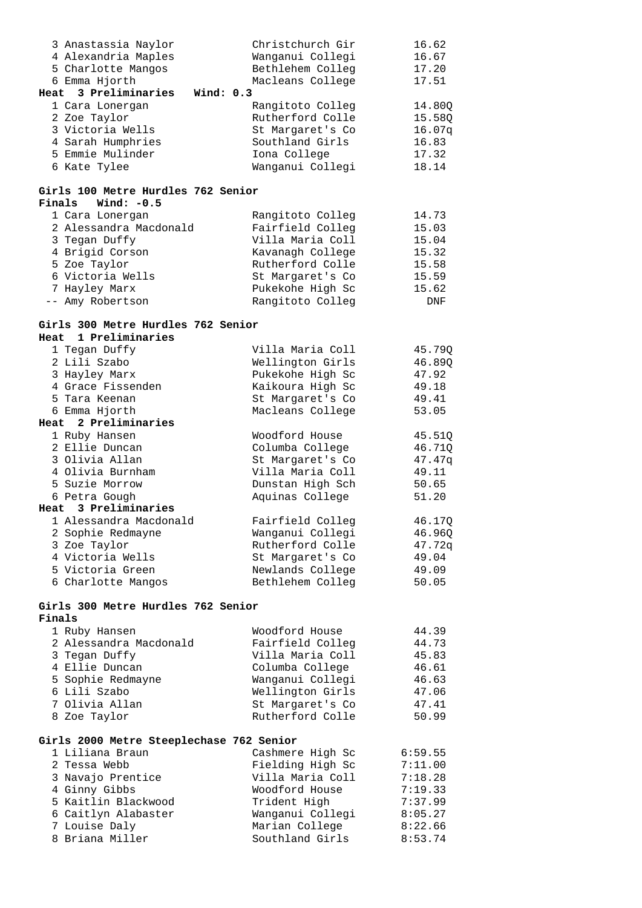| 3 Anastassia Naylor                      | Christchurch Gir | 16.62   |
|------------------------------------------|------------------|---------|
| 4 Alexandria Maples                      | Wanganui Collegi | 16.67   |
| 5 Charlotte Mangos                       | Bethlehem Colleg | 17.20   |
| 6 Emma Hjorth                            | Macleans College | 17.51   |
| Heat 3 Preliminaries<br>Wind: $0.3$      |                  |         |
| 1 Cara Lonergan                          | Rangitoto Colleg | 14.80Q  |
| 2 Zoe Taylor                             | Rutherford Colle | 15.58Q  |
| 3 Victoria Wells                         | St Margaret's Co | 16.07q  |
| 4 Sarah Humphries                        | Southland Girls  | 16.83   |
|                                          |                  |         |
| 5 Emmie Mulinder                         | Iona College     | 17.32   |
| 6 Kate Tylee                             | Wanganui Collegi | 18.14   |
| Girls 100 Metre Hurdles 762 Senior       |                  |         |
| Finals<br>Wind: -0.5                     |                  |         |
| 1 Cara Lonergan                          | Rangitoto Colleg | 14.73   |
| 2 Alessandra Macdonald                   | Fairfield Colleg | 15.03   |
| 3 Tegan Duffy                            | Villa Maria Coll | 15.04   |
| 4 Brigid Corson                          | Kavanagh College | 15.32   |
| 5 Zoe Taylor                             | Rutherford Colle | 15.58   |
| 6 Victoria Wells                         | St Margaret's Co | 15.59   |
| 7 Hayley Marx                            | Pukekohe High Sc | 15.62   |
| -- Amy Robertson                         | Rangitoto Colleg | DNF     |
|                                          |                  |         |
| Girls 300 Metre Hurdles 762 Senior       |                  |         |
| Heat 1 Preliminaries                     |                  |         |
| 1 Tegan Duffy                            | Villa Maria Coll | 45.79Q  |
| 2 Lili Szabo                             | Wellington Girls | 46.89Q  |
| 3 Hayley Marx                            | Pukekohe High Sc | 47.92   |
| 4 Grace Fissenden                        | Kaikoura High Sc | 49.18   |
| 5 Tara Keenan                            | St Margaret's Co | 49.41   |
| 6 Emma Hjorth                            | Macleans College | 53.05   |
| Heat 2 Preliminaries                     |                  |         |
| 1 Ruby Hansen                            | Woodford House   | 45.51Q  |
| 2 Ellie Duncan                           | Columba College  | 46.71Q  |
| 3 Olivia Allan                           | St Margaret's Co | 47.47q  |
| 4 Olivia Burnham                         | Villa Maria Coll | 49.11   |
| 5 Suzie Morrow                           | Dunstan High Sch | 50.65   |
| 6 Petra Gough                            | Aquinas College  | 51.20   |
| Heat 3 Preliminaries                     |                  |         |
|                                          | Fairfield Colleq |         |
| 1 Alessandra Macdonald                   |                  | 46.170  |
| 2 Sophie Redmayne                        | Wanganui Collegi | 46.96Q  |
| 3 Zoe Taylor                             | Rutherford Colle | 47.72q  |
| 4 Victoria Wells                         | St Margaret's Co | 49.04   |
| 5 Victoria Green                         | Newlands College | 49.09   |
| 6 Charlotte Mangos                       | Bethlehem Colleg | 50.05   |
| Girls 300 Metre Hurdles 762 Senior       |                  |         |
| Finals                                   |                  |         |
| 1 Ruby Hansen                            | Woodford House   | 44.39   |
| 2 Alessandra Macdonald                   | Fairfield Colleg | 44.73   |
| 3 Tegan Duffy                            | Villa Maria Coll | 45.83   |
| 4 Ellie Duncan                           | Columba College  | 46.61   |
| 5 Sophie Redmayne                        | Wanganui Collegi | 46.63   |
| 6 Lili Szabo                             | Wellington Girls | 47.06   |
| 7 Olivia Allan                           |                  |         |
|                                          | St Margaret's Co | 47.41   |
| 8 Zoe Taylor                             | Rutherford Colle | 50.99   |
| Girls 2000 Metre Steeplechase 762 Senior |                  |         |
| 1 Liliana Braun                          | Cashmere High Sc | 6:59.55 |
| 2 Tessa Webb                             | Fielding High Sc | 7:11.00 |
| 3 Navajo Prentice                        | Villa Maria Coll | 7:18.28 |
| 4 Ginny Gibbs                            | Woodford House   | 7:19.33 |
| 5 Kaitlin Blackwood                      | Trident High     | 7:37.99 |
|                                          |                  |         |
| 6 Caitlyn Alabaster                      | Wanganui Collegi | 8:05.27 |
| 7 Louise Daly                            | Marian College   | 8:22.66 |
| 8 Briana Miller                          | Southland Girls  | 8:53.74 |
|                                          |                  |         |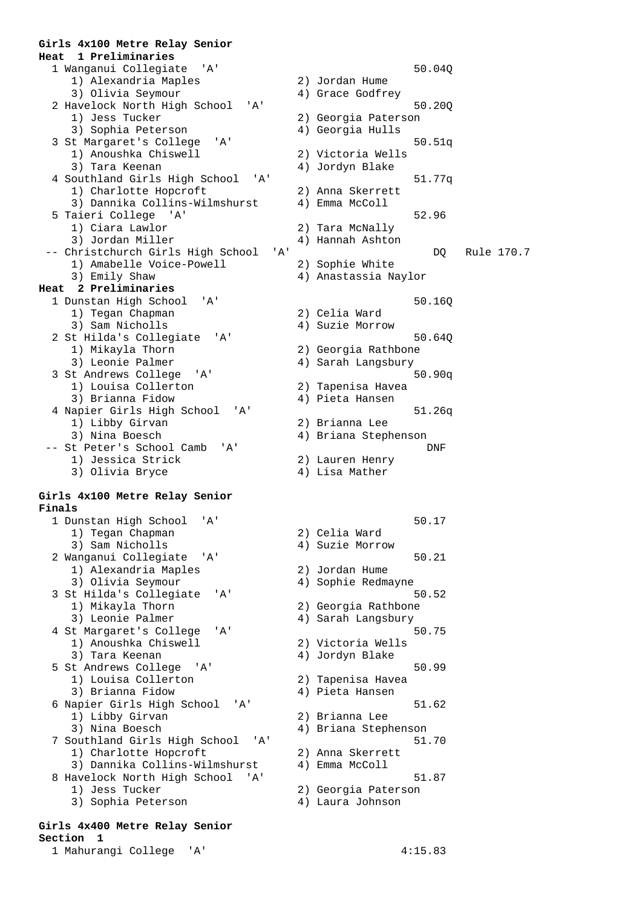#### **Girls 4x100 Metre Relay Senior Heat 1 Preliminaries**

 1 Wanganui Collegiate 'A' 50.04Q 1) Alexandria Maples 2) Jordan Hume 3) Olivia Seymour 4) Grace Godfrey 2 Havelock North High School 'A' 50.20Q 1) Jess Tucker 2) Georgia Paterson 3) Sophia Peterson (4) Georgia Hulls 3 St Margaret's College 'A' 50.51q 1) Anoushka Chiswell 2) Victoria Wells 3) Tara Keenan (3) 4) Jordyn Blake 4 Southland Girls High School 'A' 51.77q 1) Charlotte Hopcroft 2) Anna Skerrett 3) Dannika Collins-Wilmshurst 4) Emma McColl 5 Taieri College 'A' 52.96 1) Ciara Lawlor 2) Tara McNally 3) Jordan Miller (4) Hannah Ashton -- Christchurch Girls High School 'A' DQ Rule 170.7<br>1) Amabelle Voice-Powell 2) Sophie White 1) Amabelle Voice-Powell<br>3) Emily Shaw **Heat 2 Preliminaries**  1 Dunstan High School 'A' 50.16Q<br>1) Tegan Chapman 2) Celia Ward 1) Tegan Chapman<br>3) Sam Nicholls 2 St Hilda's Collegiate 'A' 50.640 1) Mikayla Thorn 2) Georgia Rathbone<br>3) Leonie Palmer 2014 (2015) 4) Sarah Langsbury 3 St Andrews College 'A' 50.90q<br>1) Louisa Collerton 2) Tapenisa Havea 1) Louisa Collerton (2) Tapenisa Haven<br>3) Brianna Fidow (2) Pieta Hansen 3) Brianna Fidow 4 Napier Girls High School 'A' 51.26q 1) Libby Girvan 2) Brianna Lee 3) Nina Boesch 4) Briana Stephenson -- St Peter's School Camb 'A' DNF 1) Jessica Strick 2) Lauren Henry 3) Olivia Bryce 4) Lisa Mather

### **Girls 4x100 Metre Relay Senior Finals**

 1 Dunstan High School 'A' 50.17 1) Tegan Chapman 2) Celia Ward 3) Sam Nicholls (4) Suzie Morrow 2 Wanganui Collegiate 'A' 50.21 1) Alexandria Maples 2) Jordan Hume 3) Olivia Seymour 4) Sophie Redmayne 3 St Hilda's Collegiate 'A' 50.52<br>1) Mikayla Thorn 2) Georgia Rathbone 1) Mikayla Thorn 2) Georgia Rathbone<br>
3) Leonie Palmer 20 (4) Sarah Langsbury 4 St Margaret's College 'A' 50.75 1) Anoushka Chiswell 2) Victoria Wells 3) Tara Keenan 1988 (4) Jordyn Blake 5 St Andrews College 'A' 50.99 1) Louisa Collerton 2) Tapenisa Havea 3) Brianna Fidow 4) Pieta Hansen 6 Napier Girls High School 'A' 51.62 1) Libby Girvan 2) Brianna Lee 3) Nina Boesch 4) Briana Stephenson 7 Southland Girls High School 'A' 51.70 1) Charlotte Hopcroft 2) Anna Skerrett 3) Dannika Collins-Wilmshurst 4) Emma McColl 8 Havelock North High School 'A' 51.87 1) Jess Tucker 2) Georgia Paterson 3) Sophia Peterson 4) Laura Johnson

### **Girls 4x400 Metre Relay Senior Section 1**

1 Mahurangi College 'A' 4:15.83

4) Anastassia Naylor 4) Suzie Morrow 4) Sarah Langsbury

4) Sarah Langsbury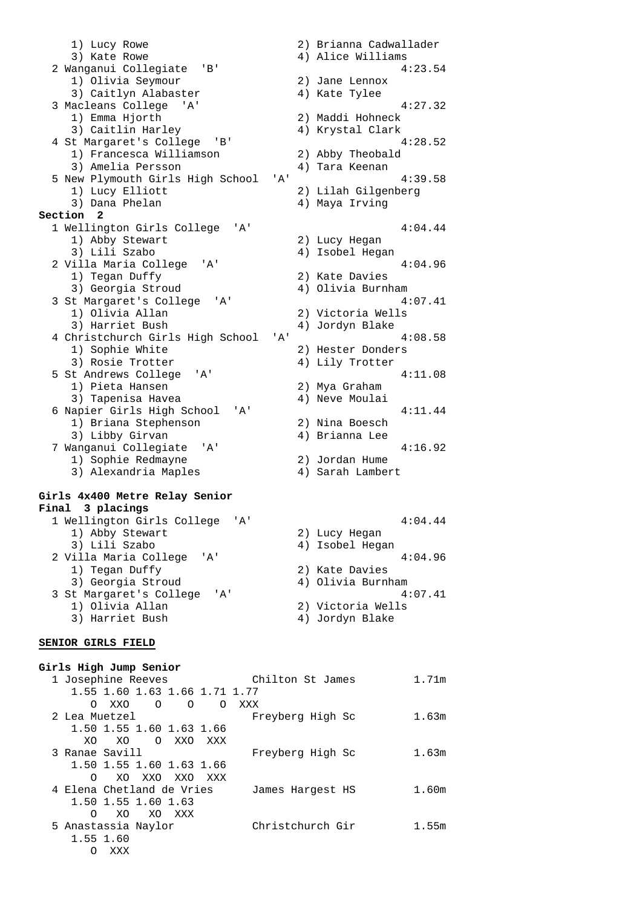1) Lucy Rowe 2) Brianna Cadwallader 3) Kate Rowe 4) Alice Williams 2 Wanganui Collegiate 'B' 4:23.54 1) Olivia Seymour 2) Jane Lennox 3) Caitlyn Alabaster (4) Kate Tylee 3 Macleans College 'A' 4:27.32 1) Emma Hjorth 2) Maddi Hohneck 3) Caitlin Harley (4) Krystal Clark 4) Specific Mariety<br>4 St Margaret's College 'B' 4:28.52 1) Francesca Williamson 2) Abby Theobald 3) Amelia Persson (4) Tara Keenan 5 New Plymouth Girls High School 'A' 4:39.58 1) Lucy Elliott 2) Lilah Gilgenberg 3) Dana Phelan (4) Maya Irving **Section 2**  1 Wellington Girls College 'A' 4:04.44<br>1) Abby Stewart 2) Lucy Hegan 1) Abby Stewart 3) Lili Szabo 4) Isobel Hegan 2 Villa Maria College 'A' 4:<br>1) Tegan Duffy (2) Kate Davies 1) Tegan Duffy 2) Kate Davies 3) Georgia Stroud 4) Olivia Burnham 3 St Margaret's College 'A' 4:07.41<br>1) Olivia Allan 2) Victoria Wells 1) Olivia Allan<br>3) Harriet Bush 4) Jordyn Blake 4 Christchurch Girls High School 'A' 4:08.58<br>1) Sophie White 2) Hester Donders 1) Sophie White 2) Hester Donders<br>3) Rosie Trotter 2014 1 Lily Trotter 4) Lily Trotter 5 St Andrews College 'A' 4:11.08<br>1) Pieta Hansen 2) Mya Graham 1) Pieta Hansen 2) Mya Graham 3) Tapenisa Havea 4) Neve Moulai 6 Napier Girls High School 'A' 4:11.44 1) Briana Stephenson 2) Nina Boesch<br>3) Libby Girvan 2 (4) Brianna Lee 3) Libby Girvan 4) Brianna Lee 7 Wanganui Collegiate 'A' 4:16.92 1) Sophie Redmayne 2) Jordan Hume 1) Sophie Redmayne<br>3) Alexandria Maples (2) Sarah Lambert<br>3) Alexandria Maples (4) Sarah Lambert

#### **Girls 4x400 Metre Relay Senior Final 3 placings**

| 1 Wellington Girls College 'A'   | 4:04.44           |
|----------------------------------|-------------------|
| 1) Abby Stewart                  | 2) Lucy Hegan     |
| 3) Lili Szabo                    | 4) Isobel Hegan   |
| 2 Villa Maria College<br>' A '   | 4:04.96           |
| 1) Tegan Duffy                   | 2) Kate Davies    |
| 3) Georgia Stroud                | 4) Olivia Burnham |
| 3 St Margaret's College<br>' A ' | 4:07.41           |
| 1) Olivia Allan                  | 2) Victoria Wells |
| 3) Harriet Bush                  | 4) Jordyn Blake   |
|                                  |                   |

### **SENIOR GIRLS FIELD**

### **Girls High Jump Senior**

| 1 Josephine Reeves                            | Chilton St James | 1.71m |
|-----------------------------------------------|------------------|-------|
| 1.55 1.60 1.63 1.66 1.71 1.77                 |                  |       |
| XXO<br>$\Omega$<br>$\Omega$<br>$\Omega$<br>O. | XXX              |       |
| 2 Lea Muetzel                                 | Freyberg High Sc | 1.63m |
| 1.50 1.55 1.60 1.63 1.66                      |                  |       |
| XO.<br>O XXO<br>XO.<br>XXX                    |                  |       |
| 3 Ranae Savill                                | Freyberg High Sc | 1.63m |
| 1.50 1.55 1.60 1.63 1.66                      |                  |       |
| XXO XXO<br>XO<br>XXX<br>O                     |                  |       |
| 4 Elena Chetland de Vries                     | James Hargest HS | 1.60m |
| 1.50 1.55 1.60 1.63                           |                  |       |
| XO XXX<br>$\Omega$<br>XO.                     |                  |       |
| 5 Anastassia Naylor                           | Christchurch Gir | 1.55m |
| 1.55 1.60                                     |                  |       |
| XXX<br>O                                      |                  |       |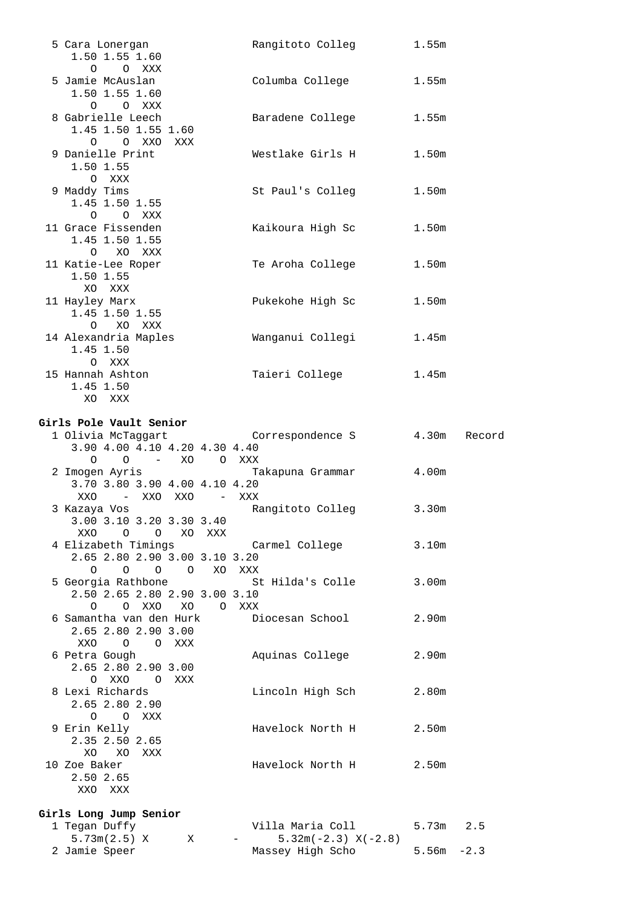| 5 Cara Lonergan<br>1.50 1.55 1.60                                                             | Rangitoto Colleg                                        | 1.55m             |              |
|-----------------------------------------------------------------------------------------------|---------------------------------------------------------|-------------------|--------------|
| $O$ $O$ $XXX$<br>5 Jamie McAuslan<br>1.50 1.55 1.60                                           | Columba College 1.55m                                   |                   |              |
| O O XXX<br>8 Gabrielle Leech<br>1.45 1.50 1.55 1.60                                           | Baradene College 1.55m                                  |                   |              |
| O O XXO XXX<br>9 Danielle Print<br>1.50 1.55                                                  | Westlake Girls H                                        | 1.50 <sub>m</sub> |              |
| O XXX<br>9 Maddy Tims<br>1.45 1.50 1.55                                                       | St Paul's Colleg                                        | 1.50 <sub>m</sub> |              |
| O O XXX<br>11 Grace Fissenden<br>1.45 1.50 1.55                                               | Kaikoura High Sc                                        | 1.50 <sub>m</sub> |              |
| O XO XXX<br>11 Katie-Lee Roper<br>1.50 1.55                                                   | Te Aroha College                                        | 1.50m             |              |
| XO XXX<br>11 Hayley Marx<br>1.45 1.50 1.55<br>O XO XXX                                        | Pukekohe High Sc                                        | 1.50 <sub>m</sub> |              |
| 14 Alexandria Maples<br>1.45 1.50<br>O XXX                                                    | Wanganui Collegi                                        | 1.45m             |              |
| 15 Hannah Ashton<br>1.45 1.50<br>XO XXX                                                       | Taieri College                                          | 1.45m             |              |
| Girls Pole Vault Senior                                                                       |                                                         |                   |              |
| 1 Olivia McTaggart Correspondence S<br>3.90 4.00 4.10 4.20 4.30 4.40<br>– XO OXXX<br>$O$ 0    |                                                         |                   | 4.30m Record |
| 3.70 3.80 3.90 4.00 4.10 4.20<br>– XXO XXO – XXX<br>XXO                                       | 2 Imogen Ayris                         Takapuna Grammar | 4.00m             |              |
| 3 Kazaya Vos<br>3.00 3.10 3.20 3.30 3.40<br>OXX<br>$\overline{O}$<br>O XO XXX                 | Rangitoto Colleg 3.30m                                  |                   |              |
| 4 Elizabeth Timings<br>2.65 2.80 2.90 3.00 3.10 3.20<br>0 0 0 0 XO XXX                        | Carmel College                                          | 3.10m             |              |
| 5 Georgia Rathbone<br>2.50 2.65 2.80 2.90 3.00 3.10<br>O XXO XO<br>$\Omega$<br>$\overline{O}$ | St Hilda's Colle<br>XXX                                 | 3.00 <sub>m</sub> |              |
| 6 Samantha van den Hurk<br>2.65 2.80 2.90 3.00<br>XXO O O XXX                                 | Diocesan School                                         | 2.90 <sub>m</sub> |              |
| 6 Petra Gough<br>2.65 2.80 2.90 3.00<br>O XXO O XXX                                           | Aquinas College                                         | 2.90m             |              |
| 8 Lexi Richards<br>2.65 2.80 2.90                                                             | Lincoln High Sch                                        | 2.80m             |              |
| $\circ$<br>O XXX<br>9 Erin Kelly<br>2.35 2.50 2.65                                            | Havelock North H                                        | 2.50m             |              |
| XO XO XXX<br>10 Zoe Baker<br>2.50 2.65<br>XXO XXX                                             | Havelock North H                                        | 2.50 <sub>m</sub> |              |
|                                                                                               |                                                         |                   |              |
| Girls Long Jump Senior<br>1 Tegan Duffy<br>5.73m(2.5) X<br>Χ                                  | Villa Maria Coll<br>$5.32m(-2.3) X(-2.8)$               | 5.73m             | 2.5          |
| 2 Jamie Speer                                                                                 | Massey High Scho                                        | $5.56m - 2.3$     |              |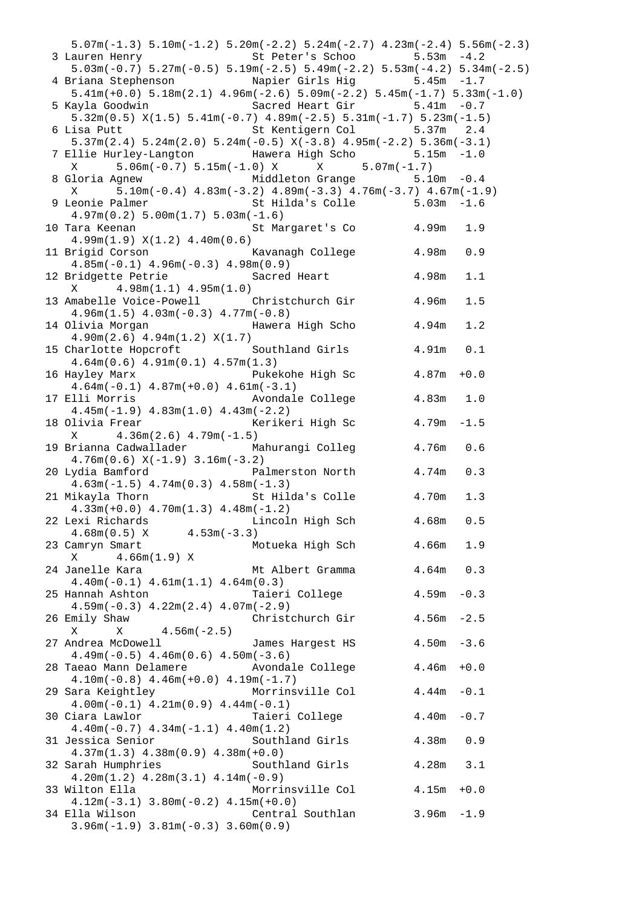| $5.07m(-1.3)$ $5.10m(-1.2)$ $5.20m(-2.2)$ $5.24m(-2.7)$ $4.23m(-2.4)$ $5.56m(-2.3)$                                       |               |        |
|---------------------------------------------------------------------------------------------------------------------------|---------------|--------|
| 3 Lauren Henry St Peter's Schoo 5.53m -4.2<br>5.03m(-0.7) 5.27m(-0.5) 5.19m(-2.5) 5.49m(-2.2) 5.53m(-4.2) 5.34m(-2.5)     |               |        |
|                                                                                                                           |               |        |
| 4 Briana Stephenson Mapier Girls Hig 5.45m -1.7<br>5.41m(+0.0) 5.18m(2.1) 4.96m(-2.6) 5.09m(-2.2) 5.45m(-1.7) 5.33m(-1.0) |               |        |
|                                                                                                                           |               |        |
| Sacred Heart Gir 5.41m -0.7<br>5 Kayla Goodwin                                                                            |               |        |
| $5.32m(0.5)$ $X(1.5)$ $5.41m(-0.7)$ $4.89m(-2.5)$ $5.31m(-1.7)$ $5.23m(-1.5)$                                             |               |        |
| 6 Lisa Putt 6 St Kentigern Col 5.37m 2.4                                                                                  |               |        |
| $5.37m(2.4)$ $5.24m(2.0)$ $5.24m(-0.5)$ $X(-3.8)$ $4.95m(-2.2)$ $5.36m(-3.1)$                                             |               |        |
| 7 Ellie Hurley-Langton Mawera High Scho 5.15m -1.0                                                                        |               |        |
| $5.06m(-0.7) 5.15m(-1.0) X$ X $5.07m(-1.7)$<br>X                                                                          |               |        |
|                                                                                                                           |               |        |
| Middleton Grange 5.10m -0.4<br>8 Gloria Agnew                                                                             |               |        |
| $5.10\text{m}(-0.4)$ $4.83\text{m}(-3.2)$ $4.89\text{m}(-3.3)$ $4.76\text{m}(-3.7)$ $4.67\text{m}(-1.9)$<br>X             |               |        |
| St Hilda's Colle 5.03m -1.6<br>9 Leonie Palmer                                                                            |               |        |
| $4.97m(0.2) 5.00m(1.7) 5.03m(-1.6)$                                                                                       |               |        |
| 10 Tara Keenan Manuel St Margaret's Co 4.99m                                                                              |               | 1.9    |
| 4.99m(1.9) X(1.2) 4.40m(0.6)                                                                                              |               |        |
| Kavanagh College 1.98m<br>11 Brigid Corson                                                                                |               | 0.9    |
| $4.85m(-0.1)$ $4.96m(-0.3)$ $4.98m(0.9)$                                                                                  |               |        |
| 12 Bridgette Petrie Contract Sacred Heart 4.98m                                                                           |               | 1.1    |
| $X = 4.98m(1.1) 4.95m(1.0)$                                                                                               |               |        |
| 13 Amabelle Voice-Powell Christchurch Gir 4.96m                                                                           |               | 1.5    |
| $4.96m(1.5)$ $4.03m(-0.3)$ $4.77m(-0.8)$                                                                                  |               |        |
| 14 Olivia Morgan Mawera High Schong 4.94m                                                                                 |               | 1.2    |
| $4.90m(2.6)$ $4.94m(1.2)$ $X(1.7)$                                                                                        |               |        |
| 15 Charlotte Hopcroft Southland Girls 4.91m 0.1                                                                           |               |        |
| $4.64m(0.6)$ $4.91m(0.1)$ $4.57m(1.3)$                                                                                    |               |        |
| 16 Hayley Marx <b>Exercise 2 Exercise Pukekohe High Sc</b> 4.87m +0.0                                                     |               |        |
| $4.64m(-0.1)$ $4.87m(+0.0)$ $4.61m(-3.1)$                                                                                 |               |        |
| Avondale College 4.83m 1.0<br>17 Elli Morris                                                                              |               |        |
| $4.45m(-1.9)$ $4.83m(1.0)$ $4.43m(-2.2)$                                                                                  |               |        |
| Kerikeri High Sc $4.79m$<br>18 Olivia Frear                                                                               |               | $-1.5$ |
| $X = 4.36m(2.6) 4.79m(-1.5)$                                                                                              |               |        |
| 19 Brianna Cadwallader Mahurangi Colleg 4.76m                                                                             |               | 0.6    |
| $4.76m(0.6) X(-1.9) 3.16m(-3.2)$                                                                                          |               |        |
| Palmerston North 4.74m<br>20 Lydia Bamford                                                                                |               | 0.3    |
| $4.63m(-1.5)$ $4.74m(0.3)$ $4.58m(-1.3)$                                                                                  |               |        |
| 21 Mikayla Thorn<br>St Hilda's Colle 4.70m                                                                                |               | 1.3    |
| $4.33m(+0.0)$ $4.70m(1.3)$ $4.48m(-1.2)$                                                                                  |               |        |
| 22 Lexi Richards (a) Lincoln High Sch (4.68m)                                                                             |               | 0.5    |
| $4.68m(0.5) X$ $4.53m(-3.3)$                                                                                              |               |        |
| 23 Camryn Smart Motueka High Sch <a> 1.66m</a>                                                                            |               | 1.9    |
| X 4.66m(1.9) X                                                                                                            |               |        |
| 24 Janelle Kara<br>Mt Albert Gramma $4.64$ m 0.3                                                                          |               |        |
| $4.40m(-0.1)$ $4.61m(1.1)$ $4.64m(0.3)$                                                                                   |               |        |
| Taieri College<br>25 Hannah Ashton                                                                                        | $4.59m - 0.3$ |        |
| $4.59m(-0.3)$ $4.22m(2.4)$ $4.07m(-2.9)$                                                                                  |               |        |
| Christchurch Gir<br>26 Emily Shaw                                                                                         | $4.56m - 2.5$ |        |
| $X = 4.56m(-2.5)$<br>X                                                                                                    |               |        |
| James Hargest HS<br>27 Andrea McDowell                                                                                    | $4.50m - 3.6$ |        |
| $4.49m(-0.5)$ $4.46m(0.6)$ $4.50m(-3.6)$                                                                                  |               |        |
| 28 Taeao Mann Delamere       Avondale College                                                                             | $4.46m + 0.0$ |        |
| $4.10m(-0.8)$ $4.46m(+0.0)$ $4.19m(-1.7)$                                                                                 |               |        |
| Morrinsville Col 4.44m -0.1<br>29 Sara Keightley                                                                          |               |        |
| $4.00m(-0.1)$ $4.21m(0.9)$ $4.44m(-0.1)$                                                                                  |               |        |
| Taieri College<br>30 Ciara Lawlor                                                                                         | 4.40m         | $-0.7$ |
| $4.40m(-0.7)$ $4.34m(-1.1)$ $4.40m(1.2)$                                                                                  |               |        |
| Southland Girls                                                                                                           | 4.38m 0.9     |        |
| 31 Jessica Senior<br>$4.37m(1.3)$ $4.38m(0.9)$ $4.38m(+0.0)$                                                              |               |        |
| Southland Girls<br>32 Sarah Humphries                                                                                     | $4.28m$ $3.1$ |        |
| $4.20m(1.2)$ $4.28m(3.1)$ $4.14m(-0.9)$                                                                                   |               |        |
| 33 Wilton Ella<br>Morrinsville Col 4.15m +0.0                                                                             |               |        |
| $4.12m(-3.1)$ $3.80m(-0.2)$ $4.15m(+0.0)$                                                                                 |               |        |
| Central Southlan 3.96m -1.9<br>34 Ella Wilson                                                                             |               |        |
| $3.96m(-1.9)$ $3.81m(-0.3)$ $3.60m(0.9)$                                                                                  |               |        |
|                                                                                                                           |               |        |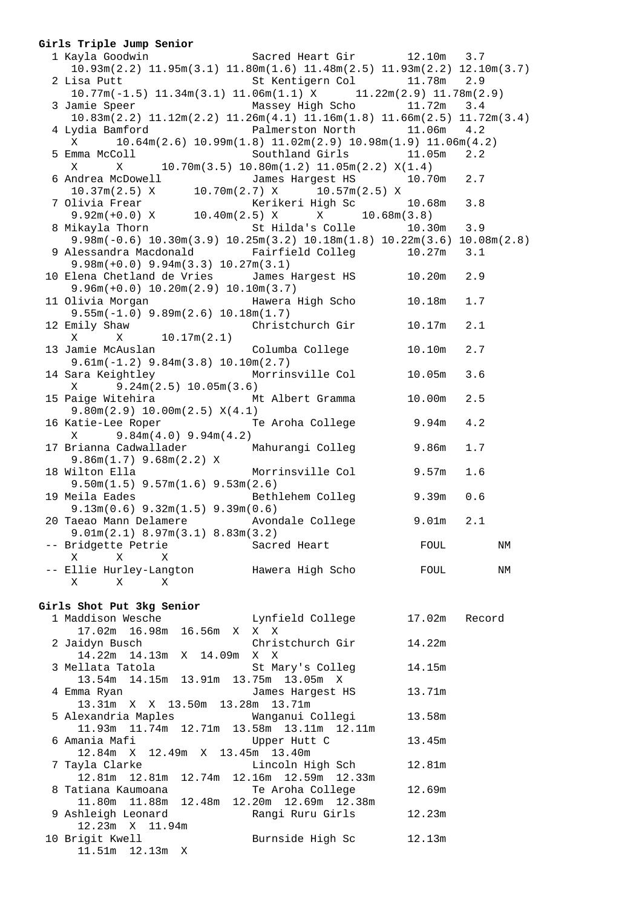### **Girls Triple Jump Senior**

| 1 Kayla Goodwin                   Sacred Heart Gir         12.10m   3.7                                                       |                                                                       |              |        |
|-------------------------------------------------------------------------------------------------------------------------------|-----------------------------------------------------------------------|--------------|--------|
| $10.93\text{m}(2.2)$ $11.95\text{m}(3.1)$ $11.80\text{m}(1.6)$ $11.48\text{m}(2.5)$ $11.93\text{m}(2.2)$ $12.10\text{m}(3.7)$ |                                                                       |              |        |
| 2 Lisa Putt                                                                                                                   | St Kentigern Col 11.78m 2.9                                           |              |        |
| $10.77m(-1.5)$ 11.34 $m(3.1)$ 11.06 $m(1.1)$ X 11.22 $m(2.9)$ 11.78 $m(2.9)$                                                  |                                                                       |              |        |
| 3 Jamie Speer Massey High Scho 11.72m 3.4                                                                                     |                                                                       |              |        |
| $10.83$ m $(2.2)$ $11.12$ m $(2.2)$ $11.26$ m $(4.1)$ $11.16$ m $(1.8)$ $11.66$ m $(2.5)$ $11.72$ m $(3.4)$                   |                                                                       |              |        |
| 4 Lydia Bamford <b>Falmerston North</b> 11.06m 4.2                                                                            |                                                                       |              |        |
| $\mathbf X$                                                                                                                   | $10.64m(2.6)$ $10.99m(1.8)$ $11.02m(2.9)$ $10.98m(1.9)$ $11.06m(4.2)$ |              |        |
| 5 Emma McColl                                                                                                                 | Southland Girls 11.05m                                                |              | 2.2    |
| X                                                                                                                             | $X$ 10.70m(3.5) 10.80m(1.2) 11.05m(2.2) $X(1.4)$                      |              |        |
| 6 Andrea McDowell                                                                                                             | James Hargest HS                                                      | 10.70m 2.7   |        |
| $10.37m(2.5)$ X $10.70m(2.7)$ X $10.57m(2.5)$ X                                                                               |                                                                       |              |        |
| 7 Olivia Frear                                                                                                                | Kerikeri High Sc                                                      | 10.68m       | 3.8    |
| 9.92m(+0.0) X 10.40m(2.5) X $X$ 10.68m(3.8)                                                                                   |                                                                       |              |        |
| 8 Mikayla Thorn St Hilda's Colle                                                                                              |                                                                       | $10.30m$ 3.9 |        |
| $9.98m(-0.6)$ 10.30 $m(3.9)$ 10.25 $m(3.2)$ 10.18 $m(1.8)$ 10.22 $m(3.6)$ 10.08 $m(2.8)$                                      |                                                                       |              |        |
|                                                                                                                               |                                                                       |              |        |
| 9 Alessandra Macdonald Fairfield Colleg 10.27m 3.1                                                                            |                                                                       |              |        |
| $9.98m(+0.0)$ $9.94m(3.3)$ $10.27m(3.1)$<br>10 Elena Chetland de Vries James Hargest HS 10.20m                                |                                                                       |              |        |
|                                                                                                                               |                                                                       |              | 2.9    |
| $9.96m(+0.0)$ 10.20 $m(2.9)$ 10.10 $m(3.7)$                                                                                   |                                                                       |              |        |
| 11 Olivia Morgan                 Hawera High Scho                                                                             |                                                                       | 10.18m       | 1.7    |
| $9.55m(-1.0)$ $9.89m(2.6)$ $10.18m(1.7)$                                                                                      |                                                                       |              |        |
| 12 Emily Shaw Christchurch Gir 10.17m                                                                                         |                                                                       |              | 2.1    |
| X 10.17m(2.1)<br>X                                                                                                            |                                                                       |              |        |
|                                                                                                                               |                                                                       | 10.10m       | 2.7    |
| $9.61m(-1.2)$ $9.84m(3.8)$ $10.10m(2.7)$                                                                                      |                                                                       |              |        |
| 14 Sara Keightley Morrinsville Col 10.05m                                                                                     |                                                                       |              | 3.6    |
| $9.24m(2.5)$ 10.05m(3.6)<br>$\mathbf X$                                                                                       |                                                                       |              |        |
| 15 Paige Witehira Mt Albert Gramma 10.00m                                                                                     |                                                                       |              | 2.5    |
| 9.80m(2.9) 10.00m(2.5) X(4.1)                                                                                                 |                                                                       |              |        |
| 16 Katie-Lee Roper Te Aroha College 9.94m                                                                                     |                                                                       |              | 4.2    |
| $X = 9.84m(4.0) 9.94m(4.2)$                                                                                                   |                                                                       |              |        |
| 17 Brianna Cadwallader Mahurangi Colleg 9.86m                                                                                 |                                                                       |              | 1.7    |
| $9.86m(1.7)$ $9.68m(2.2)$ X                                                                                                   |                                                                       |              |        |
| 18 Wilton Ella                                                                                                                | Morrinsville Col 9.57m                                                |              | 1.6    |
| $9.50m(1.5)$ $9.57m(1.6)$ $9.53m(2.6)$                                                                                        |                                                                       |              |        |
| 19 Meila Eades                                                                                                                | Bethlehem Colleg 9.39m                                                |              | 0.6    |
| $9.13m(0.6)$ $9.32m(1.5)$ $9.39m(0.6)$                                                                                        |                                                                       |              |        |
| 20 Taeao Mann Delamere Avondale College 9.01m                                                                                 |                                                                       |              | 2.1    |
| 9.01m(2.1) 8.97m(3.1) 8.83m(3.2)                                                                                              |                                                                       |              |        |
| -- Bridgette Petrie                                                                                                           | Sacred Heart                                                          | FOUL         | ΝM     |
| X<br>X<br>Χ                                                                                                                   |                                                                       |              |        |
| -- Ellie Hurley-Langton                                                                                                       | Hawera High Scho                                                      | FOUL         | ΝM     |
| Χ<br>X<br>X                                                                                                                   |                                                                       |              |        |
|                                                                                                                               |                                                                       |              |        |
| Girls Shot Put 3kg Senior                                                                                                     |                                                                       |              |        |
| 1 Maddison Wesche                                                                                                             | Lynfield College                                                      | 17.02m       | Record |
| 17.02m  16.98m<br>16.56m<br>X                                                                                                 | $\mathbf X-\mathbf X$                                                 |              |        |
|                                                                                                                               |                                                                       |              |        |

| $\perp$ / , 0.4 m $\perp$ 0 , 98 m $\perp$ 0 , 98 m $\perp$ 0 , 98 m $\perp$ 0 , 98 m $\perp$ 0 $\perp$ 0 $\perp$ |        |
|-------------------------------------------------------------------------------------------------------------------|--------|
| Christchurch Gir<br>2 Jaidyn Busch                                                                                | 14.22m |
| 14.22m 14.13m X 14.09m X X                                                                                        |        |
| 3 Mellata Tatola<br>St Mary's Colleg                                                                              | 14.15m |
| 13.54m 14.15m 13.91m 13.75m 13.05m X                                                                              |        |
| 4 Emma Ryan<br>James Harqest HS                                                                                   | 13.71m |
| 13.31m X X 13.50m 13.28m 13.71m                                                                                   |        |
| 5 Alexandria Maples                 Wanganui Collegi                                                              | 13.58m |
| 11.93m  11.74m  12.71m  13.58m  13.11m  12.11m                                                                    |        |
| 6 Amania Mafi<br>Upper Hutt C                                                                                     | 13.45m |
| 12.84m X 12.49m X 13.45m 13.40m                                                                                   |        |
| Lincoln High Sch<br>7 Tayla Clarke                                                                                | 12.81m |
| 12.81m 12.81m 12.74m 12.16m 12.59m 12.33m                                                                         |        |
| 8 Tatiana Kaumoana<br>Te Aroha College                                                                            | 12.69m |
| 11.80m  11.88m  12.48m  12.20m  12.69m  12.38m                                                                    |        |
| 9 Ashleigh Leonard<br>Rangi Ruru Girls                                                                            | 12.23m |
| 12.23m X 11.94m                                                                                                   |        |
| 10 Brigit Kwell<br>Burnside High Sc                                                                               | 12.13m |
| $11.51m$ $12.13m$ X                                                                                               |        |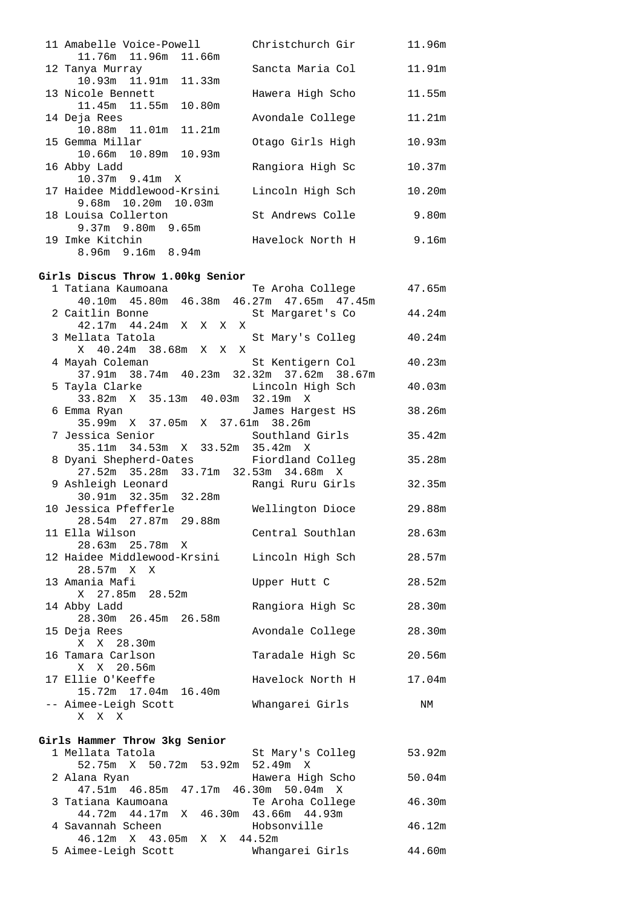| 11 Amabelle Voice-Powell    | Christchurch Gir | 11.96m |
|-----------------------------|------------------|--------|
| 11.76m 11.96m 11.66m        |                  |        |
| 12 Tanya Murray             | Sancta Maria Col | 11.91m |
| 10.93m 11.91m 11.33m        |                  |        |
| 13 Nicole Bennett           | Hawera High Scho | 11.55m |
| 11.45m 11.55m 10.80m        |                  |        |
| 14 Deja Rees                | Avondale College | 11.21m |
| 10.88m 11.01m 11.21m        |                  |        |
| 15 Gemma Millar             | Otago Girls High | 10.93m |
| 10.66m 10.89m 10.93m        |                  |        |
| 16 Abby Ladd                | Rangiora High Sc | 10.37m |
| $10.37m$ 9.41m X            |                  |        |
| 17 Haidee Middlewood-Krsini | Lincoln High Sch | 10.20m |
| 9.68m 10.20m 10.03m         |                  |        |
| 18 Louisa Collerton         | St Andrews Colle | 9.80m  |
| $9.37m$ 9.80m 9.65m         |                  |        |
| 19 Imke Kitchin             | Havelock North H | 9.16m  |
| $8.96m$ 9.16m $8.94m$       |                  |        |
|                             |                  |        |

#### **Girls Discus Throw 1.00kg Senior**

| 1 Tatiana Kaumoana                                                                                    | Te Aroha College | 47.65m    |
|-------------------------------------------------------------------------------------------------------|------------------|-----------|
| 40.10m  45.80m  46.38m  46.27m  47.65m  47.45m                                                        |                  |           |
| 2 Caitlin Bonne                                                                                       | St Margaret's Co | 44.24m    |
| 42.17m  44.24m  X  X  X  X                                                                            |                  |           |
| 3 Mellata Tatola                                                                                      | St Mary's Colleg | $40.24$ m |
| X 40.24m 38.68m X X X                                                                                 |                  |           |
| 4 Mayah Coleman                                                                                       | St Kentigern Col | 40.23m    |
| 37.91m 38.74m 40.23m 32.32m 37.62m 38.67m                                                             |                  |           |
| 5 Tayla Clarke                                                                                        | Lincoln High Sch | 40.03m    |
| .yid Clarke<br>33.82m X 35.13m 40.03m 32.19m X                                                        |                  |           |
| 6 Emma Ryan                                                                                           | James Hargest HS | 38.26m    |
| 35.99m X 37.05m X 37.61m 38.26m                                                                       |                  |           |
| 7 Jessica Senior                         Southland Girls<br>35.11m   34.53m   X   33.52m   35.42m   X |                  | 35.42m    |
|                                                                                                       |                  |           |
| 8 Dyani Shepherd-Oates Fiordland Colleg                                                               |                  | 35.28m    |
| 27.52m 35.28m 33.71m 32.53m 34.68m X                                                                  |                  |           |
| 9 Ashleigh Leonard       Rangi Ruru Girls                                                             |                  | 32.35m    |
| 30.91m 32.35m 32.28m                                                                                  |                  |           |
| 10 Jessica Pfefferle                                                                                  | Wellington Dioce | 29.88m    |
| 28.54m 27.87m 29.88m                                                                                  |                  |           |
| 11 Ella Wilson                                                                                        | Central Southlan | 28.63m    |
| 28.63m 25.78m X                                                                                       |                  |           |
| 12 Haidee Middlewood-Krsini                                                                           | Lincoln High Sch | 28.57m    |
| 28.57m X X                                                                                            |                  |           |
| 13 Amania Mafi<br>X 27.85m 28.52m                                                                     | Upper Hutt C     | 28.52m    |
| 14 Abby Ladd                                                                                          |                  |           |
| 28.30m 26.45m 26.58m                                                                                  | Rangiora High Sc | 28.30m    |
| 15 Deja Rees                                                                                          | Avondale College | 28.30m    |
| X X 28.30m                                                                                            |                  |           |
| 16 Tamara Carlson                                                                                     | Taradale High Sc | 20.56m    |
| X X 20.56m                                                                                            |                  |           |
| 17 Ellie O'Keeffe                                                                                     | Havelock North H | 17.04m    |
| 15.72m  17.04m  16.40m                                                                                |                  |           |
| -- Aimee-Leigh Scott                                                                                  | Whangarei Girls  | NΜ        |
| X X X                                                                                                 |                  |           |
|                                                                                                       |                  |           |

#### **Girls Hammer Throw 3kg Senior**

| Girls Hammer Throw 3kg Senior |                  |                                                                                                                                                                                  |
|-------------------------------|------------------|----------------------------------------------------------------------------------------------------------------------------------------------------------------------------------|
| 1 Mellata Tatola              | St Mary's Colleg | 53.92m                                                                                                                                                                           |
|                               |                  |                                                                                                                                                                                  |
| 2 Alana Ryan                  | Hawera High Scho | 50.04m                                                                                                                                                                           |
|                               |                  |                                                                                                                                                                                  |
| 3 Tatiana Kaumoana            |                  | 46.30m                                                                                                                                                                           |
|                               |                  |                                                                                                                                                                                  |
| 4 Savannah Scheen             |                  | 46.12m                                                                                                                                                                           |
|                               |                  |                                                                                                                                                                                  |
| 5 Aimee-Leigh Scott           | Whangarei Girls  | 44.60m                                                                                                                                                                           |
|                               |                  | 52.75m X 50.72m 53.92m 52.49m X<br>47.51m 46.85m 47.17m 46.30m 50.04m X<br>Te Aroha College<br>44.72m 44.17m X 46.30m 43.66m 44.93m<br>Hobsonville<br>46.12m X 43.05m X X 44.52m |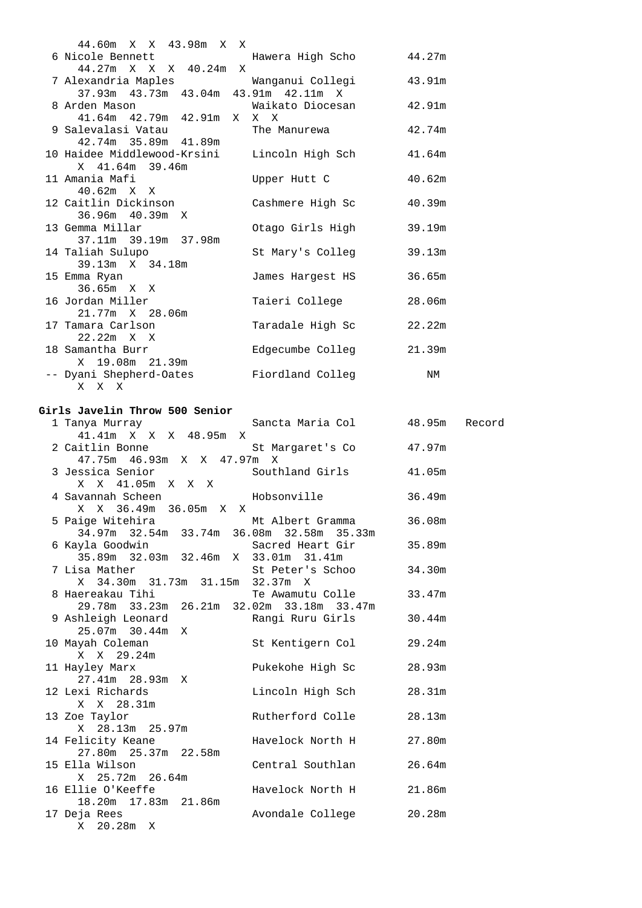| 44.60m X X 43.98m X X                                    |                  |        |
|----------------------------------------------------------|------------------|--------|
| 6 Nicole Bennett                   Hawera High Scho      |                  | 44.27m |
| 44.27m X X X 40.24m X                                    |                  |        |
| 7 Alexandria Maples                 Wanganui Collegi     |                  | 43.91m |
| 37.93m  43.73m  43.04m  43.91m  42.11m  X                |                  |        |
| 8 Arden Mason                           Waikato Diocesan |                  | 42.91m |
| 41.64m  42.79m  42.91m  X  X  X                          |                  |        |
| 9 Salevalasi Vatau                                       | The Manurewa     | 42.74m |
| 42.74m 35.89m 41.89m                                     |                  |        |
| 10 Haidee Middlewood-Krsini Lincoln High Sch and 41.64m  |                  |        |
| X 41.64m 39.46m                                          |                  |        |
| 11 Amania Mafi                                           | Upper Hutt C     | 40.62m |
| $40.62m \times X$                                        |                  |        |
| 12 Caitlin Dickinson                                     | Cashmere High Sc | 40.39m |
| 36.96m 40.39m X<br>13 Gemma Millar                       | Otago Girls High | 39.19m |
| 37.11m 39.19m 37.98m                                     |                  |        |
| 14 Taliah Sulupo                                         | St Mary's Colleq | 39.13m |
| 39.13m X 34.18m                                          |                  |        |
| 15 Emma Ryan                                             | James Hargest HS | 36.65m |
| 36.65m X X                                               |                  |        |
| 16 Jordan Miller                                         | Taieri College   | 28.06m |
| 21.77m X 28.06m                                          |                  |        |
| 17 Tamara Carlson                                        | Taradale High Sc | 22.22m |
| 22.22m X X                                               |                  |        |
| 18 Samantha Burr                                         | Edgecumbe Colleg | 21.39m |
| X 19.08m 21.39m                                          |                  |        |
| -- Dyani Shepherd-Oates                                  | Fiordland Colleg | NΜ     |
| X X X                                                    |                  |        |

#### **Girls Javelin Throw 500 Senior**

| 1 Tanya Murray                                                                 | Sancta Maria Col        | 48.95m | Record |
|--------------------------------------------------------------------------------|-------------------------|--------|--------|
| 41.41m X X X 48.95m X                                                          |                         |        |        |
| 2 Caitlin Bonne                                                                | St Margaret's Co 47.97m |        |        |
| 47.75m 46.93m X X 47.97m X                                                     |                         |        |        |
| 3 Jessica Senior                                                               | Southland Girls 41.05m  |        |        |
| X X 41.05m X X X                                                               |                         |        |        |
| 4 Savannah Scheen                 Hobsonville                                  |                         | 36.49m |        |
| X X 36.49m 36.05m X X                                                          |                         |        |        |
| 5 Paige Witehira                                                               | Mt Albert Gramma        | 36.08m |        |
| 34.97m 32.54m 33.74m 36.08m 32.58m 35.33m                                      |                         |        |        |
| 6 Kayla Goodwin                                                                | Sacred Heart Gir 35.89m |        |        |
| 35.89m 32.03m 32.46m X 33.01m 31.41m                                           |                         |        |        |
| 7 Lisa Mather                                                                  | St Peter's Schoo 34.30m |        |        |
| X 34.30m 31.73m 31.15m 32.37m X                                                |                         |        |        |
|                                                                                | Te Awamutu Colle        | 33.47m |        |
| 8 Haereakau Tihi Te Awamutu Colle<br>29.78m 33.23m 26.21m 32.02m 33.18m 33.47m |                         |        |        |
| 9 Ashleigh Leonard                                                             | Rangi Ruru Girls        | 30.44m |        |
| 25.07m 30.44m X                                                                |                         |        |        |
| 10 Mayah Coleman                                                               | St Kentigern Col 29.24m |        |        |
| $X = X - 29.24m$                                                               |                         |        |        |
| 11 Hayley Marx                                                                 | Pukekohe High Sc        | 28.93m |        |
| 27.41m  28.93m  X                                                              |                         |        |        |
| 12 Lexi Richards                                                               | Lincoln High Sch        | 28.31m |        |
| X X 28.31m                                                                     |                         |        |        |
| 13 Zoe Taylor                                                                  | Rutherford Colle        | 28.13m |        |
| X 28.13m 25.97m                                                                |                         |        |        |
| 14 Felicity Keane                                                              | Havelock North H 27.80m |        |        |
| 27.80m 25.37m 22.58m                                                           |                         |        |        |
| 15 Ella Wilson                                                                 | Central Southlan        | 26.64m |        |
| X 25.72m 26.64m                                                                |                         |        |        |
| 16 Ellie O'Keeffe                                                              | Havelock North H 21.86m |        |        |
| 18.20m  17.83m  21.86m                                                         |                         |        |        |
| 17 Deja Rees                                                                   | Avondale College 20.28m |        |        |
| X 20.28m X                                                                     |                         |        |        |
|                                                                                |                         |        |        |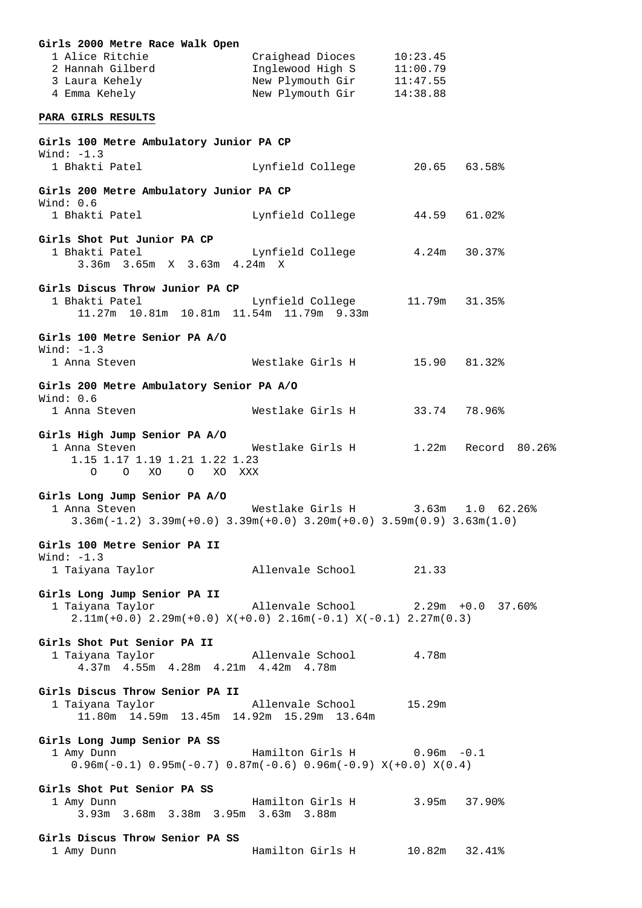| Girls 2000 Metre Race Walk Open<br>1 Alice Ritchie<br>2 Hannah Gilberd<br>3 Laura Kehely<br>4 Emma Kehely                           | Craighead Dioces 10:23.45<br>Inglewood High S 11:00.79<br>New Plymouth Gir 11:47.55<br>New Plymouth Gir 14:38.88 |       |  |
|-------------------------------------------------------------------------------------------------------------------------------------|------------------------------------------------------------------------------------------------------------------|-------|--|
| PARA GIRLS RESULTS                                                                                                                  |                                                                                                                  |       |  |
| Girls 100 Metre Ambulatory Junior PA CP<br>Wind: $-1.3$                                                                             |                                                                                                                  |       |  |
| 1 Bhakti Patel                                                                                                                      | Lynfield College 20.65 63.58%                                                                                    |       |  |
| Girls 200 Metre Ambulatory Junior PA CP<br>Wind: 0.6                                                                                |                                                                                                                  |       |  |
| 1 Bhakti Patel                                                                                                                      | Lynfield College 44.59 61.02%                                                                                    |       |  |
| Girls Shot Put Junior PA CP<br>1 Bhakti Patel<br>3.36m 3.65m X 3.63m 4.24m X                                                        | Lynfield College 4.24m 30.37%                                                                                    |       |  |
| Girls Discus Throw Junior PA CP<br>1 Bhakti Patel<br>11.27m 10.81m 10.81m 11.54m 11.79m 9.33m                                       | Lynfield College 11.79m 31.35%                                                                                   |       |  |
| Girls 100 Metre Senior PA A/O<br>Wind: $-1.3$<br>1 Anna Steven                                                                      | Westlake Girls H 15.90 81.32%                                                                                    |       |  |
|                                                                                                                                     |                                                                                                                  |       |  |
| Girls 200 Metre Ambulatory Senior PA A/O<br>Wind: $0.6$<br>1 Anna Steven                                                            | Westlake Girls H 33.74 78.96%                                                                                    |       |  |
| Girls High Jump Senior PA A/O<br>1 Anna Steven<br>1.15 1.17 1.19 1.21 1.22 1.23<br>O XO O XO XXX<br>$\circ$                         |                                                                                                                  |       |  |
| Girls Long Jump Senior PA A/O<br>1 Anna Steven<br>$3.36m(-1.2)$ $3.39m(+0.0)$ $3.39m(+0.0)$ $3.20m(+0.0)$ $3.59m(0.9)$ $3.63m(1.0)$ | Westlake Girls H 3.63m 1.0 62.26%                                                                                |       |  |
| Girls 100 Metre Senior PA II<br>Wind: $-1.3$<br>1 Taiyana Taylor                                                                    | Allenvale School                                                                                                 | 21.33 |  |
| Girls Long Jump Senior PA II<br>1 Taiyana Taylor<br>$2.11m(+0.0)$ $2.29m(+0.0)$ $X(+0.0)$ $2.16m(-0.1)$ $X(-0.1)$ $2.27m(0.3)$      | Allenvale School 2.29m +0.0 37.60%                                                                               |       |  |
| Girls Shot Put Senior PA II<br>1 Taiyana Taylor<br>4.37m  4.55m  4.28m  4.21m  4.42m  4.78m                                         | Allenvale School 4.78m                                                                                           |       |  |
| Girls Discus Throw Senior PA II<br>1 Taiyana Taylor<br>11.80m 14.59m 13.45m 14.92m 15.29m 13.64m                                    | Allenvale School 15.29m                                                                                          |       |  |
| Girls Long Jump Senior PA SS<br>1 Amy Dunn<br>$0.96m(-0.1)$ $0.95m(-0.7)$ $0.87m(-0.6)$ $0.96m(-0.9)$ $X(+0.0)$ $X(0.4)$            | Hamilton Girls H 0.96m -0.1                                                                                      |       |  |
| Girls Shot Put Senior PA SS<br>1 Amy Dunn<br>3.93m 3.68m 3.38m 3.95m 3.63m 3.88m                                                    | Hamilton Girls H 3.95m 37.90%                                                                                    |       |  |
| Girls Discus Throw Senior PA SS<br>1 Amy Dunn                                                                                       | Hamilton Girls H 10.82m 32.41%                                                                                   |       |  |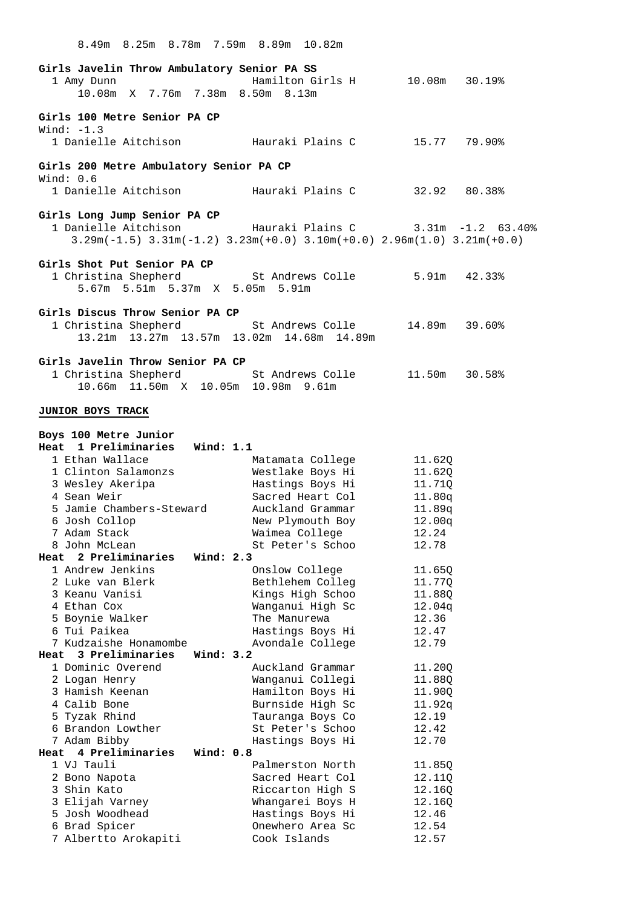| 8.49m 8.25m 8.78m 7.59m 8.89m 10.82m                                                                                                       |                                      |                  |  |
|--------------------------------------------------------------------------------------------------------------------------------------------|--------------------------------------|------------------|--|
| Girls Javelin Throw Ambulatory Senior PA SS<br>1 Amy Dunn<br>10.08m X 7.76m 7.38m 8.50m 8.13m                                              | Hamilton Girls H 10.08m 30.19%       |                  |  |
| Girls 100 Metre Senior PA CP<br>Wind: $-1.3$<br>1 Danielle Aitchison             Hauraki Plains C                                          |                                      | 15.77 79.90%     |  |
| Girls 200 Metre Ambulatory Senior PA CP                                                                                                    |                                      |                  |  |
| Wind: $0.6$<br>1 Danielle Aitchison             Hauraki Plains C         32.92   80.38%                                                    |                                      |                  |  |
| Girls Long Jump Senior PA CP<br>1 Danielle Aitchison<br>$3.29m(-1.5)$ $3.31m(-1.2)$ $3.23m(+0.0)$ $3.10m(+0.0)$ $2.96m(1.0)$ $3.21m(+0.0)$ | Hauraki Plains C 3.31m -1.2 63.40%   |                  |  |
| Girls Shot Put Senior PA CP<br>1 Christina Shepherd 5.91m 42.33%<br>5.67m 5.51m 5.37m X 5.05m 5.91m                                        |                                      |                  |  |
| Girls Discus Throw Senior PA CP<br>1 Christina Shepherd<br>13.21m 13.27m 13.57m 13.02m 14.68m 14.89m                                       | St Andrews Colle 14.89m 39.60%       |                  |  |
| Girls Javelin Throw Senior PA CP<br>1 Christina Shepherd 5t Andrews Colle 11.50m 30.58%<br>10.66m  11.50m  X  10.05m  10.98m  9.61m        |                                      |                  |  |
| JUNIOR BOYS TRACK                                                                                                                          |                                      |                  |  |
| Boys 100 Metre Junior<br>Heat 1 Preliminaries Wind: 1.1                                                                                    |                                      |                  |  |
| 1 Ethan Wallace                                                                                                                            | Matamata College                     | 11.62Q           |  |
| 1 Clinton Salamonzs                                                                                                                        | Westlake Boys Hi                     | 11.62Q           |  |
| 3 Wesley Akeripa                                                                                                                           | Hastings Boys Hi                     | 11.71Q           |  |
| 4 Sean Weir                                                                                                                                | Sacred Heart Col                     | 11.80q           |  |
| 5 Jamie Chambers-Steward<br>6 Josh Collop                                                                                                  | Auckland Grammar<br>New Plymouth Boy | 11.89q<br>12.00q |  |
| 7 Adam Stack                                                                                                                               | Waimea College                       | 12.24            |  |
| 8 John McLean                                                                                                                              | St Peter's Schoo                     | 12.78            |  |
| 2 Preliminaries<br>Wind: 2.3<br>Heat                                                                                                       |                                      |                  |  |
| 1 Andrew Jenkins                                                                                                                           | Onslow College                       | 11.65Q           |  |
| 2 Luke van Blerk<br>3 Keanu Vanisi                                                                                                         | Bethlehem Colleg                     | 11.77Q           |  |
| 4 Ethan Cox                                                                                                                                | Kings High Schoo<br>Wanganui High Sc | 11.88Q<br>12.04q |  |
| 5 Boynie Walker                                                                                                                            | The Manurewa                         | 12.36            |  |
| 6 Tui Paikea                                                                                                                               | Hastings Boys Hi                     | 12.47            |  |
| 7 Kudzaishe Honamombe                                                                                                                      | Avondale College                     | 12.79            |  |
| Wind: 3.2<br>3 Preliminaries<br>Heat<br>1 Dominic Overend                                                                                  | Auckland Grammar                     |                  |  |
| 2 Logan Henry                                                                                                                              | Wanganui Collegi                     | 11.20Q<br>11.88Q |  |
| 3 Hamish Keenan                                                                                                                            | Hamilton Boys Hi                     | 11.90Q           |  |
| 4 Calib Bone                                                                                                                               | Burnside High Sc                     | 11.92q           |  |
| 5 Tyzak Rhind                                                                                                                              | Tauranga Boys Co                     | 12.19            |  |
| 6 Brandon Lowther<br>7 Adam Bibby                                                                                                          | St Peter's Schoo<br>Hastings Boys Hi | 12.42<br>12.70   |  |
| 4 Preliminaries<br>Wind: $0.8$<br>Heat                                                                                                     |                                      |                  |  |
| 1 VJ Tauli                                                                                                                                 | Palmerston North                     | 11.85Q           |  |
| 2 Bono Napota                                                                                                                              | Sacred Heart Col                     | 12.11Q           |  |
| 3 Shin Kato                                                                                                                                | Riccarton High S                     | 12.16Q           |  |
| 3 Elijah Varney<br>5 Josh Woodhead                                                                                                         | Whangarei Boys H<br>Hastings Boys Hi | 12.16Q<br>12.46  |  |
| 6 Brad Spicer                                                                                                                              | Onewhero Area Sc                     | 12.54            |  |
| 7 Albertto Arokapiti                                                                                                                       | Cook Islands                         | 12.57            |  |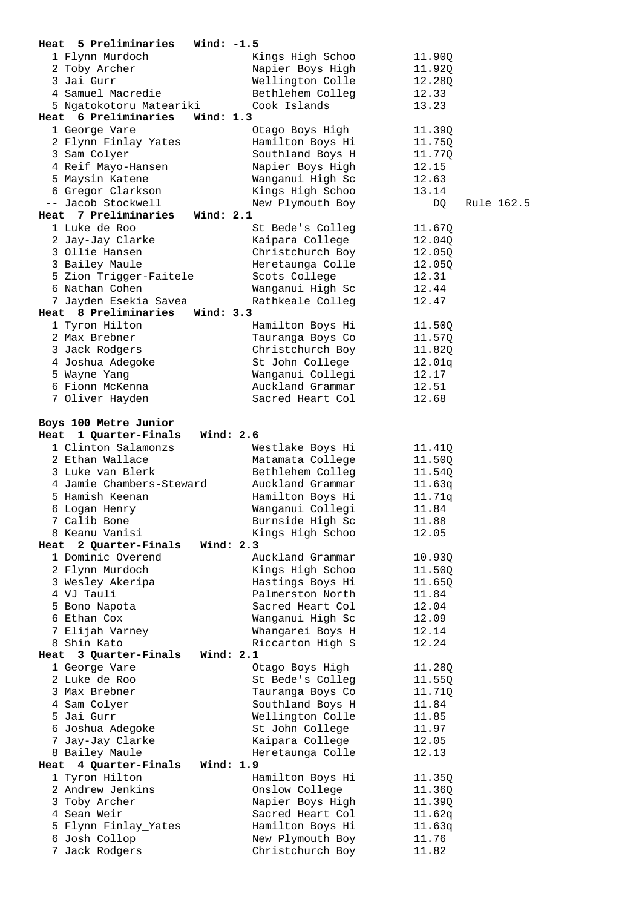| 5 Preliminaries<br>Heat         | Wind: $-1.5$                         |                  |
|---------------------------------|--------------------------------------|------------------|
| 1 Flynn Murdoch                 | Kings High Schoo                     | 11.90Q           |
| 2 Toby Archer                   | Napier Boys High                     | 11.92Q           |
| 3 Jai Gurr                      | Wellington Colle                     | 12.28Q           |
| 4 Samuel Macredie               | Bethlehem Colleg                     | 12.33            |
| 5 Ngatokotoru Mateariki         | Cook Islands                         | 13.23            |
| Heat 6 Preliminaries            | Wind: $1.3$                          |                  |
| 1 George Vare                   | Otago Boys High                      | 11.39Q           |
|                                 |                                      |                  |
| 2 Flynn Finlay_Yates            | Hamilton Boys Hi                     | 11.75Q           |
| 3 Sam Colyer                    | Southland Boys H                     | 11.77Q           |
| 4 Reif Mayo-Hansen              | Napier Boys High                     | 12.15            |
| 5 Maysin Katene                 | Wanganui High Sc                     | 12.63            |
| 6 Gregor Clarkson               | Kings High Schoo                     | 13.14            |
| -- Jacob Stockwell              | New Plymouth Boy                     | DQ<br>Rule 162.5 |
| Heat 7 Preliminaries            | Wind: $2.1$                          |                  |
| 1 Luke de Roo                   | St Bede's Colleg                     | 11.67Q           |
| 2 Jay-Jay Clarke                | Kaipara College                      | 12.04Q           |
| 3 Ollie Hansen                  | Christchurch Boy                     | 12.05Q           |
| 3 Bailey Maule                  | Heretaunga Colle                     | 12.050           |
| 5 Zion Trigger-Faitele          | Scots College                        | 12.31            |
|                                 |                                      |                  |
| 6 Nathan Cohen                  | Wanganui High Sc                     | 12.44            |
| 7 Jayden Esekia Savea           | Rathkeale Colleg                     | 12.47            |
| Heat 8 Preliminaries            | Wind: $3.3$                          |                  |
| 1 Tyron Hilton                  | Hamilton Boys Hi                     | 11.50Q           |
| 2 Max Brebner                   | Tauranga Boys Co                     | 11.57Q           |
| 3 Jack Rodgers                  | Christchurch Boy                     | 11.82Q           |
| 4 Joshua Adegoke                | St John College                      | 12.01q           |
| 5 Wayne Yang                    | Wanganui Collegi                     | 12.17            |
| 6 Fionn McKenna                 | Auckland Grammar                     | 12.51            |
| 7 Oliver Hayden                 | Sacred Heart Col                     | 12.68            |
|                                 |                                      |                  |
| Boys 100 Metre Junior           |                                      |                  |
| 1 Quarter-Finals<br>Heat        | Wind: $2.6$                          |                  |
|                                 |                                      |                  |
|                                 |                                      |                  |
| 1 Clinton Salamonzs             | Westlake Boys Hi                     | 11.41Q           |
| 2 Ethan Wallace                 | Matamata College                     | 11.50Q           |
| 3 Luke van Blerk                | Bethlehem Colleg                     | 11.54Q           |
| 4 Jamie Chambers-Steward        | Auckland Grammar                     | 11.63q           |
| 5 Hamish Keenan                 | Hamilton Boys Hi                     | 11.71q           |
| 6 Logan Henry                   | Wanganui Collegi                     | 11.84            |
| 7 Calib Bone                    | Burnside High Sc                     | 11.88            |
| 8 Keanu Vanisi                  | Kings High Schoo                     | 12.05            |
| 2 Quarter-Finals<br>Heat        | Wind: 2.3                            |                  |
| 1 Dominic Overend               | Auckland Grammar                     | 10.93Q           |
| 2 Flynn Murdoch                 | Kings High Schoo                     | 11.50Q           |
| 3 Wesley Akeripa                | Hastings Boys Hi                     | 11.65Q           |
| 4 VJ Tauli                      | Palmerston North                     | 11.84            |
|                                 | Sacred Heart Col                     |                  |
| 5 Bono Napota                   |                                      | 12.04            |
| 6 Ethan Cox                     | Wanganui High Sc                     | 12.09            |
| 7 Elijah Varney                 | Whangarei Boys H                     | 12.14            |
| 8 Shin Kato                     | Riccarton High S                     | 12.24            |
| 3 Quarter-Finals<br>Heat        | Wind: $2.1$                          |                  |
| 1 George Vare                   | Otago Boys High                      | 11.28Q           |
| 2 Luke de Roo                   | St Bede's Colleg                     | 11.55Q           |
| 3 Max Brebner                   | Tauranga Boys Co                     | 11.71Q           |
| 4 Sam Colyer                    | Southland Boys H                     | 11.84            |
| 5 Jai Gurr                      | Wellington Colle                     | 11.85            |
| 6 Joshua Adegoke                | St John College                      | 11.97            |
| 7 Jay-Jay Clarke                | Kaipara College                      | 12.05            |
| 8 Bailey Maule                  | Heretaunga Colle                     | 12.13            |
| 4 Quarter-Finals<br>Heat        | Wind: 1.9                            |                  |
|                                 |                                      |                  |
| 1 Tyron Hilton                  | Hamilton Boys Hi                     | 11.35Q           |
| 2 Andrew Jenkins                | Onslow College                       | 11.36Q           |
| 3 Toby Archer                   | Napier Boys High                     | 11.39Q           |
| 4 Sean Weir                     | Sacred Heart Col                     | 11.62q           |
| 5 Flynn Finlay_Yates            | Hamilton Boys Hi                     | 11.63q           |
| 6 Josh Collop<br>7 Jack Rodgers | New Plymouth Boy<br>Christchurch Boy | 11.76<br>11.82   |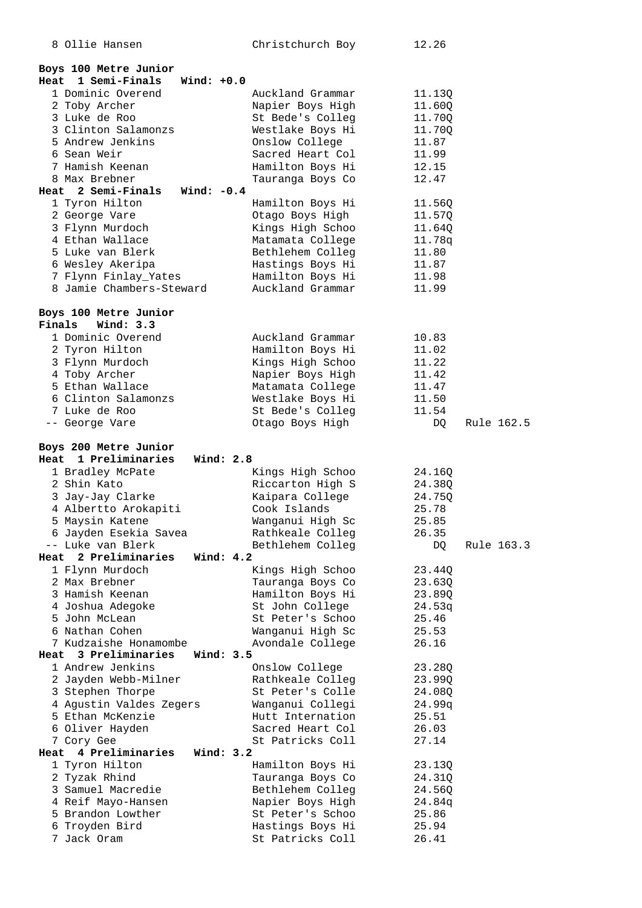| 8 Ollie Hansen                                      | Christchurch Boy                     | 12.26            |
|-----------------------------------------------------|--------------------------------------|------------------|
|                                                     |                                      |                  |
| Boys 100 Metre Junior                               |                                      |                  |
| 1 Semi-Finals<br>Heat                               | Wind: $+0.0$                         |                  |
| 1 Dominic Overend                                   | Auckland Grammar                     | 11.13Q           |
| 2 Toby Archer                                       | Napier Boys High                     | 11.60Q           |
| 3 Luke de Roo                                       | St Bede's Colleg                     | 11.70Q           |
| 3 Clinton Salamonzs                                 | Westlake Boys Hi                     | 11.70Q           |
| 5 Andrew Jenkins                                    | Onslow College                       | 11.87            |
| 6 Sean Weir                                         | Sacred Heart Col                     | 11.99            |
| 7 Hamish Keenan                                     | Hamilton Boys Hi                     | 12.15            |
| 8 Max Brebner                                       | Tauranga Boys Co                     | 12.47            |
| Heat 2 Semi-Finals                                  | Wind: $-0.4$                         |                  |
| 1 Tyron Hilton                                      | Hamilton Boys Hi                     | 11.56Q           |
| 2 George Vare                                       | Otago Boys High                      | 11.57Q           |
| 3 Flynn Murdoch                                     | Kings High Schoo                     | 11.64Q           |
| 4 Ethan Wallace                                     | Matamata College                     | 11.78q           |
| 5 Luke van Blerk                                    | Bethlehem Colleg                     | 11.80            |
| 6 Wesley Akeripa                                    | Hastings Boys Hi                     | 11.87            |
|                                                     |                                      |                  |
| 7 Flynn Finlay_Yates                                | Hamilton Boys Hi                     | 11.98            |
| 8 Jamie Chambers-Steward                            | Auckland Grammar                     | 11.99            |
|                                                     |                                      |                  |
| Boys 100 Metre Junior                               |                                      |                  |
| Finals<br>Wind: $3.3$                               |                                      |                  |
| 1 Dominic Overend                                   | Auckland Grammar                     | 10.83            |
| 2 Tyron Hilton                                      | Hamilton Boys Hi                     | 11.02            |
| 3 Flynn Murdoch                                     | Kings High Schoo                     | 11.22            |
| 4 Toby Archer                                       | Napier Boys High                     | 11.42            |
| 5 Ethan Wallace                                     | Matamata College                     | 11.47            |
| 6 Clinton Salamonzs                                 | Westlake Boys Hi                     | 11.50            |
| 7 Luke de Roo                                       | St Bede's Colleg                     | 11.54            |
| -- George Vare                                      | Otago Boys High                      | Rule 162.5<br>DQ |
|                                                     |                                      |                  |
|                                                     |                                      |                  |
| Boys 200 Metre Junior                               |                                      |                  |
| 1 Preliminaries<br>Heat                             | Wind: 2.8                            |                  |
| 1 Bradley McPate                                    | Kings High Schoo                     | 24.16Q           |
| 2 Shin Kato                                         | Riccarton High S                     | 24.38Q           |
| 3 Jay-Jay Clarke                                    | Kaipara College                      | 24.75Q           |
| 4 Albertto Arokapiti                                | Cook Islands                         | 25.78            |
| 5 Maysin Katene                                     | Wanganui High Sc                     | 25.85            |
| 6 Jayden Esekia Savea                               | Rathkeale Colleg                     | 26.35            |
|                                                     |                                      |                  |
| -- Luke van Blerk<br>Heat 2 Preliminaries Wind: 4.2 | Bethlehem Colleg                     | DQ<br>Rule 163.3 |
|                                                     |                                      |                  |
| 1 Flynn Murdoch<br>2 Max Brebner                    | Kings High Schoo                     | 23.44Q           |
|                                                     | Tauranga Boys Co                     | 23.63Q           |
| 3 Hamish Keenan                                     | Hamilton Boys Hi                     | 23.89Q           |
| 4 Joshua Adegoke                                    | St John College                      | 24.53q           |
| 5 John McLean                                       | St Peter's Schoo                     | 25.46            |
| 6 Nathan Cohen                                      | Wanganui High Sc                     | 25.53            |
| 7 Kudzaishe Honamombe                               | Avondale College                     | 26.16            |
| Heat 3 Preliminaries                                | Wind: 3.5                            |                  |
| 1 Andrew Jenkins                                    | Onslow College                       | 23.28Q           |
| 2 Jayden Webb-Milner                                | Rathkeale Colleg                     | 23.99Q           |
| 3 Stephen Thorpe                                    | St Peter's Colle                     | 24.08Q           |
| 4 Agustin Valdes Zegers                             | Wanganui Collegi                     | 24.99q           |
| 5 Ethan McKenzie                                    | Hutt Internation                     | 25.51            |
| 6 Oliver Hayden                                     | Sacred Heart Col                     | 26.03            |
| 7 Cory Gee                                          | St Patricks Coll                     | 27.14            |
| Heat 4 Preliminaries Wind: 3.2                      |                                      |                  |
| 1 Tyron Hilton                                      | Hamilton Boys Hi                     | 23.13Q           |
| 2 Tyzak Rhind                                       | Tauranga Boys Co                     | 24.31Q           |
| 3 Samuel Macredie                                   | Bethlehem Colleg                     | 24.56Q           |
| 4 Reif Mayo-Hansen                                  | Napier Boys High                     | 24.84q           |
| 5 Brandon Lowther                                   | St Peter's Schoo                     | 25.86            |
| 6 Troyden Bird<br>7 Jack Oram                       | Hastings Boys Hi<br>St Patricks Coll | 25.94<br>26.41   |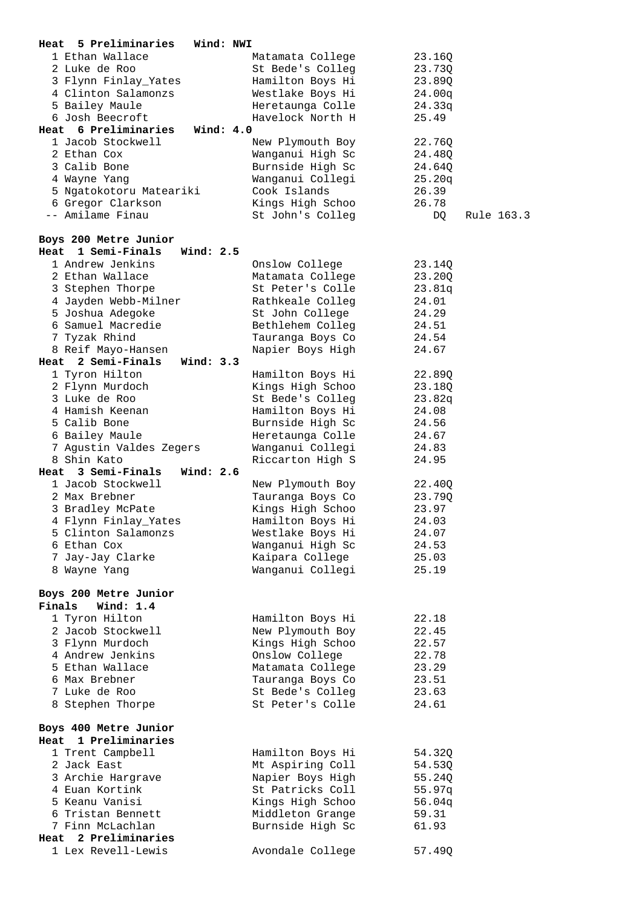| 5 Preliminaries<br>Heat                    | Wind: NWI        |                  |
|--------------------------------------------|------------------|------------------|
| 1 Ethan Wallace                            | Matamata College | 23.16Q           |
| 2 Luke de Roo                              | St Bede's Colleg | 23.73Q           |
| 3 Flynn Finlay_Yates                       | Hamilton Boys Hi | 23.89Q           |
| 4 Clinton Salamonzs                        | Westlake Boys Hi | 24.00q           |
| 5 Bailey Maule                             | Heretaunga Colle | 24.33q           |
| 6 Josh Beecroft                            | Havelock North H | 25.49            |
| Heat 6 Preliminaries                       | Wind: $4.0$      |                  |
| 1 Jacob Stockwell                          | New Plymouth Boy | 22.76Q           |
| 2 Ethan Cox                                | Wanganui High Sc | 24.480           |
| 3 Calib Bone                               | Burnside High Sc | 24.64Q           |
| 4 Wayne Yang                               | Wanganui Collegi | 25.20q           |
| 5 Ngatokotoru Mateariki                    | Cook Islands     | 26.39            |
|                                            |                  |                  |
| 6 Gregor Clarkson                          | Kings High Schoo | 26.78            |
| -- Amilame Finau                           | St John's Colleg | DQ<br>Rule 163.3 |
|                                            |                  |                  |
| Boys 200 Metre Junior                      |                  |                  |
| Heat 1 Semi-Finals                         | Wind: $2.5$      |                  |
| 1 Andrew Jenkins                           | Onslow College   | 23.14Q           |
| 2 Ethan Wallace                            | Matamata College | 23.20Q           |
| 3 Stephen Thorpe                           | St Peter's Colle | 23.81q           |
| 4 Jayden Webb-Milner                       | Rathkeale Colleg | 24.01            |
| 5 Joshua Adegoke                           | St John College  | 24.29            |
| 6 Samuel Macredie                          | Bethlehem Colleg | 24.51            |
| 7 Tyzak Rhind                              | Tauranga Boys Co | 24.54            |
| 8 Reif Mayo-Hansen                         | Napier Boys High | 24.67            |
| Heat 2 Semi-Finals                         | Wind: 3.3        |                  |
| 1 Tyron Hilton                             | Hamilton Boys Hi | 22.89Q           |
| 2 Flynn Murdoch                            | Kings High Schoo | 23.18Q           |
| 3 Luke de Roo                              | St Bede's Colleg | 23.82q           |
| 4 Hamish Keenan                            | Hamilton Boys Hi | 24.08            |
| 5 Calib Bone                               | Burnside High Sc | 24.56            |
| 6 Bailey Maule                             | Heretaunga Colle | 24.67            |
|                                            |                  |                  |
|                                            |                  |                  |
| 7 Agustin Valdes Zegers                    | Wanganui Collegi | 24.83            |
| 8 Shin Kato                                | Riccarton High S | 24.95            |
| Heat 3 Semi-Finals                         | Wind: $2.6$      |                  |
| 1 Jacob Stockwell                          | New Plymouth Boy | 22.40Q           |
| 2 Max Brebner                              | Tauranga Boys Co | 23.79Q           |
| 3 Bradley McPate                           | Kings High Schoo | 23.97            |
| 4 Flynn Finlay_Yates                       | Hamilton Boys Hi | 24.03            |
| 5 Clinton Salamonzs                        | Westlake Boys Hi | 24.07            |
| 6 Ethan Cox                                | Wanganui High Sc | 24.53            |
| 7 Jay-Jay Clarke                           | Kaipara College  | 25.03            |
| 8 Wayne Yang                               | Wanganui Collegi | 25.19            |
|                                            |                  |                  |
| Boys 200 Metre Junior                      |                  |                  |
| Finals<br>Wind: $1.4$                      |                  |                  |
| 1 Tyron Hilton                             | Hamilton Boys Hi | 22.18            |
| 2 Jacob Stockwell                          | New Plymouth Boy | 22.45            |
| 3 Flynn Murdoch                            | Kings High Schoo | 22.57            |
| 4 Andrew Jenkins                           |                  | 22.78            |
| 5 Ethan Wallace                            | Onslow College   |                  |
|                                            | Matamata College | 23.29            |
| 6 Max Brebner                              | Tauranga Boys Co | 23.51            |
| 7 Luke de Roo                              | St Bede's Colleg | 23.63            |
| 8 Stephen Thorpe                           | St Peter's Colle | 24.61            |
|                                            |                  |                  |
| Boys 400 Metre Junior                      |                  |                  |
| Heat 1 Preliminaries                       |                  |                  |
| 1 Trent Campbell                           | Hamilton Boys Hi | 54.32Q           |
| 2 Jack East                                | Mt Aspiring Coll | 54.53Q           |
| 3 Archie Hargrave                          | Napier Boys High | 55.24Q           |
| 4 Euan Kortink                             | St Patricks Coll | 55.97q           |
| 5 Keanu Vanisi                             | Kings High Schoo | 56.04q           |
| 6 Tristan Bennett                          | Middleton Grange | 59.31            |
| 7 Finn McLachlan                           | Burnside High Sc | 61.93            |
| Heat 2 Preliminaries<br>1 Lex Revell-Lewis | Avondale College | 57.49Q           |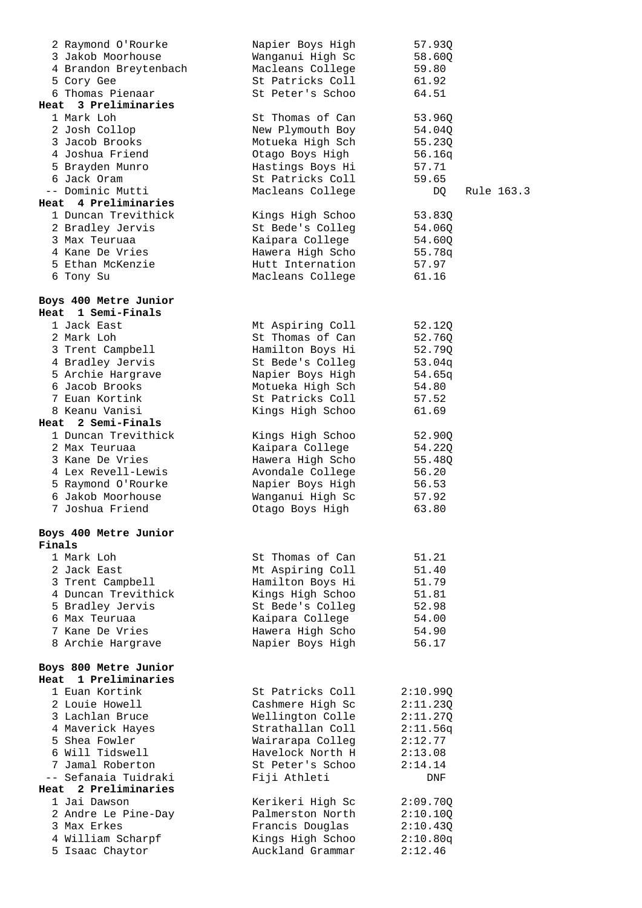| 2 Raymond O'Rourke                | Napier Boys High                     | 57.93Q           |  |
|-----------------------------------|--------------------------------------|------------------|--|
| 3 Jakob Moorhouse                 | Wanganui High Sc                     | 58.60Q           |  |
| 4 Brandon Breytenbach             | Macleans College                     | 59.80            |  |
| 5 Cory Gee                        | St Patricks Coll                     | 61.92            |  |
| 6 Thomas Pienaar                  | St Peter's Schoo                     | 64.51            |  |
| 3 Preliminaries<br>Heat           |                                      |                  |  |
| 1 Mark Loh                        | St Thomas of Can                     | 53.96Q           |  |
| 2 Josh Collop                     | New Plymouth Boy                     | 54.04Q           |  |
| 3 Jacob Brooks                    | Motueka High Sch                     | 55.23Q           |  |
| 4 Joshua Friend                   | Otago Boys High                      | 56.16q           |  |
| 5 Brayden Munro                   | Hastings Boys Hi                     | 57.71            |  |
| 6 Jack Oram                       | St Patricks Coll                     | 59.65            |  |
| -- Dominic Mutti                  | Macleans College                     | DQ<br>Rule 163.3 |  |
| Heat 4 Preliminaries              |                                      |                  |  |
| 1 Duncan Trevithick               | Kings High Schoo                     | 53.83Q           |  |
| 2 Bradley Jervis                  | St Bede's Colleg                     | 54.06Q           |  |
| 3 Max Teuruaa                     | Kaipara College                      | 54.60Q           |  |
| 4 Kane De Vries                   | Hawera High Scho                     | 55.78q           |  |
| 5 Ethan McKenzie                  | Hutt Internation                     | 57.97            |  |
| 6 Tony Su                         | Macleans College                     | 61.16            |  |
|                                   |                                      |                  |  |
| Boys 400 Metre Junior             |                                      |                  |  |
| 1 Semi-Finals<br>Heat             |                                      |                  |  |
| 1 Jack East                       | Mt Aspiring Coll                     | 52.12Q           |  |
| 2 Mark Loh                        | St Thomas of Can                     | 52.76Q           |  |
| 3 Trent Campbell                  | Hamilton Boys Hi                     | 52.79Q           |  |
| 4 Bradley Jervis                  | St Bede's Colleg                     | 53.04q           |  |
| 5 Archie Hargrave                 | Napier Boys High                     | 54.65q           |  |
| 6 Jacob Brooks                    | Motueka High Sch                     | 54.80            |  |
| 7 Euan Kortink                    | St Patricks Coll                     | 57.52            |  |
| 8 Keanu Vanisi                    | Kings High Schoo                     | 61.69            |  |
| Heat 2 Semi-Finals                |                                      |                  |  |
| 1 Duncan Trevithick               | Kings High Schoo                     | 52.90Q           |  |
| 2 Max Teuruaa                     | Kaipara College                      | 54.22Q           |  |
| 3 Kane De Vries                   | Hawera High Scho                     | 55.48Q           |  |
| 4 Lex Revell-Lewis                | Avondale College                     | 56.20            |  |
| 5 Raymond O'Rourke                | Napier Boys High                     | 56.53            |  |
| 6 Jakob Moorhouse                 | Wanganui High Sc                     | 57.92            |  |
| 7 Joshua Friend                   | Otago Boys High                      | 63.80            |  |
|                                   |                                      |                  |  |
| Boys 400 Metre Junior<br>Finals   |                                      |                  |  |
| 1 Mark Loh                        |                                      |                  |  |
|                                   | St Thomas of Can                     | 51.21            |  |
| 2 Jack East<br>3 Trent Campbell   | Mt Aspiring Coll<br>Hamilton Boys Hi | 51.40<br>51.79   |  |
| 4 Duncan Trevithick               | Kings High Schoo                     | 51.81            |  |
|                                   | St Bede's Colleg                     | 52.98            |  |
| 5 Bradley Jervis<br>6 Max Teuruaa | Kaipara College                      | 54.00            |  |
| 7 Kane De Vries                   | Hawera High Scho                     | 54.90            |  |
| 8 Archie Hargrave                 | Napier Boys High                     | 56.17            |  |
|                                   |                                      |                  |  |
| Boys 800 Metre Junior             |                                      |                  |  |
| 1 Preliminaries<br>Heat           |                                      |                  |  |
| 1 Euan Kortink                    | St Patricks Coll                     | 2:10.99Q         |  |
| 2 Louie Howell                    | Cashmere High Sc                     | 2:11.23Q         |  |
| 3 Lachlan Bruce                   | Wellington Colle                     | 2:11.27Q         |  |
| 4 Maverick Hayes                  | Strathallan Coll                     | 2:11.56q         |  |
| 5 Shea Fowler                     | Wairarapa Colleg                     | 2:12.77          |  |
| 6 Will Tidswell                   | Havelock North H                     | 2:13.08          |  |
| 7 Jamal Roberton                  | St Peter's Schoo                     | 2:14.14          |  |
| -- Sefanaia Tuidraki              | Fiji Athleti                         | DNF              |  |
| Heat 2 Preliminaries              |                                      |                  |  |
| 1 Jai Dawson                      | Kerikeri High Sc                     | 2:09.70Q         |  |
| 2 Andre Le Pine-Day               | Palmerston North                     | 2:10.10Q         |  |
| 3 Max Erkes                       | Francis Douglas                      | 2:10.43Q         |  |
| 4 William Scharpf                 | Kings High Schoo                     | 2:10.80q         |  |
| 5 Isaac Chaytor                   | Auckland Grammar                     | 2:12.46          |  |
|                                   |                                      |                  |  |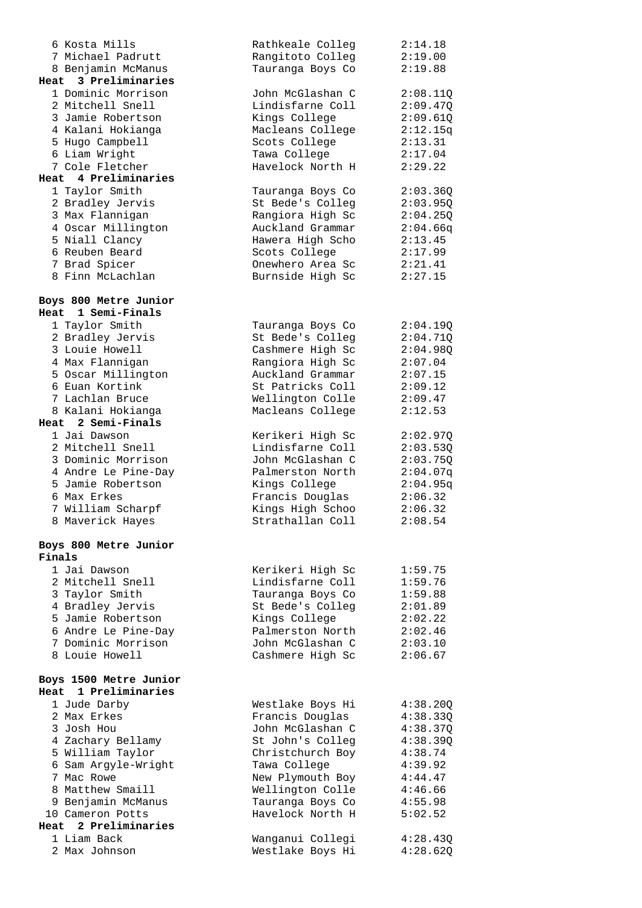| 6 Kosta Mills                             | Rathkeale Colleg                     | 2:14.18            |
|-------------------------------------------|--------------------------------------|--------------------|
| 7 Michael Padrutt                         | Rangitoto Colleg                     | 2:19.00            |
| 8 Benjamin McManus                        | Tauranga Boys Co                     | 2:19.88            |
| Heat 3 Preliminaries                      |                                      |                    |
| 1 Dominic Morrison                        | John McGlashan C                     | 2:08.11Q           |
| 2 Mitchell Snell                          | Lindisfarne Coll                     | 2:09.47Q           |
| 3 Jamie Robertson                         | Kings College                        | 2:09.61Q           |
| 4 Kalani Hokianga                         | Macleans College                     | 2:12.15q           |
| 5 Hugo Campbell                           | Scots College                        | 2:13.31            |
| 6 Liam Wright                             | Tawa College                         | 2:17.04            |
| 7 Cole Fletcher                           | Havelock North H                     | 2:29.22            |
| Heat 4 Preliminaries                      |                                      |                    |
| 1 Taylor Smith                            | Tauranga Boys Co                     | 2:03.36Q           |
| 2 Bradley Jervis                          | St Bede's Colleg                     | 2:03.95Q           |
| 3 Max Flannigan                           | Rangiora High Sc                     | 2:04.25Q           |
| 4 Oscar Millington                        | Auckland Grammar                     | 2:04.66q           |
| 5 Niall Clancy                            | Hawera High Scho                     | 2:13.45            |
| 6 Reuben Beard                            | Scots College                        | 2:17.99            |
| 7 Brad Spicer                             | Onewhero Area Sc                     | 2:21.41            |
| 8 Finn McLachlan                          | Burnside High Sc                     | 2:27.15            |
|                                           |                                      |                    |
| Boys 800 Metre Junior                     |                                      |                    |
| 1 Semi-Finals<br>Heat                     |                                      |                    |
| 1 Taylor Smith                            | Tauranga Boys Co                     | 2:04.19Q           |
| 2 Bradley Jervis                          | St Bede's Colleg                     | 2:04.71Q           |
| 3 Louie Howell                            | Cashmere High Sc                     | 2:04.980           |
| 4 Max Flannigan                           | Rangiora High Sc                     | 2:07.04            |
| 5 Oscar Millington                        | Auckland Grammar                     | 2:07.15            |
| 6 Euan Kortink                            | St Patricks Coll                     | 2:09.12            |
| 7 Lachlan Bruce                           | Wellington Colle                     | 2:09.47            |
| 8 Kalani Hokianga                         | Macleans College                     | 2:12.53            |
| Heat 2 Semi-Finals                        |                                      |                    |
| 1 Jai Dawson                              | Kerikeri High Sc                     | 2:02.97Q           |
| 2 Mitchell Snell                          | Lindisfarne Coll                     | 2:03.53Q           |
| 3 Dominic Morrison<br>4 Andre Le Pine-Day | John McGlashan C                     | 2:03.75Q           |
|                                           | Palmerston North                     | 2:04.07q           |
| 5 Jamie Robertson<br>6 Max Erkes          | Kings College                        | 2:04.95q           |
| 7 William Scharpf                         | Francis Douglas                      | 2:06.32<br>2:06.32 |
| 8 Maverick Hayes                          | Kings High Schoo<br>Strathallan Coll | 2:08.54            |
|                                           |                                      |                    |
| Boys 800 Metre Junior                     |                                      |                    |
| Finals                                    |                                      |                    |
| 1 Jai Dawson                              | Kerikeri High Sc                     | 1:59.75            |
| 2 Mitchell Snell                          | Lindisfarne Coll                     | 1:59.76            |
| 3 Taylor Smith                            | Tauranga Boys Co                     | 1:59.88            |
| 4 Bradley Jervis                          | St Bede's Colleq                     | 2:01.89            |
| 5 Jamie Robertson                         | Kings College                        | 2:02.22            |
| 6 Andre Le Pine-Day                       | Palmerston North                     | 2:02.46            |
| 7 Dominic Morrison                        | John McGlashan C                     | 2:03.10            |
| 8 Louie Howell                            | Cashmere High Sc                     | 2:06.67            |
|                                           |                                      |                    |
| Boys 1500 Metre Junior                    |                                      |                    |
| Heat 1 Preliminaries                      |                                      |                    |
| 1 Jude Darby                              | Westlake Boys Hi                     | 4:38.20Q           |
| 2 Max Erkes                               | Francis Douglas                      | 4:38.33Q           |
| 3 Josh Hou                                | John McGlashan C                     | 4:38.37Q           |
| 4 Zachary Bellamy                         | St John's Colleg                     | 4:38.39Q           |
| 5 William Taylor                          | Christchurch Boy                     | 4:38.74            |
| 6 Sam Argyle-Wright                       | Tawa College                         | 4:39.92            |
| 7 Mac Rowe                                | New Plymouth Boy                     | 4:44.47            |
| 8 Matthew Smaill                          | Wellington Colle                     | 4:46.66            |
| 9 Benjamin McManus                        | Tauranga Boys Co                     | 4:55.98            |
| 10 Cameron Potts                          | Havelock North H                     | 5:02.52            |
| 2 Preliminaries<br>Heat                   |                                      |                    |
| 1 Liam Back                               | Wanganui Collegi                     | 4:28.430           |
| 2 Max Johnson                             | Westlake Boys Hi                     | 4:28.62Q           |
|                                           |                                      |                    |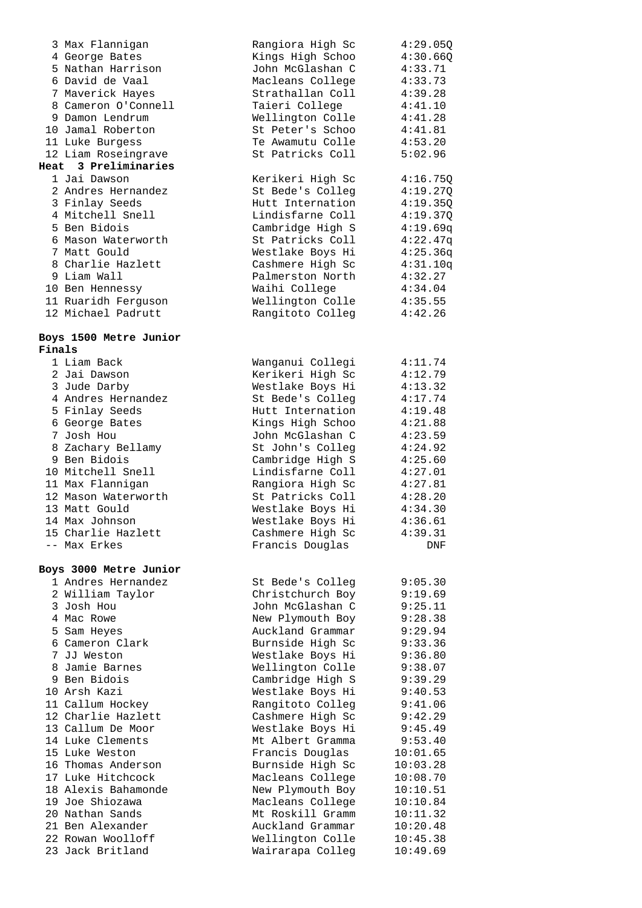|               | 3 Max Flannigan                     | Rangiora High Sc                     | 4:29.05Q             |
|---------------|-------------------------------------|--------------------------------------|----------------------|
|               | 4 George Bates                      | Kings High Schoo                     | 4:30.66Q             |
|               | 5 Nathan Harrison                   | John McGlashan C                     | 4:33.71              |
|               | 6 David de Vaal                     | Macleans College                     | 4:33.73              |
|               | 7 Maverick Hayes                    | Strathallan Coll                     | 4:39.28              |
|               | 8 Cameron O'Connell                 | Taieri College                       | 4:41.10              |
|               | 9 Damon Lendrum                     | Wellington Colle                     | 4:41.28              |
|               | 10 Jamal Roberton                   | St Peter's Schoo                     | 4:41.81              |
|               | 11 Luke Burgess                     | Te Awamutu Colle                     | 4:53.20              |
|               | 12 Liam Roseingrave                 | St Patricks Coll                     | 5:02.96              |
| Heat          | 3 Preliminaries                     |                                      |                      |
|               | 1 Jai Dawson                        | Kerikeri High Sc                     | 4:16.75Q             |
|               | 2 Andres Hernandez                  | St Bede's Colleg                     | 4:19.27Q             |
|               | 3 Finlay Seeds                      | Hutt Internation                     | 4:19.35Q             |
|               | 4 Mitchell Snell                    | Lindisfarne Coll                     | 4:19.37Q             |
|               | 5 Ben Bidois                        | Cambridge High S                     | 4:19.69q             |
|               | 6 Mason Waterworth                  |                                      |                      |
|               | 7 Matt Gould                        | St Patricks Coll<br>Westlake Boys Hi | 4:22.47q             |
|               |                                     |                                      | 4:25.36q             |
|               | 8 Charlie Hazlett                   | Cashmere High Sc                     | 4:31.10q             |
|               | 9 Liam Wall                         | Palmerston North                     | 4:32.27              |
|               | 10 Ben Hennessy                     | Waihi College                        | 4:34.04              |
|               | 11 Ruaridh Ferguson                 | Wellington Colle                     | 4:35.55              |
|               | 12 Michael Padrutt                  | Rangitoto Colleg                     | 4:42.26              |
|               |                                     |                                      |                      |
| <b>Finals</b> | Boys 1500 Metre Junior              |                                      |                      |
|               | 1 Liam Back                         | Wanganui Collegi                     | 4:11.74              |
|               | 2 Jai Dawson                        | Kerikeri High Sc                     | 4:12.79              |
|               | 3 Jude Darby                        | Westlake Boys Hi                     | 4:13.32              |
|               | 4 Andres Hernandez                  | St Bede's Colleg                     | 4:17.74              |
|               | 5 Finlay Seeds                      | Hutt Internation                     | 4:19.48              |
|               | 6 George Bates                      | Kings High Schoo                     | 4:21.88              |
|               | 7 Josh Hou                          | John McGlashan C                     | 4:23.59              |
|               | 8 Zachary Bellamy                   | St John's Colleg                     | 4:24.92              |
|               | 9 Ben Bidois                        | Cambridge High S                     | 4:25.60              |
|               | 10 Mitchell Snell                   | Lindisfarne Coll                     | 4:27.01              |
|               | 11 Max Flannigan                    | Rangiora High Sc                     | 4:27.81              |
|               | 12 Mason Waterworth                 | St Patricks Coll                     | 4:28.20              |
|               | 13 Matt Gould                       | Westlake Boys Hi                     | 4:34.30              |
|               | 14 Max Johnson                      | Westlake Boys Hi                     | 4:36.61              |
|               | 15 Charlie Hazlett                  |                                      | 4:39.31              |
|               | -- Max Erkes                        | Cashmere High Sc                     |                      |
|               |                                     | Francis Douglas                      | DNF                  |
|               | Boys 3000 Metre Junior              |                                      |                      |
|               | 1 Andres Hernandez                  | St Bede's Colleg                     | 9:05.30              |
|               | 2 William Taylor                    | Christchurch Boy                     | 9:19.69              |
|               | 3 Josh Hou                          | John McGlashan C                     | 9:25.11              |
|               | 4 Mac Rowe                          | New Plymouth Boy                     | 9:28.38              |
|               | 5 Sam Heyes                         | Auckland Grammar                     | 9:29.94              |
|               | 6 Cameron Clark                     | Burnside High Sc                     | 9:33.36              |
|               | 7 JJ Weston                         | Westlake Boys Hi                     | 9:36.80              |
|               | 8 Jamie Barnes                      | Wellington Colle                     | 9:38.07              |
|               | 9 Ben Bidois                        | Cambridge High S                     | 9:39.29              |
|               | 10 Arsh Kazi                        | Westlake Boys Hi                     | 9:40.53              |
|               | 11 Callum Hockey                    | Rangitoto Colleg                     | 9:41.06              |
|               | 12 Charlie Hazlett                  | Cashmere High Sc                     | 9:42.29              |
|               | 13 Callum De Moor                   | Westlake Boys Hi                     | 9:45.49              |
|               | 14 Luke Clements                    | Mt Albert Gramma                     |                      |
|               | 15 Luke Weston                      |                                      | 9:53.40              |
|               | 16 Thomas Anderson                  | Francis Douglas                      | 10:01.65             |
|               |                                     | Burnside High Sc                     | 10:03.28             |
|               | 17 Luke Hitchcock                   | Macleans College                     | 10:08.70             |
|               | 18 Alexis Bahamonde                 | New Plymouth Boy                     | 10:10.51             |
|               | 19 Joe Shiozawa                     | Macleans College                     | 10:10.84             |
|               | 20 Nathan Sands<br>21 Ben Alexander | Mt Roskill Gramm                     | 10:11.32             |
|               | 22 Rowan Woolloff                   | Auckland Grammar                     | 10:20.48             |
|               | 23 Jack Britland                    | Wellington Colle<br>Wairarapa Colleg | 10:45.38<br>10:49.69 |
|               |                                     |                                      |                      |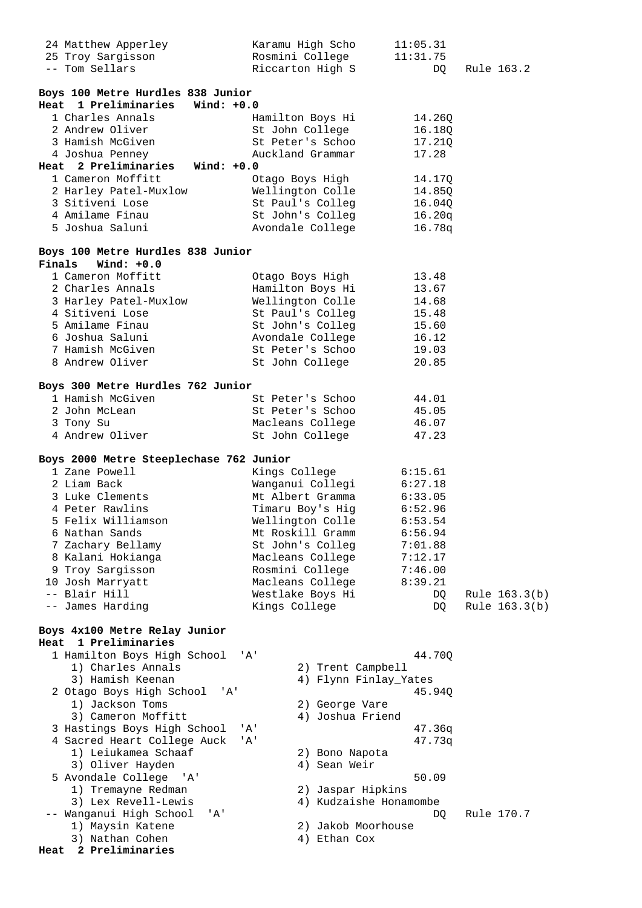| 24 Matthew Apperley                     |               | Karamu High Scho   | 11:05.31                 |               |
|-----------------------------------------|---------------|--------------------|--------------------------|---------------|
| 25 Troy Sargisson                       |               | Rosmini College    | 11:31.75                 |               |
| -- Tom Sellars                          |               | Riccarton High S   | DQ                       | Rule 163.2    |
|                                         |               |                    |                          |               |
| Boys 100 Metre Hurdles 838 Junior       |               |                    |                          |               |
| 1 Preliminaries Wind: +0.0<br>Heat      |               |                    |                          |               |
| 1 Charles Annals                        |               | Hamilton Boys Hi   | 14.26Q                   |               |
| 2 Andrew Oliver                         |               | St John College    | 16.18Q                   |               |
| 3 Hamish McGiven                        |               | St Peter's Schoo   | 17.21Q                   |               |
| 4 Joshua Penney                         |               | Auckland Grammar   | 17.28                    |               |
| Heat 2 Preliminaries Wind: +0.0         |               |                    |                          |               |
| 1 Cameron Moffitt                       |               | Otago Boys High    | 14.17Q                   |               |
| 2 Harley Patel-Muxlow                   |               | Wellington Colle   | 14.85Q                   |               |
| 3 Sitiveni Lose                         |               | St Paul's Colleg   | 16.04Q                   |               |
| 4 Amilame Finau                         |               | St John's Colleg   | 16.20q                   |               |
| 5 Joshua Saluni                         |               | Avondale College   | 16.78q                   |               |
|                                         |               |                    |                          |               |
| Boys 100 Metre Hurdles 838 Junior       |               |                    |                          |               |
| Finals Wind: +0.0                       |               |                    |                          |               |
| 1 Cameron Moffitt                       |               | Otago Boys High    | 13.48                    |               |
| 2 Charles Annals                        |               | Hamilton Boys Hi   | 13.67                    |               |
| 3 Harley Patel-Muxlow                   |               | Wellington Colle   | 14.68                    |               |
| 4 Sitiveni Lose                         |               | St Paul's Colleg   | 15.48                    |               |
| 5 Amilame Finau                         |               | St John's Colleg   | 15.60                    |               |
| 6 Joshua Saluni                         |               | Avondale College   | 16.12                    |               |
| 7 Hamish McGiven                        |               | St Peter's Schoo   | 19.03                    |               |
| 8 Andrew Oliver                         |               | St John College    | 20.85                    |               |
|                                         |               |                    |                          |               |
| Boys 300 Metre Hurdles 762 Junior       |               |                    |                          |               |
| 1 Hamish McGiven                        |               | St Peter's Schoo   | 44.01                    |               |
| 2 John McLean                           |               | St Peter's Schoo   | 45.05                    |               |
| 3 Tony Su                               |               | Macleans College   | 46.07                    |               |
| 4 Andrew Oliver                         |               | St John College    | 47.23                    |               |
|                                         |               |                    |                          |               |
| Boys 2000 Metre Steeplechase 762 Junior |               |                    |                          |               |
| 1 Zane Powell                           |               | Kings College      | 6:15.61                  |               |
| 2 Liam Back                             |               | Wanganui Collegi   | 6:27.18                  |               |
| 3 Luke Clements                         |               | Mt Albert Gramma   |                          |               |
| 4 Peter Rawlins                         |               | Timaru Boy's Hig   | 6:33.05<br>6:52.96       |               |
| 5 Felix Williamson                      |               |                    | Wellington Colle 6:53.54 |               |
| 6 Nathan Sands                          |               | Mt Roskill Gramm   | 6:56.94                  |               |
| 7 Zachary Bellamy                       |               | St John's Colleg   | 7:01.88                  |               |
| 8 Kalani Hokianga                       |               | Macleans College   | 7:12.17                  |               |
| 9 Troy Sargisson                        |               | Rosmini College    | 7:46.00                  |               |
| 10 Josh Marryatt                        |               | Macleans College   | 8:39.21                  |               |
| -- Blair Hill                           |               | Westlake Boys Hi   | DQ                       | Rule 163.3(b) |
| -- James Harding                        | Kings College |                    | DQ.                      | Rule 163.3(b) |
|                                         |               |                    |                          |               |
| Boys 4x100 Metre Relay Junior           |               |                    |                          |               |
| 1 Preliminaries<br>Heat                 |               |                    |                          |               |
| 1 Hamilton Boys High School             | 'A'           |                    | 44.70Q                   |               |
| 1) Charles Annals                       |               | 2) Trent Campbell  |                          |               |
| 3) Hamish Keenan                        |               |                    | 4) Flynn Finlay_Yates    |               |
| 2 Otago Boys High School<br>'' A '      |               |                    | 45.94Q                   |               |
| 1) Jackson Toms                         |               | 2) George Vare     |                          |               |
| 3) Cameron Moffitt                      |               | 4) Joshua Friend   |                          |               |
| 3 Hastings Boys High School             | 'A'           |                    | 47.36q                   |               |
| 4 Sacred Heart College Auck             | ' A'          |                    | 47.73q                   |               |
| 1) Leiukamea Schaaf                     |               | 2) Bono Napota     |                          |               |
| 3) Oliver Hayden                        |               | 4) Sean Weir       |                          |               |
| 5 Avondale College<br>' A '             |               |                    | 50.09                    |               |
| 1) Tremayne Redman                      |               | 2) Jaspar Hipkins  |                          |               |
| 3) Lex Revell-Lewis                     |               |                    | 4) Kudzaishe Honamombe   |               |
| -- Wanganui High School<br>' A'         |               |                    | DQ                       | Rule 170.7    |
| 1) Maysin Katene                        |               | 2) Jakob Moorhouse |                          |               |
| 3) Nathan Cohen                         |               | 4) Ethan Cox       |                          |               |
| 2 Preliminaries<br>Heat                 |               |                    |                          |               |
|                                         |               |                    |                          |               |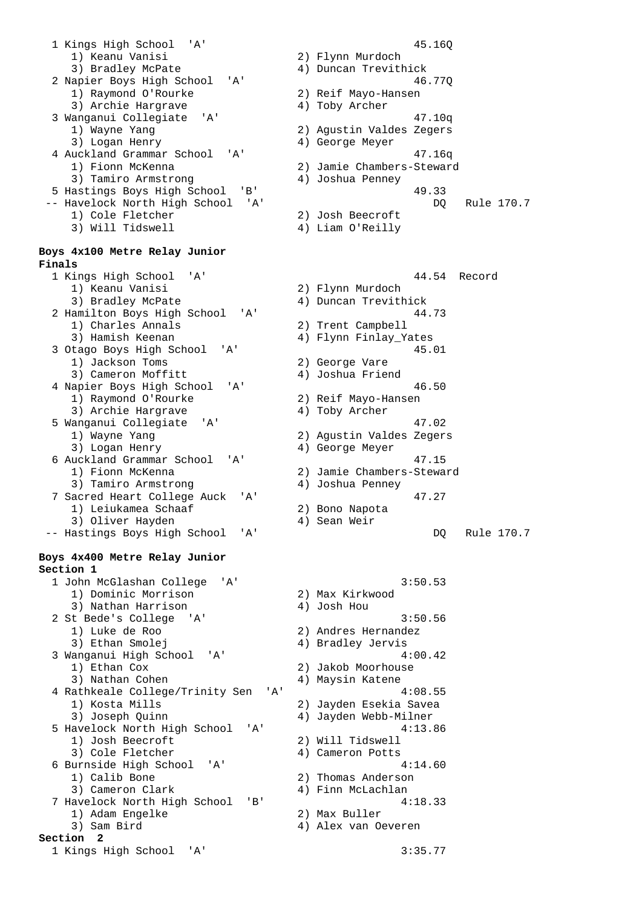1 Kings High School 'A' 45.16Q 1) Keanu Vanisi 2) Flynn Murdoch 3) Bradley McPate 4) Duncan Trevithick 2 Napier Boys High School 'A' 46.77Q 1) Raymond O'Rourke 2) Reif Mayo-Hansen 3) Archie Hargrave 4) Toby Archer 3 Wanganui Collegiate 'A' 47.10q 1) Wayne Yang 2) Agustin Valdes Zegers 3) Logan Henry 4) George Meyer 4 Auckland Grammar School 'A' 47.16q 1) Fionn McKenna 2) Jamie Chambers-Steward 3) Tamiro Armstrong (4) Joshua Penney 5 Hastings Boys High School 'B' 49.33 -- Havelock North High School 'A' Channel Communist Communist Communist Communist Communist Communist Communist Communist Communist Communist Communist Communist Communist Communist Communist Communist Communist Communist 1) Cole Fletcher 2) Josh Beecroft 3) Will Tidswell 4) Liam O'Reilly **Boys 4x100 Metre Relay Junior Finals**  1 Kings High School 'A' 44.54 Record 1) Keanu Vanisi 2) Flynn Murdoch 2 Hamilton Boys High School 'A' 44.73<br>
1) Charles Annals (2) Trent Campbell 1) Charles Annals<br>3) Hamish Keenan 3 Otago Boys High School 'A' 45.01 1) Jackson Toms 2) George Vare 3) Cameron Moffitt 4) Joshua Friend 4 Napier Boys High School 'A' 46.50 1) Raymond O'Rourke 2) Reif Mayo-Hansen 3) Archie Hargrave 4) Toby Archer 5 Wanganui Collegiate 'A' 47.02 1) Wayne Yang 2) Agustin Valdes Zegers 3) Logan Henry 1988 (4) George Meyer 6 Auckland Grammar School 'A' 47.15 1) Fionn McKenna 2) Jamie Chambers-Steward 3) Tamiro Armstrong (4) Joshua Penney 7 Sacred Heart College Auck 'A' 47.27 1) Leiukamea Schaaf 2) Bono Napota 3) Oliver Hayden (4) Sean Weir -- Hastings Boys High School 'A' DQ Rule 170.7 **Boys 4x400 Metre Relay Junior Section 1**  1 John McGlashan College 'A' 3:50.53 1) Dominic Morrison 2) Max Kirkwood 3) Nathan Harrison (4) Josh Hou 2 St Bede's College 'A' 3:50.56<br>1) Luke de Roo 3:50.56<br>2) Andres Hernandez 3) Ethan Smolej (4) Bradley Jervis 3 Wanganui High School 'A' 4:00.42 1) Ethan Cox 2) Jakob Moorhouse 3) Nathan Cohen 4) Maysin Katene 4 Rathkeale College/Trinity Sen 'A' 4:08.55 1) Kosta Mills 2) Jayden Esekia Savea 3) Joseph Quinn (4) Jayden Webb-Milner 5 Havelock North High School 'A' 4:13.86 1) Josh Beecroft 2) Will Tidswell 3) Cole Fletcher 4) Cameron Potts 6 Burnside High School 'A' 4:14.60 1) Calib Bone 2) Thomas Anderson 3) Cameron Clark 4) Finn McLachlan 7 Havelock North High School 'B' 4:18.33 1) Adam Engelke 2) Max Buller 3) Sam Bird 4) Alex van Oeveren **Section 2**  1 Kings High School 'A' 3:35.77

4) Duncan Trevithick 4) Flynn Finlay\_Yates

2) Andres Hernandez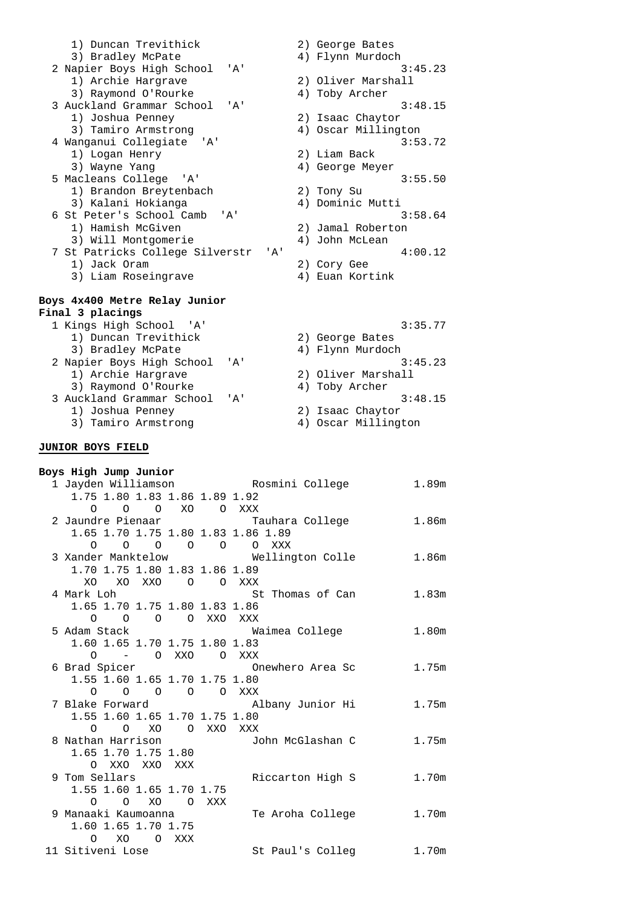| 1) Duncan Trevithick                         | 2) George Bates     |
|----------------------------------------------|---------------------|
| 3) Bradley McPate                            | 4) Flynn Murdoch    |
| 2 Napier Boys High School<br>' A'            | 3:45.23             |
| 1) Archie Hargrave                           | 2) Oliver Marshall  |
| 3) Raymond O'Rourke                          | 4) Toby Archer      |
| 3 Auckland Grammar School<br>$\overline{A}$  | 3:48.15             |
| 1) Joshua Penney                             | 2) Isaac Chaytor    |
| 3) Tamiro Armstrong                          | 4) Oscar Millington |
| 4 Wanganui Collegiate 'A'                    | 3:53.72             |
| 1) Logan Henry                               | 2) Liam Back        |
| 3) Wayne Yang                                | 4) George Meyer     |
| 5 Macleans College 'A'                       | 3:55.50             |
| 1) Brandon Breytenbach                       | 2) Tony Su          |
| 3) Kalani Hokianga                           | 4) Dominic Mutti    |
| 6 St Peter's School Camb 'A'                 | 3:58.64             |
| 1) Hamish McGiven                            | 2) Jamal Roberton   |
| 3) Will Montgomerie                          | 4) John McLean      |
| 7 St Patricks College Silverstr<br>$'$ A $'$ | 4:00.12             |
| 1) Jack Oram                                 | 2) Cory Gee         |
| 3) Liam Roseingrave                          | 4) Euan Kortink     |
|                                              |                     |
| Boys 4x400 Metre Relay Junior                |                     |
| Final 3 placings                             |                     |
| 1 Kings High School 'A'                      | 3:35.77             |
| 1) Duncan Trevithick                         | 2) George Bates     |
| 3) Bradley McPate                            | 4) Flynn Murdoch    |
| 2 Napier Boys High School<br>' A'            | 3:45.23             |
| 1) Archie Hargrave                           | 2) Oliver Marshall  |
| 3) Raymond O'Rourke                          | 4) Toby Archer      |
| 3 Auckland Grammar School<br>' A'            | 3:48.15             |

- 3 Auckland Grammar School 'A' 3:48.<br>
1) Joshua Penney 2) Isaac Chaytor<br>
3) Tamiro Armstrong 4) Oscar Millington
- 1) Joshua Penney 2) Isaac Chaytor 3) Tamiro Armstrong (4) Oscar Millington

## **JUNIOR BOYS FIELD**

| Boys High Jump Junior              |                                                           |                   |
|------------------------------------|-----------------------------------------------------------|-------------------|
|                                    | 1 Jayden Williamson         Rosmini College         1.89m |                   |
| 1.75 1.80 1.83 1.86 1.89 1.92      |                                                           |                   |
| 0 0 0 XO 0 XXX                     |                                                           |                   |
| 2 Jaundre Pienaar Mauhara College  |                                                           | 1.86m             |
| 1.65 1.70 1.75 1.80 1.83 1.86 1.89 |                                                           |                   |
| 0 0 0 0 0 0 XXX                    |                                                           |                   |
|                                    | 3 Xander Manktelow               Wellington Colle         | 1.86m             |
| 1.70 1.75 1.80 1.83 1.86 1.89      |                                                           |                   |
| XO XO XXO O O XXX                  |                                                           |                   |
| 4 Mark Loh                         | St Thomas of Can                                          | 1.83 <sub>m</sub> |
| 1.65 1.70 1.75 1.80 1.83 1.86      |                                                           |                   |
| 0 0 0 0 XXO XXX                    |                                                           |                   |
| 5 Adam Stack III                   | Waimea College                                            | 1.80 <sub>m</sub> |
| 1.60 1.65 1.70 1.75 1.80 1.83      |                                                           |                   |
| 0 - 0 XXO O XXX                    |                                                           |                   |
|                                    |                                                           | 1.75m             |
| 1.55 1.60 1.65 1.70 1.75 1.80      |                                                           |                   |
| 0 0 0 0 0 XXX                      |                                                           |                   |
|                                    | 7 Blake Forward             Albany Junior Hi              | 1.75m             |
| 1.55 1.60 1.65 1.70 1.75 1.80      |                                                           |                   |
| 0 0 XO O XXO XXX                   |                                                           |                   |
|                                    | 8 Nathan Harrison (5) John McGlashan C                    | 1.75m             |
| 1.65 1.70 1.75 1.80                |                                                           |                   |
| O XXO XXO XXX                      |                                                           |                   |
| 9 Tom Sellars                      | Riccarton High S                                          | 1.70m             |
| 1.55 1.60 1.65 1.70 1.75           |                                                           |                   |
| 0 0 XO O XXX                       |                                                           |                   |
| 9 Manaaki Kaumoanna                | Te Aroha College                                          | 1.70m             |
| 1.60 1.65 1.70 1.75                |                                                           |                   |
| $\Omega$<br>XO OXXX                |                                                           |                   |
| 11 Sitiveni Lose                   | St Paul's Colleg                                          | 1.70m             |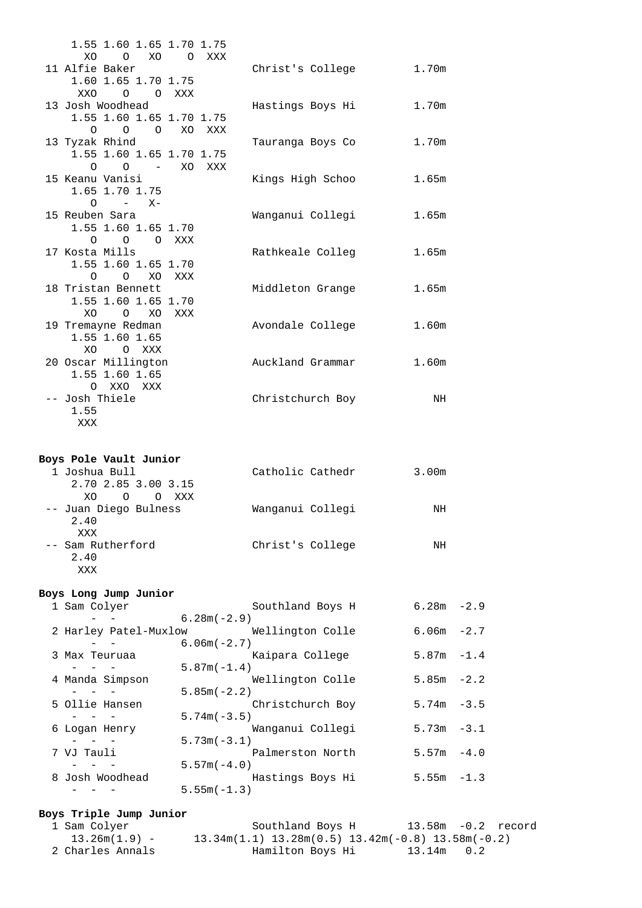| 1.55 1.60 1.65 1.70 1.75                                      |                                |       |  |
|---------------------------------------------------------------|--------------------------------|-------|--|
| O XO<br>XO.<br>O XXX<br>11 Alfie Baker                        | Christ's College 1.70m         |       |  |
| 1.60 1.65 1.70 1.75<br><b>XXO</b><br>O OXXX                   |                                |       |  |
| 13 Josh Woodhead<br>1.55 1.60 1.65 1.70 1.75                  | Hastings Boys Hi               | 1.70m |  |
| 0 0 0 XO XXX<br>13 Tyzak Rhind<br>1.55 1.60 1.65 1.70 1.75    | Tauranga Boys Co               | 1.70m |  |
| 0 0 – XOXXX<br>15 Keanu Vanisi<br>1.65 1.70 1.75<br>$O - X -$ | Kings High Schoo               | 1.65m |  |
| 15 Reuben Sara<br>1.55 1.60 1.65 1.70<br>O O O XXX            | Wanganui Collegi               | 1.65m |  |
| 17 Kosta Mills<br>1.55 1.60 1.65 1.70<br>O O XO XXX           | Rathkeale Colleg               | 1.65m |  |
| 18 Tristan Bennett<br>1.55 1.60 1.65 1.70<br>O XO XXX<br>XO.  | Middleton Grange               | 1.65m |  |
| 19 Tremayne Redman<br>1.55 1.60 1.65<br>XO O XXX              | Avondale College               | 1.60m |  |
| 20 Oscar Millington<br>1.55 1.60 1.65<br>O XXO XXX            | Auckland Grammar               | 1.60m |  |
| -- Josh Thiele<br>1.55<br>XXX                                 | Christchurch Boy               | NH    |  |
| Boys Pole Vault Junior                                        |                                |       |  |
| 1 Joshua Bull<br>2.70 2.85 3.00 3.15<br>XO<br>O O XXX         | Catholic Cathedr               | 3.00m |  |
| -- Juan Diego Bulness<br>2.40<br>XXX                          | Wanganui Collegi               | NH    |  |
| Sam Rutherford<br>2.40<br>XXX                                 | Christ's College               | NH    |  |
| Boys Long Jump Junior<br>1 Sam Colver                         | Southland Boys H $6.28m - 2.9$ |       |  |
|                                                               |                                |       |  |

| 1 Sam Colyer          | Southland Boys H | $6.28m - 2.9$ |
|-----------------------|------------------|---------------|
|                       | $6.28m(-2.9)$    |               |
| 2 Harley Patel-Muxlow | Wellington Colle | $6.06m - 2.7$ |
|                       | $6.06m(-2.7)$    |               |
| 3 Max Teuruaa         | Kaipara College  | $5.87m - 1.4$ |
|                       | $5.87m(-1.4)$    |               |
| 4 Manda Simpson       | Wellington Colle | $5.85m - 2.2$ |
|                       | $5.85m(-2.2)$    |               |
| 5 Ollie Hansen        | Christchurch Boy | $5.74m - 3.5$ |
|                       | $5.74m(-3.5)$    |               |
| 6 Logan Henry         | Wanganui Collegi | $5.73m - 3.1$ |
|                       | $5.73m(-3.1)$    |               |
| 7 VJ Tauli            | Palmerston North | $5.57m - 4.0$ |
|                       | $5.57m(-4.0)$    |               |
| 8 Josh Woodhead       | Hastings Boys Hi | $5.55m - 1.3$ |
|                       | $5.55m(-1.3)$    |               |
|                       |                  |               |

#### **Boys Triple Jump Junior**

| 1 Sam Colyer     | Southland Boys H<br>13.58m -0.2 record                                    |  |
|------------------|---------------------------------------------------------------------------|--|
| 13.26m(1.9) -    | $13.34$ m $(1.1)$ $13.28$ m $(0.5)$ $13.42$ m $(-0.8)$ $13.58$ m $(-0.2)$ |  |
| 2 Charles Annals | Hamilton Boys Hi<br>13.14m 0.2                                            |  |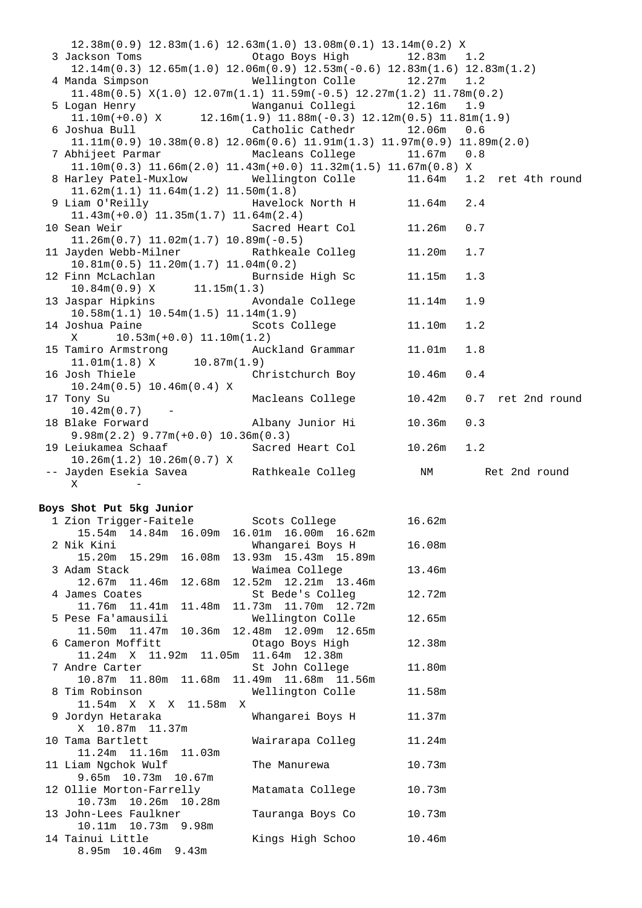| $12.38\text{m}(0.9)$ $12.83\text{m}(1.6)$ $12.63\text{m}(1.0)$ $13.08\text{m}(0.1)$ $13.14\text{m}(0.2)$ X                    |                             |              |         |                   |  |
|-------------------------------------------------------------------------------------------------------------------------------|-----------------------------|--------------|---------|-------------------|--|
| 3 Jackson Toms 6 2010 6 2010 12:00 0tago Boys High 3 2.83m 1.2                                                                |                             |              |         |                   |  |
| $12.14m(0.3)$ $12.65m(1.0)$ $12.06m(0.9)$ $12.53m(-0.6)$ $12.83m(1.6)$ $12.83m(1.2)$                                          |                             |              |         |                   |  |
| 4 Manda Simpson                                                                                                               | Wellington Colle 12.27m 1.2 |              |         |                   |  |
| $11.48m(0.5)$ $X(1.0)$ $12.07m(1.1)$ $11.59m(-0.5)$ $12.27m(1.2)$ $11.78m(0.2)$                                               |                             |              |         |                   |  |
| 5 Logan Henry                                                                                                                 |                             |              |         |                   |  |
| ogan Henry Manganui Collegi 12.16m 1.9<br>11.10m(+0.0) X 12.16m(1.9) 11.88m(-0.3) 12.12m(0.5) 11.81m(1.9)                     |                             |              |         |                   |  |
| 6 Joshua Bull                                                                                                                 | Catholic Cathedr            | 12.06m       | 0.6     |                   |  |
| $11.11\text{m}(0.9)$ $10.38\text{m}(0.8)$ $12.06\text{m}(0.6)$ $11.91\text{m}(1.3)$ $11.97\text{m}(0.9)$ $11.89\text{m}(2.0)$ |                             |              |         |                   |  |
|                                                                                                                               | Macleans College            |              |         |                   |  |
| 7 Abhijeet Parmar                                                                                                             |                             | $11.67m$ 0.8 |         |                   |  |
| $11.10m(0.3)$ $11.66m(2.0)$ $11.43m(+0.0)$ $11.32m(1.5)$ $11.67m(0.8)$ X                                                      |                             |              |         |                   |  |
| 8 Harley Patel-Muxlow Wellington Colle                                                                                        |                             | 11.64m       |         | 1.2 ret 4th round |  |
| $11.62m(1.1)$ $11.64m(1.2)$ $11.50m(1.8)$                                                                                     |                             |              |         |                   |  |
| 9 Liam O'Reilly               Havelock North H         11.64m                                                                 |                             |              | 2.4     |                   |  |
| $11.43m(+0.0)$ $11.35m(1.7)$ $11.64m(2.4)$                                                                                    |                             |              |         |                   |  |
| 10 Sean Weir                                                                                                                  | Sacred Heart Col 11.26m     |              | $0.7\,$ |                   |  |
| $11.26m(0.7)$ $11.02m(1.7)$ $10.89m(-0.5)$                                                                                    |                             |              |         |                   |  |
| 11 Jayden Webb-Milner Mathkeale Colleg                                                                                        |                             | 11.20m       | 1.7     |                   |  |
| $10.81m(0.5)$ $11.20m(1.7)$ $11.04m(0.2)$                                                                                     |                             |              |         |                   |  |
|                                                                                                                               |                             | 11.15m       | 1.3     |                   |  |
| 12 Finn McLachlan<br>10.84m(0.9) X 11.15m(1.3)                                                                                |                             |              |         |                   |  |
| 13 Jaspar Hipkins Mondale College                                                                                             |                             | 11.14m       | 1.9     |                   |  |
|                                                                                                                               |                             |              |         |                   |  |
| $10.58m(1.1)$ $10.54m(1.5)$ $11.14m(1.9)$                                                                                     |                             |              |         |                   |  |
| 14 Joshua Paine                                                                                                               | Scots College               | 11.10m       | 1.2     |                   |  |
| $10.53m(+0.0)$ $11.10m(1.2)$<br>Χ                                                                                             |                             |              |         |                   |  |
| 15 Tamiro Armstrong Muckland Grammar<br>11.01m(1.8) X 10.87m(1.9)                                                             |                             | 11.01m       | 1.8     |                   |  |
|                                                                                                                               |                             |              |         |                   |  |
| 16 Josh Thiele                                                                                                                | Christchurch Boy            | 10.46m       | 0.4     |                   |  |
| $10.24m(0.5)$ $10.46m(0.4)$ X                                                                                                 |                             |              |         |                   |  |
| 17 Tony Su                                                                                                                    | Macleans College            | 10.42m       |         | 0.7 ret 2nd round |  |
| $10.42m(0.7)$ -                                                                                                               |                             |              |         |                   |  |
| 18 Blake Forward             Albany Junior Hi                                                                                 |                             | 10.36m       | 0.3     |                   |  |
|                                                                                                                               |                             |              |         |                   |  |
|                                                                                                                               |                             |              |         |                   |  |
| $9.98m(2.2)$ $9.77m(+0.0)$ $10.36m(0.3)$                                                                                      |                             |              |         |                   |  |
| 19 Leiukamea Schaaf                                                                                                           | Sacred Heart Col            | 10.26m       | 1.2     |                   |  |
| $10.26m(1.2)$ $10.26m(0.7)$ X                                                                                                 |                             |              |         |                   |  |
| -- Jayden Esekia Savea       Rathkeale Colleg       NM                                                                        |                             |              |         | Ret 2nd round     |  |
| Χ<br>$\overline{\phantom{m}}$                                                                                                 |                             |              |         |                   |  |
|                                                                                                                               |                             |              |         |                   |  |
| Boys Shot Put 5kg Junior                                                                                                      |                             |              |         |                   |  |
| 1 Zion Trigger-Faitele Scots College 16.62m                                                                                   |                             |              |         |                   |  |
| 15.54m  14.84m  16.09m  16.01m  16.00m  16.62m                                                                                |                             |              |         |                   |  |
| 2 Nik Kini                                                                                                                    | Whangarei Boys H            | 16.08m       |         |                   |  |
| 15.20m  15.29m  16.08m  13.93m  15.43m  15.89m                                                                                |                             |              |         |                   |  |
| 3 Adam Stack                                                                                                                  | Waimea College              | 13.46m       |         |                   |  |
| 12.67m 11.46m 12.68m 12.52m 12.21m 13.46m                                                                                     |                             |              |         |                   |  |
| 4 James Coates                                                                                                                | St Bede's Colleg            | 12.72m       |         |                   |  |
| 11.76m  11.41m  11.48m  11.73m  11.70m  12.72m                                                                                |                             |              |         |                   |  |
| 5 Pese Fa'amausili                                                                                                            |                             | 12.65m       |         |                   |  |
|                                                                                                                               | Wellington Colle            |              |         |                   |  |
| 11.50m  11.47m  10.36m  12.48m  12.09m  12.65m                                                                                |                             |              |         |                   |  |
| 6 Cameron Moffitt                                                                                                             | Otago Boys High             | 12.38m       |         |                   |  |
| 11.24m X 11.92m 11.05m 11.64m 12.38m                                                                                          |                             |              |         |                   |  |
| 7 Andre Carter                                                                                                                | St John College             | 11.80m       |         |                   |  |
| 10.87m  11.80m  11.68m  11.49m  11.68m  11.56m                                                                                |                             |              |         |                   |  |
| 8 Tim Robinson                                                                                                                | Wellington Colle            | 11.58m       |         |                   |  |
| 11.54m X X X 11.58m X                                                                                                         |                             |              |         |                   |  |
| 9 Jordyn Hetaraka                                                                                                             | Whangarei Boys H            | 11.37m       |         |                   |  |
| X 10.87m 11.37m                                                                                                               |                             |              |         |                   |  |
| 10 Tama Bartlett                                                                                                              | Wairarapa Colleg            | 11.24m       |         |                   |  |
| 11.24m  11.16m  11.03m                                                                                                        |                             |              |         |                   |  |
| 11 Liam Ngchok Wulf                                                                                                           | The Manurewa                | 10.73m       |         |                   |  |
| 9.65m 10.73m 10.67m                                                                                                           |                             |              |         |                   |  |
| 12 Ollie Morton-Farrelly                                                                                                      | Matamata College            | 10.73m       |         |                   |  |
| 10.73m  10.26m  10.28m                                                                                                        |                             |              |         |                   |  |
|                                                                                                                               |                             | 10.73m       |         |                   |  |
| 13 John-Lees Faulkner<br>10.11m  10.73m  9.98m                                                                                | Tauranga Boys Co            |              |         |                   |  |

8.95m 10.46m 9.43m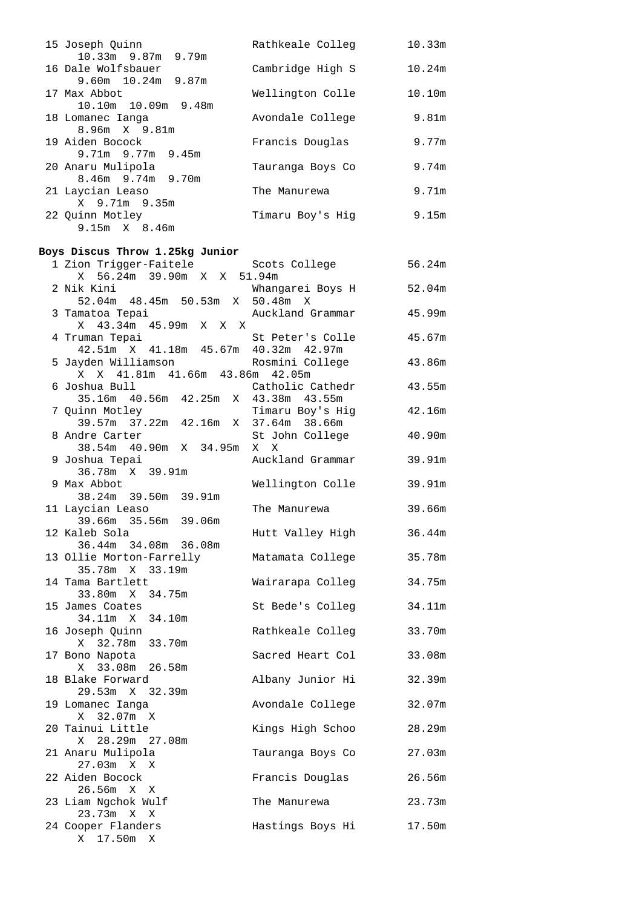| 15 Joseph Quinn                                            | Rathkeale Colleg                     | 10.33m            |
|------------------------------------------------------------|--------------------------------------|-------------------|
| 10.33m 9.87m 9.79m<br>16 Dale Wolfsbauer                   | Cambridge High S                     | 10.24m            |
| 9.60m  10.24m  9.87m<br>17 Max Abbot                       | Wellington Colle                     | 10.10m            |
| 10.10m  10.09m  9.48m<br>18 Lomanec Ianga<br>8.96m X 9.81m | Avondale College                     | 9.81 <sub>m</sub> |
| 19 Aiden Bocock<br>9.71m 9.77m 9.45m                       | Francis Douglas                      | 9.77m             |
| 20 Anaru Mulipola<br>8.46m 9.74m 9.70m                     | Tauranga Boys Co                     | 9.74m             |
| 21 Laycian Leaso<br>X 9.71m 9.35m                          | The Manurewa                         | 9.71m             |
| 22 Quinn Motley<br>9.15m X 8.46m                           | Timaru Boy's Hig                     | 9.15m             |
| Boys Discus Throw 1.25kg Junior                            |                                      |                   |
| 1 Zion Trigger-Faitele<br>X 56.24m 39.90m X X 51.94m       | Scots College                        | 56.24m            |
| 2 Nik Kini<br>52.04m 48.45m 50.53m X 50.48m X              | Whangarei Boys H                     | 52.04m            |
| 3 Tamatoa Tepai<br>X 43.34m 45.99m X X X                   | Auckland Grammar                     | 45.99m            |
| 4 Truman Tepai<br>42.51m X 41.18m 45.67m 40.32m 42.97m     | St Peter's Colle                     | 45.67m            |
| 5 Jayden Williamson<br>X X 41.81m 41.66m 43.86m 42.05m     | Rosmini College                      | 43.86m            |
| 6 Joshua Bull<br>35.16m  40.56m  42.25m  X  43.38m  43.55m | Catholic Cathedr                     | 43.55m            |
| 7 Quinn Motley<br>$39.57m$ 37.22m 42.16m X 37.64m 38.66m   | Timaru Boy's Hig                     | 42.16m            |
| 8 Andre Carter<br>38.54m 40.90m X 34.95m X X               | St John College                      | 40.90m            |
| 9 Joshua Tepai<br>36.78m X 39.91m                          | Auckland Grammar                     | 39.91m            |
| 9 Max Abbot<br>38.24m 39.50m 39.91m                        | Wellington Colle                     | 39.91m            |
| 11 Laycian Leaso<br>39.66m 35.56m 39.06m                   | The Manurewa                         | 39.66m            |
| 12 Kaleb Sola<br>36.44m 34.08m 36.08m                      | Hutt Valley High                     | 36.44m            |
| 13 Ollie Morton-Farrelly<br>35.78m X 33.19m                | Matamata College                     | 35.78m            |
| 14 Tama Bartlett<br>33.80m X 34.75m                        | Wairarapa Colleg                     | 34.75m            |
| 15 James Coates<br>34.11m X<br>34.10m<br>16 Joseph Quinn   | St Bede's Colleg<br>Rathkeale Colleg | 34.11m<br>33.70m  |
| X 32.78m 33.70m<br>17 Bono Napota                          | Sacred Heart Col                     | 33.08m            |
| X 33.08m 26.58m<br>18 Blake Forward                        | Albany Junior Hi                     | 32.39m            |
| 29.53m X 32.39m<br>19 Lomanec Ianga                        | Avondale College                     | 32.07m            |
| X 32.07m X<br>20 Tainui Little                             | Kings High Schoo                     | 28.29m            |
| X 28.29m 27.08m<br>21 Anaru Mulipola                       | Tauranga Boys Co                     | 27.03m            |
| 27.03m X X<br>22 Aiden Bocock                              | Francis Douglas                      | 26.56m            |
| 26.56m X X<br>23 Liam Ngchok Wulf                          | The Manurewa                         | 23.73m            |
| 23.73m X X<br>24 Cooper Flanders                           | Hastings Boys Hi                     | 17.50m            |
| X 17.50m X                                                 |                                      |                   |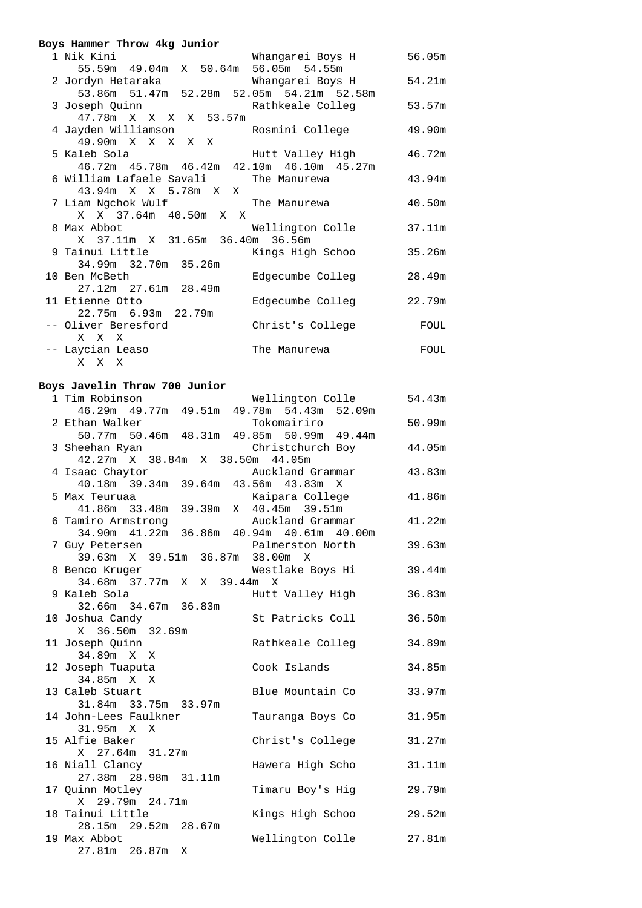| Boys Hammer Throw 4kg Junior                                          |                         |        |
|-----------------------------------------------------------------------|-------------------------|--------|
| 1 Nik Kini                                                            | Whangarei Boys H 56.05m |        |
| 55.59m 49.04m X 50.64m 56.05m 54.55m                                  |                         |        |
| 2 Jordyn Hetaraka                     Whangarei Boys H         54.21m |                         |        |
| 53.86m 51.47m 52.28m 52.05m 54.21m 52.58m                             |                         |        |
| 3 Joseph Quinn (3.57m) Rathkeale Colleg (53.57m)                      |                         |        |
| 47.78m X X X X 53.57m                                                 |                         |        |
| 4 Jayden Williamson         Rosmini College                           |                         | 49.90m |
| 49.90m X X X X X                                                      |                         |        |
| 5 Kaleb Sola                                                          | Hutt Valley High 46.72m |        |
| 46.72m  45.78m  46.42m  42.10m  46.10m  45.27m                        |                         |        |
| 6 William Lafaele Savali The Manurewa                                 |                         | 43.94m |
| 43.94m X X 5.78m X X                                                  |                         |        |
| 7 Liam Ngchok Wulf                       The Manurewa                 |                         | 40.50m |
| X X 37.64m 40.50m X X                                                 |                         |        |
| 8 Max Abbot                                                           | Wellington Colle        | 37.11m |
| X 37.11m X 31.65m 36.40m 36.56m                                       |                         |        |
| 9 Tainui Little                       Kings High Schoo                |                         | 35.26m |
| 34.99m 32.70m 35.26m                                                  |                         |        |
| 10 Ben McBeth                                                         | Edgecumbe Colleg        | 28.49m |
| 27.12m  27.61m  28.49m                                                |                         |        |
| 11 Etienne Otto                                                       | Edgecumbe Colleg 22.79m |        |
| 22.75m 6.93m 22.79m                                                   |                         |        |
| -- Oliver Beresford                                                   | Christ's College        | FOUL   |
| X X X                                                                 |                         |        |
| -- Laycian Leaso                                                      | The Manurewa            | FOUL   |
| x x x                                                                 |                         |        |
|                                                                       |                         |        |

#### **Boys Javelin Throw 700 Junior**

| 1 Tim Robinson                                 | Wellington Colle | 54.43m |
|------------------------------------------------|------------------|--------|
| 46.29m  49.77m  49.51m  49.78m  54.43m  52.09m |                  |        |
| 2 Ethan Walker                                 | Tokomairiro      | 50.99m |
| 50.77m 50.46m 48.31m 49.85m 50.99m 49.44m      |                  |        |
| 3 Sheehan Ryan                                 | Christchurch Boy | 44.05m |
| 42.27m X 38.84m X 38.50m 44.05m                |                  |        |
| 4 Isaac Chaytor                                | Auckland Grammar | 43.83m |
| 40.18m 39.34m 39.64m 43.56m 43.83m             | X                |        |
| 5 Max Teuruaa                                  | Kaipara College  | 41.86m |
| 41.86m 33.48m 39.39m X 40.45m 39.51m           |                  |        |
| 6 Tamiro Armstrong                             | Auckland Grammar | 41.22m |
| 34.90m  41.22m  36.86m  40.94m  40.61m  40.00m |                  |        |
| 7 Guy Petersen                                 | Palmerston North | 39.63m |
| 39.63m X 39.51m 36.87m 38.00m X                |                  |        |
| 8 Benco Kruger                                 | Westlake Boys Hi | 39.44m |
| 34.68m 37.77m X X 39.44m X                     |                  |        |
| 9 Kaleb Sola                                   | Hutt Valley High | 36.83m |
| 32.66m 34.67m 36.83m                           |                  |        |
| 10 Joshua Candy                                | St Patricks Coll | 36.50m |
| 36.50m 32.69m<br>X                             |                  |        |
| 11 Joseph Quinn                                | Rathkeale Colleg | 34.89m |
| 34.89m X X                                     |                  |        |
| 12 Joseph Tuaputa                              | Cook Islands     | 34.85m |
| 34.85m X X                                     |                  |        |
| 13 Caleb Stuart                                | Blue Mountain Co | 33.97m |
| 31.84m 33.75m 33.97m                           |                  |        |
| 14 John-Lees Faulkner                          | Tauranga Boys Co | 31.95m |
| 31.95m X X                                     |                  |        |
| 15 Alfie Baker                                 | Christ's College | 31.27m |
| X 27.64m 31.27m                                |                  |        |
| 16 Niall Clancy                                | Hawera High Scho | 31.11m |
| 27.38m 28.98m 31.11m                           |                  |        |
| 17 Quinn Motley<br>X 29.79m 24.71m             | Timaru Boy's Hig | 29.79m |
| 18 Tainui Little                               | Kings High Schoo | 29.52m |
| 28.15m 29.52m 28.67m                           |                  |        |
| 19 Max Abbot                                   | Wellington Colle | 27.81m |
| 27.81m 26.87m<br>X                             |                  |        |
|                                                |                  |        |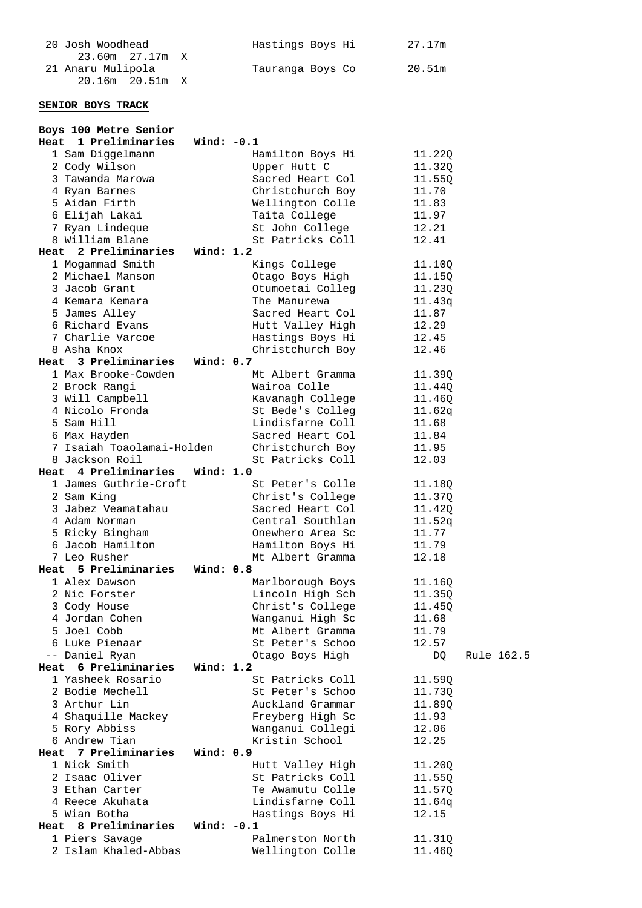| 20 Josh Woodhead  | Hastings Boys Hi | 27.17m |
|-------------------|------------------|--------|
| 23.60m 27.17m X   |                  |        |
| 21 Anaru Mulipola | Tauranga Boys Co | 20.51m |
|                   |                  |        |

### **SENIOR BOYS TRACK**

| Boys 100 Metre Senior   |                           |                  |        |            |
|-------------------------|---------------------------|------------------|--------|------------|
| 1 Preliminaries<br>Heat | Wind: $-0.1$              |                  |        |            |
| 1 Sam Diggelmann        |                           | Hamilton Boys Hi | 11.22Q |            |
| 2 Cody Wilson           |                           | Upper Hutt C     | 11.32Q |            |
| 3 Tawanda Marowa        |                           | Sacred Heart Col | 11.55Q |            |
| 4 Ryan Barnes           |                           | Christchurch Boy | 11.70  |            |
| 5 Aidan Firth           |                           | Wellington Colle | 11.83  |            |
| 6 Elijah Lakai          |                           | Taita College    | 11.97  |            |
| 7 Ryan Lindeque         |                           | St John College  | 12.21  |            |
| 8 William Blane         |                           | St Patricks Coll | 12.41  |            |
| 2 Preliminaries<br>Heat | Wind: 1.2                 |                  |        |            |
| 1 Mogammad Smith        |                           | Kings College    | 11.10Q |            |
| 2 Michael Manson        |                           | Otago Boys High  | 11.15Q |            |
| 3 Jacob Grant           |                           | Otumoetai Colleg | 11.23Q |            |
| 4 Kemara Kemara         |                           | The Manurewa     | 11.43q |            |
| 5 James Alley           |                           | Sacred Heart Col | 11.87  |            |
| 6 Richard Evans         |                           | Hutt Valley High | 12.29  |            |
| 7 Charlie Varcoe        |                           | Hastings Boys Hi | 12.45  |            |
| 8 Asha Knox             |                           | Christchurch Boy | 12.46  |            |
| 3 Preliminaries<br>Heat | Wind: 0.7                 |                  |        |            |
| 1 Max Brooke-Cowden     |                           | Mt Albert Gramma | 11.39Q |            |
| 2 Brock Rangi           |                           | Wairoa Colle     | 11.44Q |            |
| 3 Will Campbell         |                           | Kavanagh College | 11.46Q |            |
| 4 Nicolo Fronda         |                           | St Bede's Colleg | 11.62q |            |
| 5 Sam Hill              |                           | Lindisfarne Coll | 11.68  |            |
| 6 Max Hayden            |                           | Sacred Heart Col | 11.84  |            |
|                         | 7 Isaiah Toaolamai-Holden | Christchurch Boy | 11.95  |            |
| 8 Jackson Roil          |                           | St Patricks Coll | 12.03  |            |
| 4 Preliminaries<br>Heat | <b>Wind: 1.0</b>          |                  |        |            |
| 1 James Guthrie-Croft   |                           | St Peter's Colle | 11.18Q |            |
| 2 Sam King              |                           | Christ's College | 11.37Q |            |
| 3 Jabez Veamatahau      |                           | Sacred Heart Col | 11.42Q |            |
| 4 Adam Norman           |                           | Central Southlan | 11.52q |            |
| 5 Ricky Bingham         |                           | Onewhero Area Sc | 11.77  |            |
| 6 Jacob Hamilton        |                           | Hamilton Boys Hi | 11.79  |            |
| 7 Leo Rusher            |                           | Mt Albert Gramma | 12.18  |            |
| 5 Preliminaries<br>Heat | Wind: 0.8                 |                  |        |            |
| 1 Alex Dawson           |                           | Marlborough Boys | 11.16Q |            |
| 2 Nic Forster           |                           | Lincoln High Sch | 11.35Q |            |
| 3 Cody House            |                           | Christ's College | 11.450 |            |
| 4 Jordan Cohen          |                           | Wanganui High Sc | 11.68  |            |
| 5 Joel Cobb             |                           | Mt Albert Gramma | 11.79  |            |
| 6 Luke Pienaar          |                           | St Peter's Schoo | 12.57  |            |
| -- Daniel Ryan          |                           | Otago Boys High  | DQ     | Rule 162.5 |
| Heat 6 Preliminaries    | Wind: 1.2                 |                  |        |            |
| 1 Yasheek Rosario       |                           | St Patricks Coll | 11.59Q |            |
| 2 Bodie Mechell         |                           | St Peter's Schoo | 11.73Q |            |
| 3 Arthur Lin            |                           | Auckland Grammar | 11.89Q |            |
| 4 Shaquille Mackey      |                           | Freyberg High Sc | 11.93  |            |
| 5 Rory Abbiss           |                           | Wanganui Collegi | 12.06  |            |
| 6 Andrew Tian           |                           | Kristin School   | 12.25  |            |
| Heat 7 Preliminaries    | <b>Wind: 0.9</b>          |                  |        |            |
| 1 Nick Smith            |                           | Hutt Valley High | 11.20Q |            |
| 2 Isaac Oliver          |                           | St Patricks Coll | 11.55Q |            |
| 3 Ethan Carter          |                           | Te Awamutu Colle | 11.57Q |            |
| 4 Reece Akuhata         |                           | Lindisfarne Coll | 11.64q |            |
| 5 Wian Botha            |                           | Hastings Boys Hi | 12.15  |            |
| Heat 8 Preliminaries    | Wind: -0.1                |                  |        |            |
| 1 Piers Savage          |                           | Palmerston North | 11.31Q |            |
| 2 Islam Khaled-Abbas    |                           | Wellington Colle | 11.46Q |            |
|                         |                           |                  |        |            |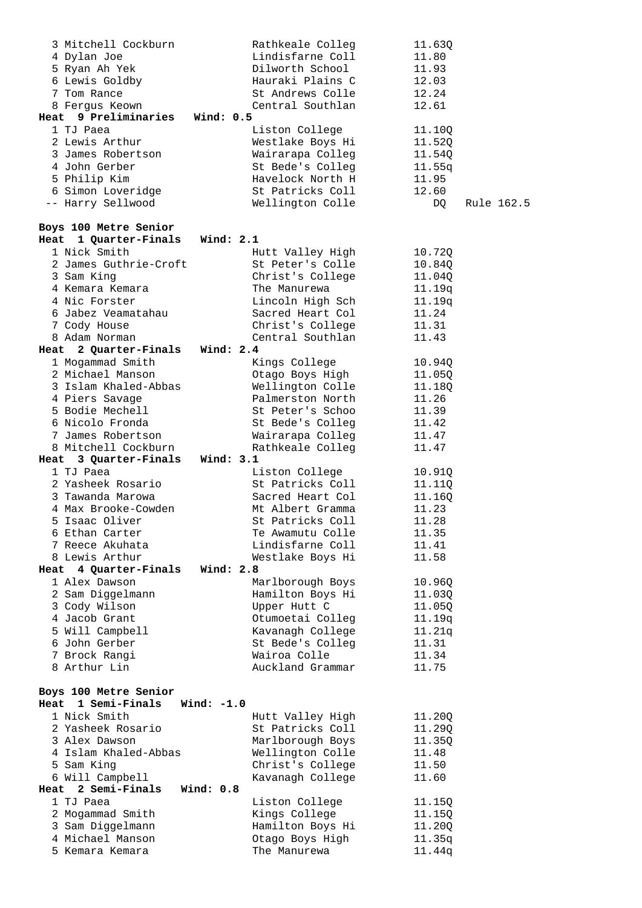| 3 Mitchell Cockburn             | Rathkeale Colleg | 11.63Q           |
|---------------------------------|------------------|------------------|
| 4 Dylan Joe                     | Lindisfarne Coll | 11.80            |
| 5 Ryan Ah Yek                   | Dilworth School  | 11.93            |
| 6 Lewis Goldby                  | Hauraki Plains C | 12.03            |
| 7 Tom Rance                     | St Andrews Colle | 12.24            |
| 8 Fergus Keown                  | Central Southlan | 12.61            |
| Heat 9 Preliminaries Wind: 0.5  |                  |                  |
| 1 TJ Paea                       | Liston College   | 11.10Q           |
| 2 Lewis Arthur                  | Westlake Boys Hi | 11.52Q           |
| 3 James Robertson               | Wairarapa Colleg | 11.54Q           |
| 4 John Gerber                   | St Bede's Colleg | 11.55q           |
|                                 | Havelock North H | 11.95            |
| 5 Philip Kim                    |                  |                  |
| 6 Simon Loveridge               | St Patricks Coll | 12.60            |
| -- Harry Sellwood               | Wellington Colle | DQ<br>Rule 162.5 |
|                                 |                  |                  |
| Boys 100 Metre Senior           |                  |                  |
| Heat 1 Quarter-Finals Wind: 2.1 |                  |                  |
| 1 Nick Smith                    | Hutt Valley High | 10.72Q           |
| 2 James Guthrie-Croft           | St Peter's Colle | 10.84Q           |
| 3 Sam King                      | Christ's College | 11.040           |
| 4 Kemara Kemara                 | The Manurewa     | 11.19q           |
| 4 Nic Forster                   | Lincoln High Sch | 11.19q           |
| 6 Jabez Veamatahau              | Sacred Heart Col | 11.24            |
| 7 Cody House                    | Christ's College | 11.31            |
| 8 Adam Norman                   | Central Southlan | 11.43            |
| Heat 2 Quarter-Finals Wind: 2.4 |                  |                  |
| 1 Mogammad Smith                | Kings College    | 10.94Q           |
| 2 Michael Manson                | Otago Boys High  | 11.05Q           |
| 3 Islam Khaled-Abbas            | Wellington Colle | 11.18Q           |
| 4 Piers Savage                  | Palmerston North | 11.26            |
| 5 Bodie Mechell                 | St Peter's Schoo | 11.39            |
| 6 Nicolo Fronda                 |                  | 11.42            |
|                                 | St Bede's Colleg |                  |
| 7 James Robertson               | Wairarapa Colleg | 11.47            |
|                                 |                  |                  |
| 8 Mitchell Cockburn             | Rathkeale Colleg | 11.47            |
| Heat 3 Quarter-Finals Wind: 3.1 |                  |                  |
| 1 TJ Paea                       | Liston College   | 10.91Q           |
| 2 Yasheek Rosario               | St Patricks Coll | 11.11Q           |
| 3 Tawanda Marowa                | Sacred Heart Col | 11.16Q           |
| 4 Max Brooke-Cowden             | Mt Albert Gramma | 11.23            |
| 5 Isaac Oliver                  | St Patricks Coll | 11.28            |
| 6 Ethan Carter                  | Te Awamutu Colle | 11.35            |
| 7 Reece Akuhata                 | Lindisfarne Coll | 11.41            |
| 8 Lewis Arthur                  | Westlake Boys Hi | 11.58            |
| 4 Quarter-Finals<br>Heat        | Wind: 2.8        |                  |
| 1 Alex Dawson                   | Marlborough Boys | 10.96Q           |
| 2 Sam Diggelmann                | Hamilton Boys Hi | 11.03Q           |
| 3 Cody Wilson                   | Upper Hutt C     | 11.05Q           |
| 4 Jacob Grant                   | Otumoetai Colleq |                  |
|                                 |                  | 11.19q           |
| 5 Will Campbell                 | Kavanagh College | 11.21q           |
| 6 John Gerber                   | St Bede's Colleg | 11.31            |
| 7 Brock Rangi                   | Wairoa Colle     | 11.34            |
| 8 Arthur Lin                    | Auckland Grammar | 11.75            |
|                                 |                  |                  |
| Boys 100 Metre Senior           |                  |                  |
| 1 Semi-Finals<br>Heat           | Wind: $-1.0$     |                  |
| 1 Nick Smith                    | Hutt Valley High | 11.20Q           |
| 2 Yasheek Rosario               | St Patricks Coll | 11.29Q           |
| 3 Alex Dawson                   | Marlborough Boys | 11.35Q           |
| 4 Islam Khaled-Abbas            | Wellington Colle | 11.48            |
| 5 Sam King                      | Christ's College | 11.50            |
| 6 Will Campbell                 | Kavanagh College | 11.60            |
| 2 Semi-Finals<br>Heat           | Wind: 0.8        |                  |
| 1 TJ Paea                       | Liston College   | 11.15Q           |
| 2 Mogammad Smith                | Kings College    | 11.15Q           |
| 3 Sam Diggelmann                | Hamilton Boys Hi | 11.20Q           |
| 4 Michael Manson                | Otago Boys High  | 11.35q<br>11.44q |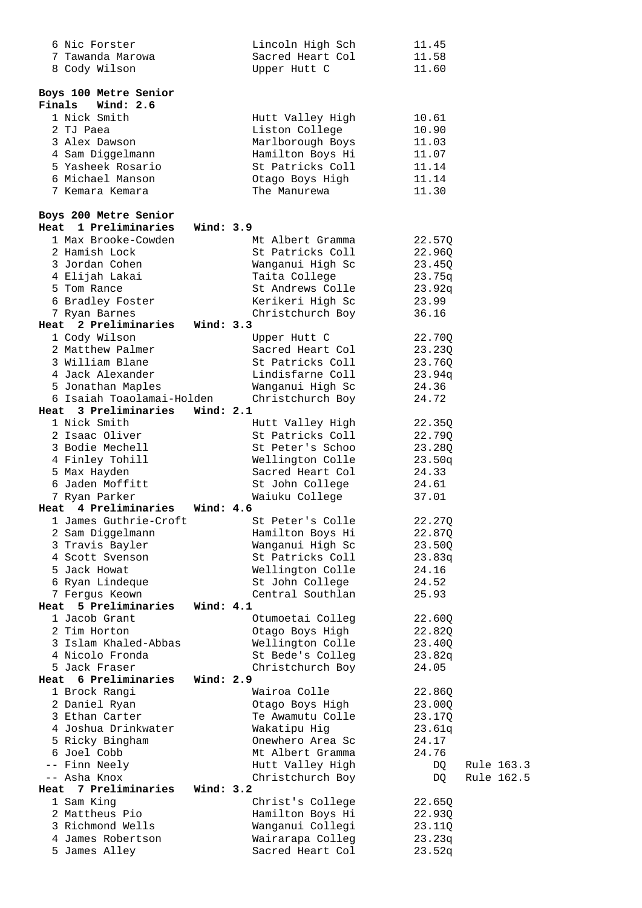| 6 Nic Forster                        | Lincoln High Sch                     | 11.45            |
|--------------------------------------|--------------------------------------|------------------|
| 7 Tawanda Marowa                     | Sacred Heart Col                     | 11.58            |
| 8 Cody Wilson                        | Upper Hutt C                         | 11.60            |
|                                      |                                      |                  |
| Boys 100 Metre Senior                |                                      |                  |
| Finals<br>Wind: 2.6                  |                                      |                  |
| 1 Nick Smith                         | Hutt Valley High                     | 10.61            |
| 2 TJ Paea                            | Liston College                       | 10.90            |
| 3 Alex Dawson                        | Marlborough Boys                     | 11.03            |
| 4 Sam Diggelmann                     | Hamilton Boys Hi                     | 11.07            |
| 5 Yasheek Rosario                    | St Patricks Coll                     | 11.14            |
| 6 Michael Manson                     | Otago Boys High                      | 11.14            |
| 7 Kemara Kemara                      | The Manurewa                         | 11.30            |
|                                      |                                      |                  |
| Boys 200 Metre Senior                |                                      |                  |
| Heat 1 Preliminaries<br>Wind: 3.9    |                                      |                  |
| 1 Max Brooke-Cowden                  | Mt Albert Gramma                     | 22.57Q           |
| 2 Hamish Lock                        | St Patricks Coll                     | 22.96Q           |
| 3 Jordan Cohen                       | Wanganui High Sc                     | 23.45Q           |
| 4 Elijah Lakai                       | Taita College                        | 23.75q           |
| 5 Tom Rance                          | St Andrews Colle                     |                  |
|                                      |                                      | 23.92q           |
| 6 Bradley Foster                     | Kerikeri High Sc                     | 23.99            |
| 7 Ryan Barnes<br>2 Preliminaries     | Christchurch Boy                     | 36.16            |
| Wind: 3.3<br>Heat                    |                                      |                  |
| 1 Cody Wilson                        | Upper Hutt C                         | 22.70Q           |
| 2 Matthew Palmer                     | Sacred Heart Col                     | 23.23Q           |
| 3 William Blane                      | St Patricks Coll                     | 23.76Q           |
| 4 Jack Alexander                     | Lindisfarne Coll                     | 23.94q           |
| 5 Jonathan Maples                    | Wanganui High Sc                     | 24.36            |
| 6 Isaiah Toaolamai-Holden            | Christchurch Boy                     | 24.72            |
| Heat 3 Preliminaries<br>Wind: $2.1$  |                                      |                  |
| 1 Nick Smith                         | Hutt Valley High                     | 22.35Q           |
| 2 Isaac Oliver                       | St Patricks Coll                     | 22.79Q           |
| 3 Bodie Mechell                      | St Peter's Schoo                     | 23.28Q           |
|                                      |                                      |                  |
| 4 Finley Tohill                      | Wellington Colle                     | 23.50q           |
| 5 Max Hayden                         | Sacred Heart Col                     | 24.33            |
| 6 Jaden Moffitt                      | St John College                      | 24.61            |
| 7 Ryan Parker                        |                                      | 37.01            |
| Heat 4 Preliminaries<br>Wind: 4.6    | Waiuku College                       |                  |
| 1 James Guthrie-Croft                | St Peter's Colle                     |                  |
|                                      |                                      | 22.27Q           |
| 2 Sam Diggelmann                     | Hamilton Boys Hi                     | 22.87Q           |
| 3 Travis Bayler                      | Wanganui High Sc                     | 23.50Q           |
| 4 Scott Svenson                      | St Patricks Coll                     | 23.83q           |
| 5 Jack Howat                         | Wellington Colle                     | 24.16            |
| 6 Ryan Lindeque                      | St John College                      | 24.52            |
| 7 Fergus Keown                       | Central Southlan                     | 25.93            |
| Wind: 4.1<br>5 Preliminaries<br>Heat |                                      |                  |
| 1 Jacob Grant                        | Otumoetai Colleg                     | 22.60Q           |
| 2 Tim Horton                         | Otago Boys High                      | 22.82Q           |
| 3 Islam Khaled-Abbas                 | Wellington Colle                     | 23.40Q           |
| 4 Nicolo Fronda                      | St Bede's Colleg                     | 23.82q           |
| 5 Jack Fraser                        | Christchurch Boy                     | 24.05            |
| Heat 6 Preliminaries<br>Wind: 2.9    |                                      |                  |
| 1 Brock Rangi                        | Wairoa Colle                         | 22.86Q           |
| 2 Daniel Ryan                        | Otago Boys High                      | 23.00Q           |
| 3 Ethan Carter                       | Te Awamutu Colle                     | 23.17Q           |
| 4 Joshua Drinkwater                  | Wakatipu Hig                         | 23.61q           |
| 5 Ricky Bingham                      | Onewhero Area Sc                     | 24.17            |
| 6 Joel Cobb                          | Mt Albert Gramma                     | 24.76            |
| -- Finn Neely                        | Hutt Valley High                     | Rule 163.3<br>DQ |
| -- Asha Knox                         | Christchurch Boy                     | DQ<br>Rule 162.5 |
| Wind: 3.2<br>Heat 7 Preliminaries    |                                      |                  |
| 1 Sam King                           | Christ's College                     | 22.65Q           |
| 2 Mattheus Pio                       | Hamilton Boys Hi                     | 22.93Q           |
| 3 Richmond Wells                     | Wanganui Collegi                     | 23.11Q           |
| 4 James Robertson<br>5 James Alley   | Wairarapa Colleg<br>Sacred Heart Col | 23.23q<br>23.52q |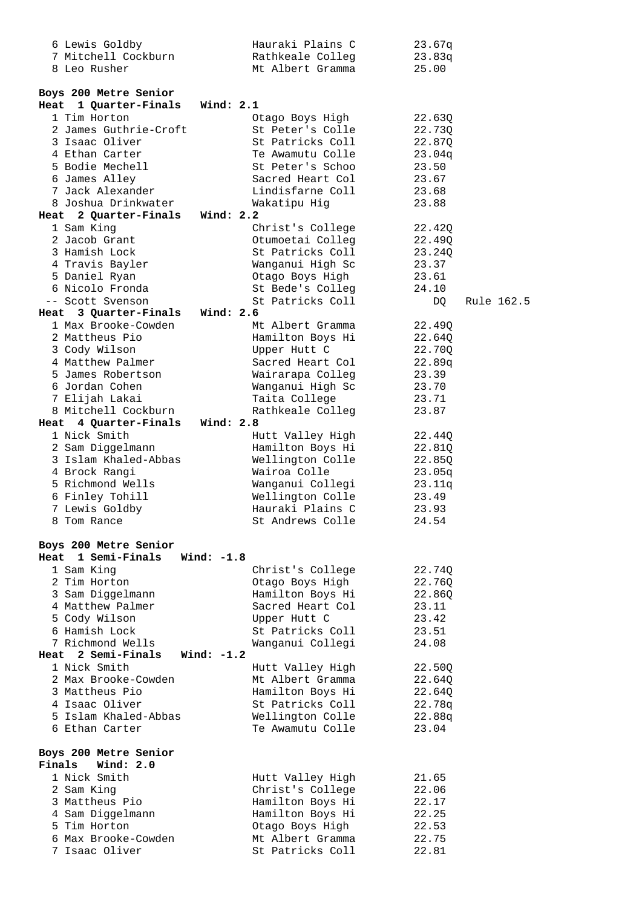| 6 Lewis Goldby                                      | Hauraki Plains C                     | 23.67q           |
|-----------------------------------------------------|--------------------------------------|------------------|
| 7 Mitchell Cockburn                                 | Rathkeale Colleg                     | 23.83q           |
| 8 Leo Rusher                                        | Mt Albert Gramma                     | 25.00            |
|                                                     |                                      |                  |
| Boys 200 Metre Senior                               |                                      |                  |
| Wind: 2.1<br>Heat 1 Quarter-Finals                  |                                      |                  |
| 1 Tim Horton                                        | Otago Boys High                      | 22.63Q           |
| 2 James Guthrie-Croft                               | St Peter's Colle                     | 22.73Q           |
| 3 Isaac Oliver                                      | St Patricks Coll                     | 22.87Q           |
| 4 Ethan Carter                                      | Te Awamutu Colle                     | 23.04q           |
| 5 Bodie Mechell                                     | St Peter's Schoo                     | 23.50            |
| 6 James Alley                                       | Sacred Heart Col                     | 23.67            |
| 7 Jack Alexander                                    | Lindisfarne Coll                     | 23.68            |
| 8 Joshua Drinkwater                                 | Wakatipu Hig                         | 23.88            |
| Heat 2 Quarter-Finals Wind: 2.2                     |                                      |                  |
| 1 Sam King                                          | Christ's College                     | 22.42Q           |
| 2 Jacob Grant                                       | Otumoetai Colleg                     | 22.49Q           |
| 3 Hamish Lock                                       | St Patricks Coll                     | 23.24Q           |
| 4 Travis Bayler                                     | Wanganui High Sc                     | 23.37            |
| 5 Daniel Ryan                                       | Otago Boys High                      | 23.61            |
| 6 Nicolo Fronda                                     | St Bede's Colleg                     | 24.10            |
| -- Scott Svenson                                    | St Patricks Coll                     | Rule 162.5<br>DQ |
| Wind: $2.6$<br>Heat 3 Quarter-Finals                |                                      |                  |
| 1 Max Brooke-Cowden                                 | Mt Albert Gramma                     | 22.49Q           |
| 2 Mattheus Pio                                      | Hamilton Boys Hi                     | 22.64Q           |
| 3 Cody Wilson                                       | Upper Hutt C                         | 22.70Q           |
| 4 Matthew Palmer                                    | Sacred Heart Col                     | 22.89q           |
| 5 James Robertson                                   | Wairarapa Colleg                     | 23.39            |
| 6 Jordan Cohen                                      | Wanganui High Sc                     | 23.70            |
| 7 Elijah Lakai                                      | Taita College                        | 23.71            |
| 8 Mitchell Cockburn                                 | Rathkeale Colleg                     | 23.87            |
| Heat 4 Quarter-Finals<br>Wind: 2.8                  |                                      |                  |
| 1 Nick Smith                                        | Hutt Valley High                     | 22.44Q           |
| 2 Sam Diggelmann                                    | Hamilton Boys Hi                     | 22.81Q           |
| 3 Islam Khaled-Abbas                                | Wellington Colle                     | 22.85Q           |
| 4 Brock Rangi                                       | Wairoa Colle                         | 23.05q           |
| 5 Richmond Wells                                    | Wanganui Collegi                     |                  |
|                                                     |                                      | 23.11q           |
| 6 Finley Tohill<br>7 Lewis Goldby                   | Wellington Colle<br>Hauraki Plains C | 23.49            |
|                                                     |                                      | 23.93            |
| 8 Tom Rance                                         | St Andrews Colle                     | 24.54            |
| Boys 200 Metre Senior                               |                                      |                  |
| Heat 1 Semi-Finals<br>Wind: $-1.8$                  |                                      |                  |
| 1 Sam King                                          | Christ's College                     | 22.74Q           |
| 2 Tim Horton                                        | Otago Boys High                      | 22.76Q           |
| 3 Sam Diggelmann                                    | Hamilton Boys Hi                     | 22.86Q           |
| 4 Matthew Palmer                                    | Sacred Heart Col                     | 23.11            |
| 5 Cody Wilson                                       | Upper Hutt C                         | 23.42            |
| 6 Hamish Lock                                       | St Patricks Coll                     | 23.51            |
| 7 Richmond Wells                                    | Wanganui Collegi                     | 24.08            |
| 2 Semi-Finals<br>Wind: $-1.2$<br>Heat               |                                      |                  |
| 1 Nick Smith                                        | Hutt Valley High                     | 22.50Q           |
| 2 Max Brooke-Cowden                                 | Mt Albert Gramma                     | 22.64Q           |
| 3 Mattheus Pio                                      | Hamilton Boys Hi                     | 22.64Q           |
| 4 Isaac Oliver                                      | St Patricks Coll                     | 22.78q           |
|                                                     |                                      |                  |
| 5 Islam Khaled-Abbas                                | Wellington Colle                     | 22.88q           |
| 6 Ethan Carter                                      | Te Awamutu Colle                     | 23.04            |
|                                                     |                                      |                  |
| Boys 200 Metre Senior<br>Finals<br><b>Wind: 2.0</b> |                                      |                  |
| 1 Nick Smith                                        |                                      |                  |
|                                                     | Hutt Valley High                     | 21.65            |
| 2 Sam King                                          | Christ's College                     | 22.06            |
| 3 Mattheus Pio                                      | Hamilton Boys Hi                     | 22.17            |
| 4 Sam Diggelmann                                    | Hamilton Boys Hi                     | 22.25            |
| 5 Tim Horton                                        | Otago Boys High                      | 22.53            |
| 6 Max Brooke-Cowden                                 | Mt Albert Gramma                     | 22.75            |
| 7 Isaac Oliver                                      | St Patricks Coll                     | 22.81            |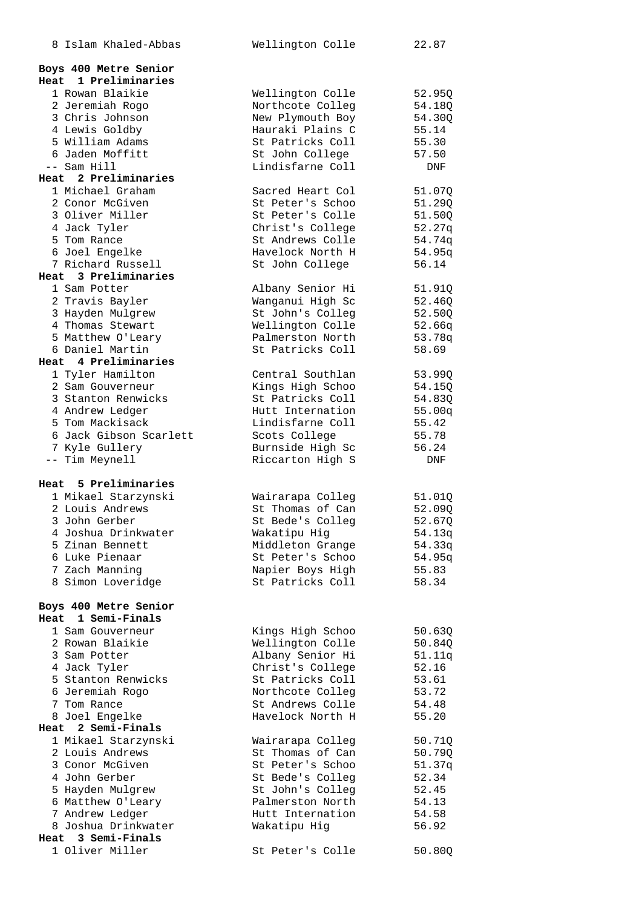| 8 Islam Khaled-Abbas                       | Wellington Colle                     | 22.87            |
|--------------------------------------------|--------------------------------------|------------------|
|                                            |                                      |                  |
| Boys 400 Metre Senior                      |                                      |                  |
| 1 Preliminaries<br>Heat<br>1 Rowan Blaikie |                                      |                  |
| 2 Jeremiah Rogo                            | Wellington Colle<br>Northcote Colleg | 52.95Q<br>54.18Q |
| 3 Chris Johnson                            | New Plymouth Boy                     | 54.30Q           |
| 4 Lewis Goldby                             | Hauraki Plains C                     | 55.14            |
| 5 William Adams                            | St Patricks Coll                     | 55.30            |
| 6 Jaden Moffitt                            | St John College                      | 57.50            |
| $--$ Sam Hill                              | Lindisfarne Coll                     | DNF              |
| Heat 2 Preliminaries                       |                                      |                  |
| 1 Michael Graham                           | Sacred Heart Col                     | 51.07Q           |
| 2 Conor McGiven                            | St Peter's Schoo                     | 51.29Q           |
| 3 Oliver Miller                            | St Peter's Colle                     | 51.50Q           |
| 4 Jack Tyler                               | Christ's College                     | 52.27q           |
| 5 Tom Rance                                | St Andrews Colle                     | 54.74q           |
| 6 Joel Engelke                             | Havelock North H                     | 54.95q           |
| 7 Richard Russell<br>Heat 3 Preliminaries  | St John College                      | 56.14            |
| 1 Sam Potter                               |                                      | 51.91Q           |
| 2 Travis Bayler                            | Albany Senior Hi<br>Wanganui High Sc | 52.46Q           |
| 3 Hayden Mulgrew                           | St John's Colleg                     | 52.50Q           |
| 4 Thomas Stewart                           | Wellington Colle                     | 52.66q           |
| 5 Matthew O'Leary                          | Palmerston North                     | 53.78q           |
| 6 Daniel Martin                            | St Patricks Coll                     | 58.69            |
| Heat 4 Preliminaries                       |                                      |                  |
| 1 Tyler Hamilton                           | Central Southlan                     | 53.99Q           |
| 2 Sam Gouverneur                           | Kings High Schoo                     | 54.15Q           |
| 3 Stanton Renwicks                         | St Patricks Coll                     | 54.83Q           |
| 4 Andrew Ledger                            | Hutt Internation                     | 55.00q           |
| 5 Tom Mackisack                            | Lindisfarne Coll                     | 55.42            |
| 6 Jack Gibson Scarlett                     | Scots College                        | 55.78            |
| 7 Kyle Gullery                             | Burnside High Sc                     | 56.24            |
| -- Tim Meynell                             | Riccarton High S                     | DNF              |
| Heat 5 Preliminaries                       |                                      |                  |
| 1 Mikael Starzynski                        | Wairarapa Colleg                     | 51.01Q           |
| 2 Louis Andrews                            | St Thomas of Can                     | 52.090           |
| 3 John Gerber                              | St Bede's Colleg                     | 52.670           |
| 4 Joshua Drinkwater                        | Wakatipu Hig                         | 54.13q           |
| 5 Zinan Bennett                            | Middleton Grange                     | 54.33q           |
| 6 Luke Pienaar                             | St Peter's Schoo                     | 54.95q           |
| 7 Zach Manning                             | Napier Boys High                     | 55.83            |
| 8 Simon Loveridge                          | St Patricks Coll                     | 58.34            |
|                                            |                                      |                  |
| Boys 400 Metre Senior                      |                                      |                  |
| 1 Semi-Finals<br>Heat                      |                                      |                  |
| 1 Sam Gouverneur<br>2 Rowan Blaikie        | Kings High Schoo<br>Wellington Colle | 50.63Q           |
| 3 Sam Potter                               | Albany Senior Hi                     | 50.84Q<br>51.11q |
| 4 Jack Tyler                               | Christ's College                     | 52.16            |
| 5 Stanton Renwicks                         | St Patricks Coll                     | 53.61            |
| 6 Jeremiah Rogo                            | Northcote Colleg                     | 53.72            |
| 7 Tom Rance                                | St Andrews Colle                     | 54.48            |
| 8 Joel Engelke                             | Havelock North H                     | 55.20            |
| Heat 2 Semi-Finals                         |                                      |                  |
| 1 Mikael Starzynski                        | Wairarapa Colleg                     | 50.71Q           |
| 2 Louis Andrews                            | St Thomas of Can                     | 50.79Q           |
| 3 Conor McGiven                            | St Peter's Schoo                     | 51.37q           |
| 4 John Gerber                              | St Bede's Colleg                     | 52.34            |
| 5 Hayden Mulgrew                           | St John's Colleg                     | 52.45            |
| 6 Matthew O'Leary                          | Palmerston North                     | 54.13            |
| 7 Andrew Ledger                            | Hutt Internation                     | 54.58            |
| 8 Joshua Drinkwater                        | Wakatipu Hig                         | 56.92            |
| Heat 3 Semi-Finals                         |                                      |                  |
| 1 Oliver Miller                            | St Peter's Colle                     | 50.80Q           |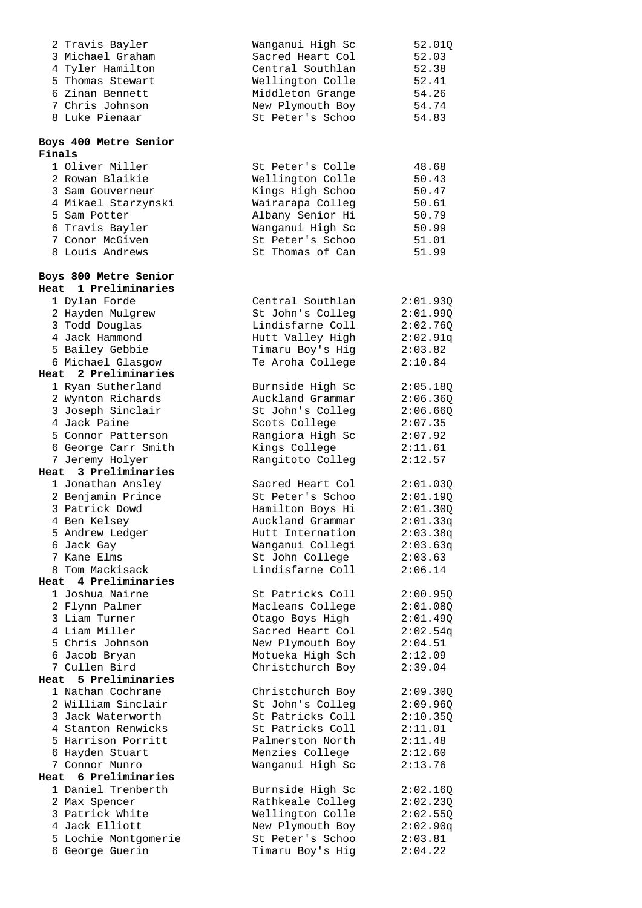| 2 Travis Bayler         | Wanganui High Sc | 52.01Q   |
|-------------------------|------------------|----------|
| 3 Michael Graham        | Sacred Heart Col | 52.03    |
| 4 Tyler Hamilton        | Central Southlan | 52.38    |
| 5 Thomas Stewart        |                  | 52.41    |
|                         | Wellington Colle |          |
| 6 Zinan Bennett         | Middleton Grange | 54.26    |
| 7 Chris Johnson         | New Plymouth Boy | 54.74    |
| 8 Luke Pienaar          | St Peter's Schoo | 54.83    |
|                         |                  |          |
| Boys 400 Metre Senior   |                  |          |
| Finals                  |                  |          |
|                         |                  |          |
| 1 Oliver Miller         | St Peter's Colle | 48.68    |
| 2 Rowan Blaikie         | Wellington Colle | 50.43    |
| 3 Sam Gouverneur        | Kings High Schoo | 50.47    |
| 4 Mikael Starzynski     | Wairarapa Colleg | 50.61    |
| 5 Sam Potter            | Albany Senior Hi | 50.79    |
|                         |                  |          |
| 6 Travis Bayler         | Wanganui High Sc | 50.99    |
| 7 Conor McGiven         | St Peter's Schoo | 51.01    |
| 8 Louis Andrews         | St Thomas of Can | 51.99    |
|                         |                  |          |
| Boys 800 Metre Senior   |                  |          |
| Heat 1 Preliminaries    |                  |          |
| 1 Dylan Forde           | Central Southlan | 2:01.93Q |
| 2 Hayden Mulgrew        | St John's Colleg | 2:01.99Q |
| 3 Todd Douglas          | Lindisfarne Coll | 2:02.76Q |
|                         |                  |          |
| 4 Jack Hammond          | Hutt Valley High | 2:02.91q |
| 5 Bailey Gebbie         | Timaru Boy's Hig | 2:03.82  |
| 6 Michael Glasgow       | Te Aroha College | 2:10.84  |
| 2 Preliminaries<br>Heat |                  |          |
| 1 Ryan Sutherland       | Burnside High Sc | 2:05.18Q |
| 2 Wynton Richards       | Auckland Grammar | 2:06.36Q |
| 3 Joseph Sinclair       | St John's Colleg | 2:06.66Q |
| 4 Jack Paine            | Scots College    | 2:07.35  |
|                         |                  |          |
| 5 Connor Patterson      | Rangiora High Sc | 2:07.92  |
| 6 George Carr Smith     | Kings College    | 2:11.61  |
| 7 Jeremy Holyer         | Rangitoto Colleg | 2:12.57  |
| Heat 3 Preliminaries    |                  |          |
| 1 Jonathan Ansley       | Sacred Heart Col | 2:01.03Q |
| 2 Benjamin Prince       | St Peter's Schoo | 2:01.19Q |
| 3 Patrick Dowd          | Hamilton Boys Hi | 2:01.30Q |
| 4 Ben Kelsey            | Auckland Grammar | 2:01.33q |
|                         |                  |          |
| 5 Andrew Ledger         | Hutt Internation | 2:03.38q |
| 6 Jack Gay              | Wanganui Collegi | 2:03.63q |
| 7 Kane Elms             | St John College  | 2:03.63  |
| 8 Tom Mackisack         | Lindisfarne Coll | 2:06.14  |
| 4 Preliminaries<br>Heat |                  |          |
| 1 Joshua Nairne         | St Patricks Coll | 2:00.95Q |
| 2 Flynn Palmer          | Macleans College | 2:01.08Q |
| 3 Liam Turner           | Otago Boys High  | 2:01.49Q |
| 4 Liam Miller           |                  |          |
|                         | Sacred Heart Col | 2:02.54q |
| 5 Chris Johnson         | New Plymouth Boy | 2:04.51  |
| 6 Jacob Bryan           | Motueka High Sch | 2:12.09  |
| 7 Cullen Bird           | Christchurch Boy | 2:39.04  |
| Heat 5 Preliminaries    |                  |          |
| 1 Nathan Cochrane       | Christchurch Boy | 2:09.30Q |
| 2 William Sinclair      | St John's Colleg | 2:09.96Q |
| 3 Jack Waterworth       | St Patricks Coll | 2:10.35Q |
|                         |                  |          |
| 4 Stanton Renwicks      | St Patricks Coll | 2:11.01  |
| 5 Harrison Porritt      | Palmerston North | 2:11.48  |
| 6 Hayden Stuart         | Menzies College  | 2:12.60  |
| 7 Connor Munro          | Wanganui High Sc | 2:13.76  |
| 6 Preliminaries<br>Heat |                  |          |
| 1 Daniel Trenberth      | Burnside High Sc | 2:02.16Q |
| 2 Max Spencer           | Rathkeale Colleg | 2:02.23Q |
| 3 Patrick White         | Wellington Colle | 2:02.55Q |
| 4 Jack Elliott          | New Plymouth Boy |          |
|                         |                  | 2:02.90q |
| 5 Lochie Montgomerie    | St Peter's Schoo | 2:03.81  |
| 6 George Guerin         | Timaru Boy's Hig | 2:04.22  |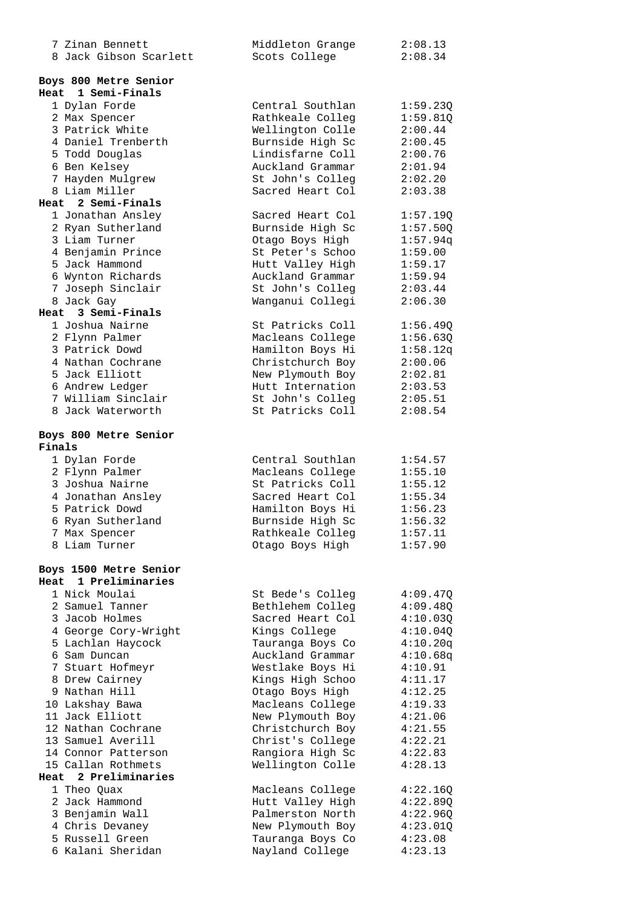| 7 Zinan Bennett                     | Middleton Grange                     | 2:08.13             |
|-------------------------------------|--------------------------------------|---------------------|
| 8 Jack Gibson Scarlett              | Scots College                        | 2:08.34             |
| Boys 800 Metre Senior               |                                      |                     |
| Heat 1 Semi-Finals                  |                                      |                     |
| 1 Dylan Forde                       | Central Southlan                     | 1:59.23Q            |
| 2 Max Spencer                       | Rathkeale Colleg                     | 1:59.81Q            |
| 3 Patrick White                     | Wellington Colle                     | 2:00.44             |
| 4 Daniel Trenberth                  | Burnside High Sc                     | 2:00.45             |
| 5 Todd Douglas                      | Lindisfarne Coll                     | 2:00.76             |
| 6 Ben Kelsey                        | Auckland Grammar                     | 2:01.94             |
| 7 Hayden Mulgrew                    | St John's Colleg                     | 2:02.20             |
| 8 Liam Miller                       | Sacred Heart Col                     | 2:03.38             |
| Heat 2 Semi-Finals                  |                                      |                     |
| 1 Jonathan Ansley                   | Sacred Heart Col                     | 1:57.19Q            |
| 2 Ryan Sutherland                   | Burnside High Sc                     | 1:57.50Q            |
| 3 Liam Turner                       | Otago Boys High<br>St Peter's Schoo  | 1:57.94q<br>1:59.00 |
| 4 Benjamin Prince<br>5 Jack Hammond | Hutt Valley High                     | 1:59.17             |
| 6 Wynton Richards                   | Auckland Grammar                     | 1:59.94             |
| 7 Joseph Sinclair                   | St John's Colleg                     | 2:03.44             |
| 8 Jack Gay                          | Wanganui Collegi                     | 2:06.30             |
| Heat 3 Semi-Finals                  |                                      |                     |
| 1 Joshua Nairne                     | St Patricks Coll                     | 1:56.49Q            |
| 2 Flynn Palmer                      | Macleans College                     | 1:56.630            |
| 3 Patrick Dowd                      | Hamilton Boys Hi                     | 1:58.12q            |
| 4 Nathan Cochrane                   | Christchurch Boy                     | 2:00.06             |
| 5 Jack Elliott                      | New Plymouth Boy                     | 2:02.81             |
| 6 Andrew Ledger                     | Hutt Internation                     | 2:03.53             |
| 7 William Sinclair                  | St John's Colleg                     | 2:05.51             |
| 8 Jack Waterworth                   | St Patricks Coll                     | 2:08.54             |
|                                     |                                      |                     |
| Boys 800 Metre Senior               |                                      |                     |
| Finals                              |                                      |                     |
| 1 Dylan Forde                       | Central Southlan                     | 1:54.57             |
| 2 Flynn Palmer<br>3 Joshua Nairne   | Macleans College<br>St Patricks Coll | 1:55.10<br>1:55.12  |
| 4 Jonathan Ansley                   | Sacred Heart Col                     | 1:55.34             |
| 5 Patrick Dowd                      | Hamilton Boys Hi                     | 1:56.23             |
| 6 Ryan Sutherland                   | Burnside High Sc                     | 1:56.32             |
| 7 Max Spencer                       | Rathkeale Colleg                     | 1:57.11             |
| 8 Liam Turner                       | Otago Boys High                      | 1:57.90             |
|                                     |                                      |                     |
| Boys 1500 Metre Senior              |                                      |                     |
| Heat 1 Preliminaries                |                                      |                     |
| 1 Nick Moulai                       | St Bede's Colleg                     | 4:09.47Q            |
| 2 Samuel Tanner                     | Bethlehem Colleg                     | 4:09.48Q            |
| 3 Jacob Holmes                      | Sacred Heart Col                     | 4:10.03Q            |
| 4 George Cory-Wright                | Kings College                        | 4:10.04Q            |
| 5 Lachlan Haycock                   | Tauranga Boys Co                     | 4:10.20q            |
| 6 Sam Duncan                        | Auckland Grammar                     | 4:10.68q            |
| 7 Stuart Hofmeyr                    | Westlake Boys Hi                     | 4:10.91             |
| 8 Drew Cairney                      | Kings High Schoo                     | 4:11.17             |
| 9 Nathan Hill                       | Otago Boys High                      | 4:12.25             |
| 10 Lakshay Bawa<br>11 Jack Elliott  | Macleans College<br>New Plymouth Boy | 4:19.33<br>4:21.06  |
| 12 Nathan Cochrane                  | Christchurch Boy                     | 4:21.55             |
| 13 Samuel Averill                   | Christ's College                     | 4:22.21             |
| 14 Connor Patterson                 | Rangiora High Sc                     | 4:22.83             |
| 15 Callan Rothmets                  | Wellington Colle                     | 4:28.13             |
| Heat 2 Preliminaries                |                                      |                     |
| 1 Theo Quax                         | Macleans College                     | 4:22.16Q            |
| 2 Jack Hammond                      | Hutt Valley High                     | 4:22.89Q            |
| 3 Benjamin Wall                     | Palmerston North                     | 4:22.96Q            |
| 4 Chris Devaney                     | New Plymouth Boy                     | 4:23.01Q            |
| 5 Russell Green                     | Tauranga Boys Co                     | 4:23.08             |
| 6 Kalani Sheridan                   | Nayland College                      | 4:23.13             |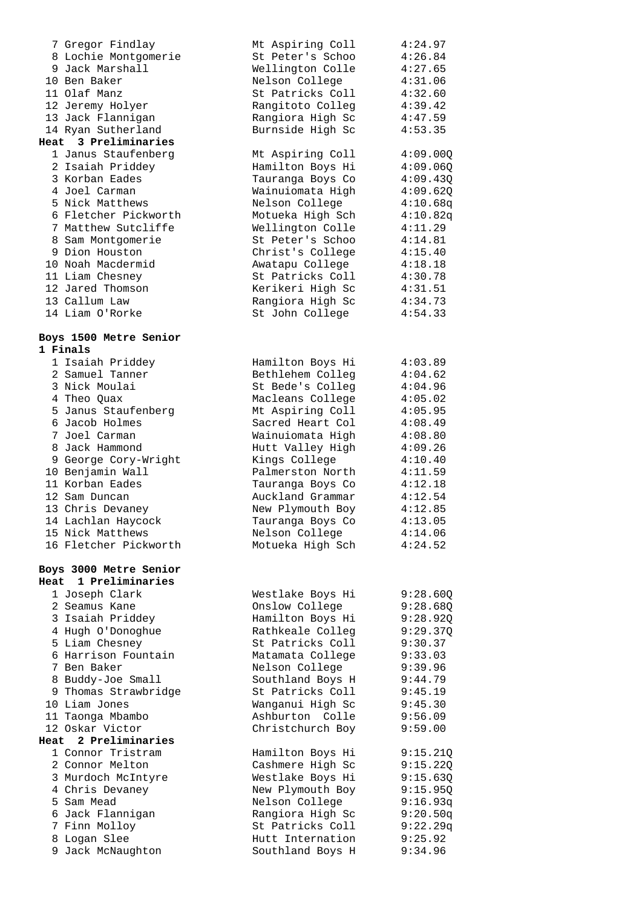|      | 7 Gregor Findlay                          | Mt Aspiring Coll                     | 4:24.97              |
|------|-------------------------------------------|--------------------------------------|----------------------|
|      | 8 Lochie Montgomerie                      | St Peter's Schoo                     | 4:26.84              |
|      | 9 Jack Marshall                           | Wellington Colle                     | 4:27.65              |
|      | 10 Ben Baker                              | Nelson College                       | 4:31.06              |
|      | 11 Olaf Manz                              | St Patricks Coll                     | 4:32.60              |
|      | 12 Jeremy Holyer                          | Rangitoto Colleg                     | 4:39.42              |
|      | 13 Jack Flannigan                         | Rangiora High Sc                     | 4:47.59              |
|      | 14 Ryan Sutherland                        | Burnside High Sc                     | 4:53.35              |
| Heat | 3 Preliminaries                           |                                      |                      |
|      | 1 Janus Staufenberg<br>2 Isaiah Priddey   | Mt Aspiring Coll<br>Hamilton Boys Hi | 4:09.000<br>4:09.06Q |
|      | 3 Korban Eades                            | Tauranga Boys Co                     | 4:09.43Q             |
|      | 4 Joel Carman                             | Wainuiomata High                     | 4:09.62Q             |
|      | 5 Nick Matthews                           | Nelson College                       | 4:10.68q             |
|      | 6 Fletcher Pickworth                      | Motueka High Sch                     | 4:10.82q             |
|      | 7 Matthew Sutcliffe                       | Wellington Colle                     | 4:11.29              |
|      | 8 Sam Montgomerie                         | St Peter's Schoo                     | 4:14.81              |
|      | 9 Dion Houston                            | Christ's College                     | 4:15.40              |
|      | 10 Noah Macdermid                         | Awatapu College                      | 4:18.18              |
|      | 11 Liam Chesney                           | St Patricks Coll                     | 4:30.78              |
|      | 12 Jared Thomson                          | Kerikeri High Sc                     | 4:31.51              |
|      | 13 Callum Law                             | Rangiora High Sc                     | 4:34.73              |
|      | 14 Liam O'Rorke                           | St John College                      | 4:54.33              |
|      |                                           |                                      |                      |
|      | Boys 1500 Metre Senior                    |                                      |                      |
|      | 1 Finals                                  |                                      |                      |
|      | 1 Isaiah Priddey                          | Hamilton Boys Hi                     | 4:03.89              |
|      | 2 Samuel Tanner                           | Bethlehem Colleg                     | 4:04.62              |
|      | 3 Nick Moulai                             | St Bede's Colleg                     | 4:04.96              |
|      | 4 Theo Quax                               | Macleans College                     | 4:05.02              |
|      | 5 Janus Staufenberg                       | Mt Aspiring Coll                     | 4:05.95              |
|      | 6 Jacob Holmes<br>7 Joel Carman           | Sacred Heart Col                     | 4:08.49              |
|      | 8 Jack Hammond                            | Wainuiomata High<br>Hutt Valley High | 4:08.80<br>4:09.26   |
|      | 9 George Cory-Wright                      | Kings College                        | 4:10.40              |
|      | 10 Benjamin Wall                          | Palmerston North                     | 4:11.59              |
|      | 11 Korban Eades                           | Tauranga Boys Co                     | 4:12.18              |
|      | 12 Sam Duncan                             | Auckland Grammar                     | 4:12.54              |
|      | 13 Chris Devaney                          | New Plymouth Boy                     | 4:12.85              |
|      | 14 Lachlan Haycock                        | Tauranga Boys Co                     | 4:13.05              |
|      | 15 Nick Matthews                          | Nelson College                       | 4:14.06              |
|      | 16 Fletcher Pickworth                     | Motueka High Sch                     | 4:24.52              |
|      |                                           |                                      |                      |
|      | Boys 3000 Metre Senior                    |                                      |                      |
|      | Heat 1 Preliminaries                      |                                      |                      |
|      | 1 Joseph Clark                            | Westlake Boys Hi                     | 9:28.60Q             |
|      | 2 Seamus Kane                             | Onslow College                       | 9:28.68Q             |
|      | 3 Isaiah Priddey                          | Hamilton Boys Hi                     | 9:28.92Q             |
|      | 4 Hugh O'Donoghue                         | Rathkeale Colleg                     | 9:29.37Q             |
|      | 5 Liam Chesney                            | St Patricks Coll                     | 9:30.37              |
|      | 6 Harrison Fountain                       | Matamata College                     | 9:33.03              |
|      | 7 Ben Baker                               | Nelson College                       | 9:39.96              |
|      | 8 Buddy-Joe Small<br>9 Thomas Strawbridge | Southland Boys H<br>St Patricks Coll | 9:44.79              |
|      | 10 Liam Jones                             | Wanganui High Sc                     | 9:45.19<br>9:45.30   |
|      | 11 Taonga Mbambo                          | Ashburton Colle                      | 9:56.09              |
|      | 12 Oskar Victor                           | Christchurch Boy                     | 9:59.00              |
|      | Heat 2 Preliminaries                      |                                      |                      |
|      | 1 Connor Tristram                         | Hamilton Boys Hi                     | 9:15.21Q             |
|      | 2 Connor Melton                           | Cashmere High Sc                     | 9:15.22Q             |
|      | 3 Murdoch McIntyre                        | Westlake Boys Hi                     | 9:15.63Q             |
|      | 4 Chris Devaney                           | New Plymouth Boy                     | 9:15.95Q             |
|      | 5 Sam Mead                                | Nelson College                       | 9:16.93q             |
|      | 6 Jack Flannigan                          | Rangiora High Sc                     | 9:20.50q             |
|      | 7 Finn Molloy                             | St Patricks Coll                     | 9:22.29q             |
|      | 8 Logan Slee                              | Hutt Internation                     | 9:25.92              |
|      | 9 Jack McNaughton                         | Southland Boys H                     | 9:34.96              |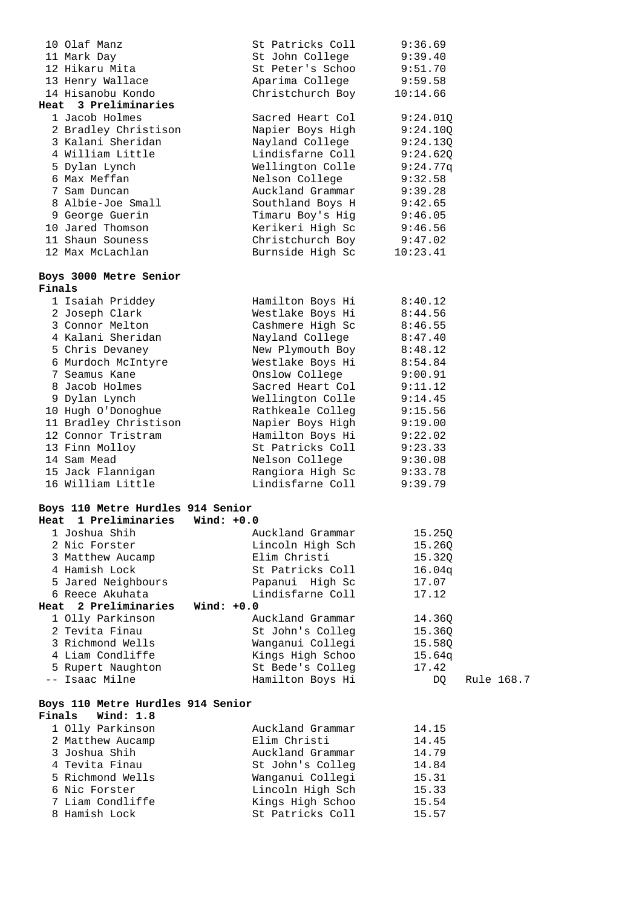|        | 10 Olaf Manz                      |              | St Patricks Coll | 9:36.69  |            |
|--------|-----------------------------------|--------------|------------------|----------|------------|
|        | 11 Mark Day                       |              | St John College  | 9:39.40  |            |
|        | 12 Hikaru Mita                    |              | St Peter's Schoo | 9:51.70  |            |
|        | 13 Henry Wallace                  |              | Aparima College  | 9:59.58  |            |
|        | 14 Hisanobu Kondo                 |              | Christchurch Boy | 10:14.66 |            |
|        | Heat 3 Preliminaries              |              |                  |          |            |
|        | 1 Jacob Holmes                    |              | Sacred Heart Col | 9:24.01Q |            |
|        | 2 Bradley Christison              |              | Napier Boys High | 9:24.10Q |            |
|        | 3 Kalani Sheridan                 |              | Nayland College  | 9:24.13Q |            |
|        | 4 William Little                  |              | Lindisfarne Coll | 9:24.620 |            |
|        | 5 Dylan Lynch                     |              | Wellington Colle | 9:24.77q |            |
|        | 6 Max Meffan                      |              | Nelson College   | 9:32.58  |            |
|        | 7 Sam Duncan                      |              | Auckland Grammar | 9:39.28  |            |
|        | 8 Albie-Joe Small                 |              | Southland Boys H | 9:42.65  |            |
|        | 9 George Guerin                   |              | Timaru Boy's Hig | 9:46.05  |            |
|        | 10 Jared Thomson                  |              | Kerikeri High Sc | 9:46.56  |            |
|        | 11 Shaun Souness                  |              | Christchurch Boy | 9:47.02  |            |
|        | 12 Max McLachlan                  |              | Burnside High Sc | 10:23.41 |            |
|        |                                   |              |                  |          |            |
| Finals | Boys 3000 Metre Senior            |              |                  |          |            |
|        | 1 Isaiah Priddey                  |              | Hamilton Boys Hi | 8:40.12  |            |
|        | 2 Joseph Clark                    |              | Westlake Boys Hi | 8:44.56  |            |
|        | 3 Connor Melton                   |              | Cashmere High Sc | 8:46.55  |            |
|        | 4 Kalani Sheridan                 |              | Nayland College  | 8:47.40  |            |
|        | 5 Chris Devaney                   |              | New Plymouth Boy | 8:48.12  |            |
|        | 6 Murdoch McIntyre                |              | Westlake Boys Hi | 8:54.84  |            |
|        | 7 Seamus Kane                     |              | Onslow College   | 9:00.91  |            |
|        | 8 Jacob Holmes                    |              | Sacred Heart Col | 9:11.12  |            |
|        | 9 Dylan Lynch                     |              | Wellington Colle | 9:14.45  |            |
|        | 10 Hugh O'Donoghue                |              | Rathkeale Colleg | 9:15.56  |            |
|        | 11 Bradley Christison             |              | Napier Boys High | 9:19.00  |            |
|        | 12 Connor Tristram                |              | Hamilton Boys Hi | 9:22.02  |            |
|        | 13 Finn Molloy                    |              | St Patricks Coll | 9:23.33  |            |
|        | 14 Sam Mead                       |              | Nelson College   | 9:30.08  |            |
|        | 15 Jack Flannigan                 |              | Rangiora High Sc | 9:33.78  |            |
|        | 16 William Little                 |              | Lindisfarne Coll | 9:39.79  |            |
|        | Boys 110 Metre Hurdles 914 Senior |              |                  |          |            |
| Heat   | 1 Preliminaries                   | Wind: $+0.0$ |                  |          |            |
|        | 1 Joshua Shih                     |              | Auckland Grammar | 15.25Q   |            |
|        | 2 Nic Forster                     |              | Lincoln High Sch | 15.26Q   |            |
|        | 3 Matthew Aucamp                  |              | Elim Christi     | 15.32Q   |            |
|        | 4 Hamish Lock                     |              | St Patricks Coll | 16.04q   |            |
|        | 5 Jared Neighbours                |              | Papanui High Sc  | 17.07    |            |
|        | 6 Reece Akuhata                   |              | Lindisfarne Coll | 17.12    |            |
| Heat   | 2 Preliminaries                   | Wind: $+0.0$ |                  |          |            |
|        | 1 Olly Parkinson                  |              | Auckland Grammar | 14.36Q   |            |
|        | 2 Tevita Finau                    |              | St John's Colleg | 15.36Q   |            |
|        | 3 Richmond Wells                  |              | Wanganui Collegi | 15.58Q   |            |
|        | 4 Liam Condliffe                  |              | Kings High Schoo | 15.64q   |            |
|        | 5 Rupert Naughton                 |              | St Bede's Colleg | 17.42    |            |
|        | -- Isaac Milne                    |              | Hamilton Boys Hi | DQ       | Rule 168.7 |
|        | Boys 110 Metre Hurdles 914 Senior |              |                  |          |            |
| Finals | Wind: 1.8                         |              |                  |          |            |
|        | 1 Olly Parkinson                  |              | Auckland Grammar | 14.15    |            |
|        | 2 Matthew Aucamp                  |              | Elim Christi     | 14.45    |            |
|        | 3 Joshua Shih                     |              | Auckland Grammar | 14.79    |            |
|        | 4 Tevita Finau                    |              | St John's Colleg | 14.84    |            |
|        | 5 Richmond Wells                  |              | Wanganui Collegi | 15.31    |            |
|        | 6 Nic Forster                     |              | Lincoln High Sch | 15.33    |            |
|        | 7 Liam Condliffe                  |              | Kings High Schoo | 15.54    |            |
|        | 8 Hamish Lock                     |              | St Patricks Coll | 15.57    |            |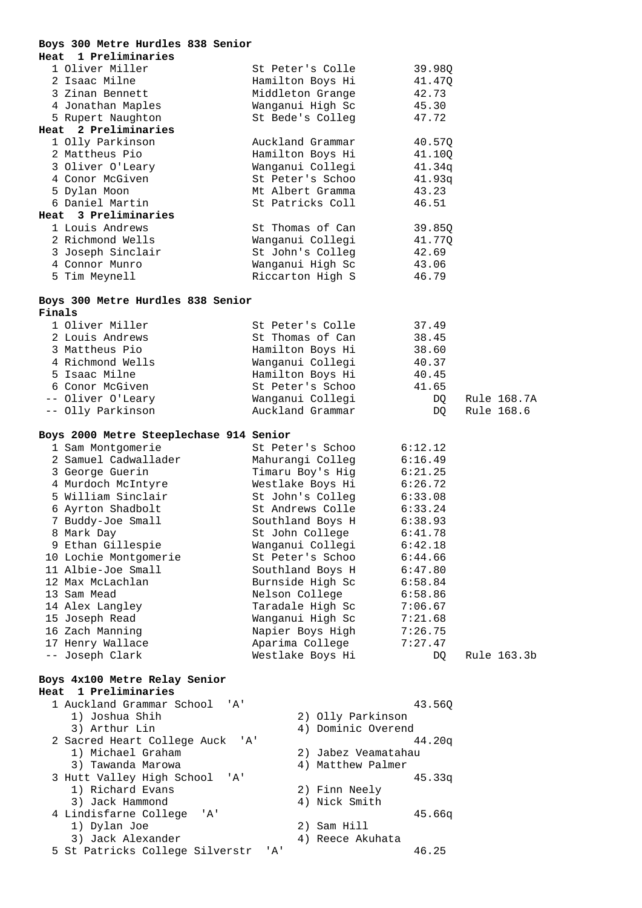|        | Boys 300 Metre Hurdles 838 Senior       |       |                                      |                     |                 |             |
|--------|-----------------------------------------|-------|--------------------------------------|---------------------|-----------------|-------------|
| Heat   | 1 Preliminaries                         |       |                                      |                     |                 |             |
|        | 1 Oliver Miller                         |       | St Peter's Colle                     |                     | 39.98Q          |             |
|        | 2 Isaac Milne                           |       | Hamilton Boys Hi                     |                     | 41.47Q          |             |
|        | 3 Zinan Bennett                         |       | Middleton Grange                     |                     | 42.73           |             |
|        | 4 Jonathan Maples                       |       | Wanganui High Sc                     |                     | 45.30           |             |
|        | 5 Rupert Naughton                       |       | St Bede's Colleg                     |                     | 47.72           |             |
|        | Heat 2 Preliminaries                    |       |                                      |                     |                 |             |
|        | 1 Olly Parkinson<br>2 Mattheus Pio      |       | Auckland Grammar                     |                     | 40.57Q          |             |
|        | 3 Oliver O'Leary                        |       | Hamilton Boys Hi                     |                     | 41.10Q          |             |
|        | 4 Conor McGiven                         |       | Wanganui Collegi<br>St Peter's Schoo |                     | 41.34q          |             |
|        | 5 Dylan Moon                            |       | Mt Albert Gramma                     |                     | 41.93q<br>43.23 |             |
|        | 6 Daniel Martin                         |       | St Patricks Coll                     |                     | 46.51           |             |
|        | Heat 3 Preliminaries                    |       |                                      |                     |                 |             |
|        | 1 Louis Andrews                         |       | St Thomas of Can                     |                     | 39.85Q          |             |
|        | 2 Richmond Wells                        |       | Wanganui Collegi                     |                     | 41.77Q          |             |
|        | 3 Joseph Sinclair                       |       | St John's Colleg                     |                     | 42.69           |             |
|        | 4 Connor Munro                          |       | Wanganui High Sc                     |                     | 43.06           |             |
|        | 5 Tim Meynell                           |       | Riccarton High S                     |                     | 46.79           |             |
|        |                                         |       |                                      |                     |                 |             |
|        | Boys 300 Metre Hurdles 838 Senior       |       |                                      |                     |                 |             |
| Finals |                                         |       |                                      |                     |                 |             |
|        | 1 Oliver Miller                         |       | St Peter's Colle                     |                     | 37.49           |             |
|        | 2 Louis Andrews                         |       | St Thomas of Can                     |                     | 38.45           |             |
|        | 3 Mattheus Pio                          |       | Hamilton Boys Hi                     |                     | 38.60           |             |
|        | 4 Richmond Wells                        |       | Wanganui Collegi                     |                     | 40.37           |             |
|        | 5 Isaac Milne                           |       | Hamilton Boys Hi                     |                     | 40.45           |             |
|        | 6 Conor McGiven                         |       | St Peter's Schoo                     |                     | 41.65           |             |
|        | -- Oliver O'Leary                       |       | Wanganui Collegi<br>Auckland Grammar |                     | DQ              | Rule 168.7A |
|        | -- Olly Parkinson                       |       |                                      |                     | DQ              | Rule 168.6  |
|        | Boys 2000 Metre Steeplechase 914 Senior |       |                                      |                     |                 |             |
|        | 1 Sam Montgomerie                       |       | St Peter's Schoo                     |                     | 6:12.12         |             |
|        | 2 Samuel Cadwallader                    |       | Mahurangi Colleg                     |                     | 6:16.49         |             |
|        | 3 George Guerin                         |       | Timaru Boy's Hig                     |                     | 6:21.25         |             |
|        | 4 Murdoch McIntyre                      |       | Westlake Boys Hi                     |                     | 6:26.72         |             |
|        | 5 William Sinclair                      |       | St John's Colleg                     |                     | 6:33.08         |             |
|        | 6 Ayrton Shadbolt                       |       | St Andrews Colle                     |                     | 6:33.24         |             |
|        | 7 Buddy-Joe Small                       |       | Southland Boys H                     |                     | 6:38.93         |             |
|        | 8 Mark Day                              |       | St John College                      |                     | 6:41.78         |             |
|        | 9 Ethan Gillespie                       |       | Wanganui Collegi                     |                     | 6:42.18         |             |
|        | 10 Lochie Montgomerie                   |       | St Peter's Schoo                     |                     | 6:44.66         |             |
|        | 11 Albie-Joe Small                      |       | Southland Boys H                     |                     | 6:47.80         |             |
|        | 12 Max McLachlan                        |       | Burnside High Sc                     |                     | 6:58.84         |             |
|        | 13 Sam Mead                             |       | Nelson College                       |                     | 6:58.86         |             |
|        | 14 Alex Langley                         |       | Taradale High Sc                     |                     | 7:06.67         |             |
|        | 15 Joseph Read                          |       | Wanganui High Sc                     |                     | 7:21.68         |             |
|        | 16 Zach Manning                         |       | Napier Boys High                     |                     | 7:26.75         |             |
|        | 17 Henry Wallace                        |       | Aparima College                      |                     | 7:27.47         |             |
|        | -- Joseph Clark                         |       | Westlake Boys Hi                     |                     | DQ.             | Rule 163.3b |
|        | Boys 4x100 Metre Relay Senior           |       |                                      |                     |                 |             |
| Heat   | 1 Preliminaries                         |       |                                      |                     |                 |             |
|        | 1 Auckland Grammar School               | ' A ' |                                      |                     | 43.560          |             |
|        | 1) Joshua Shih                          |       |                                      | 2) Olly Parkinson   |                 |             |
|        | 3) Arthur Lin                           |       |                                      | 4) Dominic Overend  |                 |             |
|        | 2 Sacred Heart College Auck             |       | 'A'                                  |                     | 44.20q          |             |
|        | 1) Michael Graham                       |       |                                      | 2) Jabez Veamatahau |                 |             |
|        | 3) Tawanda Marowa                       |       |                                      | 4) Matthew Palmer   |                 |             |
|        | 3 Hutt Valley High School               | 'A'   |                                      |                     | 45.33q          |             |
|        | 1) Richard Evans                        |       |                                      | 2) Finn Neely       |                 |             |
|        | 3) Jack Hammond                         |       |                                      | 4) Nick Smith       |                 |             |
|        | 4 Lindisfarne College                   | 'A'   |                                      |                     | 45.66q          |             |
|        | 1) Dylan Joe                            |       |                                      | 2) Sam Hill         |                 |             |
|        | 3) Jack Alexander                       |       |                                      | 4) Reece Akuhata    |                 |             |
|        | 5 St Patricks College Silverstr         |       | ' A'                                 |                     | 46.25           |             |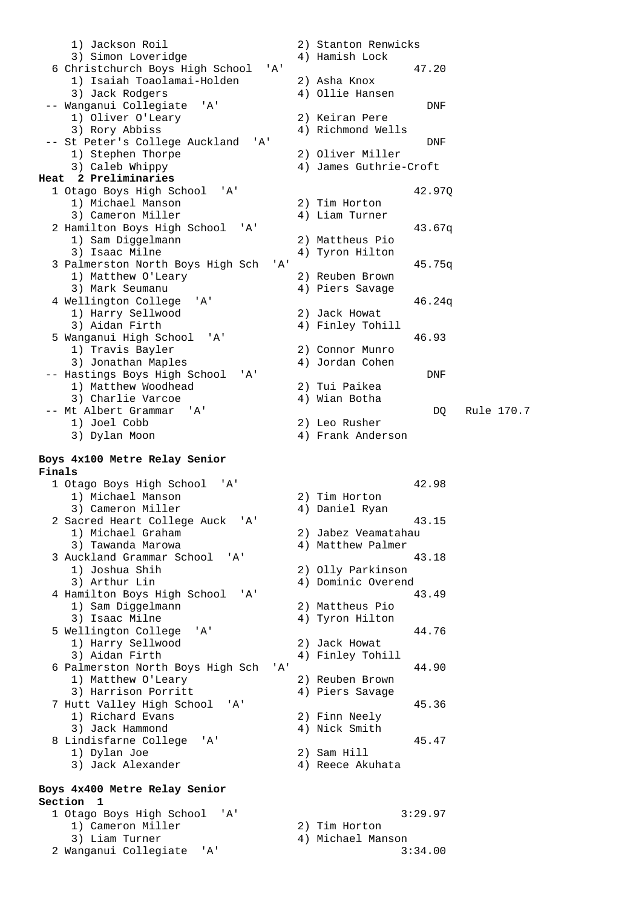1) Jackson Roil 2) Stanton Renwicks 3) Simon Loveridge 4) Hamish Lock 6 Christchurch Boys High School 'A' 47.20 1) Isaiah Toaolamai-Holden 2) Asha Knox 3) Jack Rodgers (3) 4) Ollie Hansen -- Wanganui Collegiate 'A' DNF 1) Oliver O'Leary 2) Keiran Pere 3) Rory Abbiss 4) Richmond Wells -- St Peter's College Auckland 'A' DNF 1) Stephen Thorpe 2) Oliver Miller 3) Caleb Whippy 4) James Guthrie-Croft **Heat 2 Preliminaries**  1 Otago Boys High School 'A' 42.97Q 1) Michael Manson 3) Cameron Miller (4) Liam Turner 2 Hamilton Boys High School 'A' 43.67q 1) Sam Diggelmann 2) Mattheus Pio 3) Isaac Milne  $4)$  Tyron Hilton 3 Palmerston North Boys High Sch 'A' 45.75q<br>1) Matthew O'Leary 2) Reuben Brown 1) Matthew O'Leary 3) Mark Seumanu (4) Piers Savage 4 Wellington College 'A' 46.24q 1) Harry Sellwood 2) Jack Howat<br>3) Aidan Firth 2011 4) Finley Toh: 4) Finley Tohill 5 Wanganui High School 'A' 46.93 1) Travis Bayler 3) Jonathan Maples (4) Jordan Cohen -- Hastings Boys High School 'A' (2) Tui Paikea (2) DNF<br>(2) Tui Paikea (2) DNF 1) Matthew Woodhead 2) Tui Paikea<br>3) Charlie Varcoe 31 (4) Wian Botha 3) Charlie Varcoe -- Mt Albert Grammar 'A' DQ Rule 170.7 1) Joel Cobb 2) Leo Rusher 3) Dylan Moon 4) Frank Anderson **Boys 4x100 Metre Relay Senior Finals**  1 Otago Boys High School 'A' 42.98 1) Michael Manson 2) Tim Horton 3) Cameron Miller 4) Daniel Ryan 2 Sacred Heart College Auck 'A' 43.15 1) Michael Graham 2) Jabez Veamatahau 3) Tawanda Marowa (4) Matthew Palmer 3 Auckland Grammar School 'A' 43.18 1) Joshua Shih 2) Olly Parkinson 3) Arthur Lin 4) Dominic Overend 4 Hamilton Boys High School 'A' 43.49<br>
1) Sam Diggelmann (2) Mattheus Pio 1) Sam Diggelmann<br>3) Isaac Milne 4) Tyron Hilton 5 Wellington College 'A' 44.76 1) Harry Sellwood 2) Jack Howat 3) Aidan Firth 4) Finley Tohill 6 Palmerston North Boys High Sch 'A' 44.90 1) Matthew O'Leary 2) Reuben Brown 3) Harrison Porritt (4) Piers Savage 7 Hutt Valley High School 'A' 45.36 1) Richard Evans 2) Finn Neely 3) Jack Hammond 4) Nick Smith 8 Lindisfarne College 'A' 45.47 1) Dylan Joe 2) Sam Hill 3) Jack Alexander 4) Reece Akuhata **Boys 4x400 Metre Relay Senior Section 1**  1 Otago Boys High School 'A' 3:29.97 1) Cameron Miller 2) Tim Horton 3) Liam Turner (2008) 4) Michael Manson

2 Wanganui Collegiate 'A' 3:34.00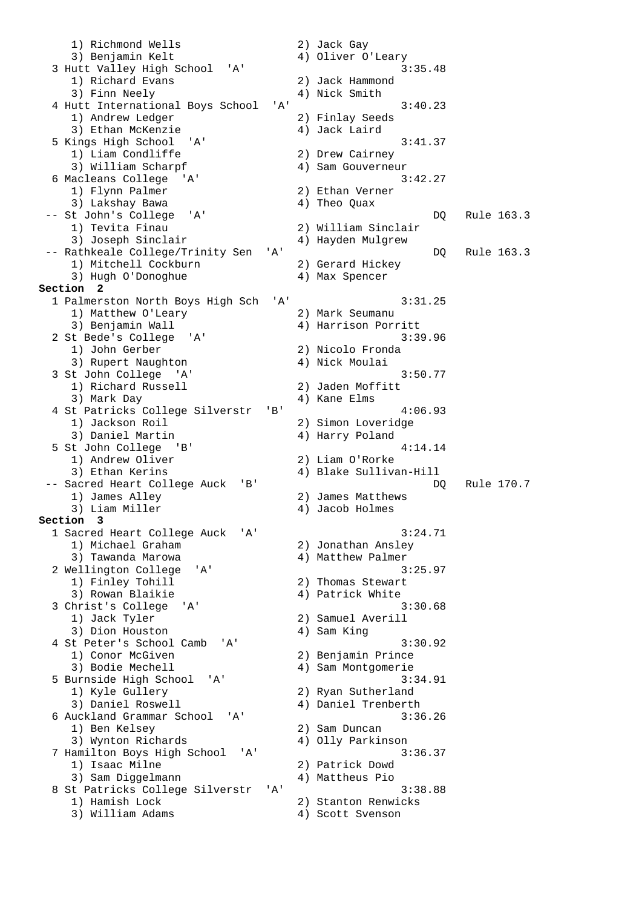1) Richmond Wells 2) Jack Gay 3) Benjamin Kelt (4) Oliver O'Leary<br>4) Oliver O'Leary (3:35.48) 3 Hutt Valley High School 'A' 1) Richard Evans 2) Jack Hammond 3) Finn Neely 4) Nick Smith 4 Hutt International Boys School 'A' 3:40.23 1) Andrew Ledger 2) Finlay Seeds 3) Ethan McKenzie  $4)$  Jack Laird 5 Kings High School 'A' 3:41.37 1) Liam Condliffe 2) Drew Cairney 3) William Scharpf 4) Sam Gouverneur 6 Macleans College 'A' 3:42.27<br>1) Flynn Palmer 2) Ethan Verner 1) Flynn Palmer 2) Ethan Verner 2) 2011<br>3) Lakshay Bawa 21, Theo Quax 3) Lakshay Bawa -- St John's College 'A' DQ Rule 163.3 2) William Sinclair<br>4) Hayden Mulgrew 3) Joseph Sinclair -- Rathkeale College/Trinity Sen 'A' DQ Rule 163.3<br>1) Mitchell Cockburn 2) Gerard Hickey 1) Mitchell Cockburn 2) Gerard Hicke<br>3) Hugh O'Donoghue 3) Max Spencer 3) Hugh O'Donoghue **Section 2**  1 Palmerston North Boys High Sch 'A' 3:31.25<br>1) Matthew O'Leary 2) Mark Seumanu 1) Matthew O'Leary 3) Benjamin Wall 4) Harrison Porritt 2 St Bede's College 'A' 3:39.96<br>1) John Gerber 2) Nicolo Fronda 2) Nicolo Fronda 3) Rupert Naughton 4) Nick Moulai 3 St John College 'A' 3:50.77 1) Richard Russell 2) Jaden Moffitt 3) Mark Day (3) Mark Day (4) Kane Elms 4 St Patricks College Silverstr 'B' 4:06.93 1) Jackson Roil 2) Simon Loveridge 3) Daniel Martin 4) Harry Poland 5 St John College 'B' 4:14.14 1) Andrew Oliver 2) Liam O'Rorke 3) Ethan Kerins 4) Blake Sullivan-Hill -- Sacred Heart College Auck 'B' 1) James Alley 2) James Matthews 3) Liam Miller (4) Jacob Holmes **Section 3**  1 Sacred Heart College Auck 'A' 3:24.71 1) Michael Graham 2) Jonathan Ansley 3) Tawanda Marowa (4) Matthew Palmer 2 Wellington College 'A' 3:25.97 1) Finley Tohill 2) Thomas Stewart 3) Rowan Blaikie (4) Patrick White 3 Christ's College 'A' 3:30.68<br>1) Jack Tyler 2) Samuel Averill 2) Samuel Averill 3) Dion Houston 4) Sam King 4 St Peter's School Camb 'A' 3:30.92 1) Conor McGiven 2) Benjamin Prince 3) Bodie Mechell 4) Sam Montgomerie 5 Burnside High School 'A' 3:34.91 1) Kyle Gullery 2) Ryan Sutherland 3) Daniel Roswell 4) Daniel Trenberth 6 Auckland Grammar School 'A' 3:36.26 1) Ben Kelsey 2) Sam Duncan 3) Wynton Richards 4) Olly Parkinson 7 Hamilton Boys High School 'A' 3:36.37 1) Isaac Milne 2) Patrick Dowd 3) Sam Diggelmann 4) Mattheus Pio 8 St Patricks College Silverstr 'A' 3:38.88 1) Hamish Lock 2) Stanton Renwicks 3) William Adams (4) Scott Svenson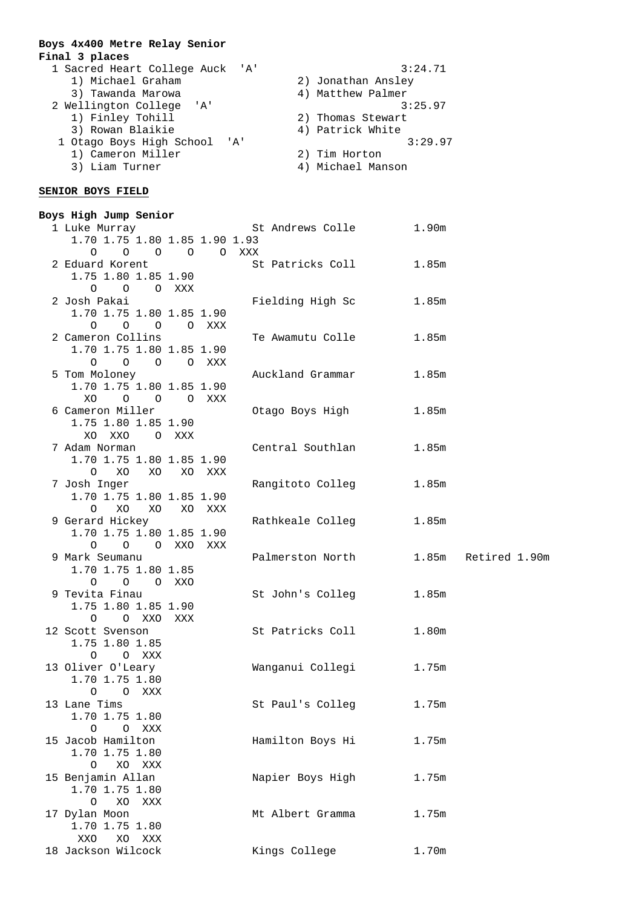### **Boys 4x400 Metre Relay Senior Final 3 places**

| 1 Sacred Heart College Auck 'A'       | 3:24.71            |
|---------------------------------------|--------------------|
| 1) Michael Graham                     | 2) Jonathan Ansley |
| 3) Tawanda Marowa                     | 4) Matthew Palmer  |
| 2 Wellington College 'A'              | 3:25.97            |
| 1) Finley Tohill                      | 2) Thomas Stewart  |
| 3) Rowan Blaikie                      | 4) Patrick White   |
| 1 Otago Boys High School<br>$'$ A $'$ | 3:29.97            |
| 1) Cameron Miller                     | 2) Tim Horton      |
| 3) Liam Turner                        | 4) Michael Manson  |
|                                       |                    |

### **SENIOR BOYS FIELD**

| Boys High Jump Senior                       |           |        |                  |       |               |
|---------------------------------------------|-----------|--------|------------------|-------|---------------|
| 1 Luke Murray                               |           |        | St Andrews Colle | 1.90m |               |
| 1.70 1.75 1.80 1.85 1.90 1.93               |           |        |                  |       |               |
| $\circ$<br>O                                | O O O XXX |        |                  |       |               |
| 2 Eduard Korent                             |           |        | St Patricks Coll | 1.85m |               |
| 1.75 1.80 1.85 1.90                         |           |        |                  |       |               |
| $\circ$<br>$\overline{O}$                   | O XXX     |        |                  |       |               |
| 2 Josh Pakai                                |           |        | Fielding High Sc | 1.85m |               |
| 1.70 1.75 1.80 1.85 1.90                    |           |        |                  |       |               |
| $\circ$<br>$\overline{O}$ $\overline{O}$    |           | O XXX  |                  |       |               |
| 2 Cameron Collins                           |           |        | Te Awamutu Colle | 1.85m |               |
| 1.70 1.75 1.80 1.85 1.90                    |           |        |                  |       |               |
| $O$ $O$ $O$ $XXX$<br>$\circ$                |           |        |                  |       |               |
| 5 Tom Moloney                               |           |        | Auckland Grammar | 1.85m |               |
| 1.70 1.75 1.80 1.85 1.90                    |           |        |                  |       |               |
| XO<br>$\circ$ $\circ$                       |           | O XXX  |                  |       |               |
| 6 Cameron Miller                            |           |        | Otago Boys High  | 1.85m |               |
| 1.75 1.80 1.85 1.90                         |           |        |                  |       |               |
| XO XXO                                      | O XXX     |        |                  |       |               |
| 7 Adam Norman                               |           |        | Central Southlan | 1.85m |               |
| 1.70 1.75 1.80 1.85 1.90                    |           |        |                  |       |               |
| XO<br>$\circ$                               |           |        |                  |       |               |
| XO                                          |           | XO XXX |                  | 1.85m |               |
| 7 Josh Inger<br>1.70 1.75 1.80 1.85 1.90    |           |        | Rangitoto Colleg |       |               |
| XO XO                                       |           |        |                  |       |               |
| $\circ$                                     |           | XO XXX |                  |       |               |
| 9 Gerard Hickey<br>1.70 1.75 1.80 1.85 1.90 |           |        | Rathkeale Colleg | 1.85m |               |
|                                             |           |        |                  |       |               |
| O O O XXO                                   |           | XXX    | Palmerston North | 1.85m | Retired 1.90m |
| 9 Mark Seumanu<br>1.70 1.75 1.80 1.85       |           |        |                  |       |               |
| O XXO<br>O                                  |           |        |                  |       |               |
| 9 Tevita Finau                              |           |        |                  | 1.85m |               |
|                                             |           |        | St John's Colleg |       |               |
| 1.75 1.80 1.85 1.90<br>O XXO<br>$\Omega$    |           |        |                  |       |               |
| 12 Scott Svenson                            | XXX       |        | St Patricks Coll | 1.80m |               |
| 1.75 1.80 1.85                              |           |        |                  |       |               |
|                                             |           |        |                  |       |               |
| O O XXX                                     |           |        |                  |       |               |
| 13 Oliver O'Leary                           |           |        | Wanganui Collegi | 1.75m |               |
| 1.70 1.75 1.80                              |           |        |                  |       |               |
| O O XXX                                     |           |        |                  |       |               |
| 13 Lane Tims                                |           |        | St Paul's Colleg | 1.75m |               |
| 1.70 1.75 1.80                              |           |        |                  |       |               |
| $\circ$<br>O XXX                            |           |        |                  |       |               |
| 15 Jacob Hamilton                           |           |        | Hamilton Boys Hi | 1.75m |               |
| 1.70 1.75 1.80                              |           |        |                  |       |               |
| $\circ$<br>XO XXX                           |           |        |                  |       |               |
| 15 Benjamin Allan                           |           |        | Napier Boys High | 1.75m |               |
| 1.70 1.75 1.80                              |           |        |                  |       |               |
| $\circ$<br>XO<br>XXX                        |           |        |                  |       |               |
| 17 Dylan Moon                               |           |        | Mt Albert Gramma | 1.75m |               |
| 1.70 1.75 1.80                              |           |        |                  |       |               |
| XXO<br>XO<br>XXX                            |           |        |                  |       |               |
| 18 Jackson Wilcock                          |           |        | Kings College    | 1.70m |               |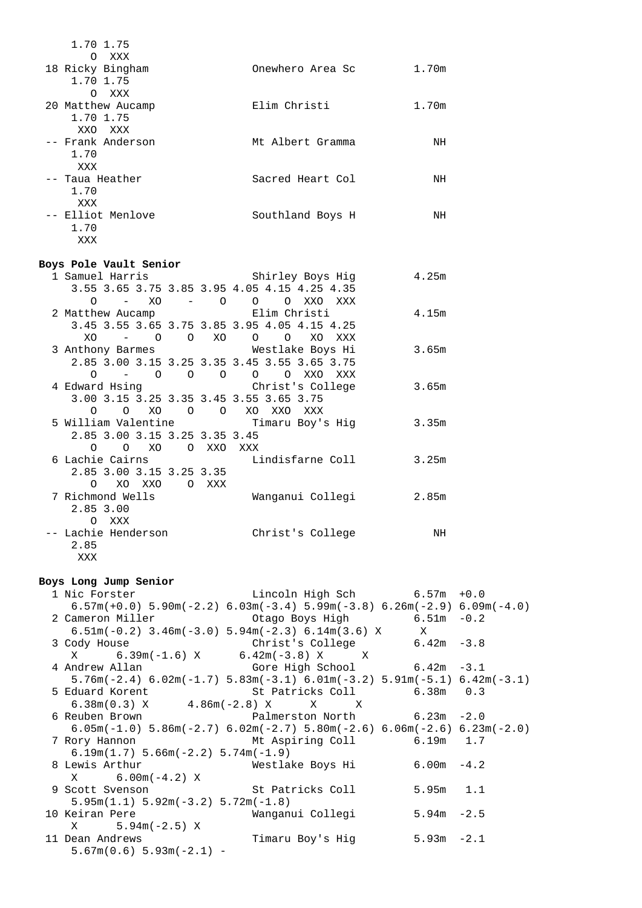| 1.70 1.75<br>O XXX                                |                  |       |
|---------------------------------------------------|------------------|-------|
| 18 Ricky Bingham<br>1.70 1.75                     | Onewhero Area Sc | 1.70m |
| $\Omega$<br>XXX<br>20 Matthew Aucamp<br>1.70 1.75 | Elim Christi     | 1.70m |
| XXO XXX<br>-- Frank Anderson<br>1.70              | Mt Albert Gramma | NH    |
| XXX<br>-- Taua Heather<br>1.70                    | Sacred Heart Col | ΝH    |
| XXX<br>-- Elliot Menlove<br>1.70<br>XXX           | Southland Boys H | NH    |

# **Boys Pole Vault Senior**

|                                            |                           | 1 Samuel Harris                           Shirley Boys Hig | 4.25m |
|--------------------------------------------|---------------------------|------------------------------------------------------------|-------|
|                                            |                           | 3.55 3.65 3.75 3.85 3.95 4.05 4.15 4.25 4.35               |       |
| XO<br>O<br>$\frac{1}{2}$ and $\frac{1}{2}$ | $-$ 0                     | $\Omega$<br>O XXO XXX                                      |       |
| 2 Matthew Aucamp Christi                   |                           |                                                            | 4.15m |
|                                            |                           | 3.45 3.55 3.65 3.75 3.85 3.95 4.05 4.15 4.25               |       |
| $XO$ – $O$ $O$ $XO$ $O$ $O$                |                           | XO<br>XXX                                                  |       |
|                                            |                           | 3 Anthony Barmes Mestlake Boys Hi                          | 3.65m |
|                                            |                           |                                                            |       |
|                                            |                           | 2.85 3.00 3.15 3.25 3.35 3.45 3.55 3.65 3.75               |       |
| $\Omega$                                   |                           | - 0 0 0 0 0 XXO XXX                                        |       |
|                                            |                           | 4 Edward Hsing Christ's College                            | 3.65m |
| 3.00 3.15 3.25 3.35 3.45 3.55 3.65 3.75    |                           |                                                            |       |
| XO<br>$\circ$<br>$\Omega$                  | $\circ$<br>$\overline{O}$ | XO<br>XXO XXX                                              |       |
|                                            |                           | 5 William Valentine                       Timaru Boy's Hig | 3.35m |
| 2.85 3.00 3.15 3.25 3.35 3.45              |                           |                                                            |       |
| 0 0 XO 0 XXO XXX                           |                           |                                                            |       |
| 6 Lachie Cairns                            |                           | Lindisfarne Coll                                           | 3.25m |
| 2.85 3.00 3.15 3.25 3.35                   |                           |                                                            |       |
| XO XXO O XXX<br>$\cap$                     |                           |                                                            |       |
|                                            |                           |                                                            |       |
| 7 Richmond Wells                           |                           | Wanganui Collegi 2.85m                                     |       |
| 2.85 3.00                                  |                           |                                                            |       |
| O XXX                                      |                           |                                                            |       |
| -- Lachie Henderson                        |                           | Christ's College                                           | ΝH    |
| 2.85                                       |                           |                                                            |       |
| XXX                                        |                           |                                                            |       |

#### **Boys Long Jump Senior**

 1 Nic Forster Lincoln High Sch 6.57m +0.0  $6.57m(+0.0)$  5.90m(-2.2)  $6.03m(-3.4)$  5.99m(-3.8)  $6.26m(-2.9)$  6.09m(-4.0)<br>2 Cameron Miller 0.2 Otago Boys High 6.51m -0.2 6.51m(-0.2) 3.46m(-3.0) 5.94m(-2.3) 6.14m(3.6) X X Christ's College<br>6.42m(-3.8) X X  $X = 6.39m(-1.6) X$  4 Andrew Allan Gore High School 6.42m -3.1 5.76m(-2.4) 6.02m(-1.7) 5.83m(-3.1) 6.01m(-3.2) 5.91m(-5.1) 6.42m(-3.1) 5 Eduard Korent<br>6.38m (0.3) X 6.38m(0.3) X 4.86m(-2.8) X X X 6 Reuben Brown Palmerston North 6.23m -2.0 6.05m(-1.0) 5.86m(-2.7) 6.02m(-2.7) 5.80m(-2.6) 6.06m(-2.6) 6.23m(-2.0) 7 Rory Hannon Mt Aspiring Coll 6.19m 1.7 6.19m(1.7) 5.66m(-2.2) 5.74m(-1.9) 8 Lewis Arthur Westlake Boys Hi 6.00m -4.2  $X = 6.00m(-4.2) X$  9 Scott Svenson St Patricks Coll 5.95m 1.1 5.95m(1.1) 5.92m(-3.2) 5.72m(-1.8) 10 Keiran Pere Wanganui Collegi 5.94m -2.5  $X = 5.94m(-2.5) X$ 11 Dean Andrews Timaru Boy's Hig 5.93m -2.1  $5.67m(0.6) 5.93m(-2.1) -$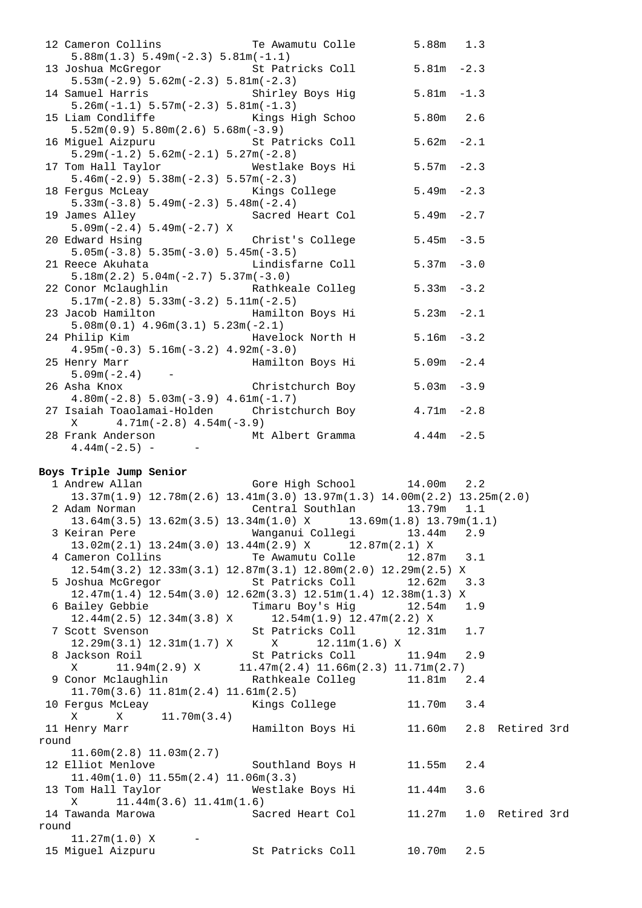| 12 Cameron Collins                                                           | Te Awamutu Colle                 | 5.88m         | 1.3 |
|------------------------------------------------------------------------------|----------------------------------|---------------|-----|
| $5.88m(1.3) 5.49m(-2.3) 5.81m(-1.1)$                                         |                                  |               |     |
| 13 Joshua McGregor                                                           | St Patricks Coll 5.81m -2.3      |               |     |
| $5.53m(-2.9) 5.62m(-2.3) 5.81m(-2.3)$                                        |                                  |               |     |
| 14 Samuel Harris                                                             | Shirley Boys Hig                 | $5.81m - 1.3$ |     |
| $5.26m(-1.1) 5.57m(-2.3) 5.81m(-1.3)$                                        |                                  |               |     |
| 15 Liam Condliffe Kings High Schoo                                           |                                  | 5.80m         | 2.6 |
| $5.52m(0.9) 5.80m(2.6) 5.68m(-3.9)$                                          |                                  |               |     |
| 16 Miguel Aizpuru                                                            | St Patricks Coll                 | $5.62m - 2.1$ |     |
| $5.29m(-1.2) 5.62m(-2.1) 5.27m(-2.8)$                                        |                                  |               |     |
| 17 Tom Hall Taylor                                                           | Westlake Boys Hi 5.57m -2.3      |               |     |
| $5.46m(-2.9) 5.38m(-2.3) 5.57m(-2.3)$                                        |                                  |               |     |
| 18 Fergus McLeay                                                             | Kings College                    | $5.49m - 2.3$ |     |
| $5.33m(-3.8)$ $5.49m(-2.3)$ $5.48m(-2.4)$                                    |                                  |               |     |
| 19 James Alley                                                               | Sacred Heart Col 5.49m -2.7      |               |     |
| $5.09m(-2.4) 5.49m(-2.7) X$                                                  |                                  |               |     |
| 20 Edward Hsing                                                              | Christ's College                 | $5.45m - 3.5$ |     |
| $5.05m(-3.8) 5.35m(-3.0) 5.45m(-3.5)$                                        |                                  |               |     |
| 21 Reece Akuhata                                                             | Lindisfarne Coll                 | $5.37m - 3.0$ |     |
| $5.18m(2.2) 5.04m(-2.7) 5.37m(-3.0)$                                         |                                  |               |     |
| 22 Conor Mclaughlin Mathkeale Colleg 5.33m -3.2                              |                                  |               |     |
| $5.17m(-2.8) 5.33m(-3.2) 5.11m(-2.5)$                                        |                                  |               |     |
| 23 Jacob Hamilton Communist Hamilton Boys Hi                                 |                                  | $5.23m -2.1$  |     |
| $5.08m(0.1)$ 4.96 $m(3.1)$ 5.23 $m(-2.1)$                                    |                                  |               |     |
| 24 Philip Kim                                                                | Havelock North H                 | $5.16m - 3.2$ |     |
| $4.95m(-0.3) 5.16m(-3.2) 4.92m(-3.0)$                                        |                                  |               |     |
| 25 Henry Marr                                                                | Hamilton Boys Hi                 | $5.09m - 2.4$ |     |
| $\mathcal{L}^{\mathcal{L}}(\mathcal{L}^{\mathcal{L}})$ .<br>$5.09m(-2.4)$    |                                  |               |     |
| 26 Asha Knox                                                                 | Christchurch Boy                 | $5.03m - 3.9$ |     |
| $4.80m(-2.8) 5.03m(-3.9) 4.61m(-1.7)$                                        |                                  |               |     |
| 27 Isaiah Toaolamai-Holden       Christchurch Boy                            |                                  | $4.71m - 2.8$ |     |
| $X$ 4.71m( $-2.8$ ) 4.54m( $-3.9$ )                                          |                                  |               |     |
| 28 Frank Anderson                                                            | Mt Albert Gramma $4.44$ m $-2.5$ |               |     |
| $4.44m(-2.5) -$<br>$\mathcal{L}_{\text{max}}$ and $\mathcal{L}_{\text{max}}$ |                                  |               |     |

#### **Boys Triple Jump Senior**

 1 Andrew Allan Gore High School 14.00m 2.2 13.37m(1.9) 12.78m(2.6) 13.41m(3.0) 13.97m(1.3) 14.00m(2.2) 13.25m(2.0) 2 Adam Norman Central Southlan 13.79m 1.1 13.64m(3.5) 13.62m(3.5) 13.34m(1.0) X 13.69m(1.8) 13.79m(1.1) 3 Keiran Pere Wanganui Collegi 13.44m 2.9 13.02m(2.1) 13.24m(3.0) 13.44m(2.9) X 12.87m(2.1) X 4 Cameron Collins Te Awamutu Colle 12.87m 3.1 12.54m(3.2) 12.33m(3.1) 12.87m(3.1) 12.80m(2.0) 12.29m(2.5) X 5 Joshua McGregor St Patricks Coll 12.62m 3.3 12.47m(1.4) 12.54m(3.0) 12.62m(3.3) 12.51m(1.4) 12.38m(1.3) X 6 Bailey Gebbie Timaru Boy's Hig 12.54m 1.9<br>12.44m(2.5) 12.34m(3.8) X 12.54m(1.9) 12.47m(2.2) X 12.44m(2.5) 12.34m(3.8) X 12.54m(1.9) 12.47m(2.2) X 7 Scott Svenson St Patricks Coll 12.31m 1.7 12.29m(3.1) 12.31m(1.7) X X 12.11m(1.6) X 8 Jackson Roil **St Patricks Coll** 11.94m 2.9  $X = 11.94$ m $(2.9)$   $X = 11.47$ m $(2.4)$  11.66m $(2.3)$  11.71m $(2.7)$  9 Conor Mclaughlin Rathkeale Colleg 11.81m 2.4 11.70m(3.6) 11.81m(2.4) 11.61m(2.5) 10 Fergus McLeay  $\mu$  Kings College 11.70m 3.4 X X 11.70m(3.4) 11 Henry Marr The Hamilton Boys Hi 11.60m 2.8 Retired 3rd round 11.60m(2.8) 11.03m(2.7) 12 Elliot Menlove Southland Boys H 11.55m 2.4 11.40m(1.0) 11.55m(2.4) 11.06m(3.3) 13 Tom Hall Taylor **Westlake Boys Hi** 11.44m 3.6 X 11.44m(3.6) 11.41m(1.6) 14 Tawanda Marowa Sacred Heart Col 11.27m 1.0 Retired 3rd round  $11.27m(1.0)$  X 15 Miguel Aizpuru St Patricks Coll 10.70m 2.5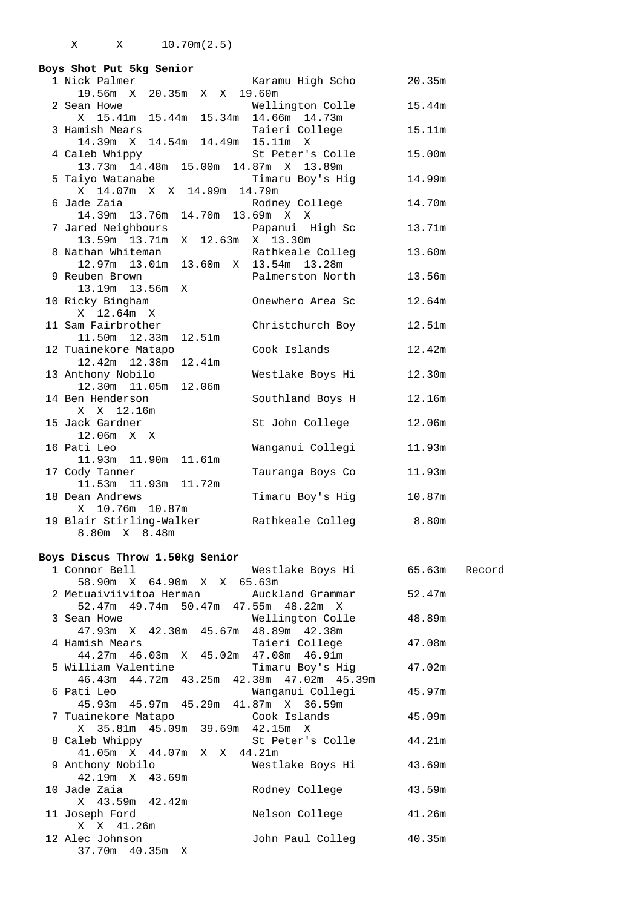| Boys Shot Put 5kg Senior                  |                  |        |
|-------------------------------------------|------------------|--------|
| 1 Nick Palmer                             | Karamu High Scho | 20.35m |
| 19.56m X 20.35m X X 19.60m                |                  |        |
| 2 Sean Howe                               | Wellington Colle | 15.44m |
| X 15.41m 15.44m 15.34m 14.66m 14.73m      |                  |        |
| 3 Hamish Mears                            | Taieri College   | 15.11m |
| 14.39m X 14.54m 14.49m 15.11m X           |                  |        |
| 4 Caleb Whippy                            | St Peter's Colle | 15.00m |
| 13.73m  14.48m  15.00m  14.87m  X  13.89m |                  |        |
| 5 Taiyo Watanabe                          | Timaru Boy's Hig | 14.99m |
| X 14.07m X X 14.99m 14.79m                |                  |        |
| 6 Jade Zaia                               | Rodney College   | 14.70m |
| 14.39m 13.76m 14.70m 13.69m X X           |                  |        |
| 7 Jared Neighbours                        | Papanui High Sc  | 13.71m |
| 13.59m   13.71m<br>X 12.63m X 13.30m      |                  |        |
| 8 Nathan Whiteman                         | Rathkeale Colleg | 13.60m |
| 12.97m 13.01m 13.60m X 13.54m 13.28m      |                  |        |
| 9 Reuben Brown                            | Palmerston North | 13.56m |
| 13.19m  13.56m<br>Χ                       |                  |        |
| 10 Ricky Bingham                          | Onewhero Area Sc | 12.64m |
| X 12.64m X                                |                  |        |
| 11 Sam Fairbrother                        | Christchurch Boy | 12.51m |
| 11.50m   12.33m<br>12.51m                 |                  |        |
| 12 Tuainekore Matapo                      | Cook Islands     | 12.42m |
| 12.42m  12.38m<br>12.41m                  |                  |        |
| 13 Anthony Nobilo                         | Westlake Boys Hi | 12.30m |
| 12.30m 11.05m 12.06m                      |                  |        |
| 14 Ben Henderson                          | Southland Boys H | 12.16m |
| X X 12.16m                                |                  |        |
| 15 Jack Gardner                           | St John College  | 12.06m |
| $12.06m \times X$                         |                  |        |
| 16 Pati Leo                               | Wanganui Collegi | 11.93m |
| 11.93m  11.90m  11.61m                    |                  |        |
| 17 Cody Tanner                            | Tauranga Boys Co | 11.93m |
| 11.53m  11.93m  11.72m                    |                  |        |
| 18 Dean Andrews                           | Timaru Boy's Hig | 10.87m |
| X 10.76m 10.87m                           |                  |        |
| 19 Blair Stirling-Walker                  | Rathkeale Colleg | 8.80m  |
| 8.80m X 8.48m                             |                  |        |

#### **Boys Discus Throw 1.50kg Senior**

| 1 Connor Bell 65.63m Record                                                                                                                                                                                                    |                         |        |
|--------------------------------------------------------------------------------------------------------------------------------------------------------------------------------------------------------------------------------|-------------------------|--------|
| 58.90m X 64.90m X X 65.63m                                                                                                                                                                                                     |                         |        |
| 2 Metuaiviivitoa Herman Muckland Grammar 52.47m                                                                                                                                                                                |                         |        |
| 52.47m 49.74m 50.47m 47.55m 48.22m X                                                                                                                                                                                           |                         |        |
| 3 Sean Howe 6 20 Wellington Colle 48.89m                                                                                                                                                                                       |                         |        |
| 47.93m X 42.30m 45.67m 48.89m 42.38m                                                                                                                                                                                           |                         |        |
| 4 Hamish Mears Taieri College 47.08m                                                                                                                                                                                           |                         |        |
| 44.27m  46.03m  X  45.02m  47.08m  46.91m                                                                                                                                                                                      |                         |        |
|                                                                                                                                                                                                                                |                         |        |
| 46.43m  44.72m  43.25m  42.38m  47.02m  45.39m                                                                                                                                                                                 |                         |        |
| 6 Pati Leo and a contract the state of the state of the state of the state of the state of the state of the state of the state of the state of the state of the state of the state of the state of the state of the state of t | Wanganui Collegi 45.97m |        |
| 45.93m  45.97m  45.29m  41.87m  X  36.59m                                                                                                                                                                                      |                         |        |
|                                                                                                                                                                                                                                |                         |        |
| X 35.81m 45.09m 39.69m 42.15m X                                                                                                                                                                                                |                         |        |
| 8 Caleb Whippy St Peter's Colle 44.21m                                                                                                                                                                                         |                         |        |
| 41.05m X 44.07m X X 44.21m                                                                                                                                                                                                     |                         |        |
| 9 Anthony Nobilo Westlake Boys Hi 43.69m                                                                                                                                                                                       |                         |        |
| 42.19m X 43.69m                                                                                                                                                                                                                |                         |        |
| 10 Jade Zaia                                                                                                                                                                                                                   | Rodney College          | 43.59m |
| X 43.59m 42.42m                                                                                                                                                                                                                |                         |        |
| 11 Joseph Ford                                                                                                                                                                                                                 | Nelson College 41.26m   |        |
| X X 41.26m                                                                                                                                                                                                                     |                         |        |
| 12 Alec Johnson                                                                                                                                                                                                                | John Paul Colleg 40.35m |        |
| 37.70m  40.35m  X                                                                                                                                                                                                              |                         |        |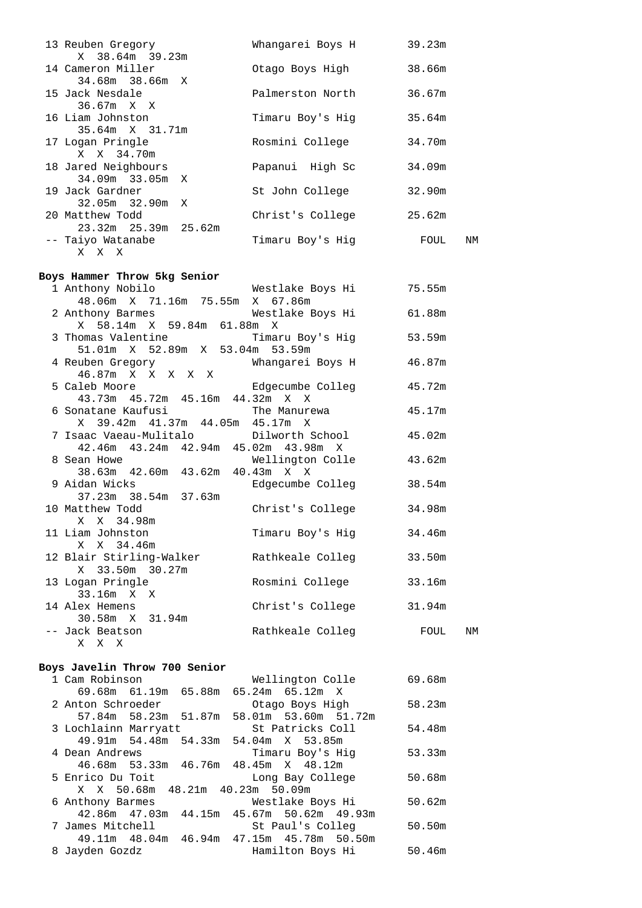| 13 Reuben Gregory                                                | Whangarei Boys H                     | 39.23m |    |
|------------------------------------------------------------------|--------------------------------------|--------|----|
| X 38.64m 39.23m<br>14 Cameron Miller                             | Otago Boys High                      |        |    |
| 34.68m 38.66m X                                                  |                                      | 38.66m |    |
| 15 Jack Nesdale                                                  | Palmerston North                     | 36.67m |    |
| 36.67m X X                                                       |                                      |        |    |
| 16 Liam Johnston                                                 | Timaru Boy's Hig                     | 35.64m |    |
| 35.64m X 31.71m                                                  |                                      |        |    |
| 17 Logan Pringle                                                 | Rosmini College                      | 34.70m |    |
| X X 34.70m                                                       |                                      |        |    |
| 18 Jared Neighbours                                              | Papanui High Sc                      | 34.09m |    |
| 34.09m 33.05m X                                                  |                                      |        |    |
| 19 Jack Gardner<br>32.05m 32.90m X                               | St John College                      | 32.90m |    |
| 20 Matthew Todd                                                  | Christ's College                     | 25.62m |    |
| 23.32m 25.39m 25.62m                                             |                                      |        |    |
| -- Taiyo Watanabe                                                | Timaru Boy's Hig FOUL                |        | NM |
| X X X                                                            |                                      |        |    |
|                                                                  |                                      |        |    |
| Boys Hammer Throw 5kg Senior                                     |                                      |        |    |
| 1 Anthony Nobilo<br>48.06m X 71.16m 75.55m X 67.86m              | Westlake Boys Hi                     | 75.55m |    |
| 2 Anthony Barmes                                                 | Westlake Boys Hi                     | 61.88m |    |
| X 58.14m X 59.84m 61.88m X                                       |                                      |        |    |
|                                                                  | Timaru Boy's Hig                     | 53.59m |    |
| 3 Thomas Valentine Timaru Boy<br>51.01m X 52.89m X 53.04m 53.59m |                                      |        |    |
| 4 Reuben Gregory                                                 | Whangarei Boys H                     | 46.87m |    |
| 46.87m X X X X X                                                 |                                      |        |    |
| 5 Caleb Moore                                                    | Edgecumbe Colleg                     | 45.72m |    |
| 43.73m  45.72m  45.16m  44.32m  X  X<br>6 Sonatane Kaufusi       | The Manurewa                         | 45.17m |    |
| X 39.42m 41.37m 44.05m 45.17m X                                  |                                      |        |    |
| 7 Isaac Vaeau-Mulitalo                                           | Dilworth School                      | 45.02m |    |
| 42.46m  43.24m  42.94m  45.02m  43.98m  X                        |                                      |        |    |
| 8 Sean Howe                                                      | Wellington Colle                     | 43.62m |    |
| 38.63m  42.60m  43.62m  40.43m  X  X                             |                                      |        |    |
| 9 Aidan Wicks                                                    | Edgecumbe Colleg                     | 38.54m |    |
| 37.23m 38.54m 37.63m<br>10 Matthew Todd                          | Christ's College                     | 34.98m |    |
| X X 34.98m                                                       |                                      |        |    |
| 11 Liam Johnston                                                 | Timaru Boy's Hig                     | 34.46m |    |
| X X 34.46m                                                       |                                      |        |    |
| 12 Blair Stirling-Walker                                         | Rathkeale Colleg                     | 33.50m |    |
| X 33.50m 30.27m                                                  |                                      |        |    |
| 13 Logan Pringle                                                 | Rosmini College                      | 33.16m |    |
| 33.16m X X<br>14 Alex Hemens                                     | Christ's College                     | 31.94m |    |
| 30.58m X 31.94m                                                  |                                      |        |    |
| -- Jack Beatson                                                  | Rathkeale Colleg                     | FOUL   | NM |
| X X X                                                            |                                      |        |    |
|                                                                  |                                      |        |    |
| Boys Javelin Throw 700 Senior                                    |                                      |        |    |
| 1 Cam Robinson                                                   | Wellington Colle                     | 69.68m |    |
| 69.68m  61.19m  65.88m<br>2 Anton Schroeder                      | 65.24m  65.12m  X<br>Otago Boys High | 58.23m |    |
| 57.84m 58.23m 51.87m 58.01m 53.60m 51.72m                        |                                      |        |    |
| 3 Lochlainn Marryatt                                             | St Patricks Coll                     | 54.48m |    |
| 49.91m 54.48m 54.33m 54.04m X 53.85m                             |                                      |        |    |
| 4 Dean Andrews                                                   | Timaru Boy's Hig                     | 53.33m |    |
| 46.68m 53.33m 46.76m 48.45m X 48.12m                             |                                      |        |    |
| 5 Enrico Du Toit                                                 | Long Bay College                     | 50.68m |    |
| X X 50.68m 48.21m 40.23m 50.09m<br>6 Anthony Barmes              | Westlake Boys Hi                     | 50.62m |    |
| 42.86m  47.03m  44.15m  45.67m  50.62m  49.93m                   |                                      |        |    |
| 7 James Mitchell                                                 | St Paul's Colleg                     | 50.50m |    |
|                                                                  |                                      |        |    |

49.11m 48.04m 46.94m 47.15m 45.78m 50.50m

8 Jayden Gozdz Hamilton Boys Hi 50.46m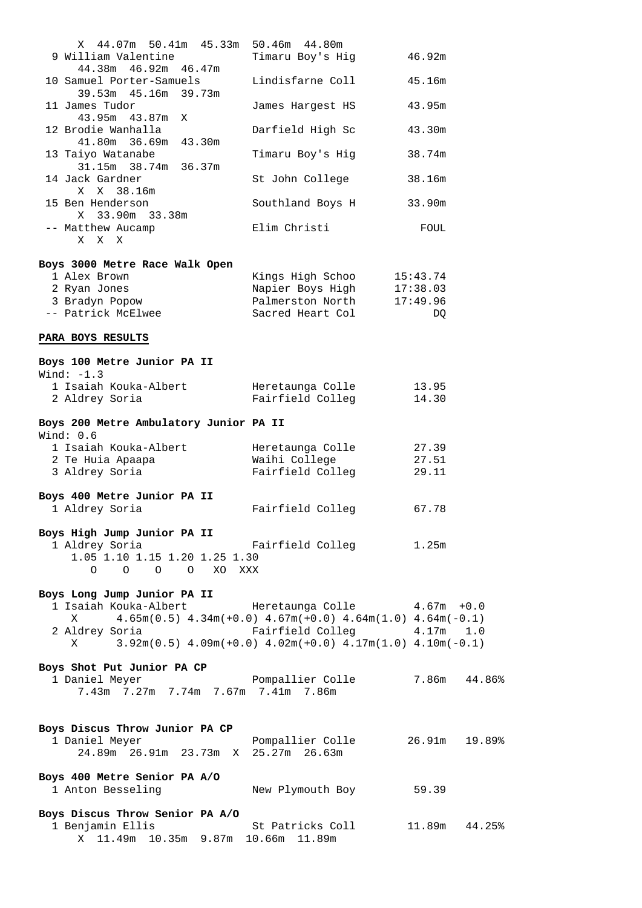| X 44.07m 50.41m 45.33m 50.46m 44.80m<br>9 William Valentine                                                 | Timaru Boy's Hig                     | 46.92m         |
|-------------------------------------------------------------------------------------------------------------|--------------------------------------|----------------|
| 44.38m  46.92m  46.47m                                                                                      |                                      |                |
| 10 Samuel Porter-Samuels<br>39.53m  45.16m  39.73m                                                          | Lindisfarne Coll                     | 45.16m         |
| 11 James Tudor<br>43.95m  43.87m  X                                                                         | James Hargest HS                     | 43.95m         |
| 12 Brodie Wanhalla<br>41.80m 36.69m 43.30m                                                                  | Darfield High Sc                     | 43.30m         |
| 13 Taiyo Watanabe<br>31.15m 38.74m 36.37m                                                                   | Timaru Boy's Hig                     | 38.74m         |
| 14 Jack Gardner<br>X X 38.16m                                                                               | St John College                      | 38.16m         |
| 15 Ben Henderson<br>X 33.90m 33.38m                                                                         | Southland Boys H                     | 33.90m         |
| -- Matthew Aucamp<br>X X X                                                                                  | Elim Christi                         | FOUL           |
| Boys 3000 Metre Race Walk Open                                                                              |                                      |                |
| 1 Alex Brown                                                                                                | Kings High Schoo 15:43.74            |                |
| 2 Ryan Jones                                                                                                | Napier Boys High 17:38.03            |                |
| 3 Bradyn Popow                                                                                              | Palmerston North                     | 17:49.96       |
| -- Patrick McElwee                                                                                          | Sacred Heart Col                     | DQ             |
| PARA BOYS RESULTS                                                                                           |                                      |                |
| Boys 100 Metre Junior PA II                                                                                 |                                      |                |
| Wind: $-1.3$                                                                                                |                                      |                |
| 1 Isaiah Kouka-Albert<br>2 Aldrey Soria                                                                     | Heretaunga Colle<br>Fairfield Colleg | 13.95<br>14.30 |
| Boys 200 Metre Ambulatory Junior PA II                                                                      |                                      |                |
| Wind: $0.6$                                                                                                 |                                      |                |
| 1 Isaiah Kouka-Albert                                                                                       | Heretaunga Colle                     | 27.39          |
| 2 Te Huia Apaapa                                                                                            | Waihi College                        | 27.51          |
| 3 Aldrey Soria                                                                                              | Fairfield Colleg                     | 29.11          |
| Boys 400 Metre Junior PA II                                                                                 |                                      |                |
| 1 Aldrey Soria                                                                                              | Fairfield Colleg                     | 67.78          |
| Boys High Jump Junior PA II                                                                                 |                                      |                |
| 1 Aldrey Soria                                                                                              | Fairfield Colleg 1.25m               |                |
| 1.05 1.10 1.15 1.20 1.25 1.30<br>O O O XO XXX<br>$\circ$                                                    |                                      |                |
| Boys Long Jump Junior PA II                                                                                 |                                      |                |
| 1 Isaiah Kouka-Albert                                                                                       | Heretaunga Colle 4.67m +0.0          |                |
| $4.65\text{m}(0.5)$ $4.34\text{m}(+0.0)$ $4.67\text{m}(+0.0)$ $4.64\text{m}(1.0)$ $4.64\text{m}(-0.1)$<br>X |                                      |                |
| 2 Aldrey Soria                                                                                              | Fairfield Colleg 4.17m 1.0           |                |
| $3.92m(0.5)$ $4.09m(+0.0)$ $4.02m(+0.0)$ $4.17m(1.0)$ $4.10m(-0.1)$<br>X                                    |                                      |                |
| Boys Shot Put Junior PA CP                                                                                  |                                      |                |
| 1 Daniel Meyer                                                                                              | Pompallier Colle 7.86m 44.86%        |                |
| 7.43m 7.27m 7.74m 7.67m 7.41m 7.86m                                                                         |                                      |                |
|                                                                                                             |                                      |                |
| Boys Discus Throw Junior PA CP                                                                              |                                      |                |
| 1 Daniel Meyer<br>24.89m  26.91m  23.73m  X  25.27m  26.63m                                                 | Pompallier Colle                     | 26.91m 19.89%  |
| Boys 400 Metre Senior PA A/O                                                                                |                                      |                |
| 1 Anton Besseling                                                                                           | New Plymouth Boy 59.39               |                |
| Boys Discus Throw Senior PA A/O                                                                             |                                      |                |
| 1 Benjamin Ellis                                                                                            | St Patricks Coll                     | 11.89m 44.25%  |
| X 11.49m 10.35m 9.87m 10.66m 11.89m                                                                         |                                      |                |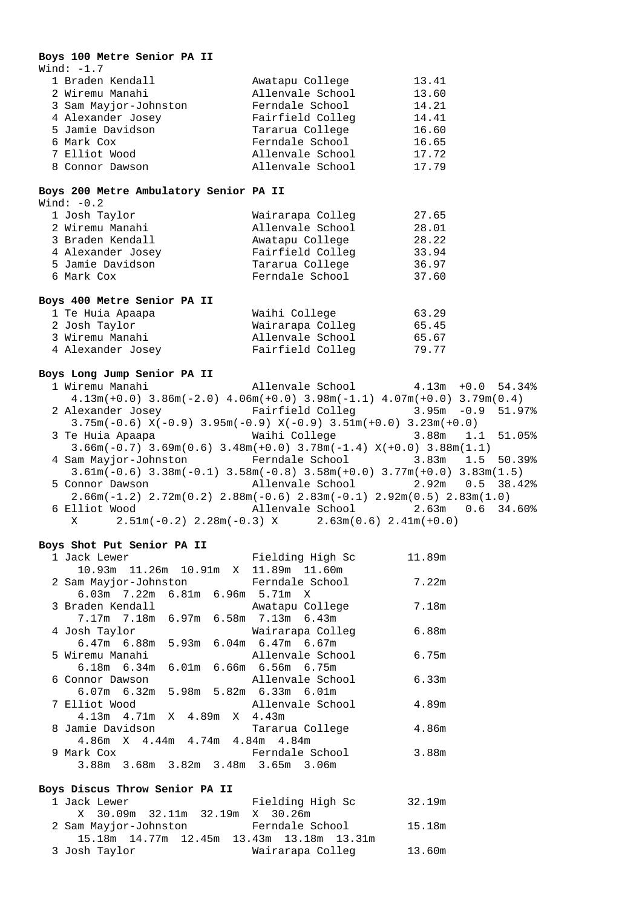### **Boys 100 Metre Senior PA II**

| Wind: $-1.7$          |                  |       |
|-----------------------|------------------|-------|
| 1 Braden Kendall      | Awatapu College  | 13.41 |
| 2 Wiremu Manahi       | Allenvale School | 13.60 |
| 3 Sam Mayjor-Johnston | Ferndale School  | 14.21 |
| 4 Alexander Josey     | Fairfield Colleg | 14.41 |
| 5 Jamie Davidson      | Tararua College  | 16.60 |
| 6 Mark Cox            | Ferndale School  | 16.65 |
| 7 Elliot Wood         | Allenvale School | 17.72 |
| 8 Connor Dawson       | Allenvale School | 17.79 |

### **Boys 200 Metre Ambulatory Senior PA II**

| Wind: $-0.2$      |                  |       |
|-------------------|------------------|-------|
| 1 Josh Taylor     | Wairarapa Colleg | 27.65 |
| 2 Wiremu Manahi   | Allenvale School | 28.01 |
| 3 Braden Kendall  | Awatapu College  | 28.22 |
| 4 Alexander Josey | Fairfield Colleq | 33.94 |
| 5 Jamie Davidson  | Tararua College  | 36.97 |
| 6 Mark Cox        | Ferndale School  | 37.60 |
|                   |                  |       |

#### **Boys 400 Metre Senior PA II**

| 1 Te Huia Apaapa  | Waihi College    | 63.29 |
|-------------------|------------------|-------|
| 2 Josh Taylor     | Wairarapa Colleg | 65.45 |
| 3 Wiremu Manahi   | Allenvale School | 65.67 |
| 4 Alexander Josey | Fairfield Colleg | 79.77 |

#### **Boys Long Jump Senior PA II**

| boys bong oump senior fa ii |                                                                                             |  |  |
|-----------------------------|---------------------------------------------------------------------------------------------|--|--|
|                             | 1 Wiremu Manahi               Allenvale School         4.13m +0.0 54.34%                    |  |  |
|                             | $4.13m(+0.0)$ $3.86m(-2.0)$ $4.06m(+0.0)$ $3.98m(-1.1)$ $4.07m(+0.0)$ $3.79m(0.4)$          |  |  |
|                             | 2 Alexander Josey 6 Fairfield Colleg 3.95m -0.9 51.97%                                      |  |  |
|                             | $3.75m(-0.6)$ $X(-0.9)$ $3.95m(-0.9)$ $X(-0.9)$ $3.51m(+0.0)$ $3.23m(+0.0)$                 |  |  |
|                             | 3 Te Huia Apaapa                         Waihi College                 3.88m   1.1   51.05% |  |  |
|                             | $3.66m(-0.7)$ $3.69m(0.6)$ $3.48m(+0.0)$ $3.78m(-1.4)$ $X(+0.0)$ $3.88m(1.1)$               |  |  |
|                             | 4 Sam Mayjor-Johnston Ferndale School 3.83m 1.5 50.39%                                      |  |  |
|                             | $3.61m(-0.6)$ $3.38m(-0.1)$ $3.58m(-0.8)$ $3.58m(+0.0)$ $3.77m(+0.0)$ $3.83m(1.5)$          |  |  |
|                             | 5 Connor Dawson             Allenvale School         2.92m   0.5   38.42%                   |  |  |
|                             | $2.66m(-1.2)$ $2.72m(0.2)$ $2.88m(-0.6)$ $2.83m(-0.1)$ $2.92m(0.5)$ $2.83m(1.0)$            |  |  |
|                             | 6 Elliot Wood                 Allenvale School           2.63m   0.6   34.60%               |  |  |
|                             | $X$ 2.51m(-0.2) 2.28m(-0.3) X 2.63m(0.6) 2.41m(+0.0)                                        |  |  |

### **Boys Shot Put Senior PA II**

| 1 Jack Lewer     |                                         |  | Fielding High Sc                                         | 11.89m |
|------------------|-----------------------------------------|--|----------------------------------------------------------|--------|
|                  |                                         |  | 10.93m  11.26m  10.91m  X  11.89m  11.60m                |        |
|                  |                                         |  | 2 Sam Mayjor-Johnston Ferndale School                    | 7.22m  |
|                  |                                         |  | $6.03m$ $7.22m$ $6.81m$ $6.96m$ $5.71m$ X                |        |
| 3 Braden Kendall |                                         |  | Awatapu College                                          | 7.18m  |
|                  |                                         |  | 7.17m 7.18m 6.97m 6.58m 7.13m 6.43m                      |        |
|                  |                                         |  | 4 Josh Taylor                           Wairarapa Colleq | 6.88m  |
|                  |                                         |  | $6.47m$ 6.88m 5.93m 6.04m 6.47m 6.67m                    |        |
| 5 Wiremu Manahi  |                                         |  | Allenvale School                                         | 6.75m  |
|                  |                                         |  | 6.18m  6.34m  6.01m  6.66m  6.56m  6.75m                 |        |
| 6 Connor Dawson  |                                         |  | Allenvale School                                         | 6.33m  |
|                  |                                         |  | $6.07$ m $6.32$ m $5.98$ m $5.82$ m $6.33$ m $6.01$ m    |        |
| 7 Elliot Wood    |                                         |  | Allenvale School                                         | 4.89m  |
|                  | $4.13m$ $4.71m$ $X$ $4.89m$ $X$ $4.43m$ |  |                                                          |        |
| 8 Jamie Davidson |                                         |  | Tararua College                                          | 4.86m  |
|                  |                                         |  | 4.86m X 4.44m 4.74m 4.84m 4.84m                          |        |
| 9 Mark Cox       |                                         |  | Ferndale School                                          | 3.88m  |
|                  |                                         |  | 3.88m 3.68m 3.82m 3.48m 3.65m 3.06m                      |        |

#### **Boys Discus Throw Senior PA II**

| 1 Jack Lewer                                   | Fielding High Sc | 32.19m |
|------------------------------------------------|------------------|--------|
| X 30.09m 32.11m 32.19m X 30.26m                |                  |        |
| 2 Sam Mayjor-Johnston                          | Ferndale School  | 15.18m |
| 15.18m  14.77m  12.45m  13.43m  13.18m  13.31m |                  |        |
| 3 Josh Taylor                                  | Wairarapa Colleg | 13.60m |